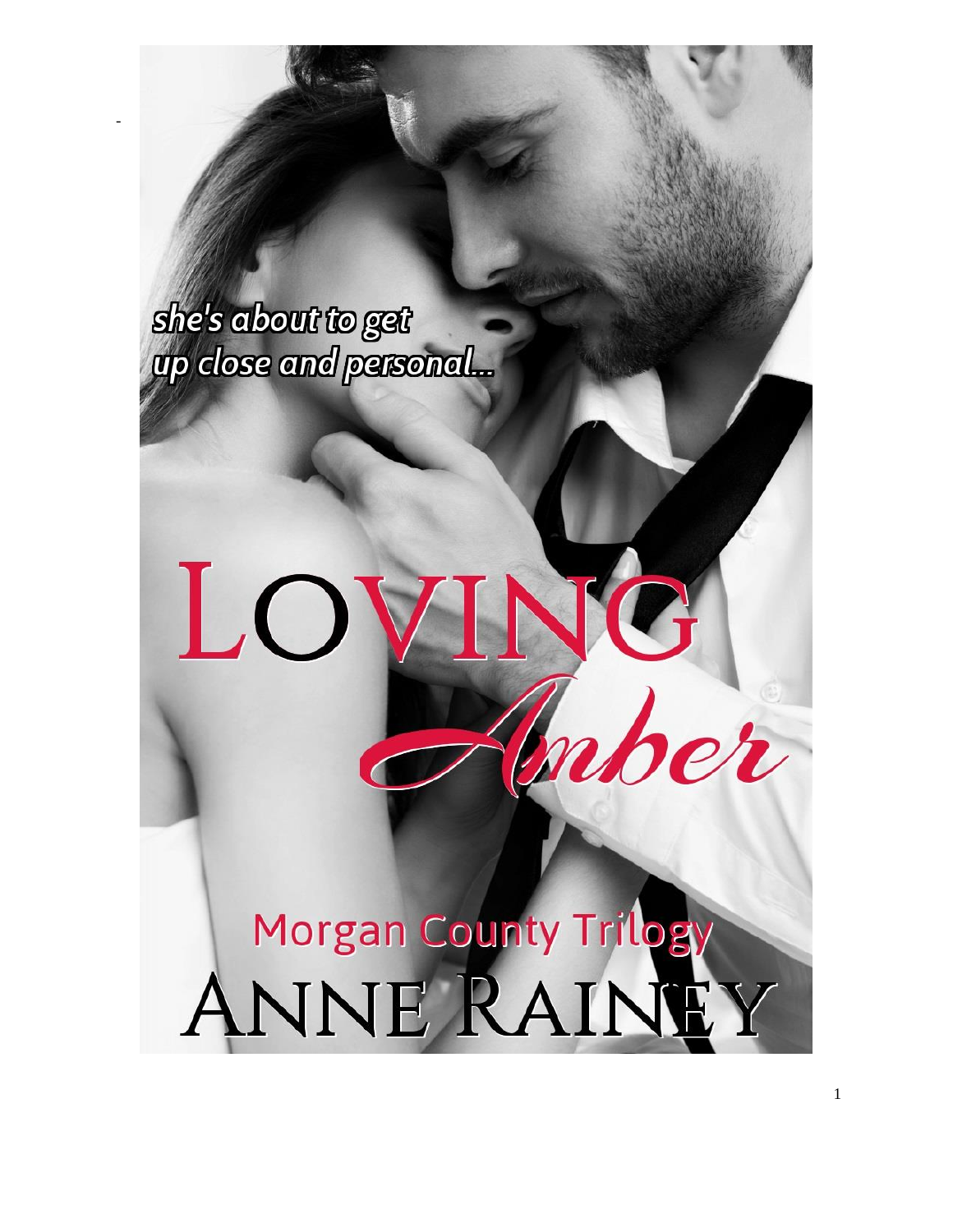she's about to get up close and parsonal...

 $\mathbf{L}$ 

-

## Morgan County Trilogy ANNE RAINEY

Inber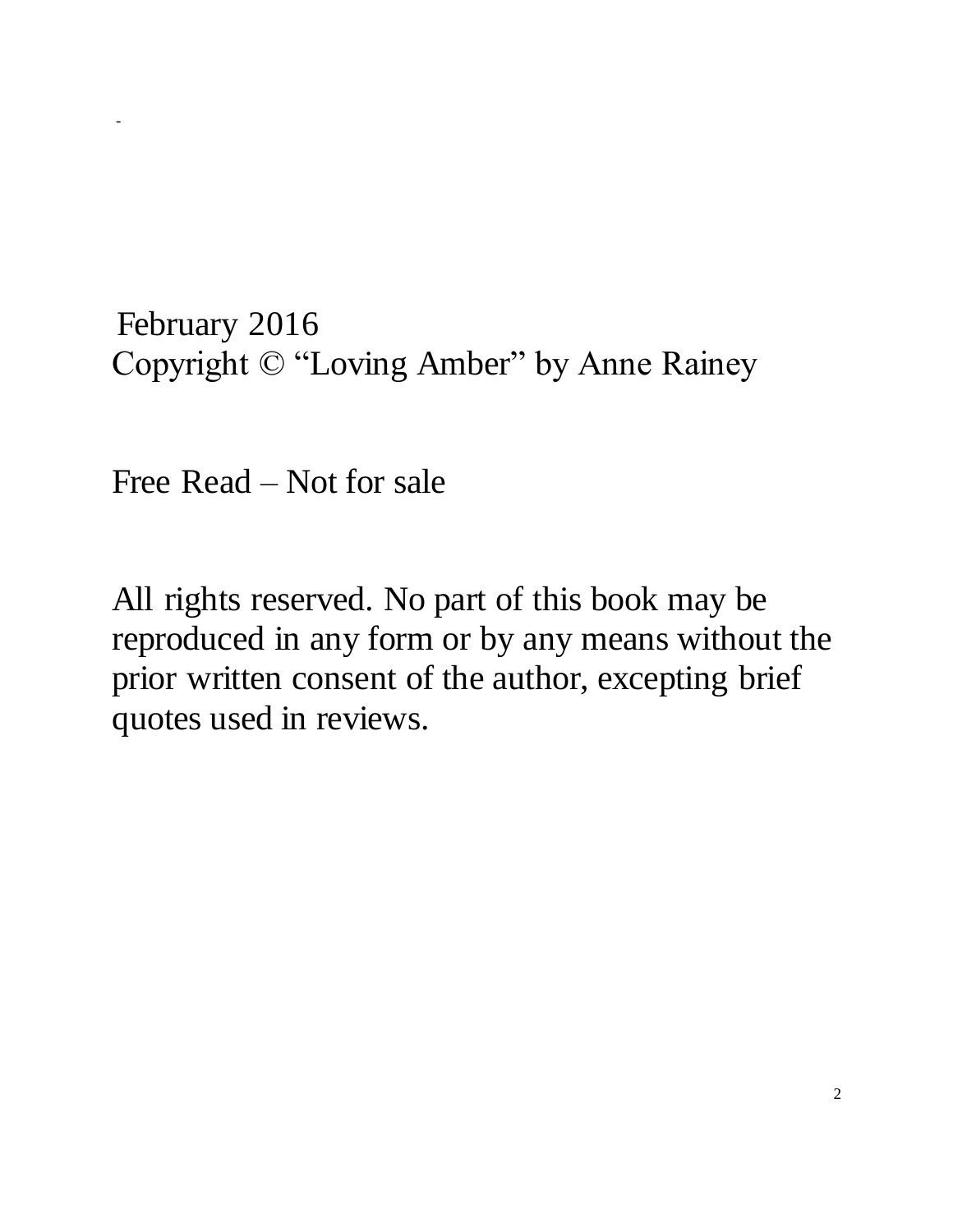February 2016 Copyright © "Loving Amber" by Anne Rainey

Free Read – Not for sale

-

All rights reserved. No part of this book may be reproduced in any form or by any means without the prior written consent of the author, excepting brief quotes used in reviews.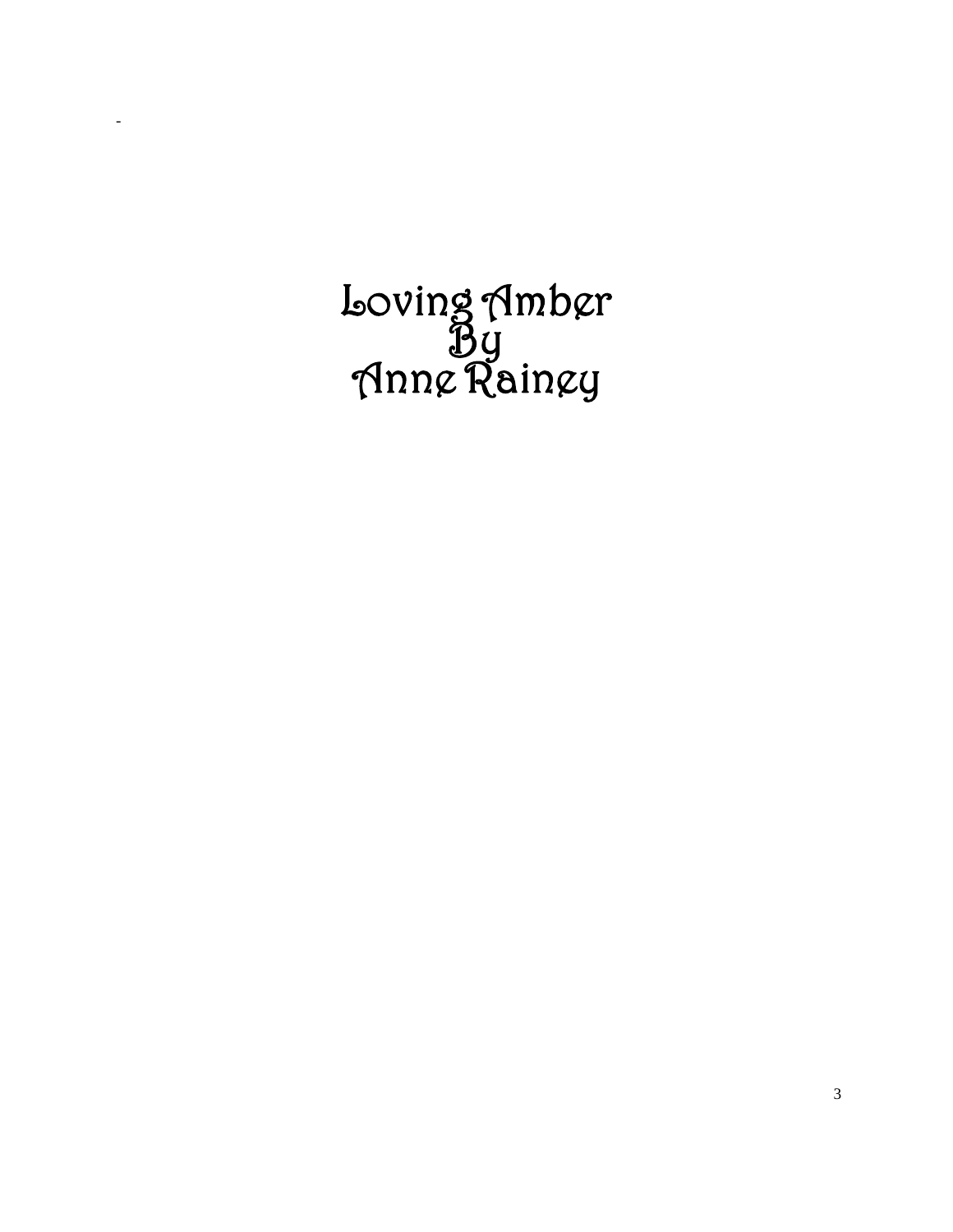Loving Amber By Anne Rainey

-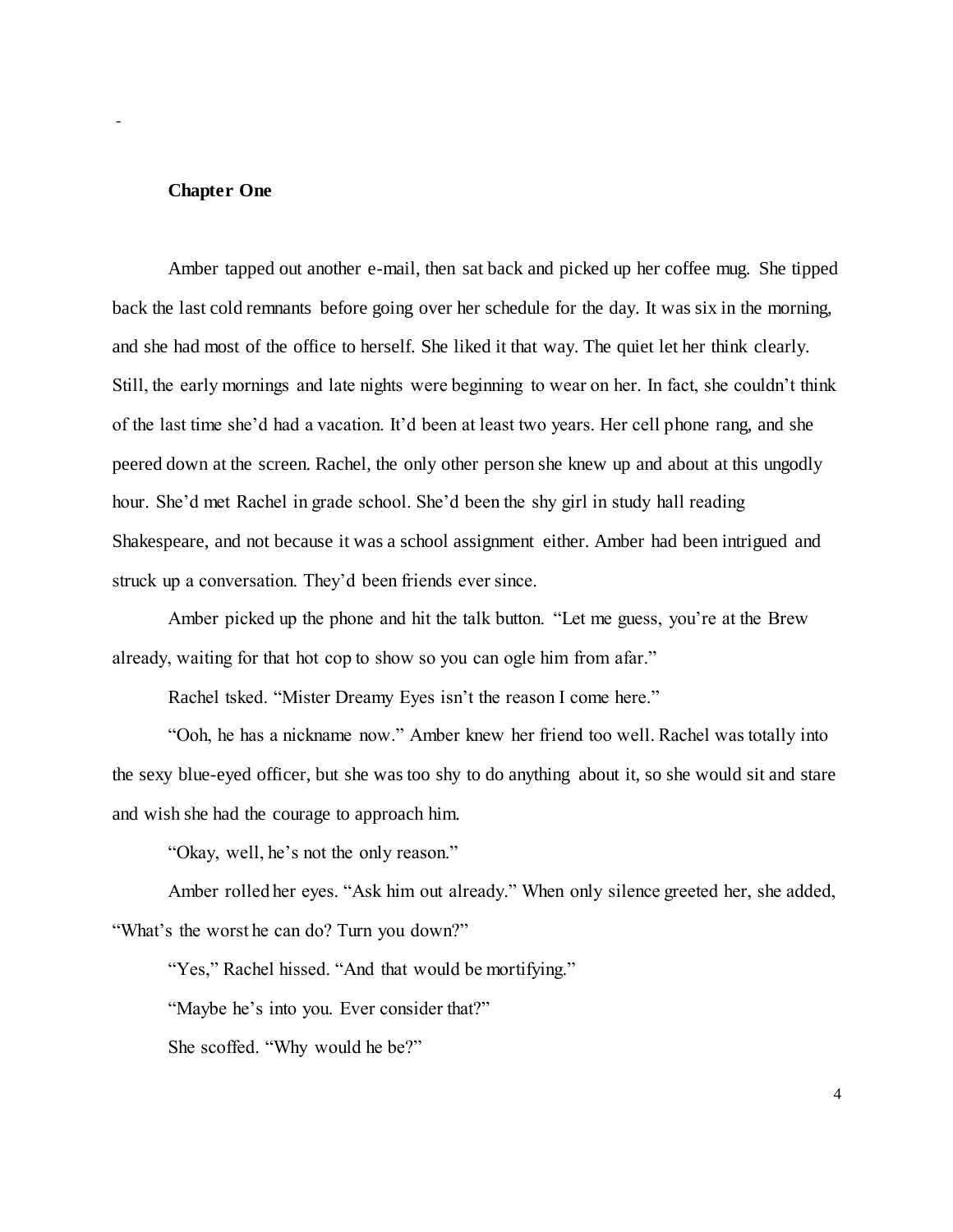## **Chapter One**

-

Amber tapped out another e-mail, then sat back and picked up her coffee mug. She tipped back the last cold remnants before going over her schedule for the day. It was six in the morning, and she had most of the office to herself. She liked it that way. The quiet let her think clearly. Still, the early mornings and late nights were beginning to wear on her. In fact, she couldn't think of the last time she'd had a vacation. It'd been at least two years. Her cell phone rang, and she peered down at the screen. Rachel, the only other person she knew up and about at this ungodly hour. She'd met Rachel in grade school. She'd been the shy girl in study hall reading Shakespeare, and not because it was a school assignment either. Amber had been intrigued and struck up a conversation. They'd been friends ever since.

Amber picked up the phone and hit the talk button. "Let me guess, you're at the Brew already, waiting for that hot cop to show so you can ogle him from afar."

Rachel tsked. "Mister Dreamy Eyes isn't the reason I come here."

"Ooh, he has a nickname now." Amber knew her friend too well. Rachel was totally into the sexy blue-eyed officer, but she was too shy to do anything about it, so she would sit and stare and wish she had the courage to approach him.

"Okay, well, he's not the only reason."

Amber rolled her eyes. "Ask him out already." When only silence greeted her, she added, "What's the worst he can do? Turn you down?"

"Yes," Rachel hissed. "And that would be mortifying."

"Maybe he's into you. Ever consider that?"

She scoffed. "Why would he be?"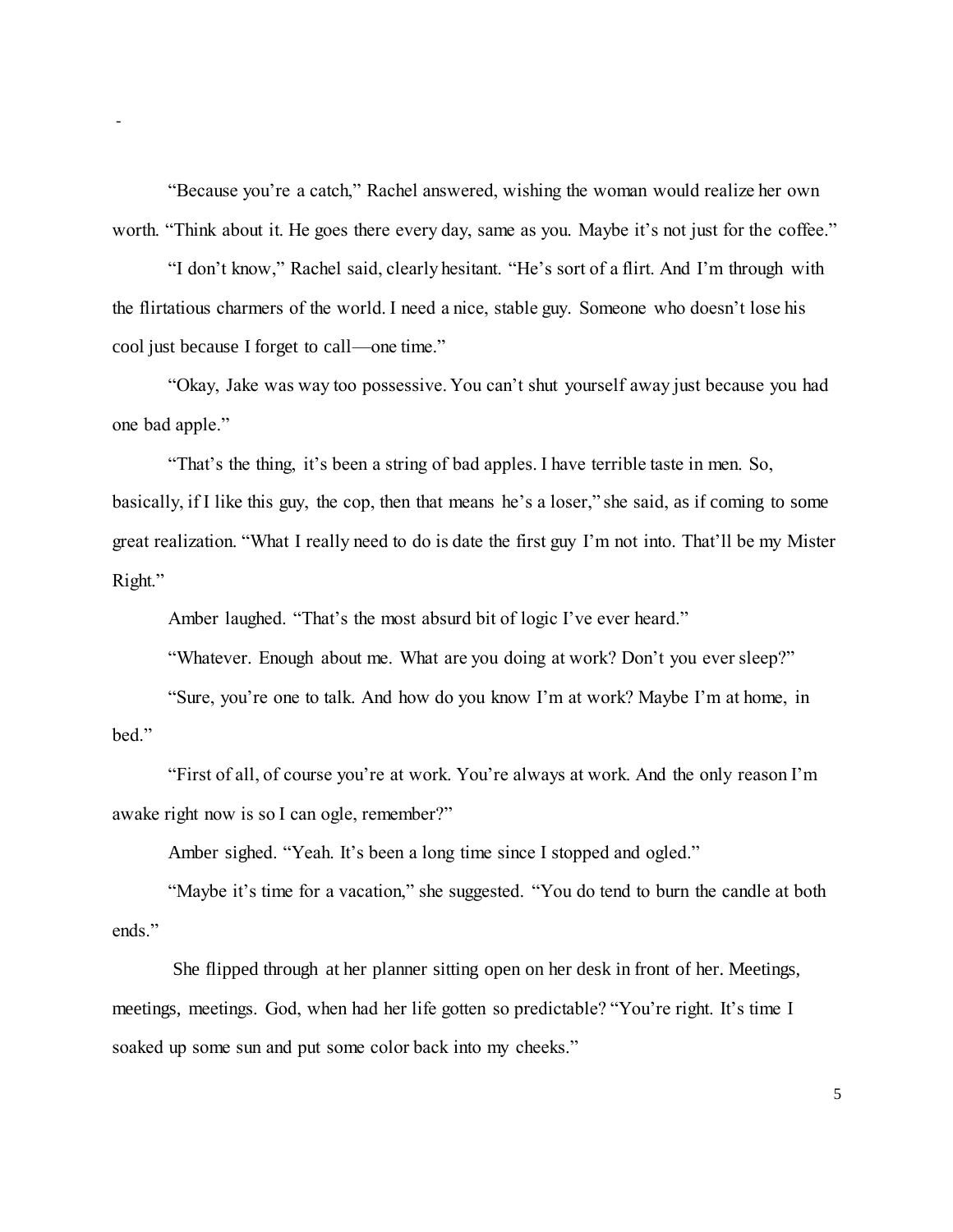"Because you're a catch," Rachel answered, wishing the woman would realize her own worth. "Think about it. He goes there every day, same as you. Maybe it's not just for the coffee."

-

"I don't know," Rachel said, clearly hesitant. "He's sort of a flirt. And I'm through with the flirtatious charmers of the world. I need a nice, stable guy. Someone who doesn't lose his cool just because I forget to call—one time."

"Okay, Jake was way too possessive. You can't shut yourself away just because you had one bad apple."

"That's the thing, it's been a string of bad apples. I have terrible taste in men. So, basically, if I like this guy, the cop, then that means he's a loser," she said, as if coming to some great realization. "What I really need to do is date the first guy I'm not into. That'll be my Mister Right."

Amber laughed. "That's the most absurd bit of logic I've ever heard."

"Whatever. Enough about me. What are you doing at work? Don't you ever sleep?"

"Sure, you're one to talk. And how do you know I'm at work? Maybe I'm at home, in bed."

"First of all, of course you're at work. You're always at work. And the only reason I'm awake right now is so I can ogle, remember?"

Amber sighed. "Yeah. It's been a long time since I stopped and ogled."

"Maybe it's time for a vacation," she suggested. "You do tend to burn the candle at both ends."

She flipped through at her planner sitting open on her desk in front of her. Meetings, meetings, meetings. God, when had her life gotten so predictable? "You're right. It's time I soaked up some sun and put some color back into my cheeks."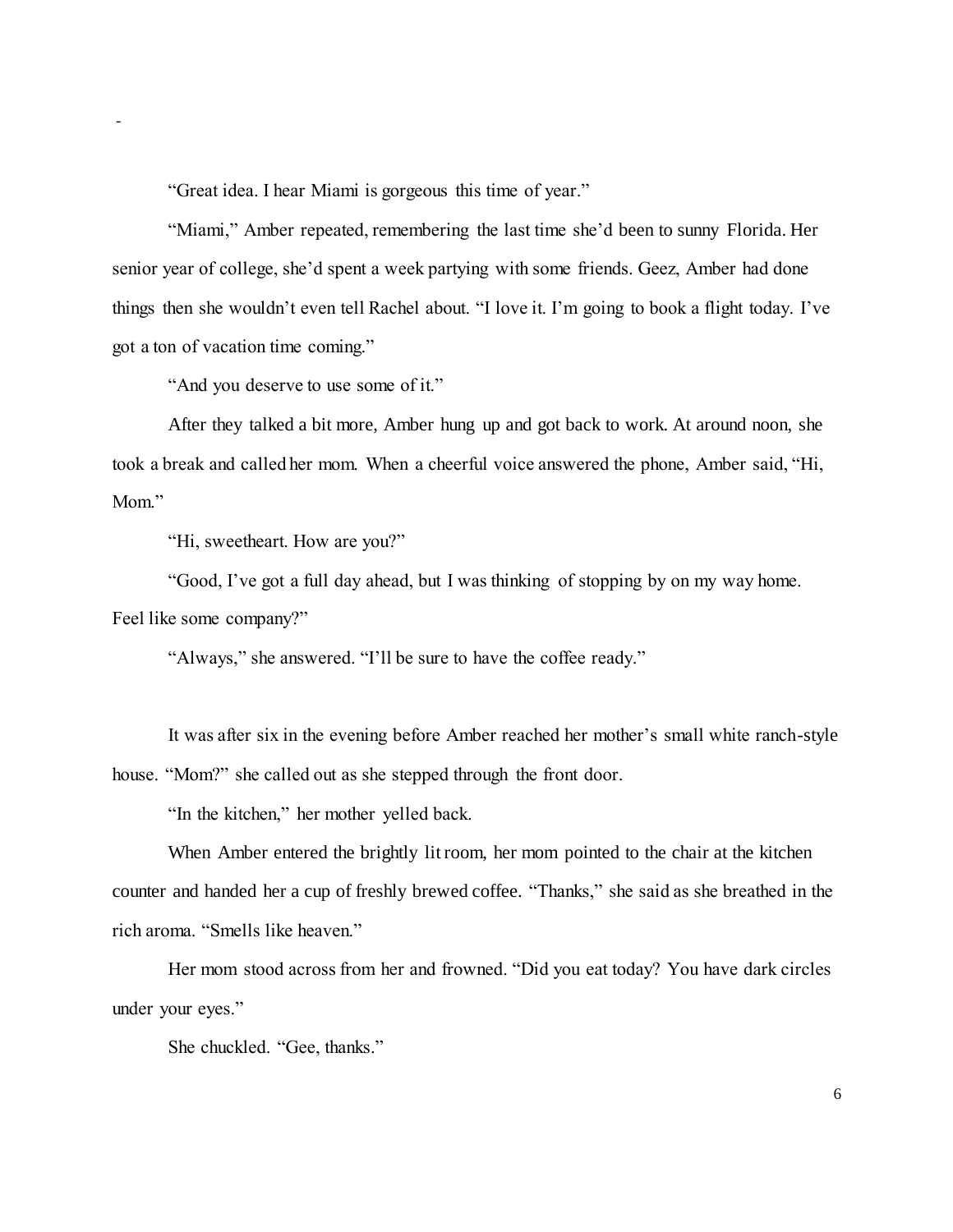"Great idea. I hear Miami is gorgeous this time of year."

"Miami," Amber repeated, remembering the last time she'd been to sunny Florida. Her senior year of college, she'd spent a week partying with some friends. Geez, Amber had done things then she wouldn't even tell Rachel about. "I love it. I'm going to book a flight today. I've got a ton of vacation time coming."

"And you deserve to use some of it."

-

After they talked a bit more, Amber hung up and got back to work. At around noon, she took a break and called her mom. When a cheerful voice answered the phone, Amber said, "Hi, Mom."

"Hi, sweetheart. How are you?"

"Good, I've got a full day ahead, but I was thinking of stopping by on my way home. Feel like some company?"

"Always," she answered. "I'll be sure to have the coffee ready."

It was after six in the evening before Amber reached her mother's small white ranch-style house. "Mom?" she called out as she stepped through the front door.

"In the kitchen," her mother yelled back.

When Amber entered the brightly lit room, her mom pointed to the chair at the kitchen counter and handed her a cup of freshly brewed coffee. "Thanks," she said as she breathed in the rich aroma. "Smells like heaven."

Her mom stood across from her and frowned. "Did you eat today? You have dark circles under your eyes."

She chuckled. "Gee, thanks."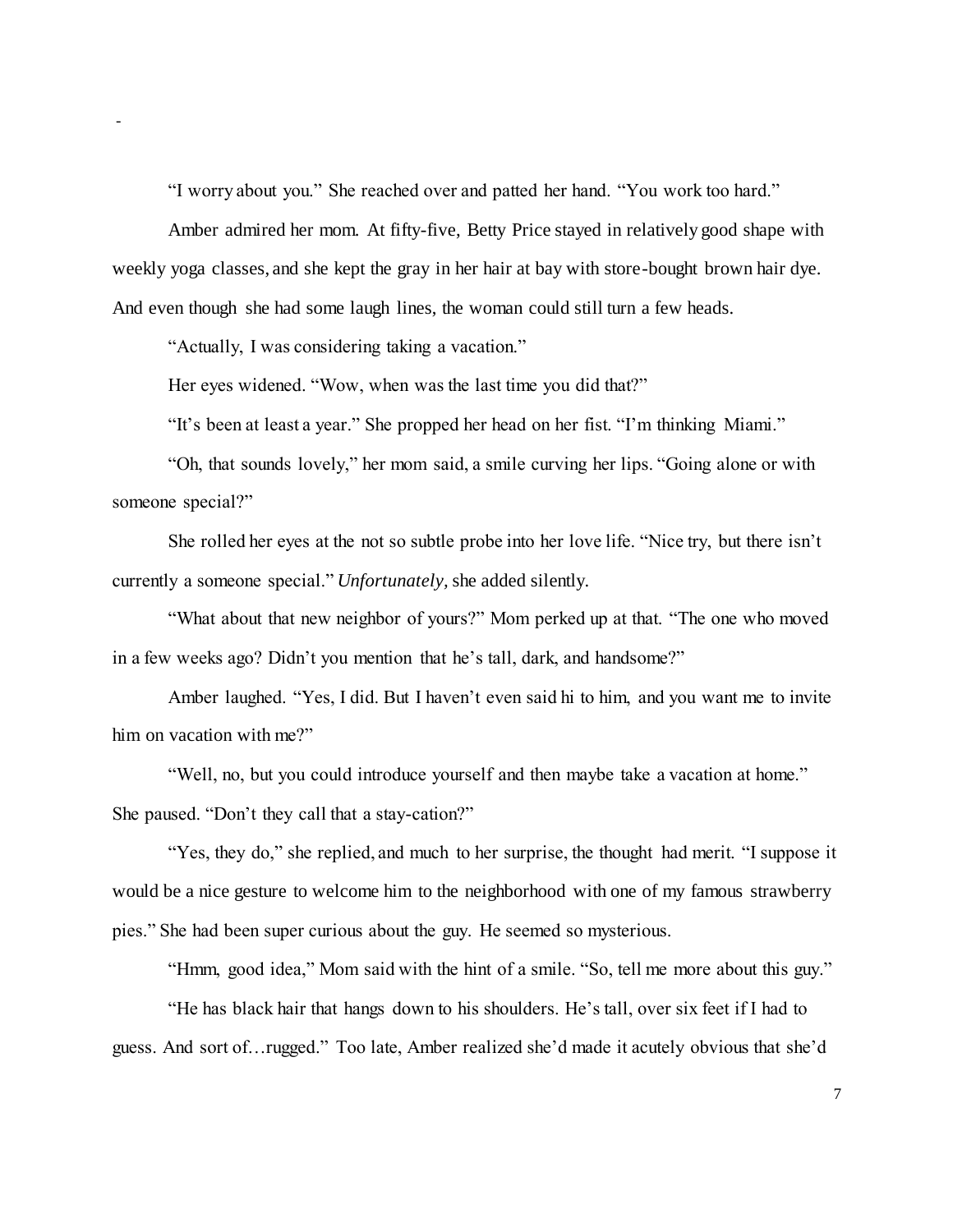"I worry about you." She reached over and patted her hand. "You work too hard."

Amber admired her mom. At fifty-five, Betty Price stayed in relatively good shape with weekly yoga classes, and she kept the gray in her hair at bay with store-bought brown hair dye. And even though she had some laugh lines, the woman could still turn a few heads.

"Actually, I was considering taking a vacation."

-

Her eyes widened. "Wow, when was the last time you did that?"

"It's been at least a year." She propped her head on her fist. "I'm thinking Miami."

"Oh, that sounds lovely," her mom said, a smile curving her lips. "Going alone or with someone special?"

She rolled her eyes at the not so subtle probe into her love life. "Nice try, but there isn't currently a someone special." *Unfortunately,* she added silently.

"What about that new neighbor of yours?" Mom perked up at that. "The one who moved in a few weeks ago? Didn't you mention that he's tall, dark, and handsome?"

Amber laughed. "Yes, I did. But I haven't even said hi to him, and you want me to invite him on vacation with me?"

"Well, no, but you could introduce yourself and then maybe take a vacation at home."

She paused. "Don't they call that a stay-cation?"

"Yes, they do," she replied, and much to her surprise, the thought had merit. "I suppose it would be a nice gesture to welcome him to the neighborhood with one of my famous strawberry pies." She had been super curious about the guy. He seemed so mysterious.

"Hmm, good idea," Mom said with the hint of a smile. "So, tell me more about this guy."

"He has black hair that hangs down to his shoulders. He's tall, over six feet if I had to guess. And sort of…rugged." Too late, Amber realized she'd made it acutely obvious that she'd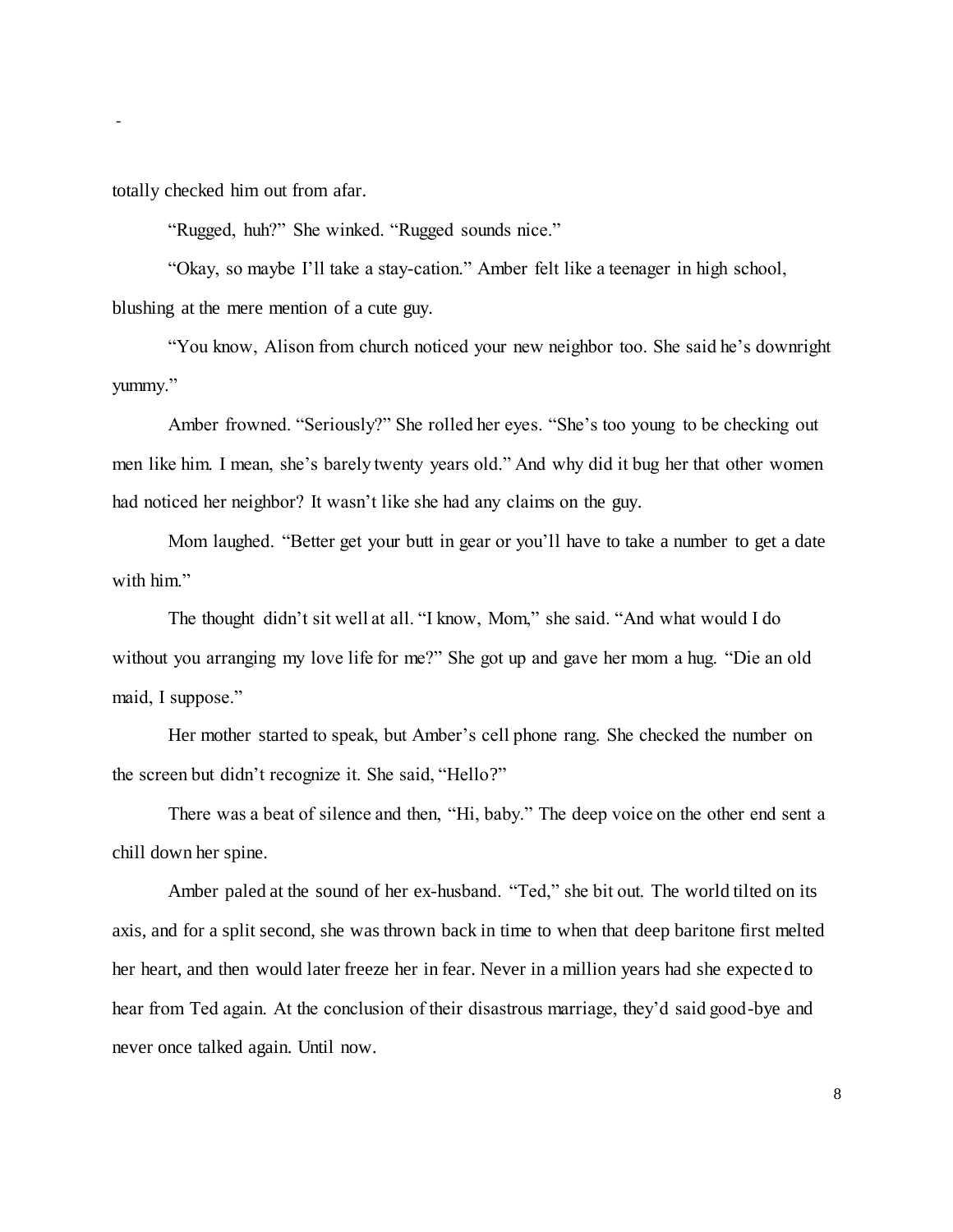totally checked him out from afar.

-

"Rugged, huh?" She winked. "Rugged sounds nice."

"Okay, so maybe I'll take a stay-cation." Amber felt like a teenager in high school, blushing at the mere mention of a cute guy.

"You know, Alison from church noticed your new neighbor too. She said he's downright yummy."

Amber frowned. "Seriously?" She rolled her eyes. "She's too young to be checking out men like him. I mean, she's barely twenty years old." And why did it bug her that other women had noticed her neighbor? It wasn't like she had any claims on the guy.

Mom laughed. "Better get your butt in gear or you'll have to take a number to get a date with him."

The thought didn't sit well at all. "I know, Mom," she said. "And what would I do without you arranging my love life for me?" She got up and gave her mom a hug. "Die an old maid, I suppose."

Her mother started to speak, but Amber's cell phone rang. She checked the number on the screen but didn't recognize it. She said, "Hello?"

There was a beat of silence and then, "Hi, baby." The deep voice on the other end sent a chill down her spine.

Amber paled at the sound of her ex-husband. "Ted," she bit out. The world tilted on its axis, and for a split second, she was thrown back in time to when that deep baritone first melted her heart, and then would later freeze her in fear. Never in a million years had she expected to hear from Ted again. At the conclusion of their disastrous marriage, they'd said good-bye and never once talked again. Until now.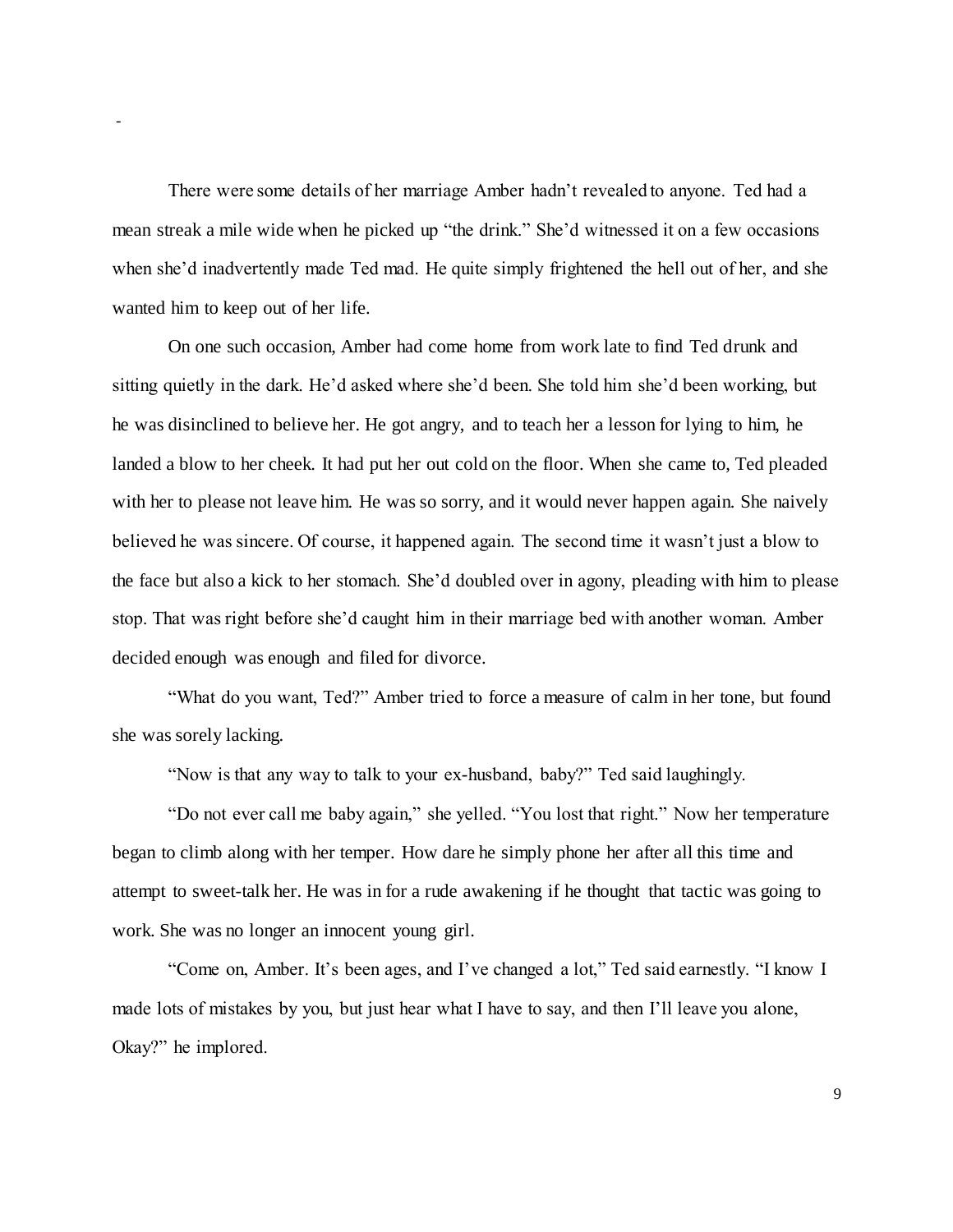There were some details of her marriage Amber hadn't revealed to anyone. Ted had a mean streak a mile wide when he picked up "the drink." She'd witnessed it on a few occasions when she'd inadvertently made Ted mad. He quite simply frightened the hell out of her, and she wanted him to keep out of her life.

-

On one such occasion, Amber had come home from work late to find Ted drunk and sitting quietly in the dark. He'd asked where she'd been. She told him she'd been working, but he was disinclined to believe her. He got angry, and to teach her a lesson for lying to him, he landed a blow to her cheek. It had put her out cold on the floor. When she came to, Ted pleaded with her to please not leave him. He was so sorry, and it would never happen again. She naively believed he was sincere. Of course, it happened again. The second time it wasn't just a blow to the face but also a kick to her stomach. She'd doubled over in agony, pleading with him to please stop. That was right before she'd caught him in their marriage bed with another woman. Amber decided enough was enough and filed for divorce.

"What do you want, Ted?" Amber tried to force a measure of calm in her tone, but found she was sorely lacking.

"Now is that any way to talk to your ex-husband, baby?" Ted said laughingly.

"Do not ever call me baby again," she yelled. "You lost that right." Now her temperature began to climb along with her temper. How dare he simply phone her after all this time and attempt to sweet-talk her. He was in for a rude awakening if he thought that tactic was going to work. She was no longer an innocent young girl.

"Come on, Amber. It's been ages, and I've changed a lot," Ted said earnestly. "I know I made lots of mistakes by you, but just hear what I have to say, and then I'll leave you alone, Okay?" he implored.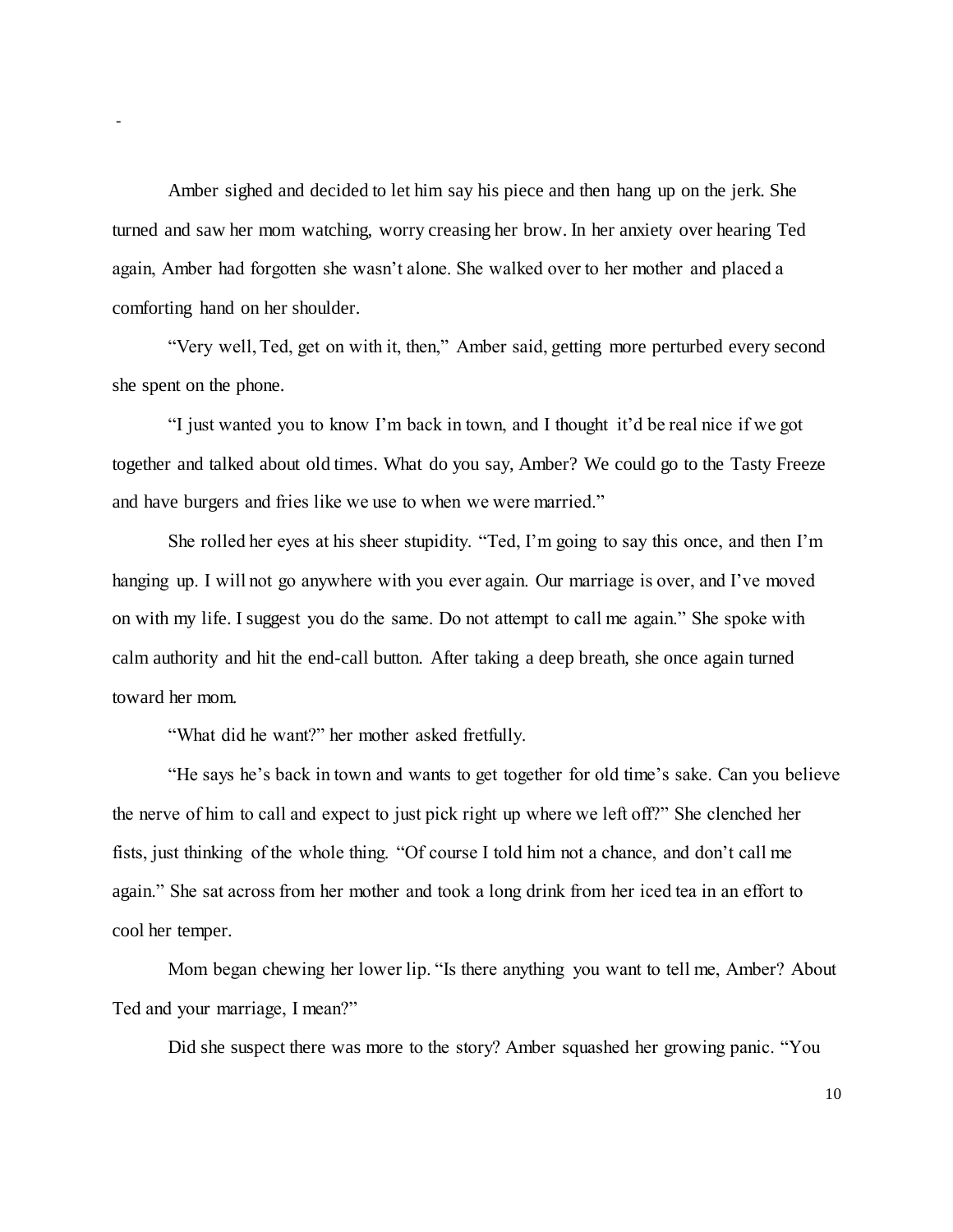Amber sighed and decided to let him say his piece and then hang up on the jerk. She turned and saw her mom watching, worry creasing her brow. In her anxiety over hearing Ted again, Amber had forgotten she wasn't alone. She walked over to her mother and placed a comforting hand on her shoulder.

"Very well, Ted, get on with it, then," Amber said, getting more perturbed every second she spent on the phone.

"I just wanted you to know I'm back in town, and I thought it'd be real nice if we got together and talked about old times. What do you say, Amber? We could go to the Tasty Freeze and have burgers and fries like we use to when we were married."

She rolled her eyes at his sheer stupidity. "Ted, I'm going to say this once, and then I'm hanging up. I will not go anywhere with you ever again. Our marriage is over, and I've moved on with my life. I suggest you do the same. Do not attempt to call me again." She spoke with calm authority and hit the end-call button. After taking a deep breath, she once again turned toward her mom.

"What did he want?" her mother asked fretfully.

-

"He says he's back in town and wants to get together for old time's sake. Can you believe the nerve of him to call and expect to just pick right up where we left off?" She clenched her fists, just thinking of the whole thing. "Of course I told him not a chance, and don't call me again." She sat across from her mother and took a long drink from her iced tea in an effort to cool her temper.

Mom began chewing her lower lip. "Is there anything you want to tell me, Amber? About Ted and your marriage, I mean?"

Did she suspect there was more to the story? Amber squashed her growing panic. "You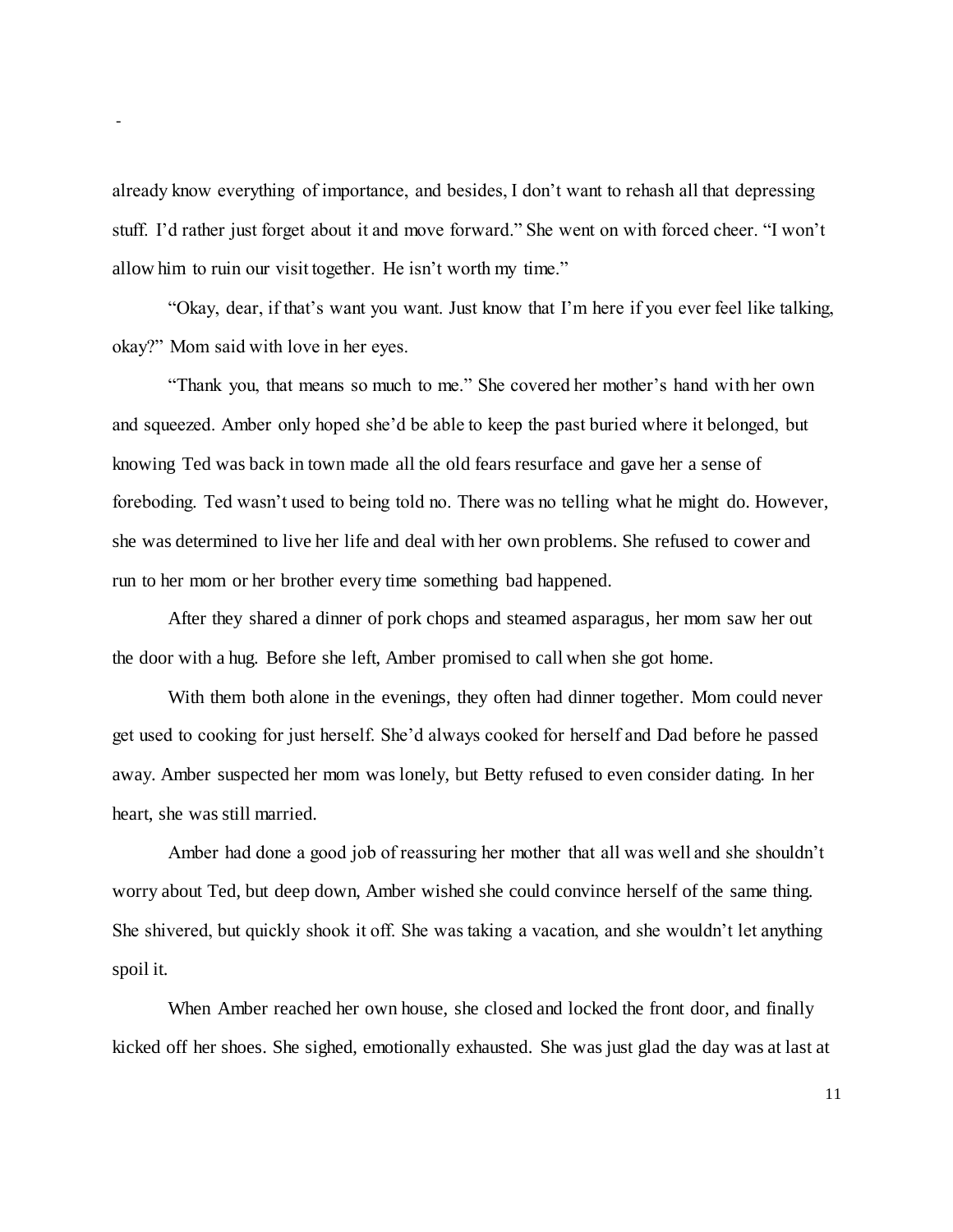already know everything of importance, and besides, I don't want to rehash all that depressing stuff. I'd rather just forget about it and move forward." She went on with forced cheer. "I won't allow him to ruin our visit together. He isn't worth my time."

-

"Okay, dear, if that's want you want. Just know that I'm here if you ever feel like talking, okay?" Mom said with love in her eyes.

"Thank you, that means so much to me." She covered her mother's hand with her own and squeezed. Amber only hoped she'd be able to keep the past buried where it belonged, but knowing Ted was back in town made all the old fears resurface and gave her a sense of foreboding. Ted wasn't used to being told no. There was no telling what he might do. However, she was determined to live her life and deal with her own problems. She refused to cower and run to her mom or her brother every time something bad happened.

After they shared a dinner of pork chops and steamed asparagus, her mom saw her out the door with a hug. Before she left, Amber promised to call when she got home.

With them both alone in the evenings, they often had dinner together. Mom could never get used to cooking for just herself. She'd always cooked for herself and Dad before he passed away. Amber suspected her mom was lonely, but Betty refused to even consider dating. In her heart, she was still married.

Amber had done a good job of reassuring her mother that all was well and she shouldn't worry about Ted, but deep down, Amber wished she could convince herself of the same thing. She shivered, but quickly shook it off. She was taking a vacation, and she wouldn't let anything spoil it.

When Amber reached her own house, she closed and locked the front door, and finally kicked off her shoes. She sighed, emotionally exhausted. She was just glad the day was at last at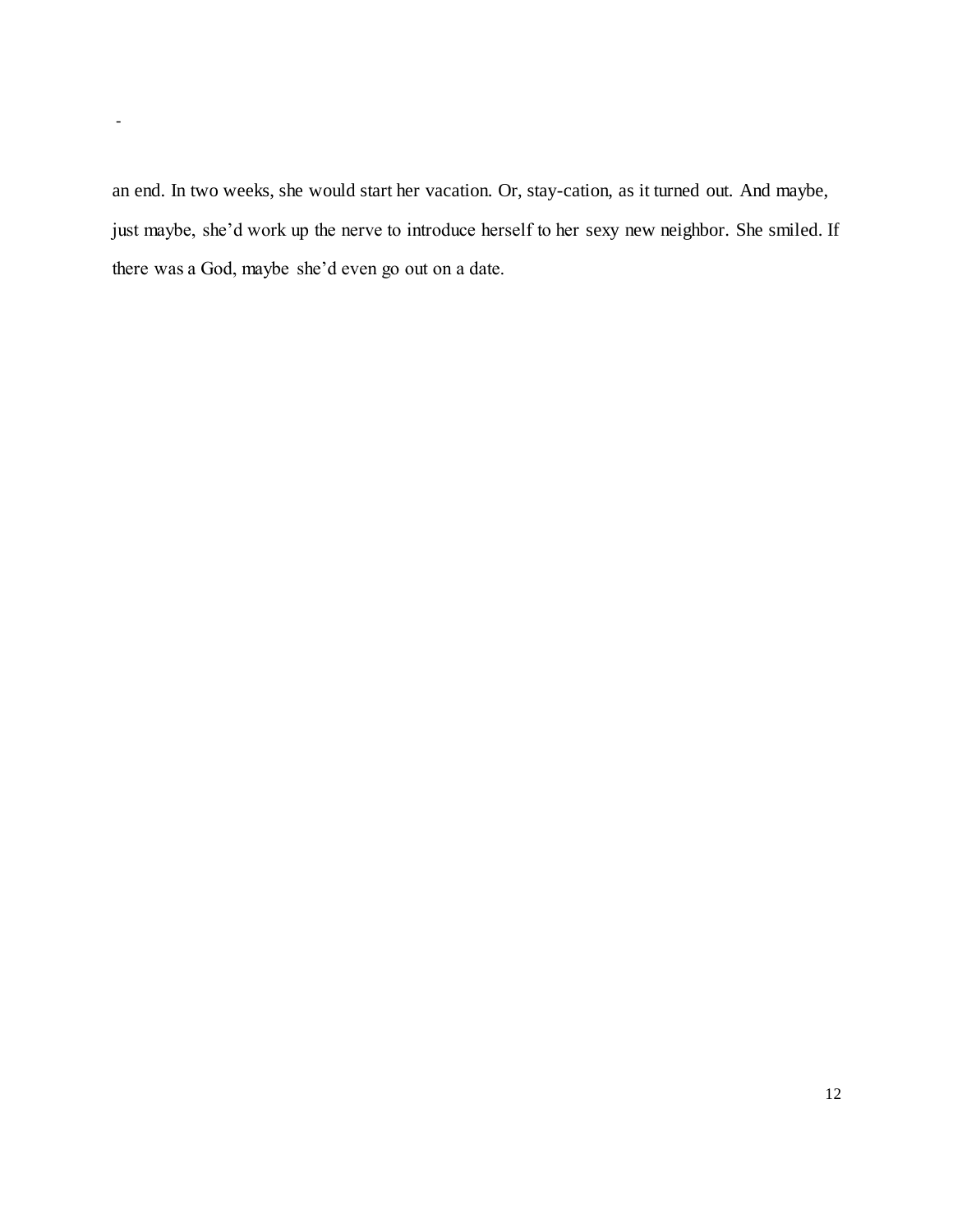an end. In two weeks, she would start her vacation. Or, stay-cation, as it turned out. And maybe, just maybe, she'd work up the nerve to introduce herself to her sexy new neighbor. She smiled. If there was a God, maybe she'd even go out on a date.

-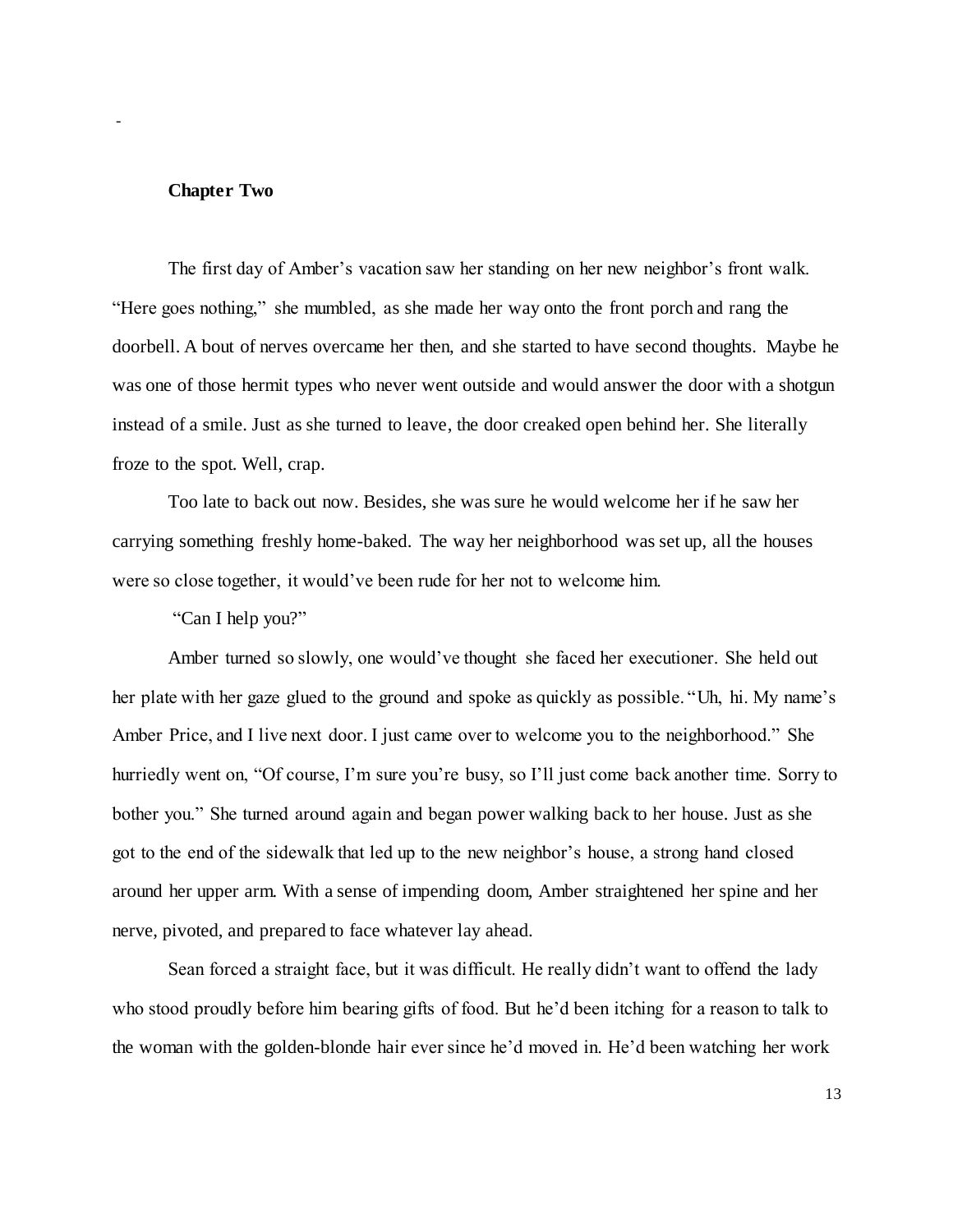## **Chapter Two**

-

The first day of Amber's vacation saw her standing on her new neighbor's front walk. "Here goes nothing," she mumbled, as she made her way onto the front porch and rang the doorbell. A bout of nerves overcame her then, and she started to have second thoughts. Maybe he was one of those hermit types who never went outside and would answer the door with a shotgun instead of a smile. Just as she turned to leave, the door creaked open behind her. She literally froze to the spot. Well, crap.

Too late to back out now. Besides, she was sure he would welcome her if he saw her carrying something freshly home-baked. The way her neighborhood was set up, all the houses were so close together, it would've been rude for her not to welcome him.

"Can I help you?"

Amber turned so slowly, one would've thought she faced her executioner. She held out her plate with her gaze glued to the ground and spoke as quickly as possible. "Uh, hi. My name's Amber Price, and I live next door. I just came over to welcome you to the neighborhood." She hurriedly went on, "Of course, I'm sure you're busy, so I'll just come back another time. Sorry to bother you." She turned around again and began power walking back to her house. Just as she got to the end of the sidewalk that led up to the new neighbor's house, a strong hand closed around her upper arm. With a sense of impending doom, Amber straightened her spine and her nerve, pivoted, and prepared to face whatever lay ahead.

Sean forced a straight face, but it was difficult. He really didn't want to offend the lady who stood proudly before him bearing gifts of food. But he'd been itching for a reason to talk to the woman with the golden-blonde hair ever since he'd moved in. He'd been watching her work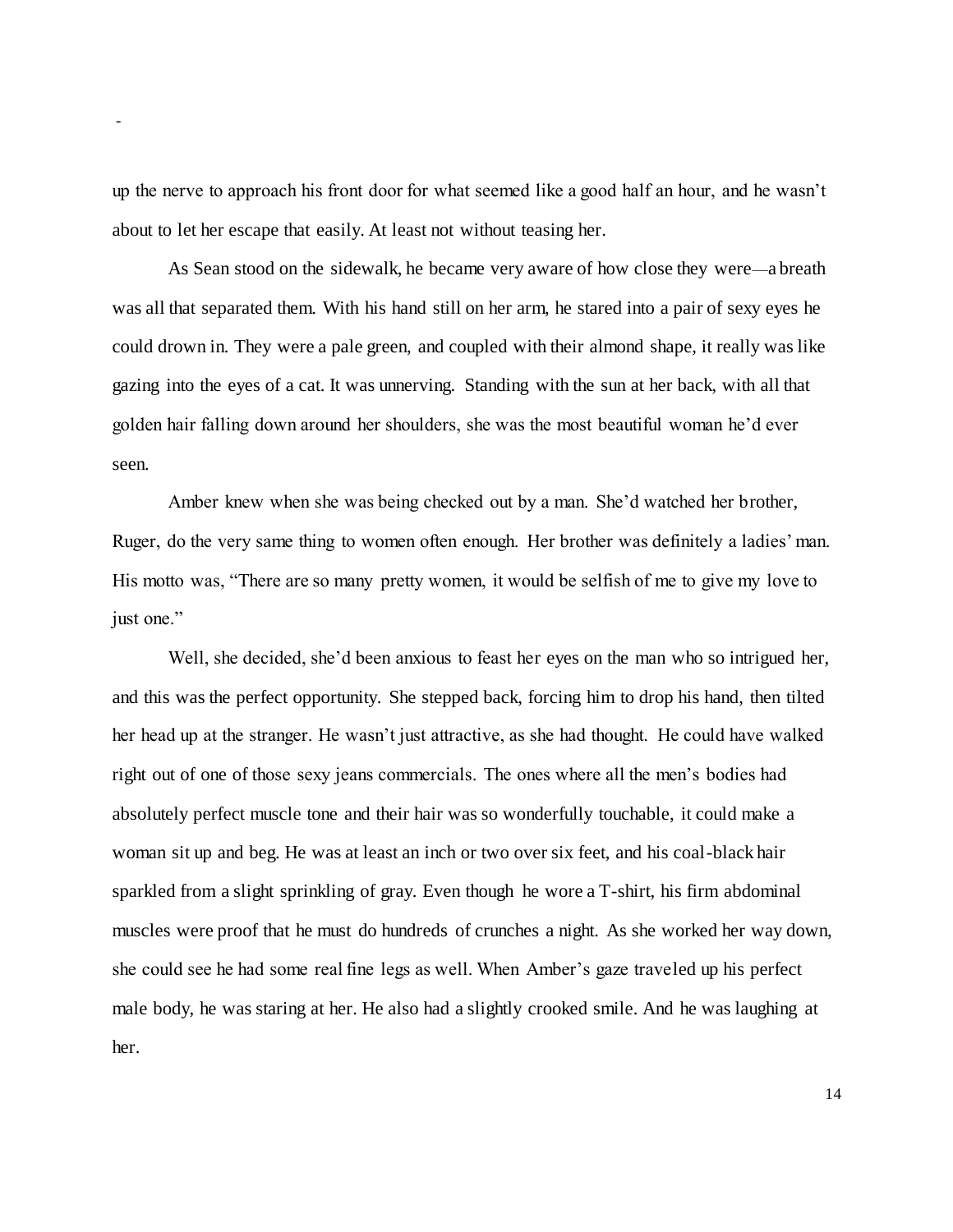up the nerve to approach his front door for what seemed like a good half an hour, and he wasn't about to let her escape that easily. At least not without teasing her.

-

As Sean stood on the sidewalk, he became very aware of how close they were—a breath was all that separated them. With his hand still on her arm, he stared into a pair of sexy eyes he could drown in. They were a pale green, and coupled with their almond shape, it really was like gazing into the eyes of a cat. It was unnerving. Standing with the sun at her back, with all that golden hair falling down around her shoulders, she was the most beautiful woman he'd ever seen.

Amber knew when she was being checked out by a man. She'd watched her brother, Ruger, do the very same thing to women often enough. Her brother was definitely a ladies' man. His motto was, "There are so many pretty women, it would be selfish of me to give my love to just one."

Well, she decided, she'd been anxious to feast her eyes on the man who so intrigued her, and this was the perfect opportunity. She stepped back, forcing him to drop his hand, then tilted her head up at the stranger. He wasn't just attractive, as she had thought. He could have walked right out of one of those sexy jeans commercials. The ones where all the men's bodies had absolutely perfect muscle tone and their hair was so wonderfully touchable, it could make a woman sit up and beg. He was at least an inch or two over six feet, and his coal-black hair sparkled from a slight sprinkling of gray. Even though he wore a T-shirt, his firm abdominal muscles were proof that he must do hundreds of crunches a night. As she worked her way down, she could see he had some real fine legs as well. When Amber's gaze traveled up his perfect male body, he was staring at her. He also had a slightly crooked smile. And he was laughing at her.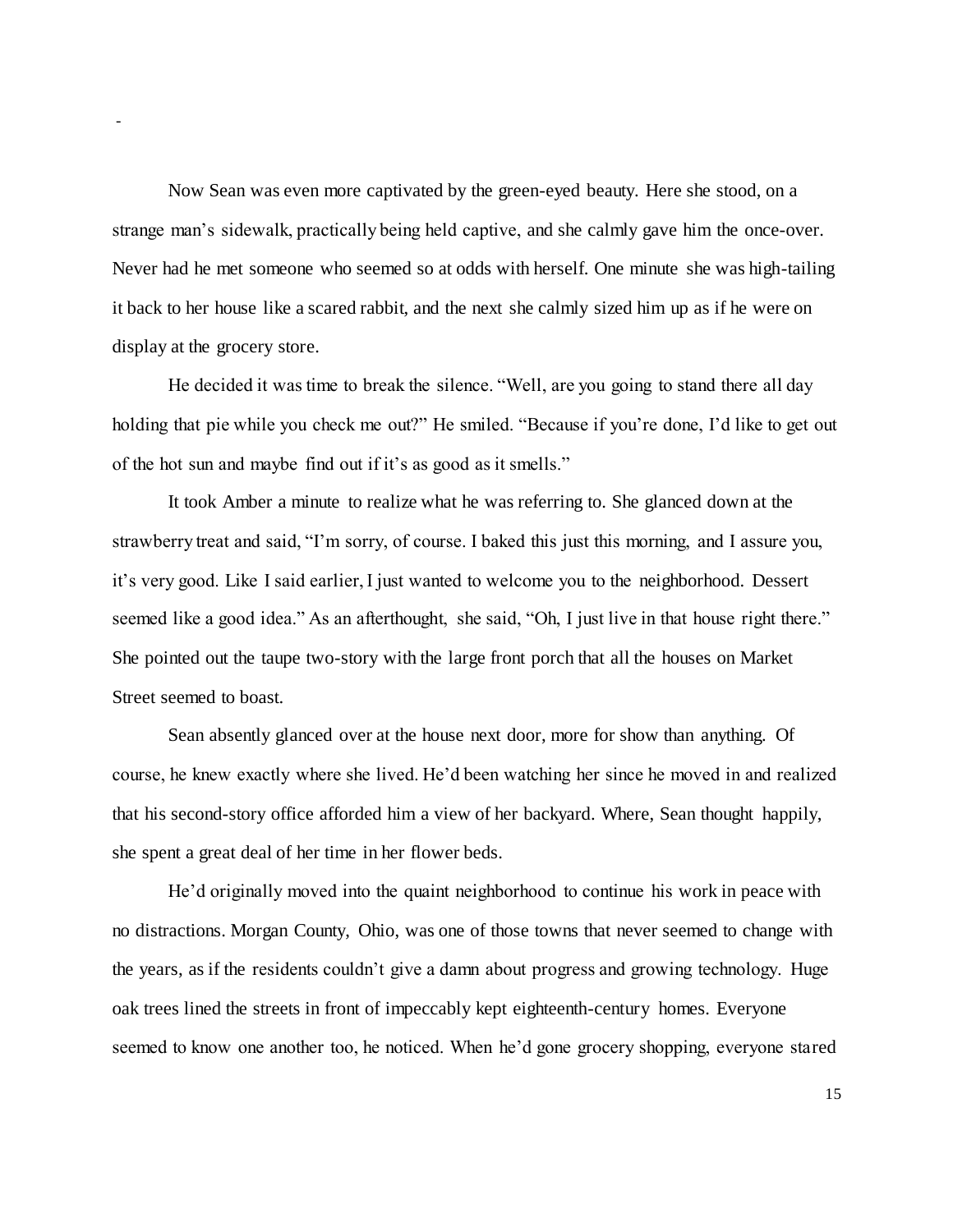Now Sean was even more captivated by the green-eyed beauty. Here she stood, on a strange man's sidewalk, practically being held captive, and she calmly gave him the once-over. Never had he met someone who seemed so at odds with herself. One minute she was high-tailing it back to her house like a scared rabbit, and the next she calmly sized him up as if he were on display at the grocery store.

-

He decided it was time to break the silence. "Well, are you going to stand there all day holding that pie while you check me out?" He smiled. "Because if you're done, I'd like to get out of the hot sun and maybe find out if it's as good as it smells."

It took Amber a minute to realize what he was referring to. She glanced down at the strawberry treat and said, "I'm sorry, of course. I baked this just this morning, and I assure you, it's very good. Like I said earlier, I just wanted to welcome you to the neighborhood. Dessert seemed like a good idea." As an afterthought, she said, "Oh, I just live in that house right there." She pointed out the taupe two-story with the large front porch that all the houses on Market Street seemed to boast.

Sean absently glanced over at the house next door, more for show than anything. Of course, he knew exactly where she lived. He'd been watching her since he moved in and realized that his second-story office afforded him a view of her backyard. Where, Sean thought happily, she spent a great deal of her time in her flower beds.

He'd originally moved into the quaint neighborhood to continue his work in peace with no distractions. Morgan County, Ohio, was one of those towns that never seemed to change with the years, as if the residents couldn't give a damn about progress and growing technology. Huge oak trees lined the streets in front of impeccably kept eighteenth-century homes. Everyone seemed to know one another too, he noticed. When he'd gone grocery shopping, everyone stared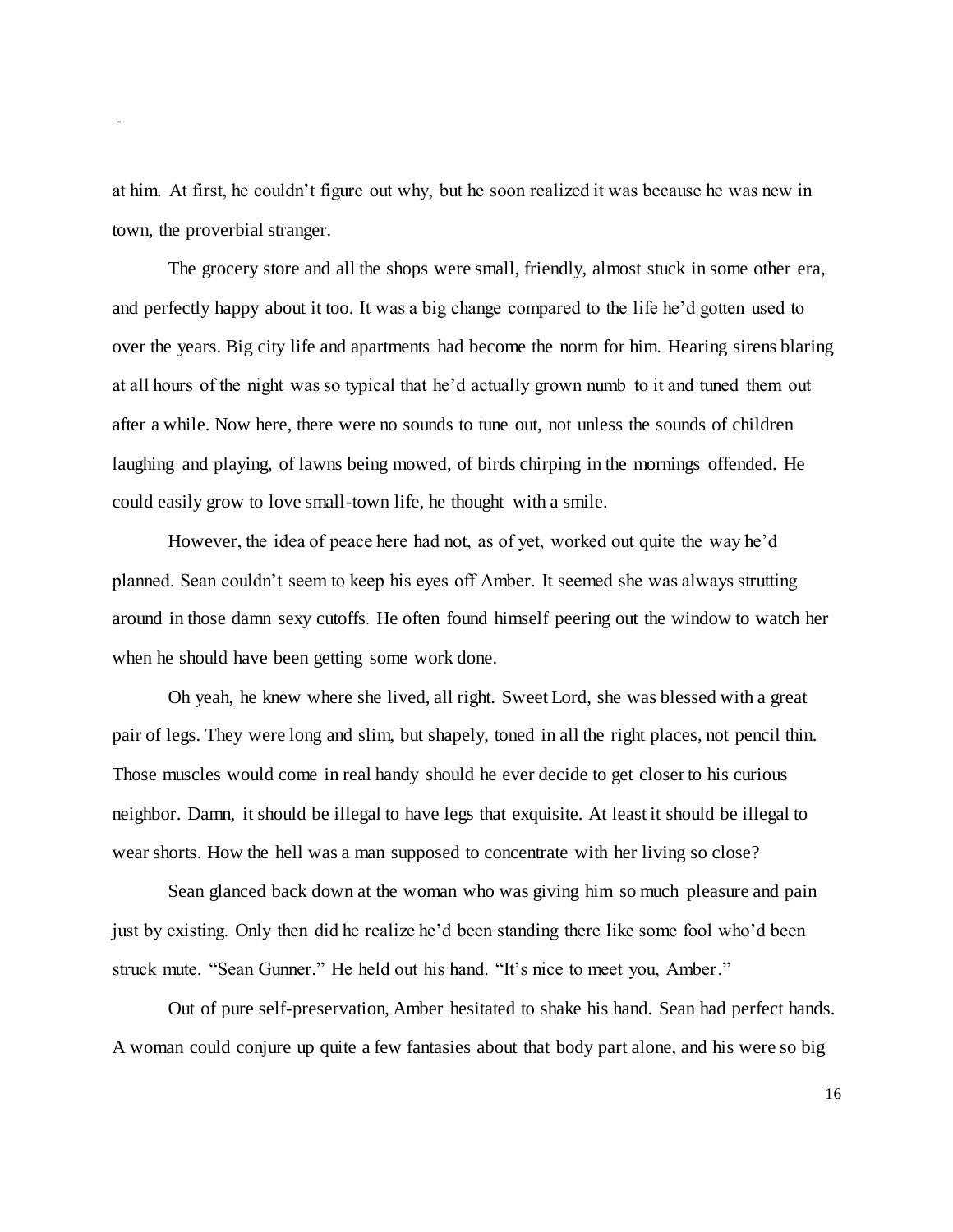at him. At first, he couldn't figure out why, but he soon realized it was because he was new in town, the proverbial stranger.

-

The grocery store and all the shops were small, friendly, almost stuck in some other era, and perfectly happy about it too. It was a big change compared to the life he'd gotten used to over the years. Big city life and apartments had become the norm for him. Hearing sirens blaring at all hours of the night was so typical that he'd actually grown numb to it and tuned them out after a while. Now here, there were no sounds to tune out, not unless the sounds of children laughing and playing, of lawns being mowed, of birds chirping in the mornings offended. He could easily grow to love small-town life, he thought with a smile.

However, the idea of peace here had not, as of yet, worked out quite the way he'd planned. Sean couldn't seem to keep his eyes off Amber. It seemed she was always strutting around in those damn sexy cutoffs. He often found himself peering out the window to watch her when he should have been getting some work done.

Oh yeah, he knew where she lived, all right. Sweet Lord, she was blessed with a great pair of legs. They were long and slim, but shapely, toned in all the right places, not pencil thin. Those muscles would come in real handy should he ever decide to get closer to his curious neighbor. Damn, it should be illegal to have legs that exquisite. At least it should be illegal to wear shorts. How the hell was a man supposed to concentrate with her living so close?

Sean glanced back down at the woman who was giving him so much pleasure and pain just by existing. Only then did he realize he'd been standing there like some fool who'd been struck mute. "Sean Gunner." He held out his hand. "It's nice to meet you, Amber."

Out of pure self-preservation, Amber hesitated to shake his hand. Sean had perfect hands. A woman could conjure up quite a few fantasies about that body part alone, and his were so big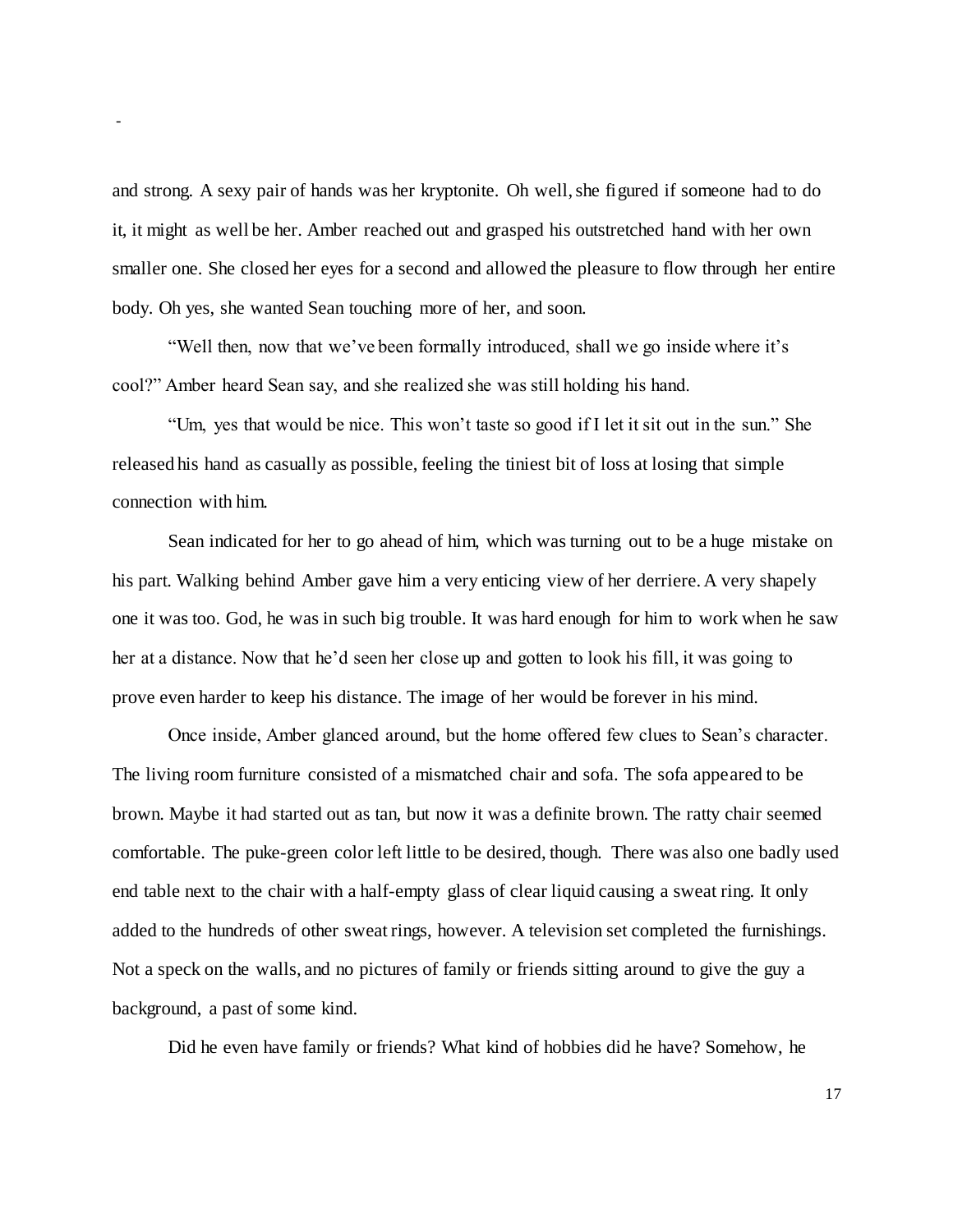and strong. A sexy pair of hands was her kryptonite. Oh well, she figured if someone had to do it, it might as well be her. Amber reached out and grasped his outstretched hand with her own smaller one. She closed her eyes for a second and allowed the pleasure to flow through her entire body. Oh yes, she wanted Sean touching more of her, and soon.

"Well then, now that we've been formally introduced, shall we go inside where it's cool?" Amber heard Sean say, and she realized she was still holding his hand.

-

"Um, yes that would be nice. This won't taste so good if I let it sit out in the sun." She released his hand as casually as possible, feeling the tiniest bit of loss at losing that simple connection with him.

Sean indicated for her to go ahead of him, which was turning out to be a huge mistake on his part. Walking behind Amber gave him a very enticing view of her derriere. A very shapely one it was too. God, he was in such big trouble. It was hard enough for him to work when he saw her at a distance. Now that he'd seen her close up and gotten to look his fill, it was going to prove even harder to keep his distance. The image of her would be forever in his mind.

Once inside, Amber glanced around, but the home offered few clues to Sean's character. The living room furniture consisted of a mismatched chair and sofa. The sofa appeared to be brown. Maybe it had started out as tan, but now it was a definite brown. The ratty chair seemed comfortable. The puke-green color left little to be desired, though. There was also one badly used end table next to the chair with a half-empty glass of clear liquid causing a sweat ring. It only added to the hundreds of other sweat rings, however. A television set completed the furnishings. Not a speck on the walls, and no pictures of family or friends sitting around to give the guy a background, a past of some kind.

Did he even have family or friends? What kind of hobbies did he have? Somehow, he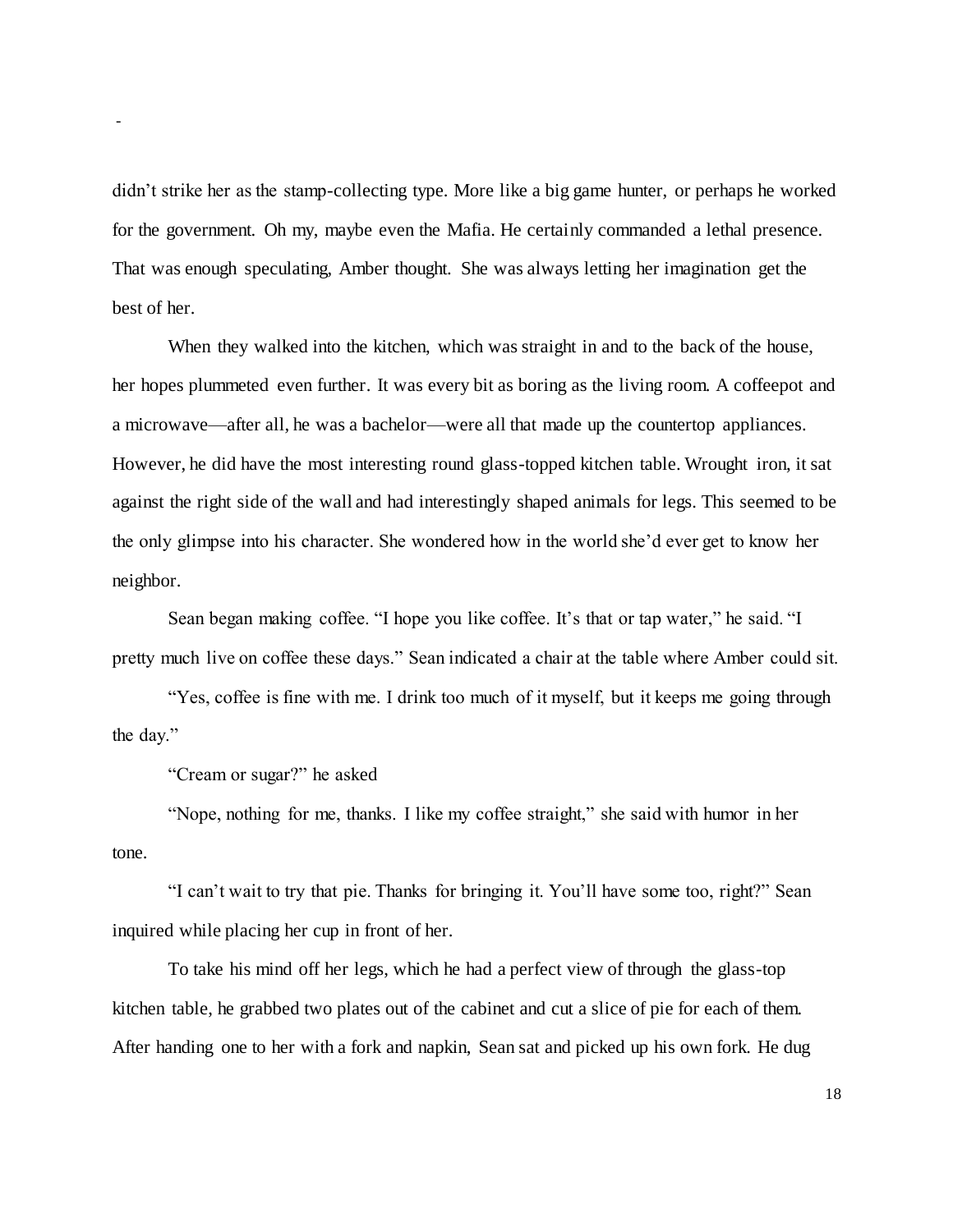didn't strike her as the stamp-collecting type. More like a big game hunter, or perhaps he worked for the government. Oh my, maybe even the Mafia. He certainly commanded a lethal presence. That was enough speculating, Amber thought. She was always letting her imagination get the best of her.

When they walked into the kitchen, which was straight in and to the back of the house, her hopes plummeted even further. It was every bit as boring as the living room. A coffeepot and a microwave—after all, he was a bachelor—were all that made up the countertop appliances. However, he did have the most interesting round glass-topped kitchen table. Wrought iron, it sat against the right side of the wall and had interestingly shaped animals for legs. This seemed to be the only glimpse into his character. She wondered how in the world she'd ever get to know her neighbor.

Sean began making coffee. "I hope you like coffee. It's that or tap water," he said. "I pretty much live on coffee these days." Sean indicated a chair at the table where Amber could sit.

"Yes, coffee is fine with me. I drink too much of it myself, but it keeps me going through the day."

"Cream or sugar?" he asked

-

"Nope, nothing for me, thanks. I like my coffee straight," she said with humor in her tone.

"I can't wait to try that pie. Thanks for bringing it. You'll have some too, right?" Sean inquired while placing her cup in front of her.

To take his mind off her legs, which he had a perfect view of through the glass-top kitchen table, he grabbed two plates out of the cabinet and cut a slice of pie for each of them. After handing one to her with a fork and napkin, Sean sat and picked up his own fork. He dug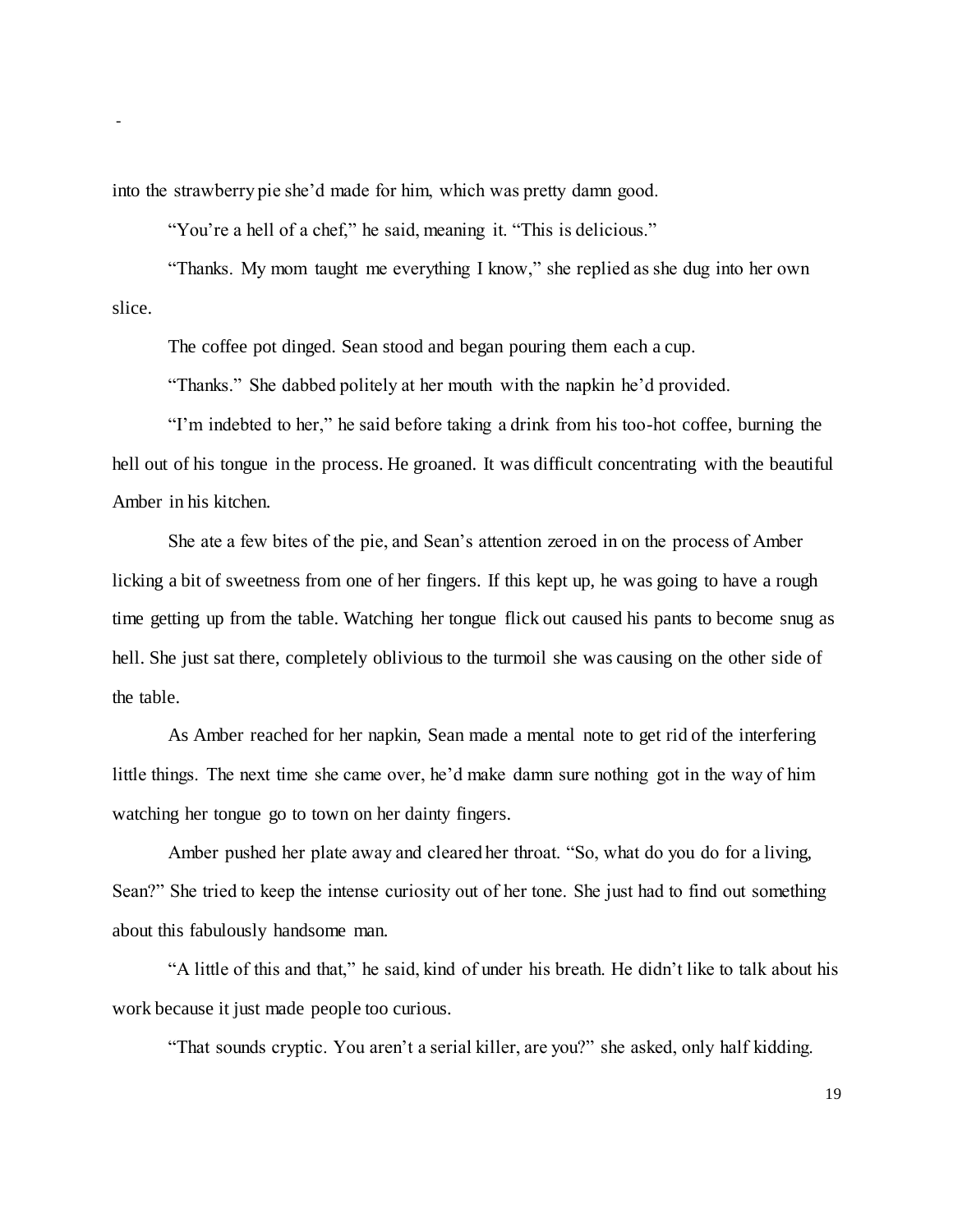into the strawberry pie she'd made for him, which was pretty damn good.

-

"You're a hell of a chef," he said, meaning it. "This is delicious."

"Thanks. My mom taught me everything I know," she replied as she dug into her own slice.

The coffee pot dinged. Sean stood and began pouring them each a cup.

"Thanks." She dabbed politely at her mouth with the napkin he'd provided.

"I'm indebted to her," he said before taking a drink from his too-hot coffee, burning the hell out of his tongue in the process. He groaned. It was difficult concentrating with the beautiful Amber in his kitchen.

She ate a few bites of the pie, and Sean's attention zeroed in on the process of Amber licking a bit of sweetness from one of her fingers. If this kept up, he was going to have a rough time getting up from the table. Watching her tongue flick out caused his pants to become snug as hell. She just sat there, completely oblivious to the turmoil she was causing on the other side of the table.

As Amber reached for her napkin, Sean made a mental note to get rid of the interfering little things. The next time she came over, he'd make damn sure nothing got in the way of him watching her tongue go to town on her dainty fingers.

Amber pushed her plate away and cleared her throat. "So, what do you do for a living, Sean?" She tried to keep the intense curiosity out of her tone. She just had to find out something about this fabulously handsome man.

"A little of this and that," he said, kind of under his breath. He didn't like to talk about his work because it just made people too curious.

"That sounds cryptic. You aren't a serial killer, are you?" she asked, only half kidding.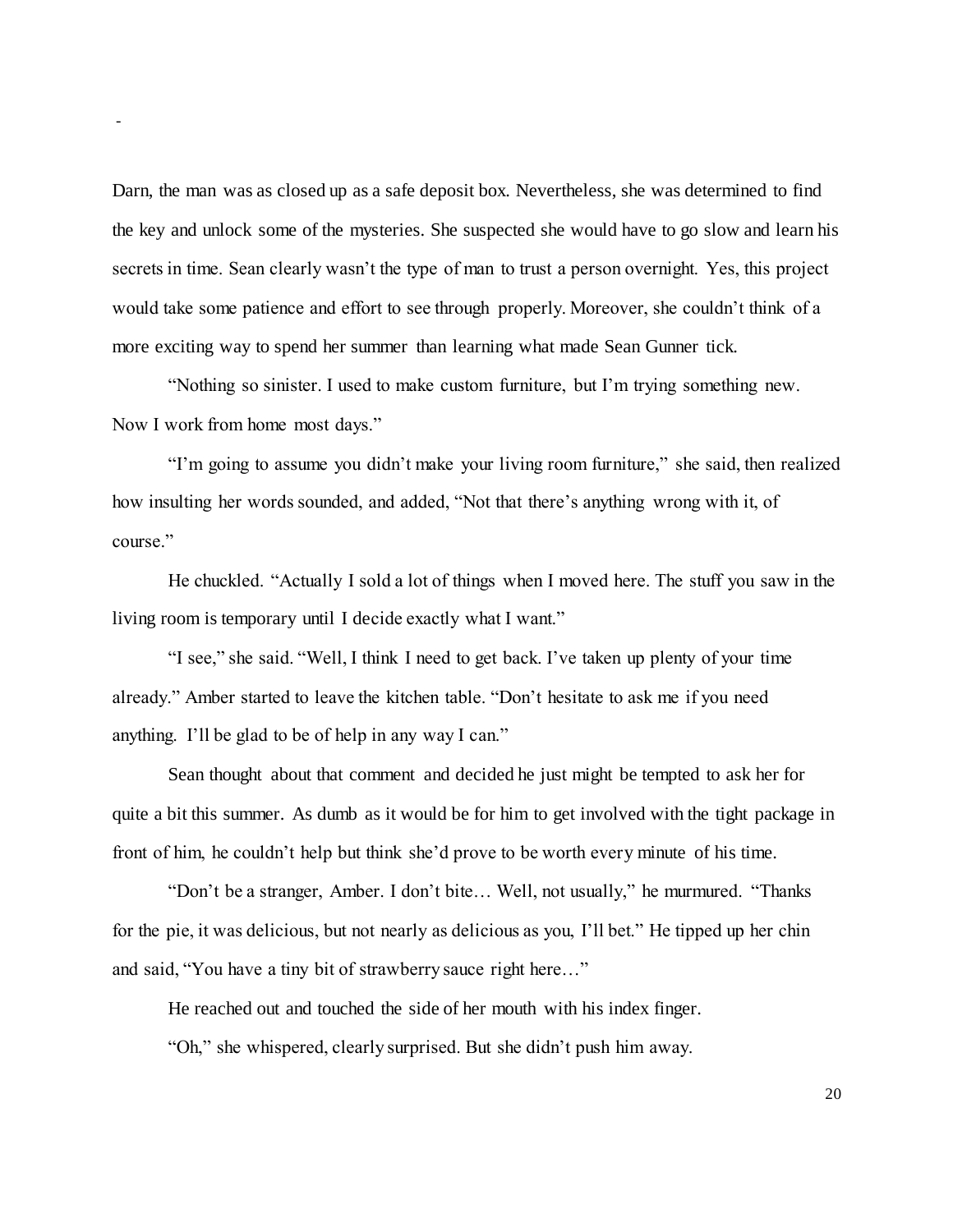Darn, the man was as closed up as a safe deposit box. Nevertheless, she was determined to find the key and unlock some of the mysteries. She suspected she would have to go slow and learn his secrets in time. Sean clearly wasn't the type of man to trust a person overnight. Yes, this project would take some patience and effort to see through properly. Moreover, she couldn't think of a more exciting way to spend her summer than learning what made Sean Gunner tick.

-

"Nothing so sinister. I used to make custom furniture, but I'm trying something new. Now I work from home most days."

"I'm going to assume you didn't make your living room furniture," she said, then realized how insulting her words sounded, and added, "Not that there's anything wrong with it, of course."

He chuckled. "Actually I sold a lot of things when I moved here. The stuff you saw in the living room is temporary until I decide exactly what I want."

"I see," she said. "Well, I think I need to get back. I've taken up plenty of your time already." Amber started to leave the kitchen table. "Don't hesitate to ask me if you need anything. I'll be glad to be of help in any way I can."

Sean thought about that comment and decided he just might be tempted to ask her for quite a bit this summer. As dumb as it would be for him to get involved with the tight package in front of him, he couldn't help but think she'd prove to be worth every minute of his time.

"Don't be a stranger, Amber. I don't bite… Well, not usually," he murmured. "Thanks for the pie, it was delicious, but not nearly as delicious as you, I'll bet." He tipped up her chin and said, "You have a tiny bit of strawberry sauce right here…"

He reached out and touched the side of her mouth with his index finger.

"Oh," she whispered, clearly surprised. But she didn't push him away.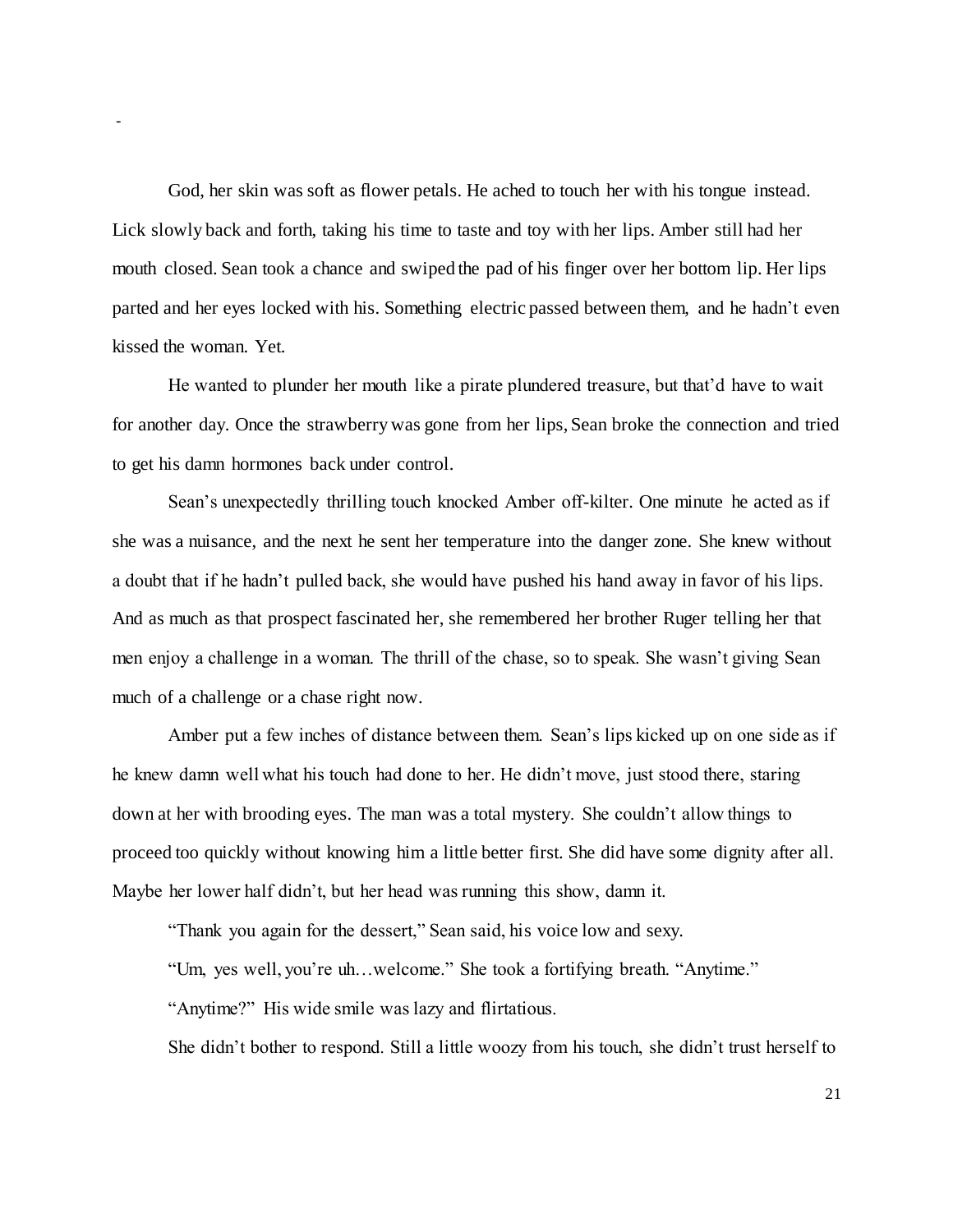God, her skin was soft as flower petals. He ached to touch her with his tongue instead. Lick slowly back and forth, taking his time to taste and toy with her lips. Amber still had her mouth closed. Sean took a chance and swiped the pad of his finger over her bottom lip. Her lips parted and her eyes locked with his. Something electric passed between them, and he hadn't even kissed the woman. Yet.

-

He wanted to plunder her mouth like a pirate plundered treasure, but that'd have to wait for another day. Once the strawberry was gone from her lips, Sean broke the connection and tried to get his damn hormones back under control.

Sean's unexpectedly thrilling touch knocked Amber off-kilter. One minute he acted as if she was a nuisance, and the next he sent her temperature into the danger zone. She knew without a doubt that if he hadn't pulled back, she would have pushed his hand away in favor of his lips. And as much as that prospect fascinated her, she remembered her brother Ruger telling her that men enjoy a challenge in a woman. The thrill of the chase, so to speak. She wasn't giving Sean much of a challenge or a chase right now.

Amber put a few inches of distance between them. Sean's lips kicked up on one side as if he knew damn well what his touch had done to her. He didn't move, just stood there, staring down at her with brooding eyes. The man was a total mystery. She couldn't allow things to proceed too quickly without knowing him a little better first. She did have some dignity after all. Maybe her lower half didn't, but her head was running this show, damn it.

"Thank you again for the dessert," Sean said, his voice low and sexy.

"Um, yes well, you're uh…welcome." She took a fortifying breath. "Anytime."

"Anytime?" His wide smile was lazy and flirtatious.

She didn't bother to respond. Still a little woozy from his touch, she didn't trust herself to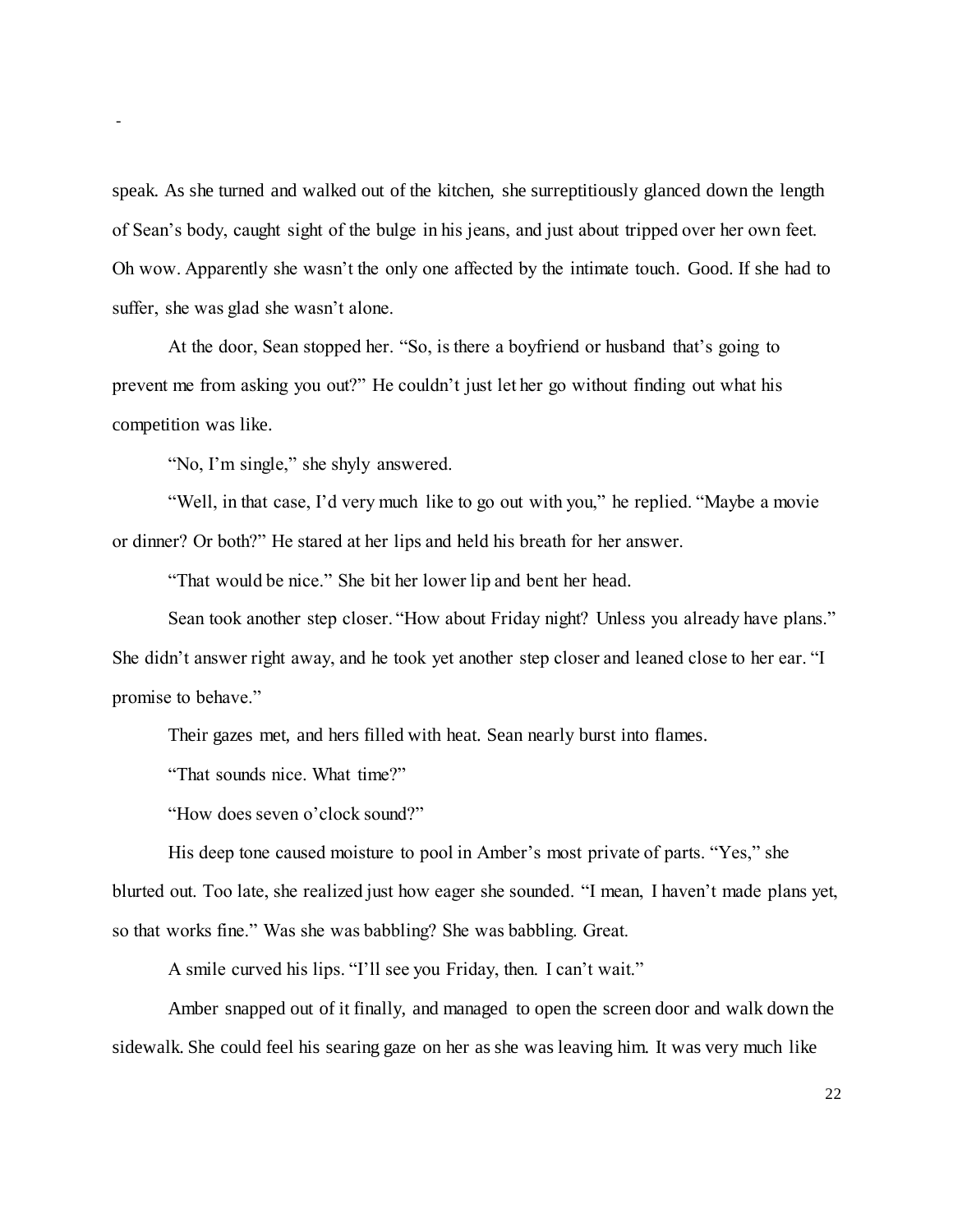speak. As she turned and walked out of the kitchen, she surreptitiously glanced down the length of Sean's body, caught sight of the bulge in his jeans, and just about tripped over her own feet. Oh wow. Apparently she wasn't the only one affected by the intimate touch. Good. If she had to suffer, she was glad she wasn't alone.

At the door, Sean stopped her. "So, is there a boyfriend or husband that's going to prevent me from asking you out?" He couldn't just let her go without finding out what his competition was like.

"No, I'm single," she shyly answered.

-

"Well, in that case, I'd very much like to go out with you," he replied. "Maybe a movie or dinner? Or both?" He stared at her lips and held his breath for her answer.

"That would be nice." She bit her lower lip and bent her head.

Sean took another step closer. "How about Friday night? Unless you already have plans." She didn't answer right away, and he took yet another step closer and leaned close to her ear. "I promise to behave."

Their gazes met, and hers filled with heat. Sean nearly burst into flames.

"That sounds nice. What time?"

"How does seven o'clock sound?"

His deep tone caused moisture to pool in Amber's most private of parts. "Yes," she blurted out. Too late, she realized just how eager she sounded. "I mean, I haven't made plans yet, so that works fine." Was she was babbling? She was babbling. Great.

A smile curved his lips. "I'll see you Friday, then. I can't wait."

Amber snapped out of it finally, and managed to open the screen door and walk down the sidewalk. She could feel his searing gaze on her as she was leaving him. It was very much like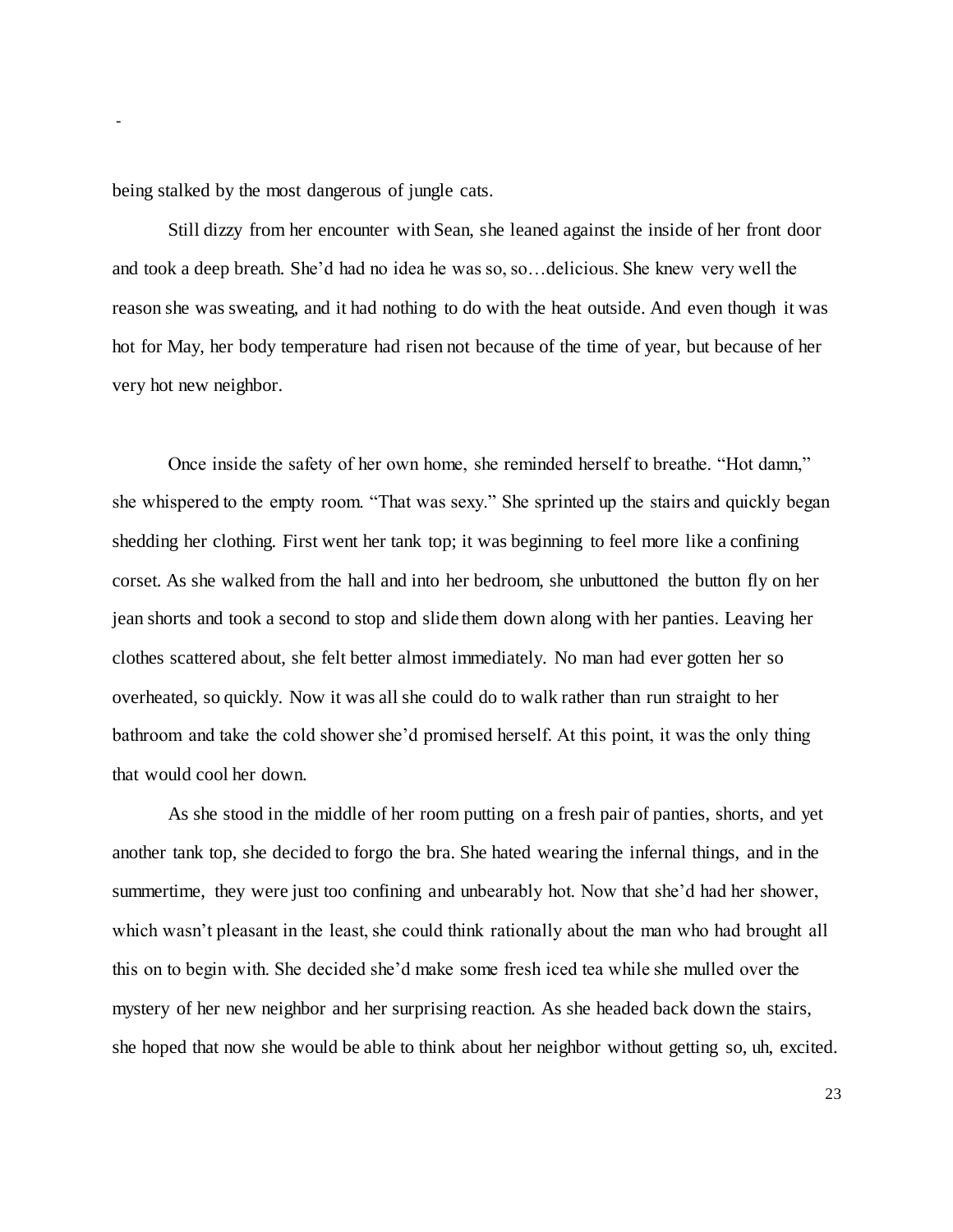being stalked by the most dangerous of jungle cats.

-

Still dizzy from her encounter with Sean, she leaned against the inside of her front door and took a deep breath. She'd had no idea he was so, so…delicious. She knew very well the reason she was sweating, and it had nothing to do with the heat outside. And even though it was hot for May, her body temperature had risen not because of the time of year, but because of her very hot new neighbor.

Once inside the safety of her own home, she reminded herself to breathe. "Hot damn," she whispered to the empty room. "That was sexy." She sprinted up the stairs and quickly began shedding her clothing. First went her tank top; it was beginning to feel more like a confining corset. As she walked from the hall and into her bedroom, she unbuttoned the button fly on her jean shorts and took a second to stop and slide them down along with her panties. Leaving her clothes scattered about, she felt better almost immediately. No man had ever gotten her so overheated, so quickly. Now it was all she could do to walk rather than run straight to her bathroom and take the cold shower she'd promised herself. At this point, it was the only thing that would cool her down.

As she stood in the middle of her room putting on a fresh pair of panties, shorts, and yet another tank top, she decided to forgo the bra. She hated wearing the infernal things, and in the summertime, they were just too confining and unbearably hot. Now that she'd had her shower, which wasn't pleasant in the least, she could think rationally about the man who had brought all this on to begin with. She decided she'd make some fresh iced tea while she mulled over the mystery of her new neighbor and her surprising reaction. As she headed back down the stairs, she hoped that now she would be able to think about her neighbor without getting so, uh, excited.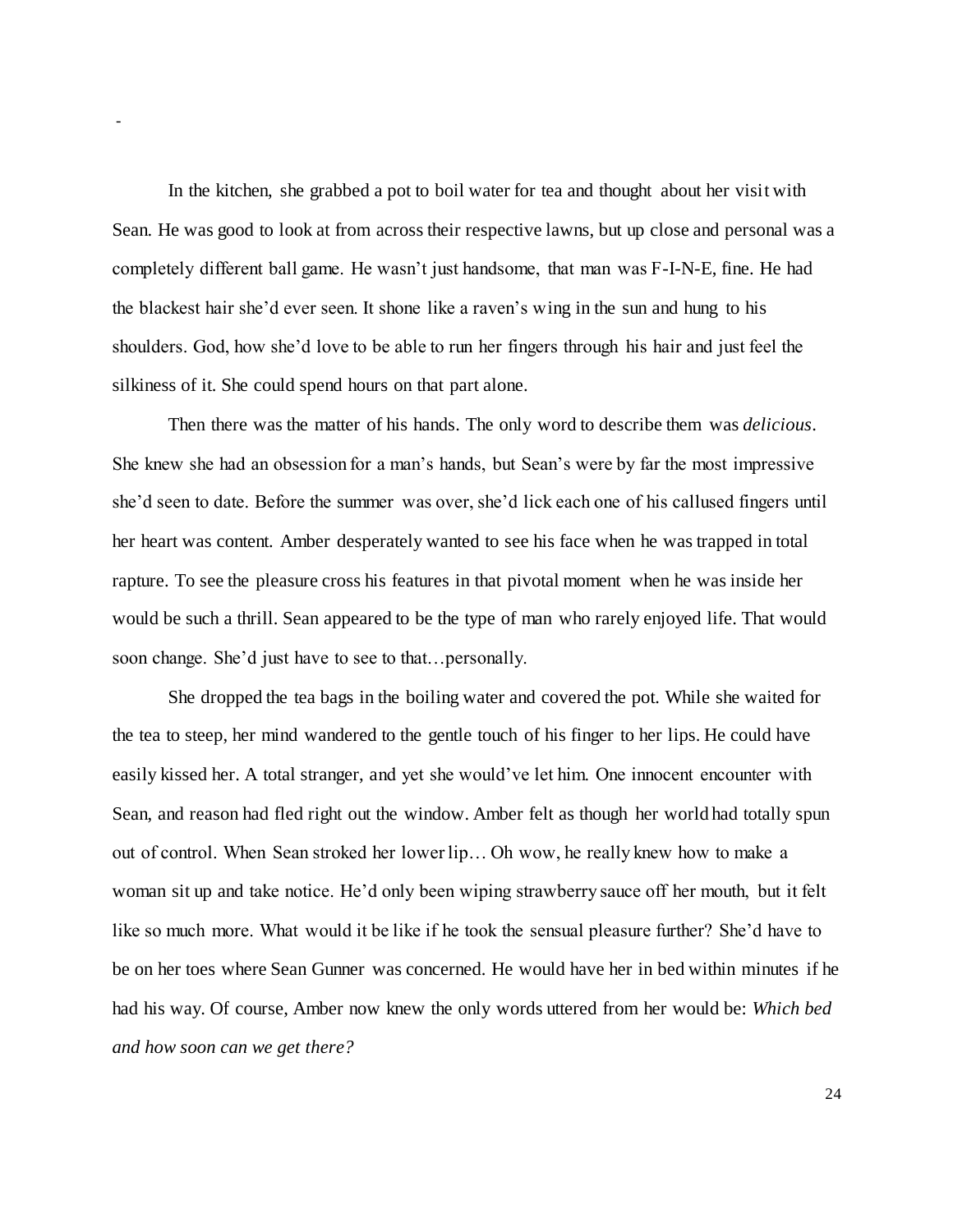In the kitchen, she grabbed a pot to boil water for tea and thought about her visit with Sean. He was good to look at from across their respective lawns, but up close and personal was a completely different ball game. He wasn't just handsome, that man was F-I-N-E, fine. He had the blackest hair she'd ever seen. It shone like a raven's wing in the sun and hung to his shoulders. God, how she'd love to be able to run her fingers through his hair and just feel the silkiness of it. She could spend hours on that part alone.

-

Then there was the matter of his hands. The only word to describe them was *delicious*. She knew she had an obsession for a man's hands, but Sean's were by far the most impressive she'd seen to date. Before the summer was over, she'd lick each one of his callused fingers until her heart was content. Amber desperately wanted to see his face when he was trapped in total rapture. To see the pleasure cross his features in that pivotal moment when he was inside her would be such a thrill. Sean appeared to be the type of man who rarely enjoyed life. That would soon change. She'd just have to see to that…personally.

She dropped the tea bags in the boiling water and covered the pot. While she waited for the tea to steep, her mind wandered to the gentle touch of his finger to her lips. He could have easily kissed her. A total stranger, and yet she would've let him. One innocent encounter with Sean, and reason had fled right out the window. Amber felt as though her world had totally spun out of control. When Sean stroked her lower lip… Oh wow, he really knew how to make a woman sit up and take notice. He'd only been wiping strawberry sauce off her mouth, but it felt like so much more. What would it be like if he took the sensual pleasure further? She'd have to be on her toes where Sean Gunner was concerned. He would have her in bed within minutes if he had his way. Of course, Amber now knew the only words uttered from her would be: *Which bed and how soon can we get there?*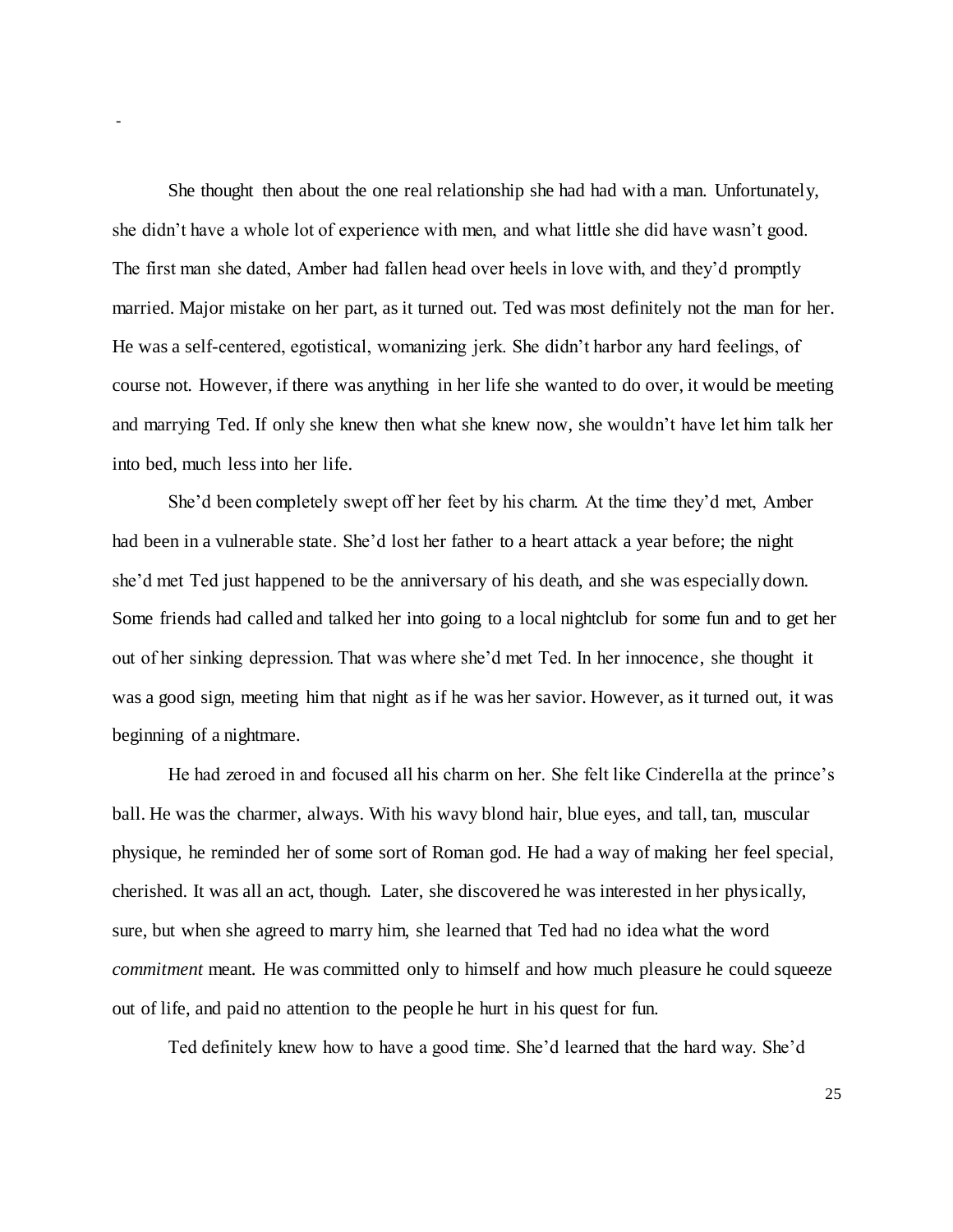She thought then about the one real relationship she had had with a man. Unfortunately, she didn't have a whole lot of experience with men, and what little she did have wasn't good. The first man she dated, Amber had fallen head over heels in love with, and they'd promptly married. Major mistake on her part, as it turned out. Ted was most definitely not the man for her. He was a self-centered, egotistical, womanizing jerk. She didn't harbor any hard feelings, of course not. However, if there was anything in her life she wanted to do over, it would be meeting and marrying Ted. If only she knew then what she knew now, she wouldn't have let him talk her into bed, much less into her life.

-

She'd been completely swept off her feet by his charm. At the time they'd met, Amber had been in a vulnerable state. She'd lost her father to a heart attack a year before; the night she'd met Ted just happened to be the anniversary of his death, and she was especially down. Some friends had called and talked her into going to a local nightclub for some fun and to get her out of her sinking depression. That was where she'd met Ted. In her innocence, she thought it was a good sign, meeting him that night as if he was her savior. However, as it turned out, it was beginning of a nightmare.

He had zeroed in and focused all his charm on her. She felt like Cinderella at the prince's ball. He was the charmer, always. With his wavy blond hair, blue eyes, and tall, tan, muscular physique, he reminded her of some sort of Roman god. He had a way of making her feel special, cherished. It was all an act, though. Later, she discovered he was interested in her physically, sure, but when she agreed to marry him, she learned that Ted had no idea what the word *commitment* meant. He was committed only to himself and how much pleasure he could squeeze out of life, and paid no attention to the people he hurt in his quest for fun.

Ted definitely knew how to have a good time. She'd learned that the hard way. She'd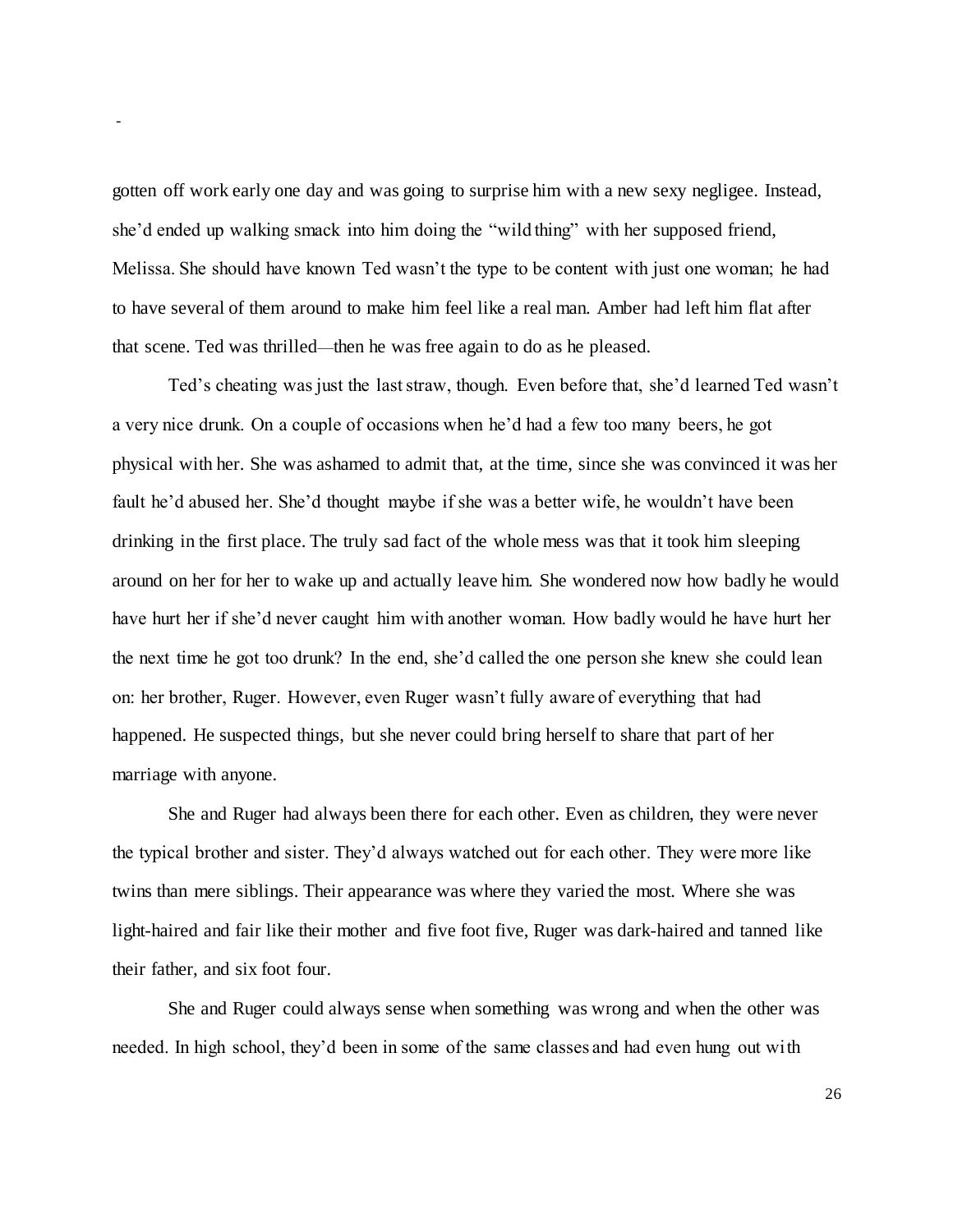gotten off work early one day and was going to surprise him with a new sexy negligee. Instead, she'd ended up walking smack into him doing the "wild thing" with her supposed friend, Melissa. She should have known Ted wasn't the type to be content with just one woman; he had to have several of them around to make him feel like a real man. Amber had left him flat after that scene. Ted was thrilled—then he was free again to do as he pleased.

-

Ted's cheating was just the last straw, though. Even before that, she'd learned Ted wasn't a very nice drunk. On a couple of occasions when he'd had a few too many beers, he got physical with her. She was ashamed to admit that, at the time, since she was convinced it was her fault he'd abused her. She'd thought maybe if she was a better wife, he wouldn't have been drinking in the first place. The truly sad fact of the whole mess was that it took him sleeping around on her for her to wake up and actually leave him. She wondered now how badly he would have hurt her if she'd never caught him with another woman. How badly would he have hurt her the next time he got too drunk? In the end, she'd called the one person she knew she could lean on: her brother, Ruger. However, even Ruger wasn't fully aware of everything that had happened. He suspected things, but she never could bring herself to share that part of her marriage with anyone.

She and Ruger had always been there for each other. Even as children, they were never the typical brother and sister. They'd always watched out for each other. They were more like twins than mere siblings. Their appearance was where they varied the most. Where she was light-haired and fair like their mother and five foot five, Ruger was dark-haired and tanned like their father, and six foot four.

She and Ruger could always sense when something was wrong and when the other was needed. In high school, they'd been in some of the same classes and had even hung out with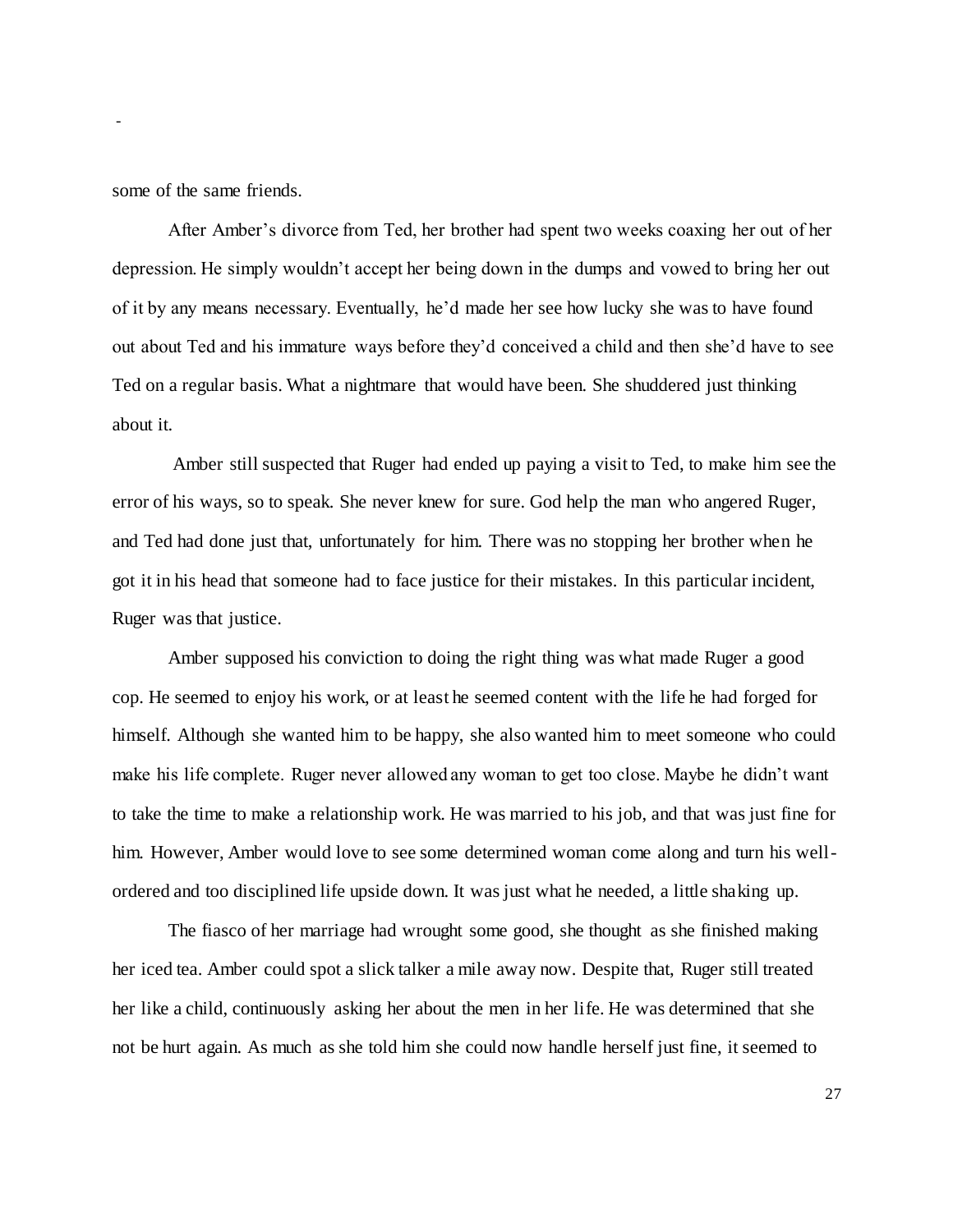some of the same friends.

-

After Amber's divorce from Ted, her brother had spent two weeks coaxing her out of her depression. He simply wouldn't accept her being down in the dumps and vowed to bring her out of it by any means necessary. Eventually, he'd made her see how lucky she was to have found out about Ted and his immature ways before they'd conceived a child and then she'd have to see Ted on a regular basis. What a nightmare that would have been. She shuddered just thinking about it.

Amber still suspected that Ruger had ended up paying a visit to Ted, to make him see the error of his ways, so to speak. She never knew for sure. God help the man who angered Ruger, and Ted had done just that, unfortunately for him. There was no stopping her brother when he got it in his head that someone had to face justice for their mistakes. In this particular incident, Ruger was that justice.

Amber supposed his conviction to doing the right thing was what made Ruger a good cop. He seemed to enjoy his work, or at least he seemed content with the life he had forged for himself. Although she wanted him to be happy, she also wanted him to meet someone who could make his life complete. Ruger never allowed any woman to get too close. Maybe he didn't want to take the time to make a relationship work. He was married to his job, and that was just fine for him. However, Amber would love to see some determined woman come along and turn his wellordered and too disciplined life upside down. It was just what he needed, a little shaking up.

The fiasco of her marriage had wrought some good, she thought as she finished making her iced tea. Amber could spot a slick talker a mile away now. Despite that, Ruger still treated her like a child, continuously asking her about the men in her life. He was determined that she not be hurt again. As much as she told him she could now handle herself just fine, it seemed to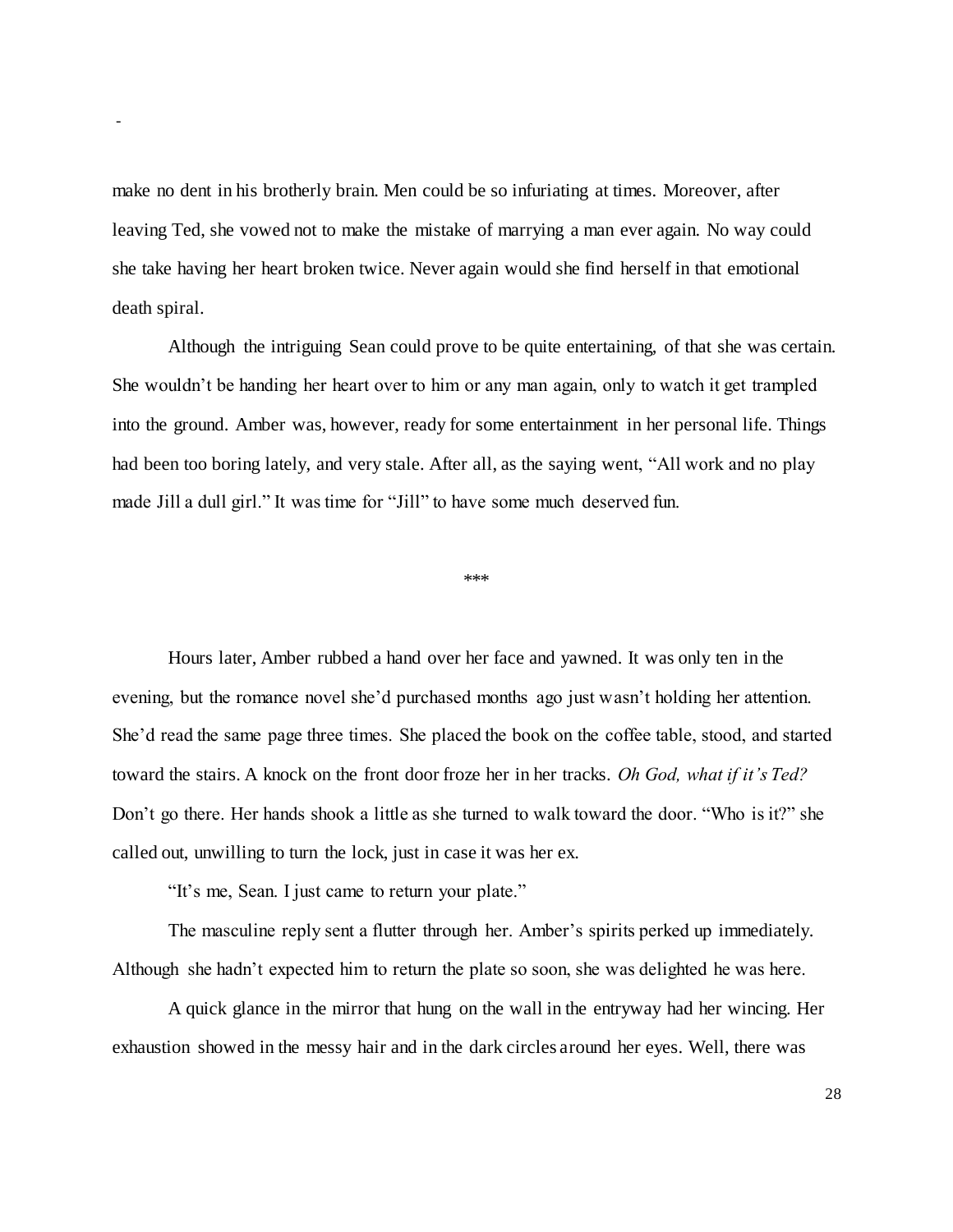make no dent in his brotherly brain. Men could be so infuriating at times. Moreover, after leaving Ted, she vowed not to make the mistake of marrying a man ever again. No way could she take having her heart broken twice. Never again would she find herself in that emotional death spiral.

-

Although the intriguing Sean could prove to be quite entertaining, of that she was certain. She wouldn't be handing her heart over to him or any man again, only to watch it get trampled into the ground. Amber was, however, ready for some entertainment in her personal life. Things had been too boring lately, and very stale. After all, as the saying went, "All work and no play made Jill a dull girl." It was time for "Jill" to have some much deserved fun.

\*\*\*

Hours later, Amber rubbed a hand over her face and yawned. It was only ten in the evening, but the romance novel she'd purchased months ago just wasn't holding her attention. She'd read the same page three times. She placed the book on the coffee table, stood, and started toward the stairs. A knock on the front door froze her in her tracks. *Oh God, what if it's Ted?*  Don't go there. Her hands shook a little as she turned to walk toward the door. "Who is it?" she called out, unwilling to turn the lock, just in case it was her ex.

"It's me, Sean. I just came to return your plate."

The masculine reply sent a flutter through her. Amber's spirits perked up immediately. Although she hadn't expected him to return the plate so soon, she was delighted he was here.

A quick glance in the mirror that hung on the wall in the entryway had her wincing. Her exhaustion showed in the messy hair and in the dark circles around her eyes. Well, there was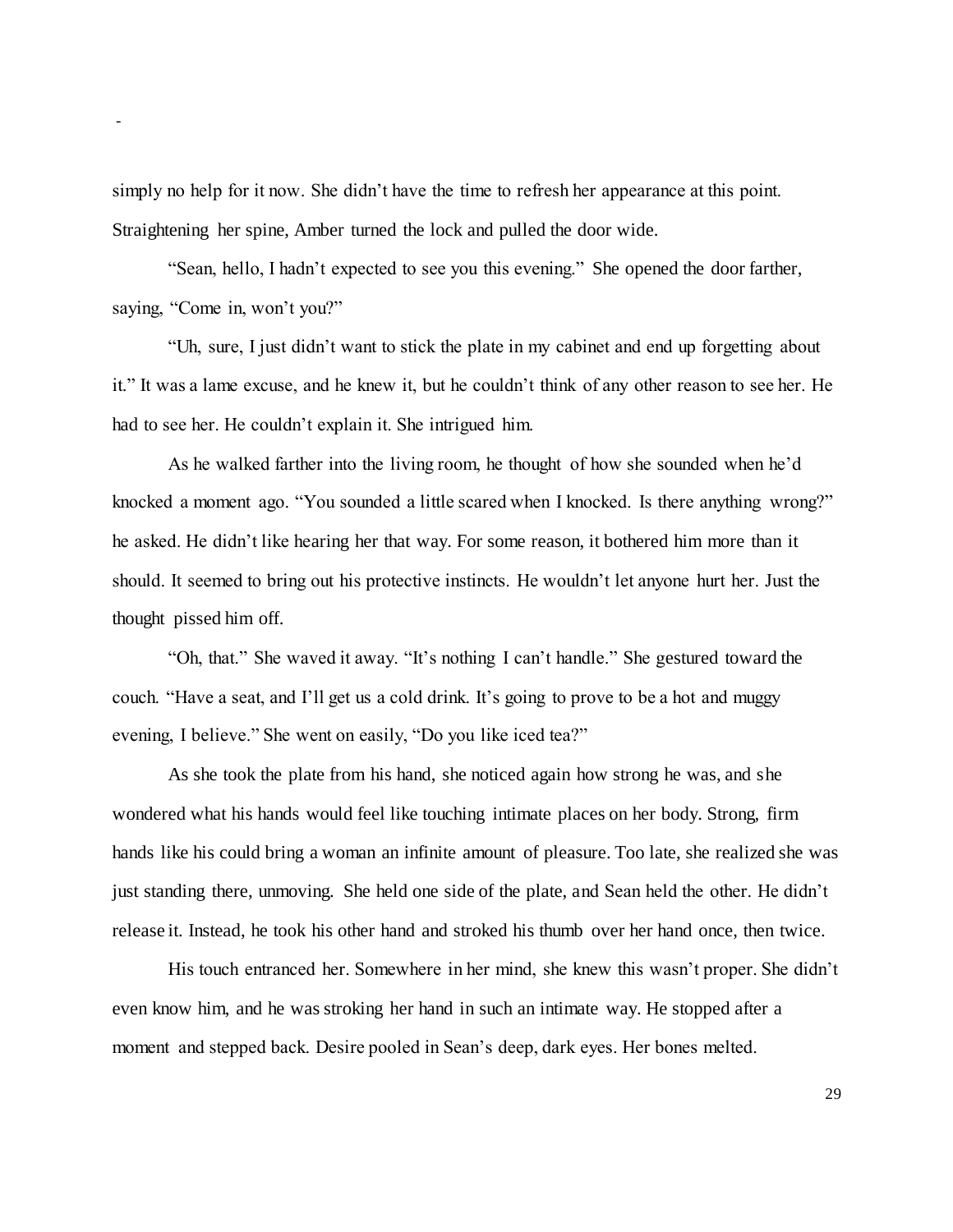simply no help for it now. She didn't have the time to refresh her appearance at this point. Straightening her spine, Amber turned the lock and pulled the door wide.

-

"Sean, hello, I hadn't expected to see you this evening." She opened the door farther, saying, "Come in, won't you?"

"Uh, sure, I just didn't want to stick the plate in my cabinet and end up forgetting about it." It was a lame excuse, and he knew it, but he couldn't think of any other reason to see her. He had to see her. He couldn't explain it. She intrigued him.

As he walked farther into the living room, he thought of how she sounded when he'd knocked a moment ago. "You sounded a little scared when I knocked. Is there anything wrong?" he asked. He didn't like hearing her that way. For some reason, it bothered him more than it should. It seemed to bring out his protective instincts. He wouldn't let anyone hurt her. Just the thought pissed him off.

"Oh, that." She waved it away. "It's nothing I can't handle." She gestured toward the couch. "Have a seat, and I'll get us a cold drink. It's going to prove to be a hot and muggy evening, I believe." She went on easily, "Do you like iced tea?"

As she took the plate from his hand, she noticed again how strong he was, and she wondered what his hands would feel like touching intimate places on her body. Strong, firm hands like his could bring a woman an infinite amount of pleasure. Too late, she realized she was just standing there, unmoving. She held one side of the plate, and Sean held the other. He didn't release it. Instead, he took his other hand and stroked his thumb over her hand once, then twice.

His touch entranced her. Somewhere in her mind, she knew this wasn't proper. She didn't even know him, and he was stroking her hand in such an intimate way. He stopped after a moment and stepped back. Desire pooled in Sean's deep, dark eyes. Her bones melted.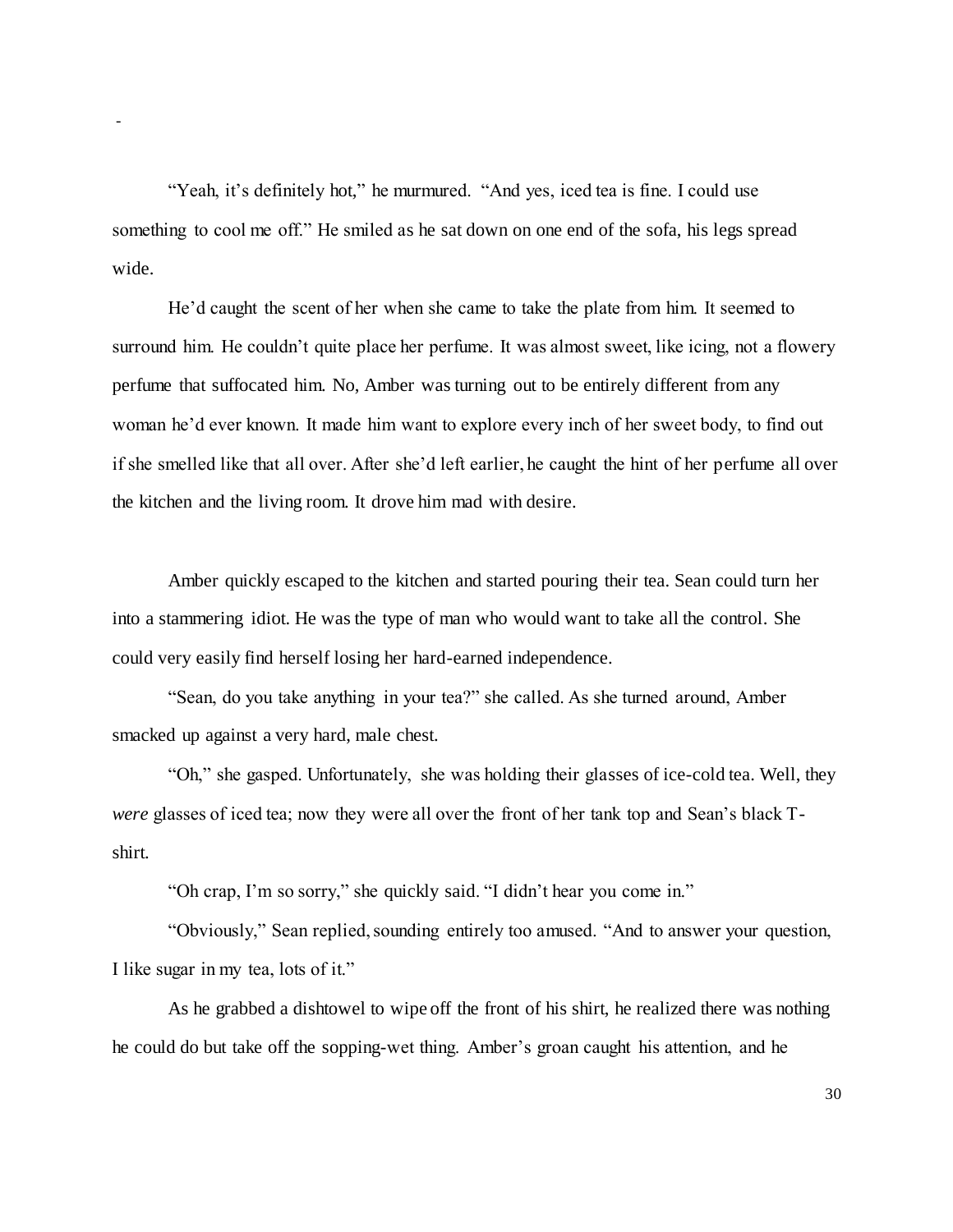"Yeah, it's definitely hot," he murmured. "And yes, iced tea is fine. I could use something to cool me off." He smiled as he sat down on one end of the sofa, his legs spread wide.

-

He'd caught the scent of her when she came to take the plate from him. It seemed to surround him. He couldn't quite place her perfume. It was almost sweet, like icing, not a flowery perfume that suffocated him. No, Amber was turning out to be entirely different from any woman he'd ever known. It made him want to explore every inch of her sweet body, to find out if she smelled like that all over. After she'd left earlier, he caught the hint of her perfume all over the kitchen and the living room. It drove him mad with desire.

Amber quickly escaped to the kitchen and started pouring their tea. Sean could turn her into a stammering idiot. He was the type of man who would want to take all the control. She could very easily find herself losing her hard-earned independence.

"Sean, do you take anything in your tea?" she called. As she turned around, Amber smacked up against a very hard, male chest.

"Oh," she gasped. Unfortunately, she was holding their glasses of ice-cold tea. Well, they *were* glasses of iced tea; now they were all over the front of her tank top and Sean's black Tshirt.

"Oh crap, I'm so sorry," she quickly said. "I didn't hear you come in."

"Obviously," Sean replied, sounding entirely too amused. "And to answer your question, I like sugar in my tea, lots of it."

As he grabbed a dishtowel to wipe off the front of his shirt, he realized there was nothing he could do but take off the sopping-wet thing. Amber's groan caught his attention, and he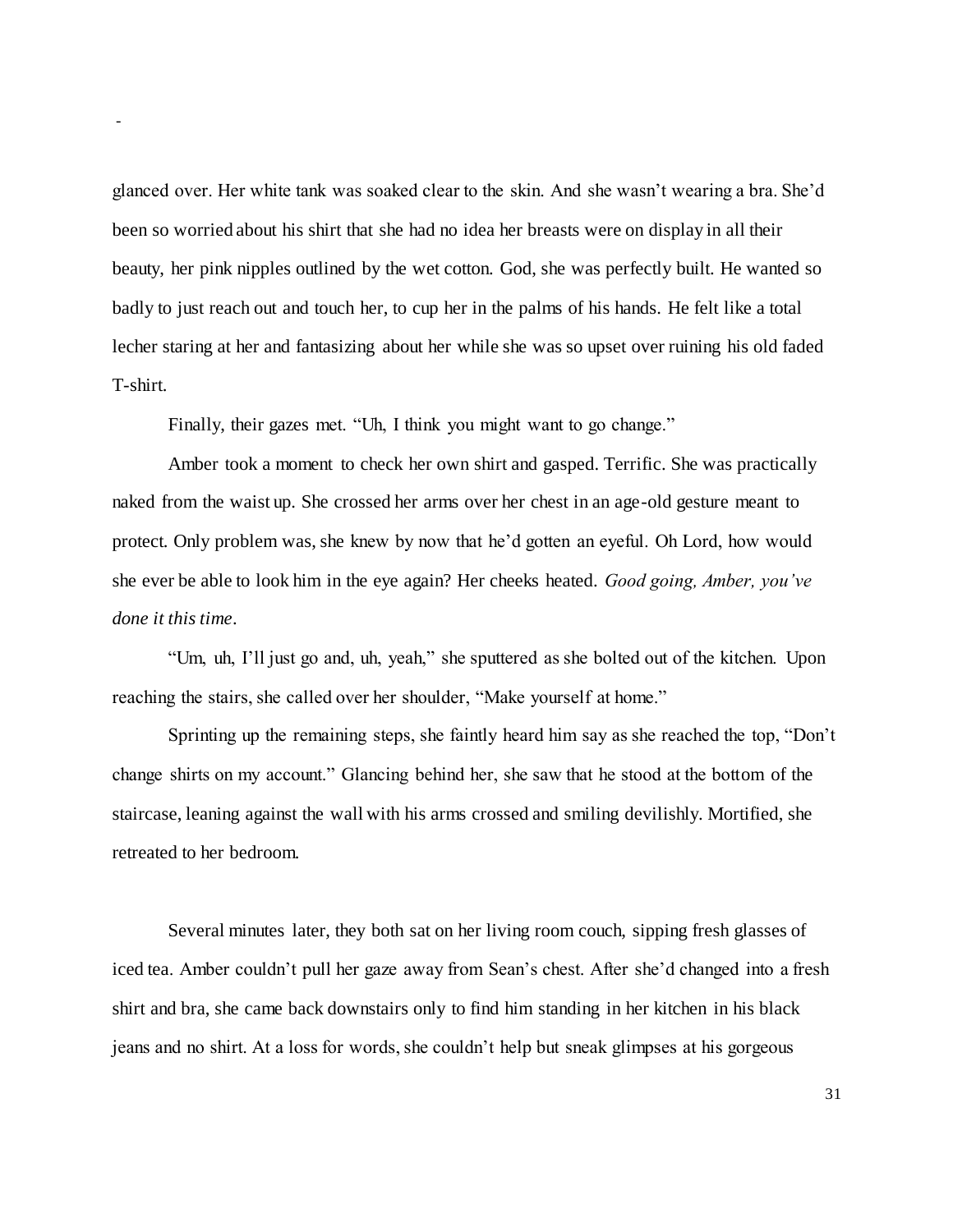glanced over. Her white tank was soaked clear to the skin. And she wasn't wearing a bra. She'd been so worried about his shirt that she had no idea her breasts were on display in all their beauty, her pink nipples outlined by the wet cotton. God, she was perfectly built. He wanted so badly to just reach out and touch her, to cup her in the palms of his hands. He felt like a total lecher staring at her and fantasizing about her while she was so upset over ruining his old faded T-shirt.

Finally, their gazes met. "Uh, I think you might want to go change."

-

Amber took a moment to check her own shirt and gasped. Terrific. She was practically naked from the waist up. She crossed her arms over her chest in an age-old gesture meant to protect. Only problem was, she knew by now that he'd gotten an eyeful. Oh Lord, how would she ever be able to look him in the eye again? Her cheeks heated. *Good going, Amber, you've done it this time*.

"Um, uh, I'll just go and, uh, yeah," she sputtered as she bolted out of the kitchen. Upon reaching the stairs, she called over her shoulder, "Make yourself at home."

Sprinting up the remaining steps, she faintly heard him say as she reached the top, "Don't change shirts on my account." Glancing behind her, she saw that he stood at the bottom of the staircase, leaning against the wall with his arms crossed and smiling devilishly. Mortified, she retreated to her bedroom.

Several minutes later, they both sat on her living room couch, sipping fresh glasses of iced tea. Amber couldn't pull her gaze away from Sean's chest. After she'd changed into a fresh shirt and bra, she came back downstairs only to find him standing in her kitchen in his black jeans and no shirt. At a loss for words, she couldn't help but sneak glimpses at his gorgeous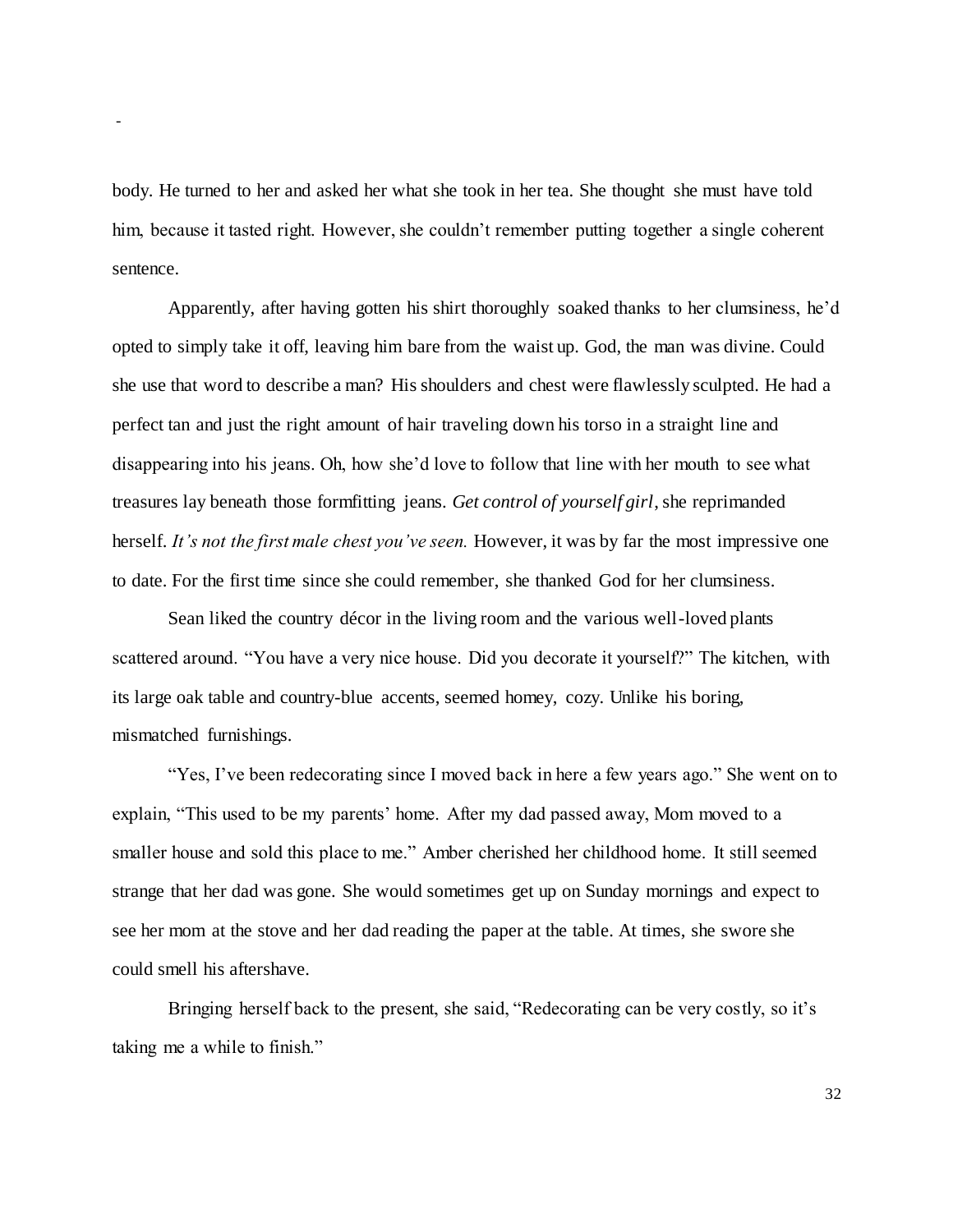body. He turned to her and asked her what she took in her tea. She thought she must have told him, because it tasted right. However, she couldn't remember putting together a single coherent sentence.

-

Apparently, after having gotten his shirt thoroughly soaked thanks to her clumsiness, he'd opted to simply take it off, leaving him bare from the waist up. God, the man was divine. Could she use that word to describe a man? His shoulders and chest were flawlessly sculpted. He had a perfect tan and just the right amount of hair traveling down his torso in a straight line and disappearing into his jeans. Oh, how she'd love to follow that line with her mouth to see what treasures lay beneath those formfitting jeans. *Get control of yourself girl*, she reprimanded herself. *It's not the first male chest you've seen.* However, it was by far the most impressive one to date. For the first time since she could remember, she thanked God for her clumsiness.

Sean liked the country décor in the living room and the various well-loved plants scattered around. "You have a very nice house. Did you decorate it yourself?" The kitchen, with its large oak table and country-blue accents, seemed homey, cozy. Unlike his boring, mismatched furnishings.

"Yes, I've been redecorating since I moved back in here a few years ago." She went on to explain, "This used to be my parents' home. After my dad passed away, Mom moved to a smaller house and sold this place to me." Amber cherished her childhood home. It still seemed strange that her dad was gone. She would sometimes get up on Sunday mornings and expect to see her mom at the stove and her dad reading the paper at the table. At times, she swore she could smell his aftershave.

Bringing herself back to the present, she said, "Redecorating can be very costly, so it's taking me a while to finish."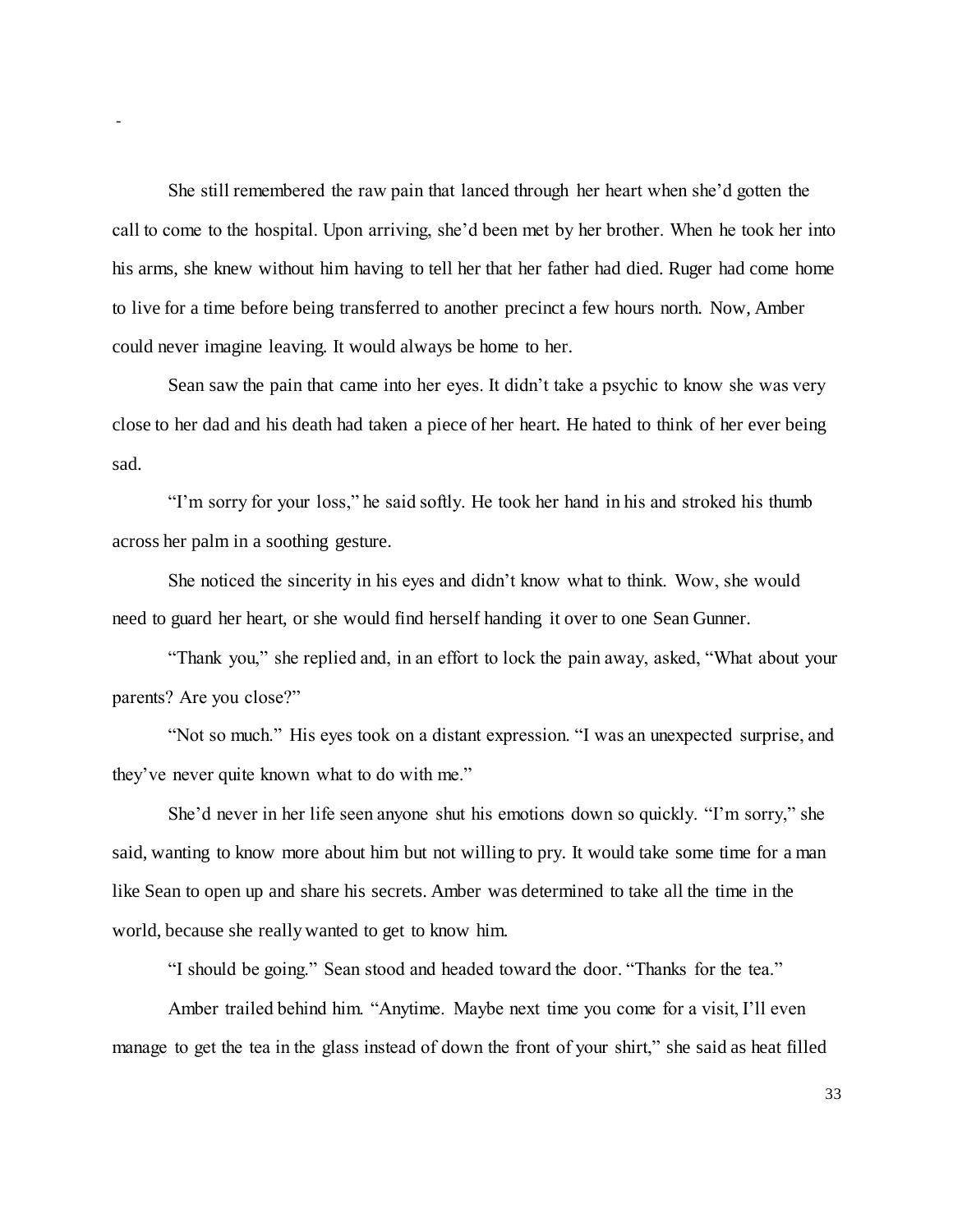She still remembered the raw pain that lanced through her heart when she'd gotten the call to come to the hospital. Upon arriving, she'd been met by her brother. When he took her into his arms, she knew without him having to tell her that her father had died. Ruger had come home to live for a time before being transferred to another precinct a few hours north. Now, Amber could never imagine leaving. It would always be home to her.

-

Sean saw the pain that came into her eyes. It didn't take a psychic to know she was very close to her dad and his death had taken a piece of her heart. He hated to think of her ever being sad.

"I'm sorry for your loss," he said softly. He took her hand in his and stroked his thumb across her palm in a soothing gesture.

She noticed the sincerity in his eyes and didn't know what to think. Wow, she would need to guard her heart, or she would find herself handing it over to one Sean Gunner.

"Thank you," she replied and, in an effort to lock the pain away, asked, "What about your parents? Are you close?"

"Not so much." His eyes took on a distant expression. "I was an unexpected surprise, and they've never quite known what to do with me."

She'd never in her life seen anyone shut his emotions down so quickly. "I'm sorry," she said, wanting to know more about him but not willing to pry. It would take some time for a man like Sean to open up and share his secrets. Amber was determined to take all the time in the world, because she really wanted to get to know him.

"I should be going." Sean stood and headed toward the door. "Thanks for the tea."

Amber trailed behind him. "Anytime. Maybe next time you come for a visit, I'll even manage to get the tea in the glass instead of down the front of your shirt," she said as heat filled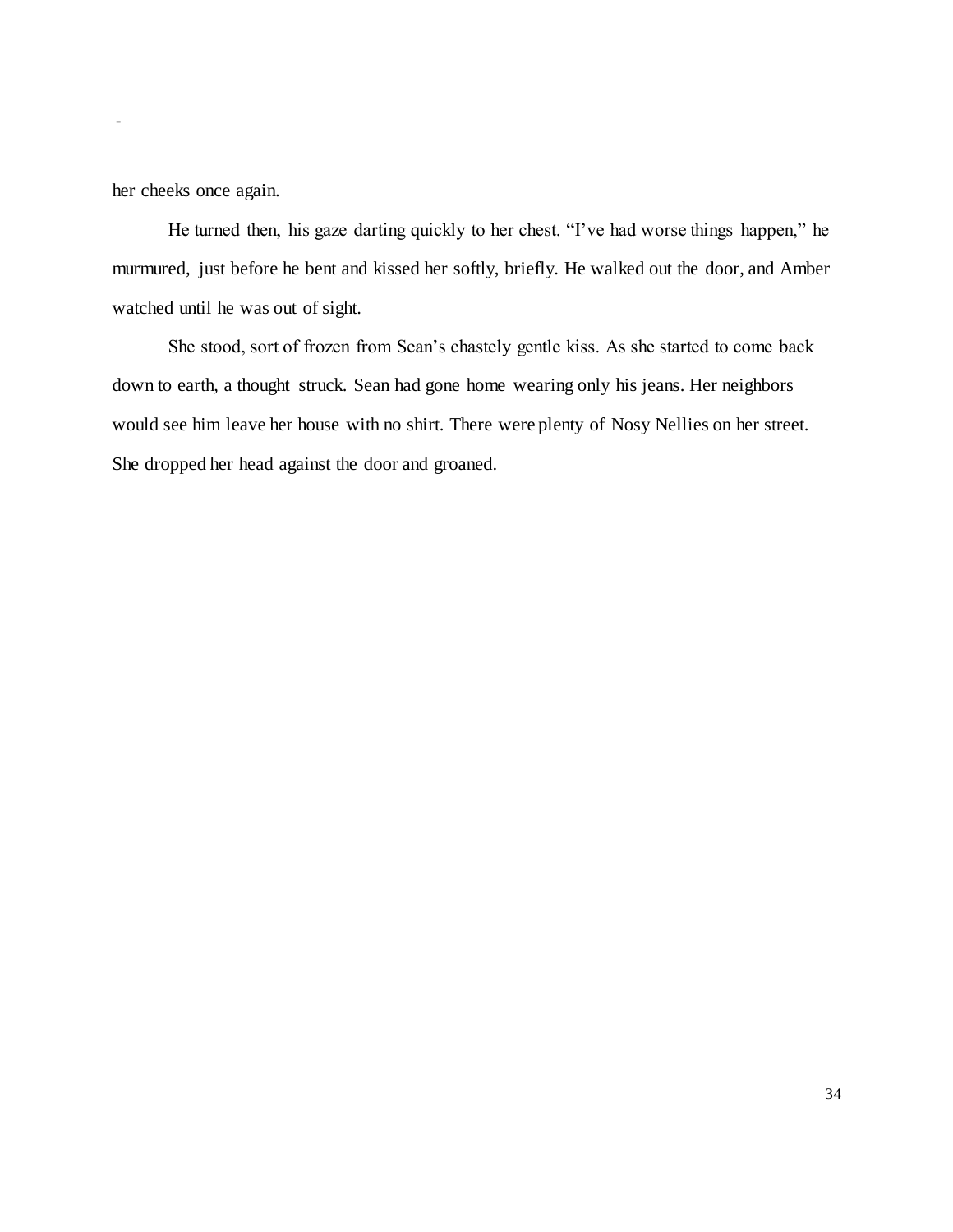her cheeks once again.

-

He turned then, his gaze darting quickly to her chest. "I've had worse things happen," he murmured, just before he bent and kissed her softly, briefly. He walked out the door, and Amber watched until he was out of sight.

She stood, sort of frozen from Sean's chastely gentle kiss. As she started to come back down to earth, a thought struck. Sean had gone home wearing only his jeans. Her neighbors would see him leave her house with no shirt. There were plenty of Nosy Nellies on her street. She dropped her head against the door and groaned.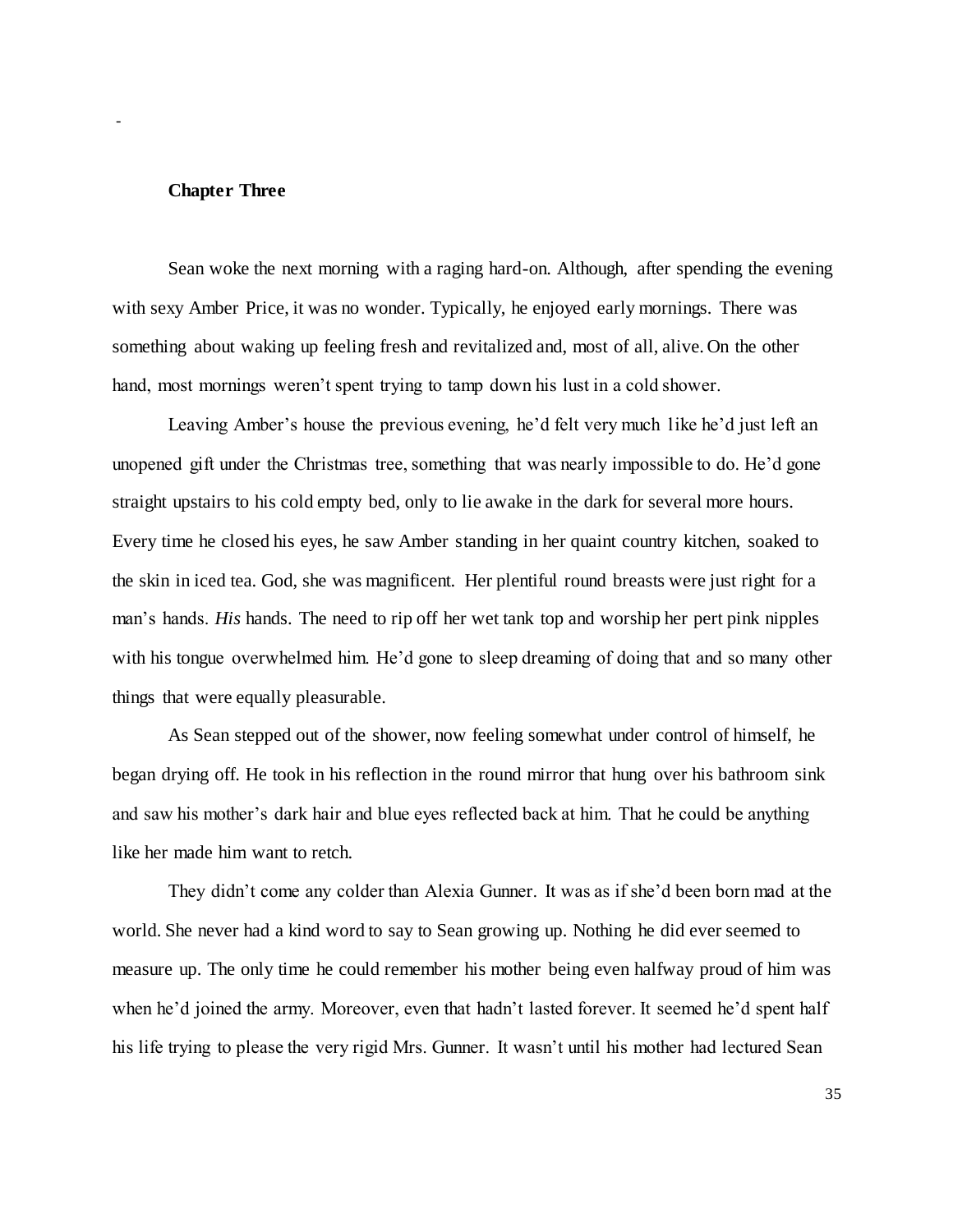## **Chapter Three**

-

Sean woke the next morning with a raging hard-on. Although, after spending the evening with sexy Amber Price, it was no wonder. Typically, he enjoyed early mornings. There was something about waking up feeling fresh and revitalized and, most of all, alive. On the other hand, most mornings weren't spent trying to tamp down his lust in a cold shower.

Leaving Amber's house the previous evening, he'd felt very much like he'd just left an unopened gift under the Christmas tree, something that was nearly impossible to do. He'd gone straight upstairs to his cold empty bed, only to lie awake in the dark for several more hours. Every time he closed his eyes, he saw Amber standing in her quaint country kitchen, soaked to the skin in iced tea. God, she was magnificent. Her plentiful round breasts were just right for a man's hands. *His* hands. The need to rip off her wet tank top and worship her pert pink nipples with his tongue overwhelmed him. He'd gone to sleep dreaming of doing that and so many other things that were equally pleasurable.

As Sean stepped out of the shower, now feeling somewhat under control of himself, he began drying off. He took in his reflection in the round mirror that hung over his bathroom sink and saw his mother's dark hair and blue eyes reflected back at him. That he could be anything like her made him want to retch.

They didn't come any colder than Alexia Gunner. It was as if she'd been born mad at the world. She never had a kind word to say to Sean growing up. Nothing he did ever seemed to measure up. The only time he could remember his mother being even halfway proud of him was when he'd joined the army. Moreover, even that hadn't lasted forever. It seemed he'd spent half his life trying to please the very rigid Mrs. Gunner. It wasn't until his mother had lectured Sean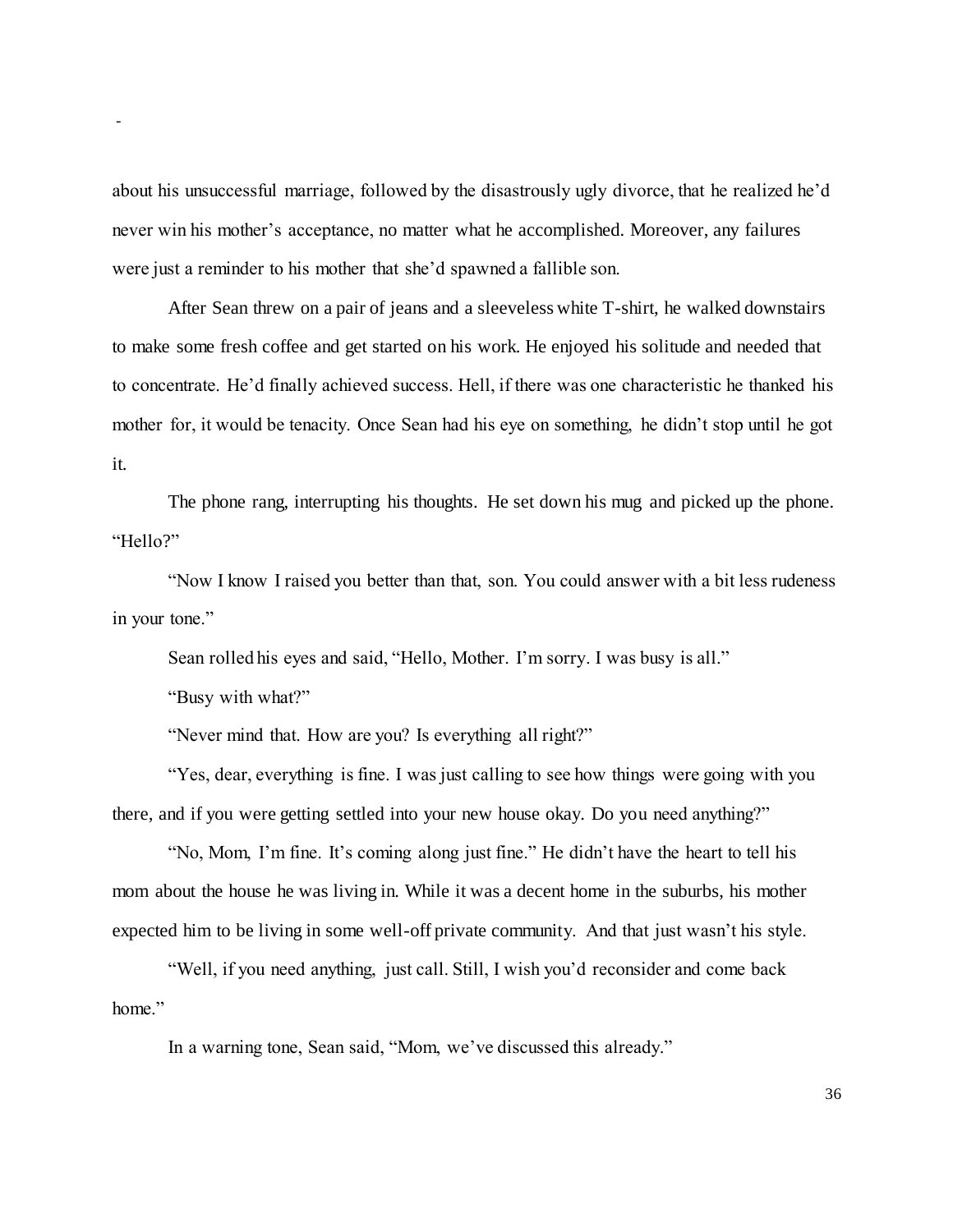about his unsuccessful marriage, followed by the disastrously ugly divorce, that he realized he'd never win his mother's acceptance, no matter what he accomplished. Moreover, any failures were just a reminder to his mother that she'd spawned a fallible son.

After Sean threw on a pair of jeans and a sleeveless white T-shirt, he walked downstairs to make some fresh coffee and get started on his work. He enjoyed his solitude and needed that to concentrate. He'd finally achieved success. Hell, if there was one characteristic he thanked his mother for, it would be tenacity. Once Sean had his eye on something, he didn't stop until he got it.

The phone rang, interrupting his thoughts. He set down his mug and picked up the phone. "Hello?"

"Now I know I raised you better than that, son. You could answer with a bit less rudeness in your tone."

Sean rolled his eyes and said, "Hello, Mother. I'm sorry. I was busy is all."

"Busy with what?"

-

"Never mind that. How are you? Is everything all right?"

"Yes, dear, everything is fine. I was just calling to see how things were going with you there, and if you were getting settled into your new house okay. Do you need anything?"

"No, Mom, I'm fine. It's coming along just fine." He didn't have the heart to tell his mom about the house he was living in. While it was a decent home in the suburbs, his mother expected him to be living in some well-off private community. And that just wasn't his style.

"Well, if you need anything, just call. Still, I wish you'd reconsider and come back home."

In a warning tone, Sean said, "Mom, we've discussed this already."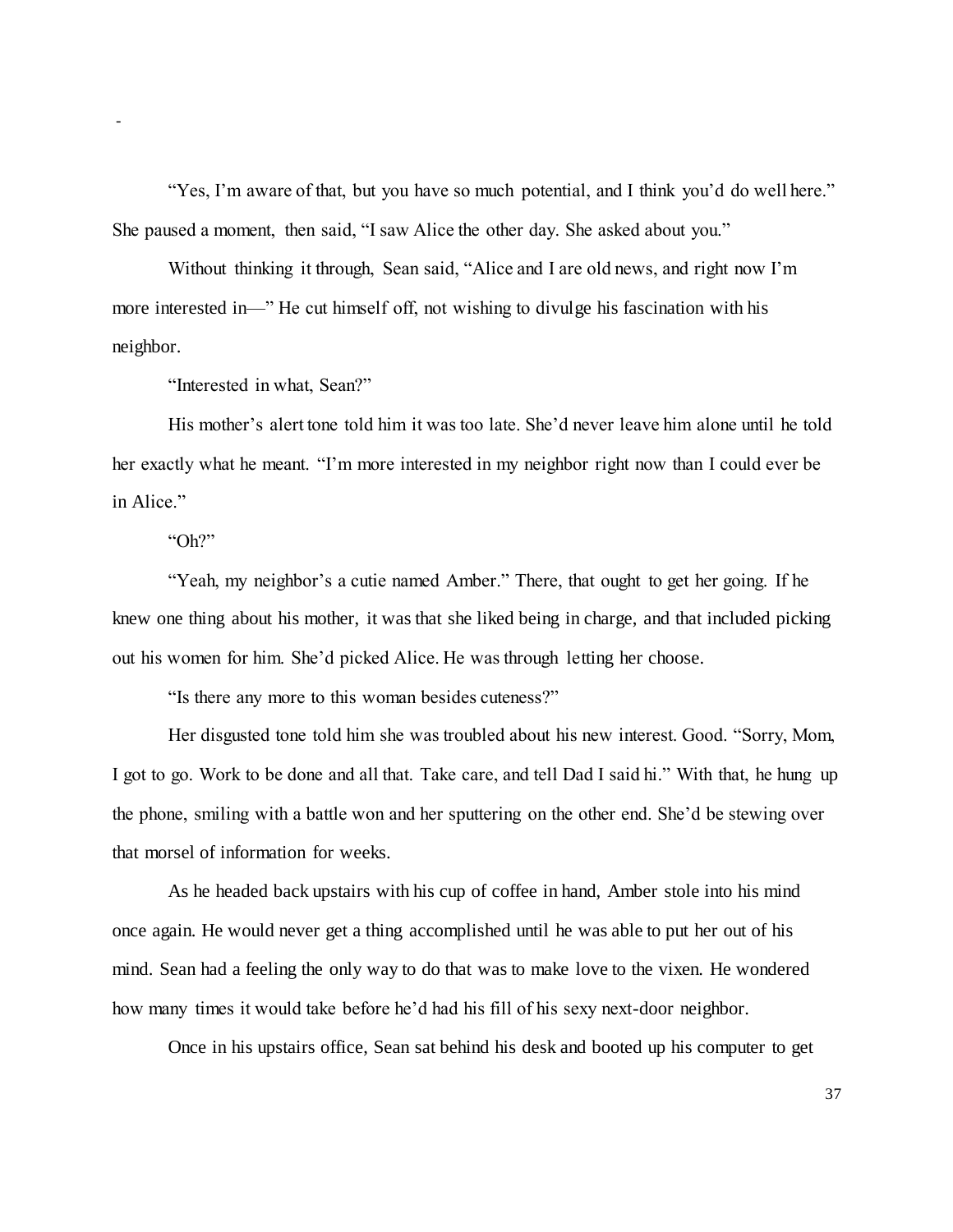"Yes, I'm aware of that, but you have so much potential, and I think you'd do well here." She paused a moment, then said, "I saw Alice the other day. She asked about you."

Without thinking it through, Sean said, "Alice and I are old news, and right now I'm more interested in—" He cut himself off, not wishing to divulge his fascination with his neighbor.

"Interested in what, Sean?"

His mother's alert tone told him it was too late. She'd never leave him alone until he told her exactly what he meant. "I'm more interested in my neighbor right now than I could ever be in Alice."

"Oh?"

-

"Yeah, my neighbor's a cutie named Amber." There, that ought to get her going. If he knew one thing about his mother, it was that she liked being in charge, and that included picking out his women for him. She'd picked Alice. He was through letting her choose.

"Is there any more to this woman besides cuteness?"

Her disgusted tone told him she was troubled about his new interest. Good. "Sorry, Mom, I got to go. Work to be done and all that. Take care, and tell Dad I said hi." With that, he hung up the phone, smiling with a battle won and her sputtering on the other end. She'd be stewing over that morsel of information for weeks.

As he headed back upstairs with his cup of coffee in hand, Amber stole into his mind once again. He would never get a thing accomplished until he was able to put her out of his mind. Sean had a feeling the only way to do that was to make love to the vixen. He wondered how many times it would take before he'd had his fill of his sexy next-door neighbor.

Once in his upstairs office, Sean sat behind his desk and booted up his computer to get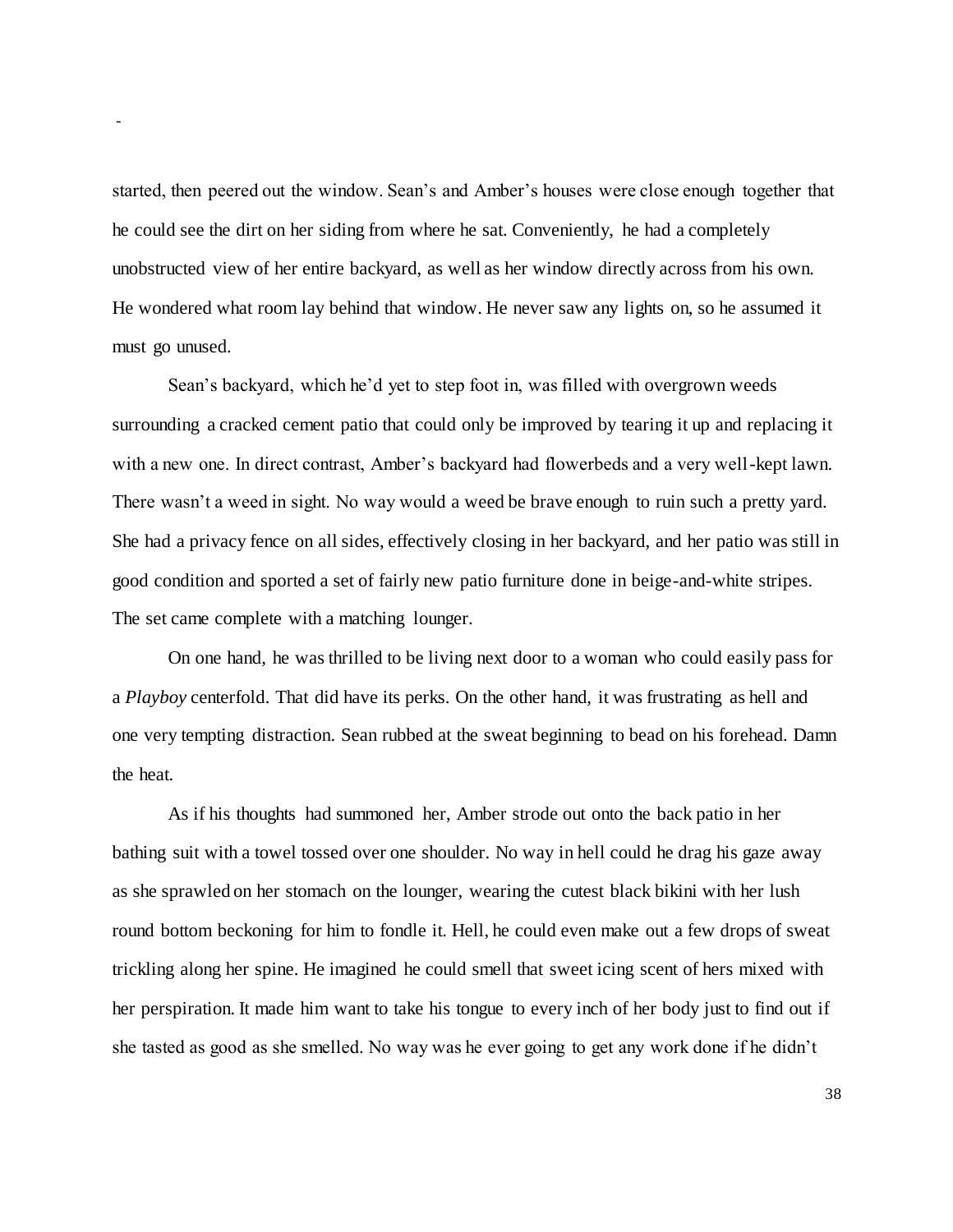started, then peered out the window. Sean's and Amber's houses were close enough together that he could see the dirt on her siding from where he sat. Conveniently, he had a completely unobstructed view of her entire backyard, as well as her window directly across from his own. He wondered what room lay behind that window. He never saw any lights on, so he assumed it must go unused.

-

Sean's backyard, which he'd yet to step foot in, was filled with overgrown weeds surrounding a cracked cement patio that could only be improved by tearing it up and replacing it with a new one. In direct contrast, Amber's backyard had flowerbeds and a very well-kept lawn. There wasn't a weed in sight. No way would a weed be brave enough to ruin such a pretty yard. She had a privacy fence on all sides, effectively closing in her backyard, and her patio was still in good condition and sported a set of fairly new patio furniture done in beige-and-white stripes. The set came complete with a matching lounger.

On one hand, he was thrilled to be living next door to a woman who could easily pass for a *Playboy* centerfold. That did have its perks. On the other hand, it was frustrating as hell and one very tempting distraction. Sean rubbed at the sweat beginning to bead on his forehead. Damn the heat.

As if his thoughts had summoned her, Amber strode out onto the back patio in her bathing suit with a towel tossed over one shoulder. No way in hell could he drag his gaze away as she sprawled on her stomach on the lounger, wearing the cutest black bikini with her lush round bottom beckoning for him to fondle it. Hell, he could even make out a few drops of sweat trickling along her spine. He imagined he could smell that sweet icing scent of hers mixed with her perspiration. It made him want to take his tongue to every inch of her body just to find out if she tasted as good as she smelled. No way was he ever going to get any work done if he didn't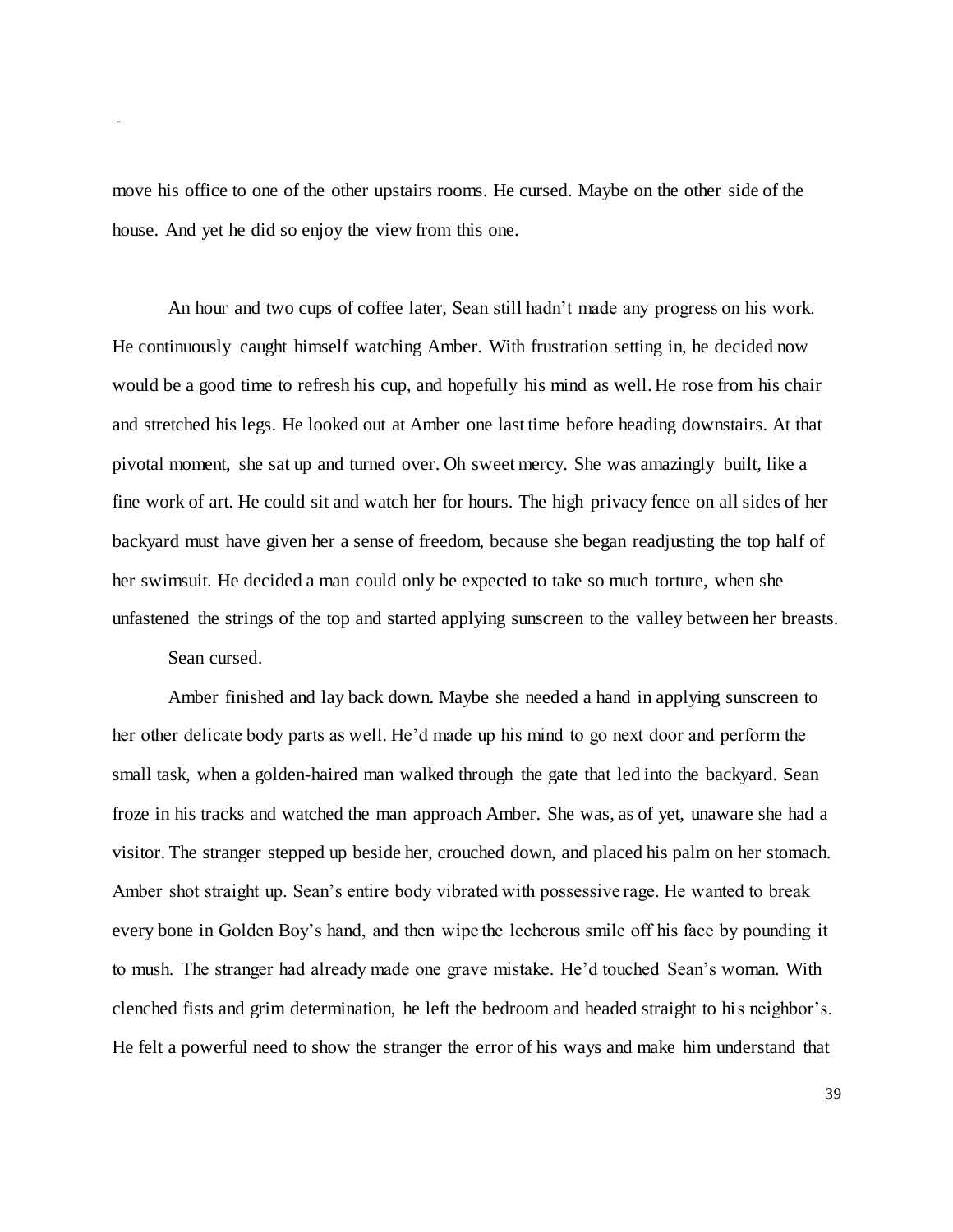move his office to one of the other upstairs rooms. He cursed. Maybe on the other side of the house. And yet he did so enjoy the view from this one.

An hour and two cups of coffee later, Sean still hadn't made any progress on his work. He continuously caught himself watching Amber. With frustration setting in, he decided now would be a good time to refresh his cup, and hopefully his mind as well. He rose from his chair and stretched his legs. He looked out at Amber one last time before heading downstairs. At that pivotal moment, she sat up and turned over. Oh sweet mercy. She was amazingly built, like a fine work of art. He could sit and watch her for hours. The high privacy fence on all sides of her backyard must have given her a sense of freedom, because she began readjusting the top half of her swimsuit. He decided a man could only be expected to take so much torture, when she unfastened the strings of the top and started applying sunscreen to the valley between her breasts.

# Sean cursed.

-

Amber finished and lay back down. Maybe she needed a hand in applying sunscreen to her other delicate body parts as well. He'd made up his mind to go next door and perform the small task, when a golden-haired man walked through the gate that led into the backyard. Sean froze in his tracks and watched the man approach Amber. She was, as of yet, unaware she had a visitor. The stranger stepped up beside her, crouched down, and placed his palm on her stomach. Amber shot straight up. Sean's entire body vibrated with possessive rage. He wanted to break every bone in Golden Boy's hand, and then wipe the lecherous smile off his face by pounding it to mush. The stranger had already made one grave mistake. He'd touched Sean's woman. With clenched fists and grim determination, he left the bedroom and headed straight to his neighbor's. He felt a powerful need to show the stranger the error of his ways and make him understand that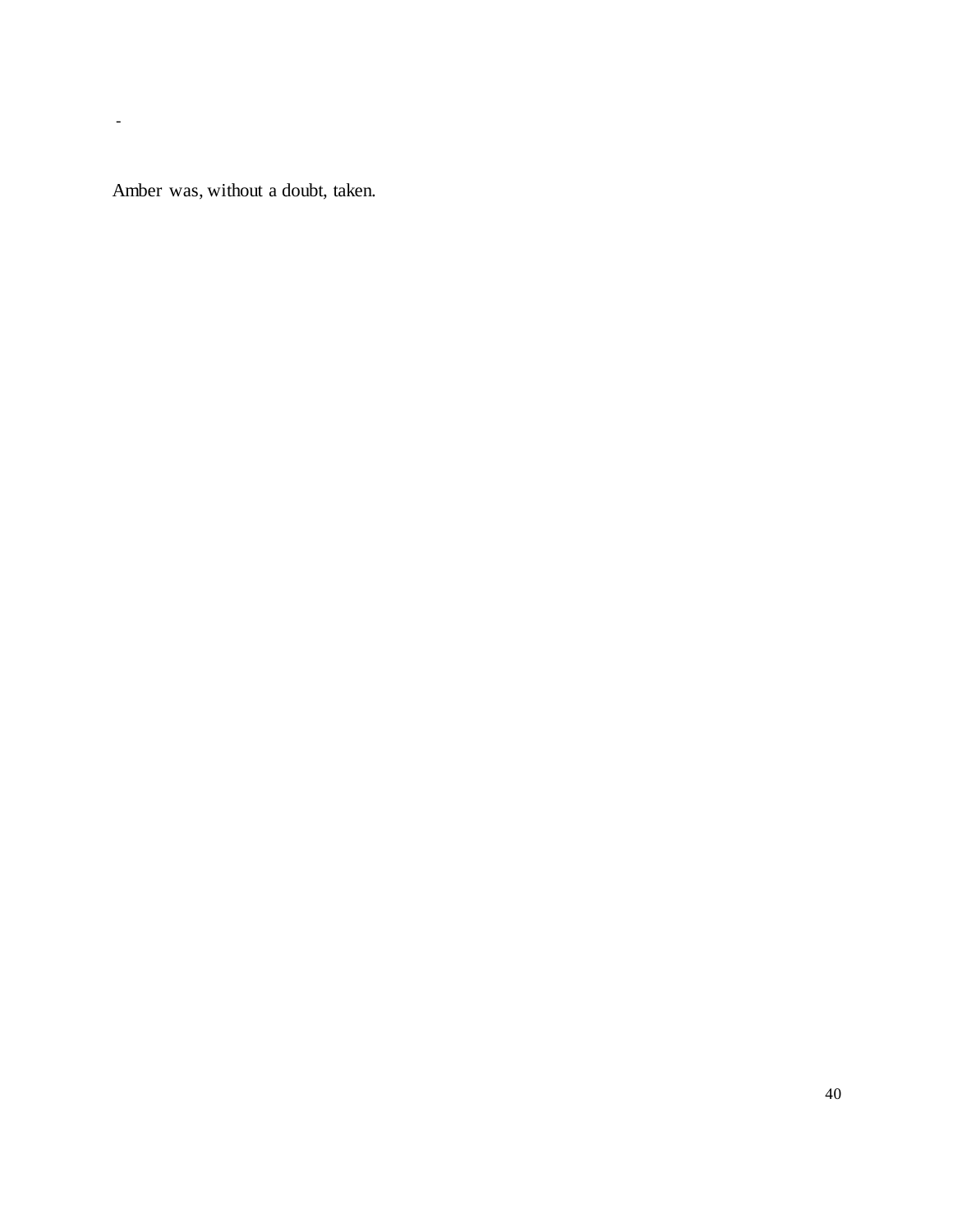Amber was, without a doubt, taken.

 $\omega_{\rm{max}}$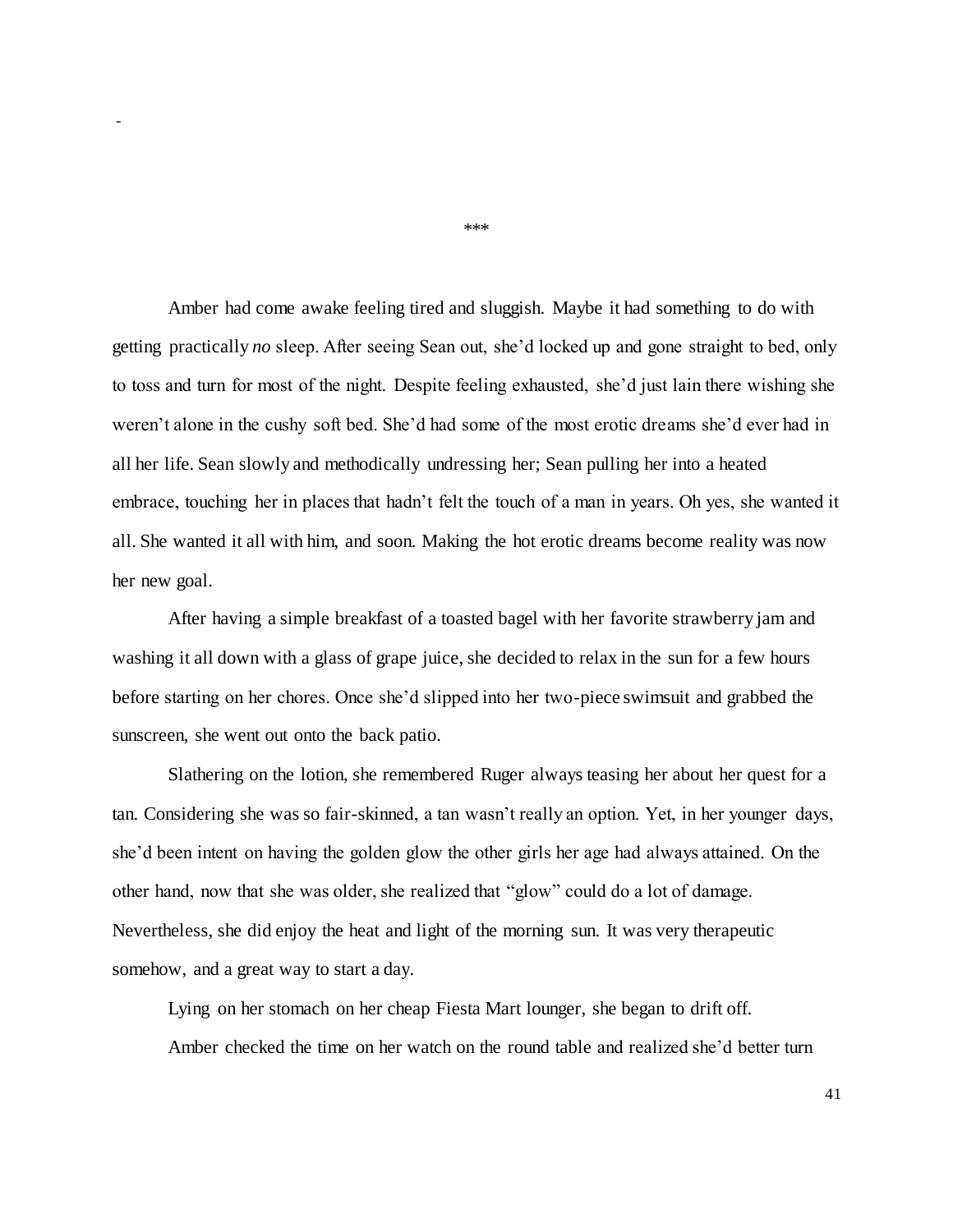Amber had come awake feeling tired and sluggish. Maybe it had something to do with getting practically *no* sleep. After seeing Sean out, she'd locked up and gone straight to bed, only to toss and turn for most of the night. Despite feeling exhausted, she'd just lain there wishing she weren't alone in the cushy soft bed. She'd had some of the most erotic dreams she'd ever had in all her life. Sean slowly and methodically undressing her; Sean pulling her into a heated embrace, touching her in places that hadn't felt the touch of a man in years. Oh yes, she wanted it all. She wanted it all with him, and soon. Making the hot erotic dreams become reality was now her new goal.

After having a simple breakfast of a toasted bagel with her favorite strawberry jam and washing it all down with a glass of grape juice, she decided to relax in the sun for a few hours before starting on her chores. Once she'd slipped into her two-piece swimsuit and grabbed the sunscreen, she went out onto the back patio.

Slathering on the lotion, she remembered Ruger always teasing her about her quest for a tan. Considering she was so fair-skinned, a tan wasn't really an option. Yet, in her younger days, she'd been intent on having the golden glow the other girls her age had always attained. On the other hand, now that she was older, she realized that "glow" could do a lot of damage. Nevertheless, she did enjoy the heat and light of the morning sun. It was very therapeutic somehow, and a great way to start a day.

Lying on her stomach on her cheap Fiesta Mart lounger, she began to drift off. Amber checked the time on her watch on the round table and realized she'd better turn

\*\*\*

-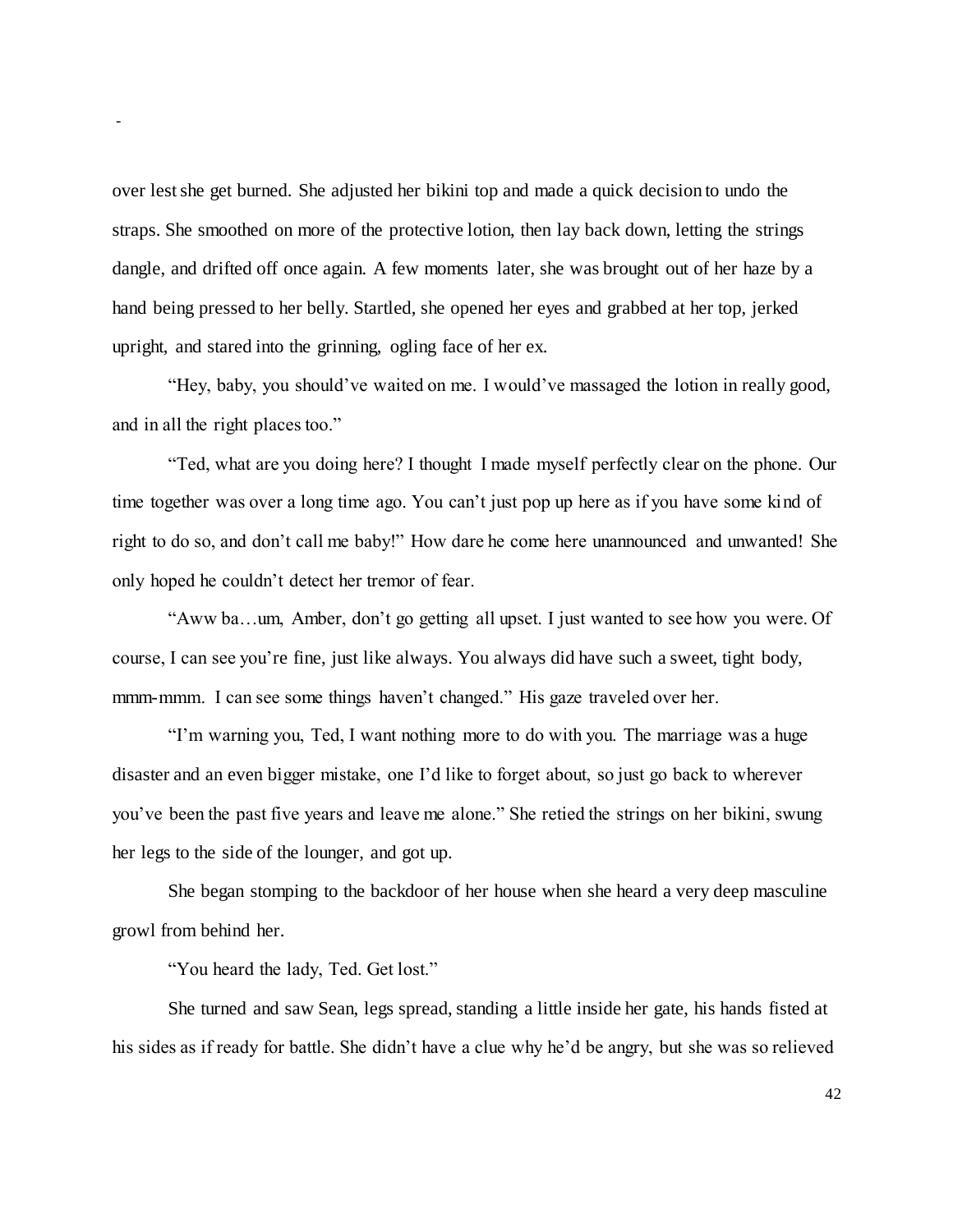over lest she get burned. She adjusted her bikini top and made a quick decision to undo the straps. She smoothed on more of the protective lotion, then lay back down, letting the strings dangle, and drifted off once again. A few moments later, she was brought out of her haze by a hand being pressed to her belly. Startled, she opened her eyes and grabbed at her top, jerked upright, and stared into the grinning, ogling face of her ex.

"Hey, baby, you should've waited on me. I would've massaged the lotion in really good, and in all the right places too."

"Ted, what are you doing here? I thought I made myself perfectly clear on the phone. Our time together was over a long time ago. You can't just pop up here as if you have some kind of right to do so, and don't call me baby!" How dare he come here unannounced and unwanted! She only hoped he couldn't detect her tremor of fear.

"Aww ba…um, Amber, don't go getting all upset. I just wanted to see how you were. Of course, I can see you're fine, just like always. You always did have such a sweet, tight body, mmm-mmm. I can see some things haven't changed." His gaze traveled over her.

"I'm warning you, Ted, I want nothing more to do with you. The marriage was a huge disaster and an even bigger mistake, one I'd like to forget about, so just go back to wherever you've been the past five years and leave me alone." She retied the strings on her bikini, swung her legs to the side of the lounger, and got up.

She began stomping to the backdoor of her house when she heard a very deep masculine growl from behind her.

"You heard the lady, Ted. Get lost."

-

She turned and saw Sean, legs spread, standing a little inside her gate, his hands fisted at his sides as if ready for battle. She didn't have a clue why he'd be angry, but she was so relieved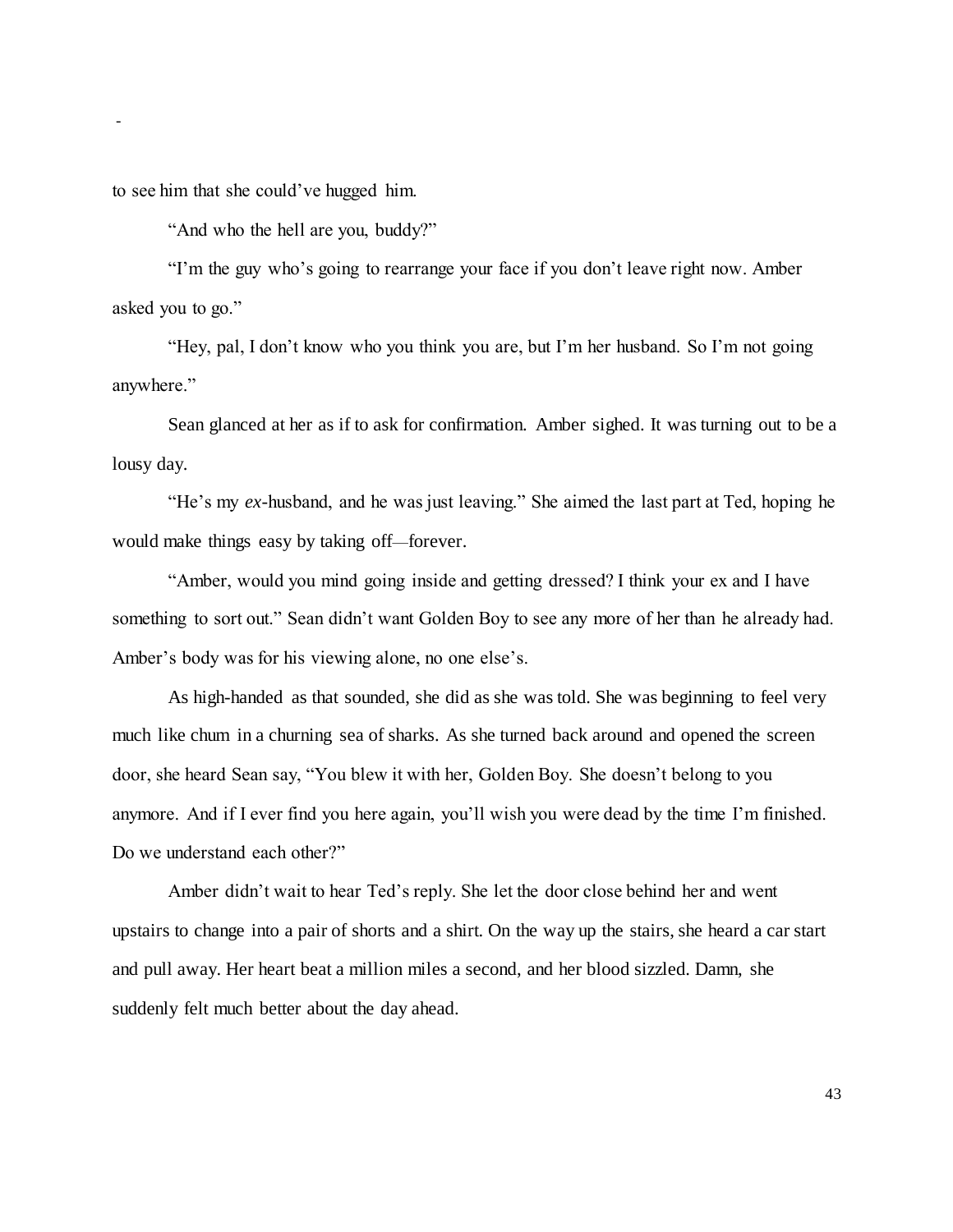to see him that she could've hugged him.

-

"And who the hell are you, buddy?"

"I'm the guy who's going to rearrange your face if you don't leave right now. Amber asked you to go."

"Hey, pal, I don't know who you think you are, but I'm her husband. So I'm not going anywhere."

Sean glanced at her as if to ask for confirmation. Amber sighed. It was turning out to be a lousy day.

"He's my *ex*-husband, and he was just leaving." She aimed the last part at Ted, hoping he would make things easy by taking off—forever.

"Amber, would you mind going inside and getting dressed? I think your ex and I have something to sort out." Sean didn't want Golden Boy to see any more of her than he already had. Amber's body was for his viewing alone, no one else's.

As high-handed as that sounded, she did as she was told. She was beginning to feel very much like chum in a churning sea of sharks. As she turned back around and opened the screen door, she heard Sean say, "You blew it with her, Golden Boy. She doesn't belong to you anymore. And if I ever find you here again, you'll wish you were dead by the time I'm finished. Do we understand each other?"

Amber didn't wait to hear Ted's reply. She let the door close behind her and went upstairs to change into a pair of shorts and a shirt. On the way up the stairs, she heard a car start and pull away. Her heart beat a million miles a second, and her blood sizzled. Damn, she suddenly felt much better about the day ahead.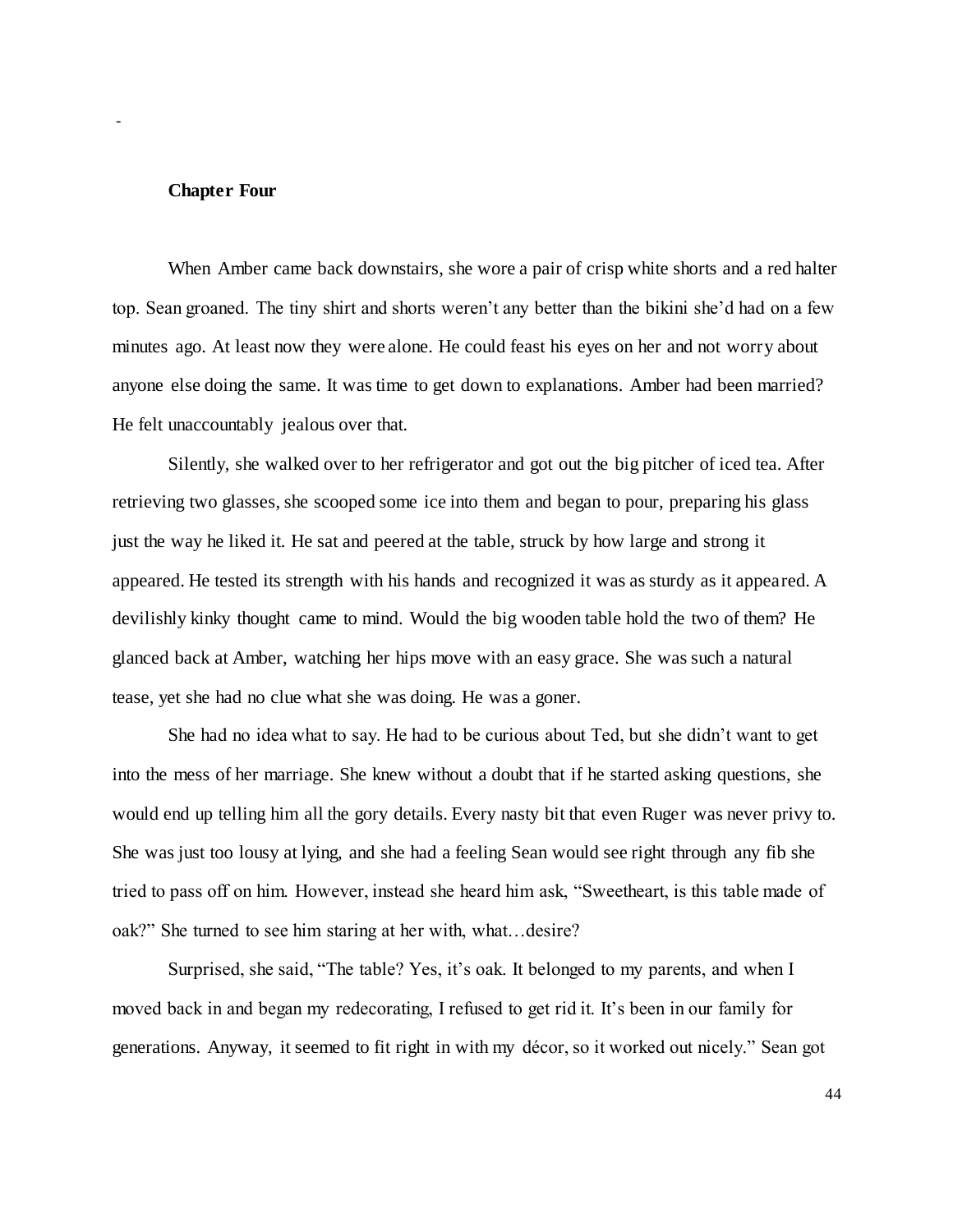#### **Chapter Four**

-

When Amber came back downstairs, she wore a pair of crisp white shorts and a red halter top. Sean groaned. The tiny shirt and shorts weren't any better than the bikini she'd had on a few minutes ago. At least now they were alone. He could feast his eyes on her and not worry about anyone else doing the same. It was time to get down to explanations. Amber had been married? He felt unaccountably jealous over that.

Silently, she walked over to her refrigerator and got out the big pitcher of iced tea. After retrieving two glasses, she scooped some ice into them and began to pour, preparing his glass just the way he liked it. He sat and peered at the table, struck by how large and strong it appeared. He tested its strength with his hands and recognized it was as sturdy as it appeared. A devilishly kinky thought came to mind. Would the big wooden table hold the two of them? He glanced back at Amber, watching her hips move with an easy grace. She was such a natural tease, yet she had no clue what she was doing. He was a goner.

She had no idea what to say. He had to be curious about Ted, but she didn't want to get into the mess of her marriage. She knew without a doubt that if he started asking questions, she would end up telling him all the gory details. Every nasty bit that even Ruger was never privy to. She was just too lousy at lying, and she had a feeling Sean would see right through any fib she tried to pass off on him. However, instead she heard him ask, "Sweetheart, is this table made of oak?" She turned to see him staring at her with, what…desire?

Surprised, she said, "The table? Yes, it's oak. It belonged to my parents, and when I moved back in and began my redecorating, I refused to get rid it. It's been in our family for generations. Anyway, it seemed to fit right in with my décor, so it worked out nicely." Sean got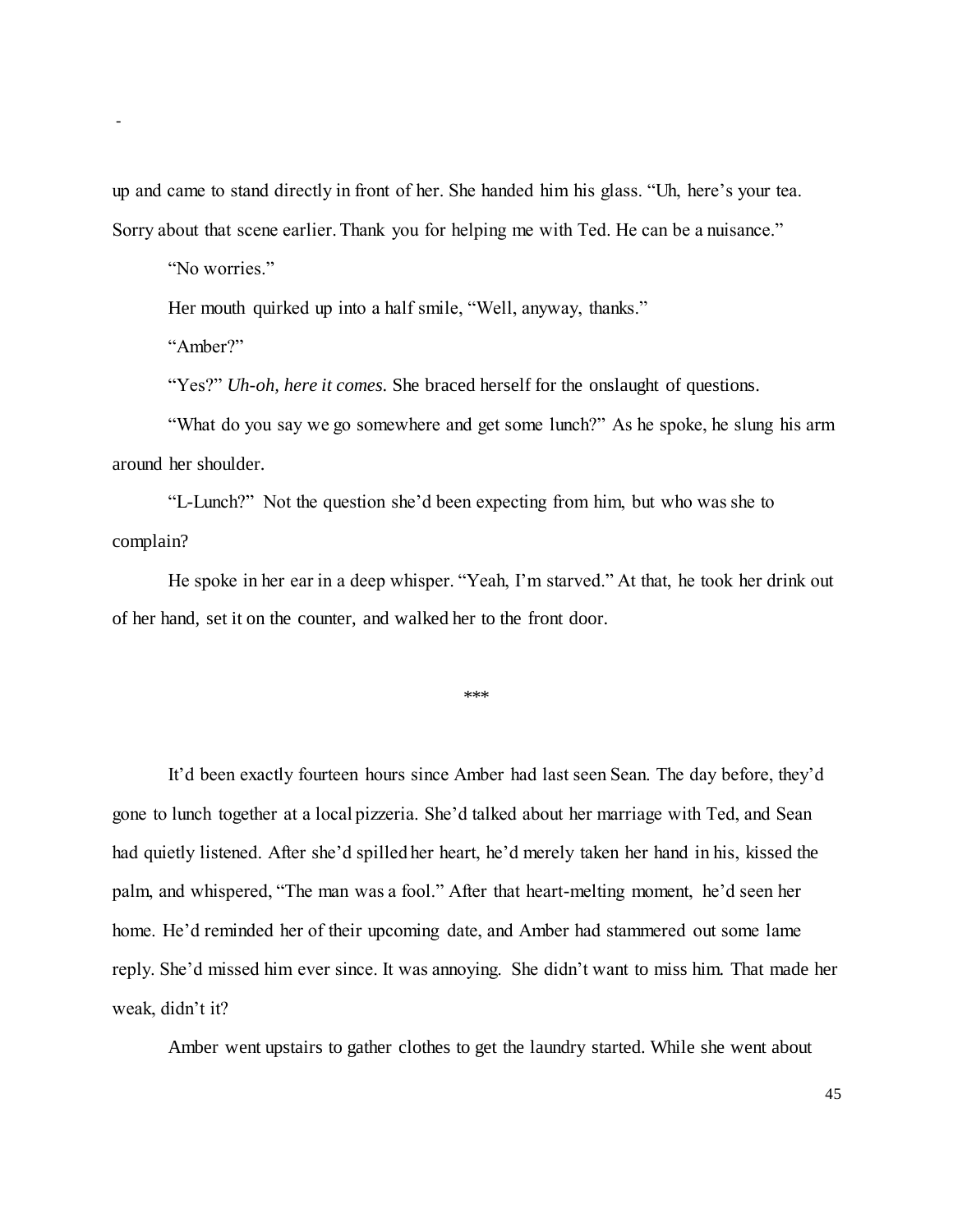up and came to stand directly in front of her. She handed him his glass. "Uh, here's your tea. Sorry about that scene earlier. Thank you for helping me with Ted. He can be a nuisance."

"No worries."

-

Her mouth quirked up into a half smile, "Well, anyway, thanks."

"Amber?"

"Yes?" *Uh-oh, here it comes.* She braced herself for the onslaught of questions.

"What do you say we go somewhere and get some lunch?" As he spoke, he slung his arm around her shoulder.

"L-Lunch?" Not the question she'd been expecting from him, but who was she to complain?

He spoke in her ear in a deep whisper. "Yeah, I'm starved." At that, he took her drink out of her hand, set it on the counter, and walked her to the front door.

\*\*\*

It'd been exactly fourteen hours since Amber had last seen Sean. The day before, they'd gone to lunch together at a local pizzeria. She'd talked about her marriage with Ted, and Sean had quietly listened. After she'd spilled her heart, he'd merely taken her hand in his, kissed the palm, and whispered, "The man was a fool." After that heart-melting moment, he'd seen her home. He'd reminded her of their upcoming date, and Amber had stammered out some lame reply. She'd missed him ever since. It was annoying. She didn't want to miss him. That made her weak, didn't it?

Amber went upstairs to gather clothes to get the laundry started. While she went about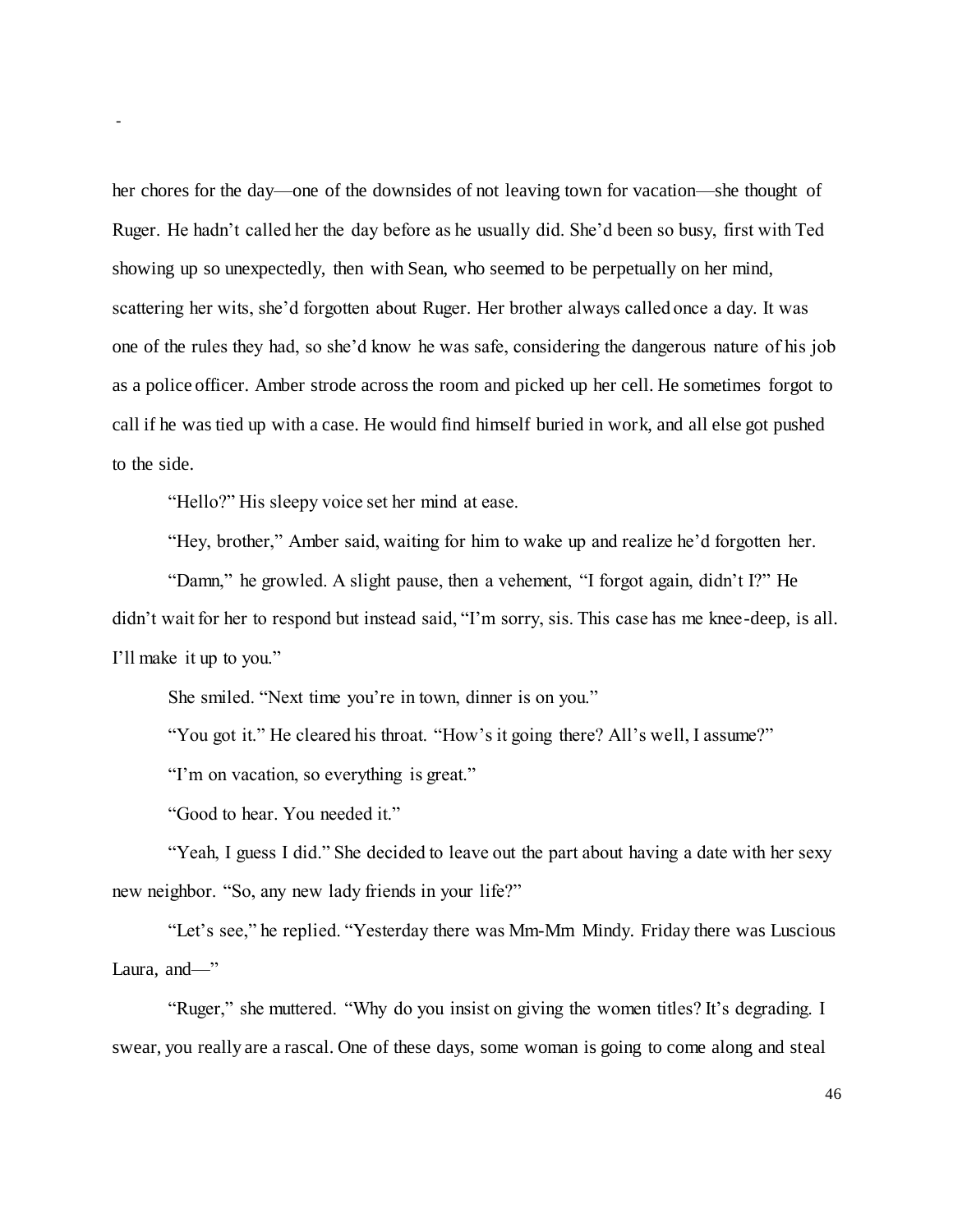her chores for the day—one of the downsides of not leaving town for vacation—she thought of Ruger. He hadn't called her the day before as he usually did. She'd been so busy, first with Ted showing up so unexpectedly, then with Sean, who seemed to be perpetually on her mind, scattering her wits, she'd forgotten about Ruger. Her brother always called once a day. It was one of the rules they had, so she'd know he was safe, considering the dangerous nature of his job as a police officer. Amber strode across the room and picked up her cell. He sometimes forgot to call if he was tied up with a case. He would find himself buried in work, and all else got pushed to the side.

"Hello?" His sleepy voice set her mind at ease.

-

"Hey, brother," Amber said, waiting for him to wake up and realize he'd forgotten her.

"Damn," he growled. A slight pause, then a vehement, "I forgot again, didn't I?" He didn't wait for her to respond but instead said, "I'm sorry, sis. This case has me knee-deep, is all. I'll make it up to you."

She smiled. "Next time you're in town, dinner is on you."

"You got it." He cleared his throat. "How's it going there? All's well, I assume?"

"I'm on vacation, so everything is great."

"Good to hear. You needed it."

"Yeah, I guess I did." She decided to leave out the part about having a date with her sexy new neighbor. "So, any new lady friends in your life?"

"Let's see," he replied. "Yesterday there was Mm-Mm Mindy. Friday there was Luscious Laura, and—"

"Ruger," she muttered. "Why do you insist on giving the women titles? It's degrading. I swear, you really are a rascal. One of these days, some woman is going to come along and steal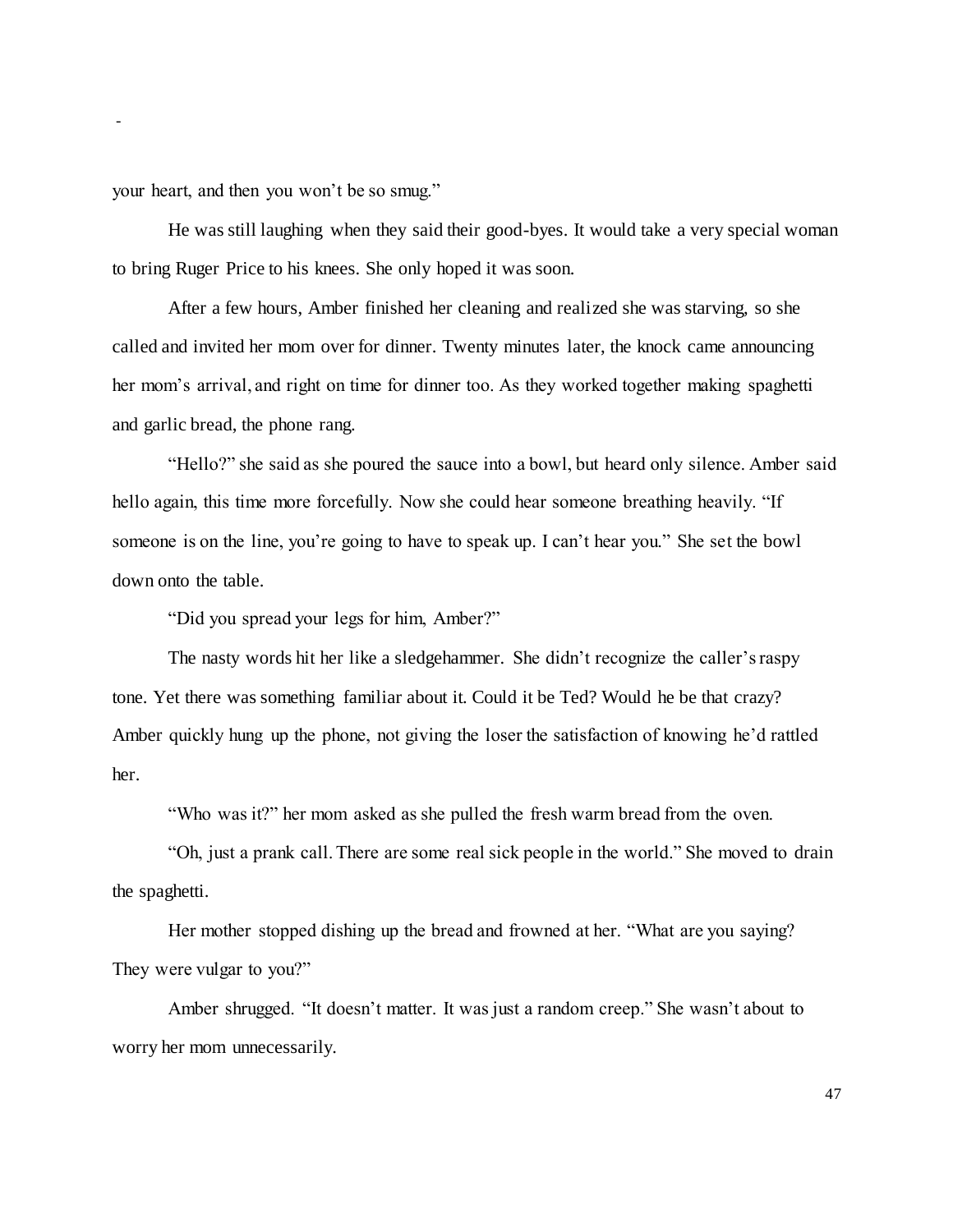your heart, and then you won't be so smug."

-

He was still laughing when they said their good-byes. It would take a very special woman to bring Ruger Price to his knees. She only hoped it was soon.

After a few hours, Amber finished her cleaning and realized she was starving, so she called and invited her mom over for dinner. Twenty minutes later, the knock came announcing her mom's arrival, and right on time for dinner too. As they worked together making spaghetti and garlic bread, the phone rang.

"Hello?" she said as she poured the sauce into a bowl, but heard only silence. Amber said hello again, this time more forcefully. Now she could hear someone breathing heavily. "If someone is on the line, you're going to have to speak up. I can't hear you." She set the bowl down onto the table.

"Did you spread your legs for him, Amber?"

The nasty words hit her like a sledgehammer. She didn't recognize the caller's raspy tone. Yet there was something familiar about it. Could it be Ted? Would he be that crazy? Amber quickly hung up the phone, not giving the loser the satisfaction of knowing he'd rattled her.

"Who was it?" her mom asked as she pulled the fresh warm bread from the oven.

"Oh, just a prank call. There are some real sick people in the world." She moved to drain the spaghetti.

Her mother stopped dishing up the bread and frowned at her. "What are you saying? They were vulgar to you?"

Amber shrugged. "It doesn't matter. It was just a random creep." She wasn't about to worry her mom unnecessarily.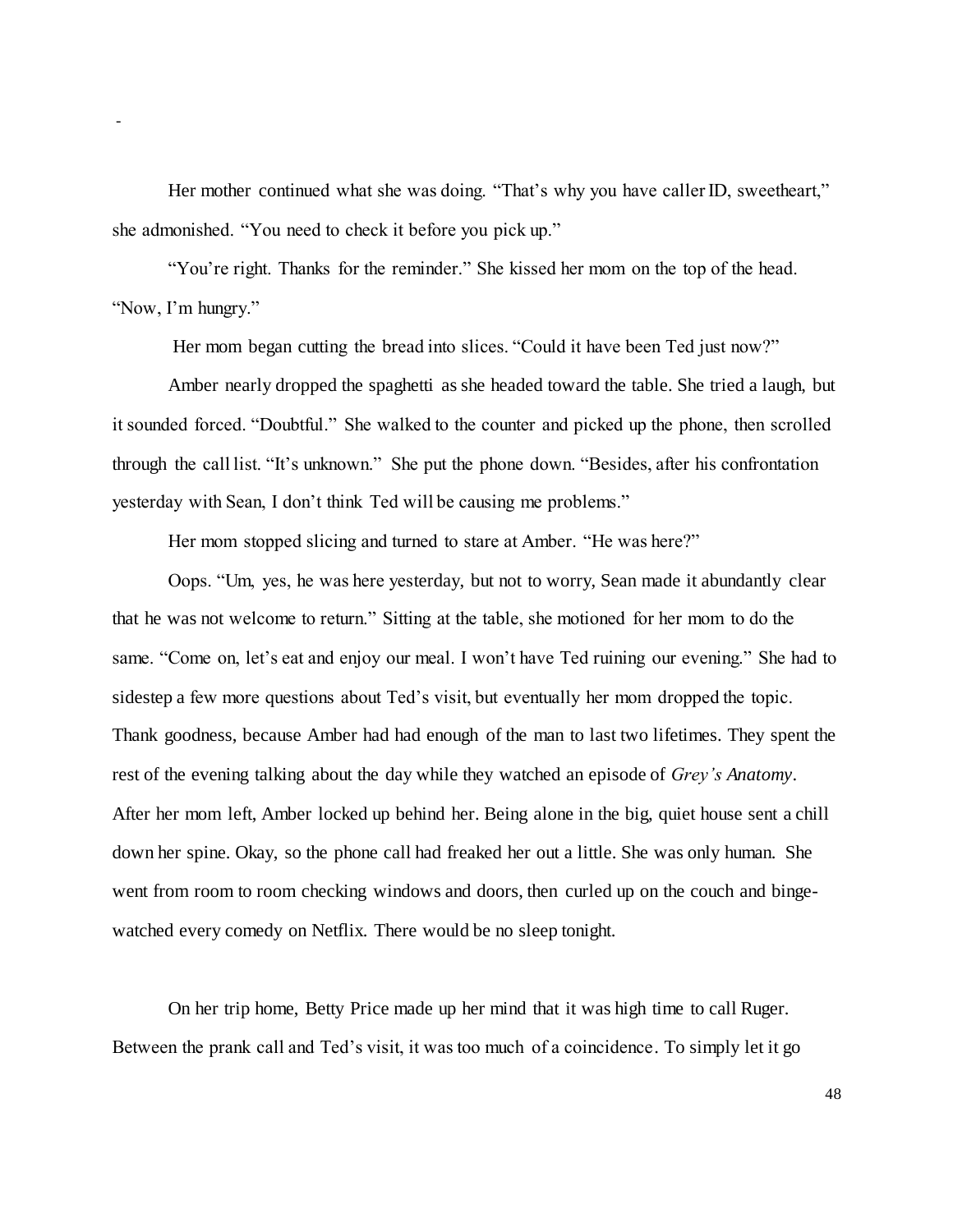Her mother continued what she was doing. "That's why you have caller ID, sweetheart," she admonished. "You need to check it before you pick up."

"You're right. Thanks for the reminder." She kissed her mom on the top of the head. "Now, I'm hungry."

-

Her mom began cutting the bread into slices. "Could it have been Ted just now?"

Amber nearly dropped the spaghetti as she headed toward the table. She tried a laugh, but it sounded forced. "Doubtful." She walked to the counter and picked up the phone, then scrolled through the call list. "It's unknown." She put the phone down. "Besides, after his confrontation yesterday with Sean, I don't think Ted will be causing me problems."

Her mom stopped slicing and turned to stare at Amber. "He was here?"

Oops. "Um, yes, he was here yesterday, but not to worry, Sean made it abundantly clear that he was not welcome to return." Sitting at the table, she motioned for her mom to do the same. "Come on, let's eat and enjoy our meal. I won't have Ted ruining our evening." She had to sidestep a few more questions about Ted's visit, but eventually her mom dropped the topic. Thank goodness, because Amber had had enough of the man to last two lifetimes. They spent the rest of the evening talking about the day while they watched an episode of *Grey's Anatomy*. After her mom left, Amber locked up behind her. Being alone in the big, quiet house sent a chill down her spine. Okay, so the phone call had freaked her out a little. She was only human. She went from room to room checking windows and doors, then curled up on the couch and bingewatched every comedy on Netflix. There would be no sleep tonight.

On her trip home, Betty Price made up her mind that it was high time to call Ruger. Between the prank call and Ted's visit, it was too much of a coincidence. To simply let it go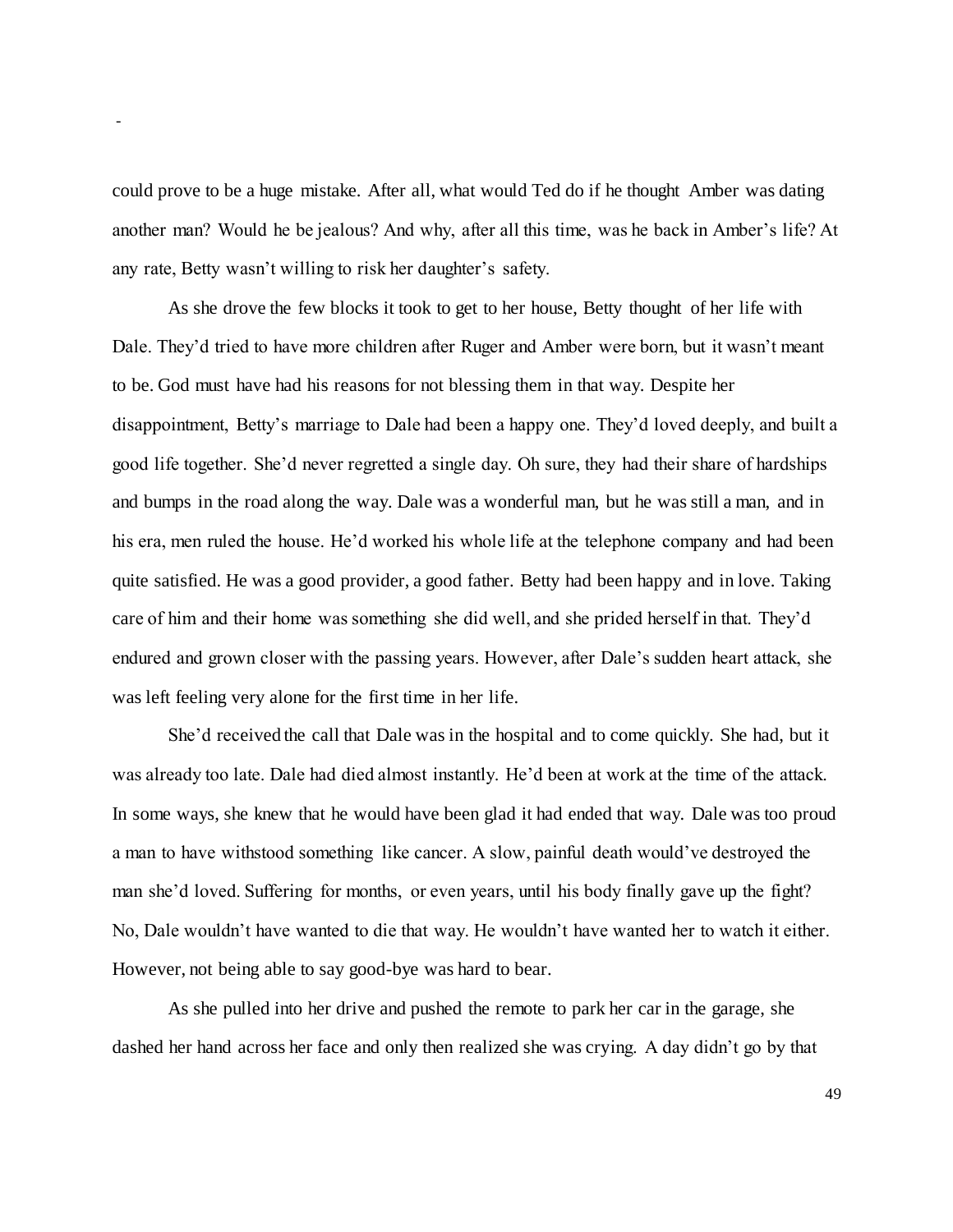could prove to be a huge mistake. After all, what would Ted do if he thought Amber was dating another man? Would he be jealous? And why, after all this time, was he back in Amber's life? At any rate, Betty wasn't willing to risk her daughter's safety.

-

As she drove the few blocks it took to get to her house, Betty thought of her life with Dale. They'd tried to have more children after Ruger and Amber were born, but it wasn't meant to be. God must have had his reasons for not blessing them in that way. Despite her disappointment, Betty's marriage to Dale had been a happy one. They'd loved deeply, and built a good life together. She'd never regretted a single day. Oh sure, they had their share of hardships and bumps in the road along the way. Dale was a wonderful man, but he was still a man, and in his era, men ruled the house. He'd worked his whole life at the telephone company and had been quite satisfied. He was a good provider, a good father. Betty had been happy and in love. Taking care of him and their home was something she did well, and she prided herself in that. They'd endured and grown closer with the passing years. However, after Dale's sudden heart attack, she was left feeling very alone for the first time in her life.

She'd received the call that Dale was in the hospital and to come quickly. She had, but it was already too late. Dale had died almost instantly. He'd been at work at the time of the attack. In some ways, she knew that he would have been glad it had ended that way. Dale was too proud a man to have withstood something like cancer. A slow, painful death would've destroyed the man she'd loved. Suffering for months, or even years, until his body finally gave up the fight? No, Dale wouldn't have wanted to die that way. He wouldn't have wanted her to watch it either. However, not being able to say good-bye was hard to bear.

As she pulled into her drive and pushed the remote to park her car in the garage, she dashed her hand across her face and only then realized she was crying. A day didn't go by that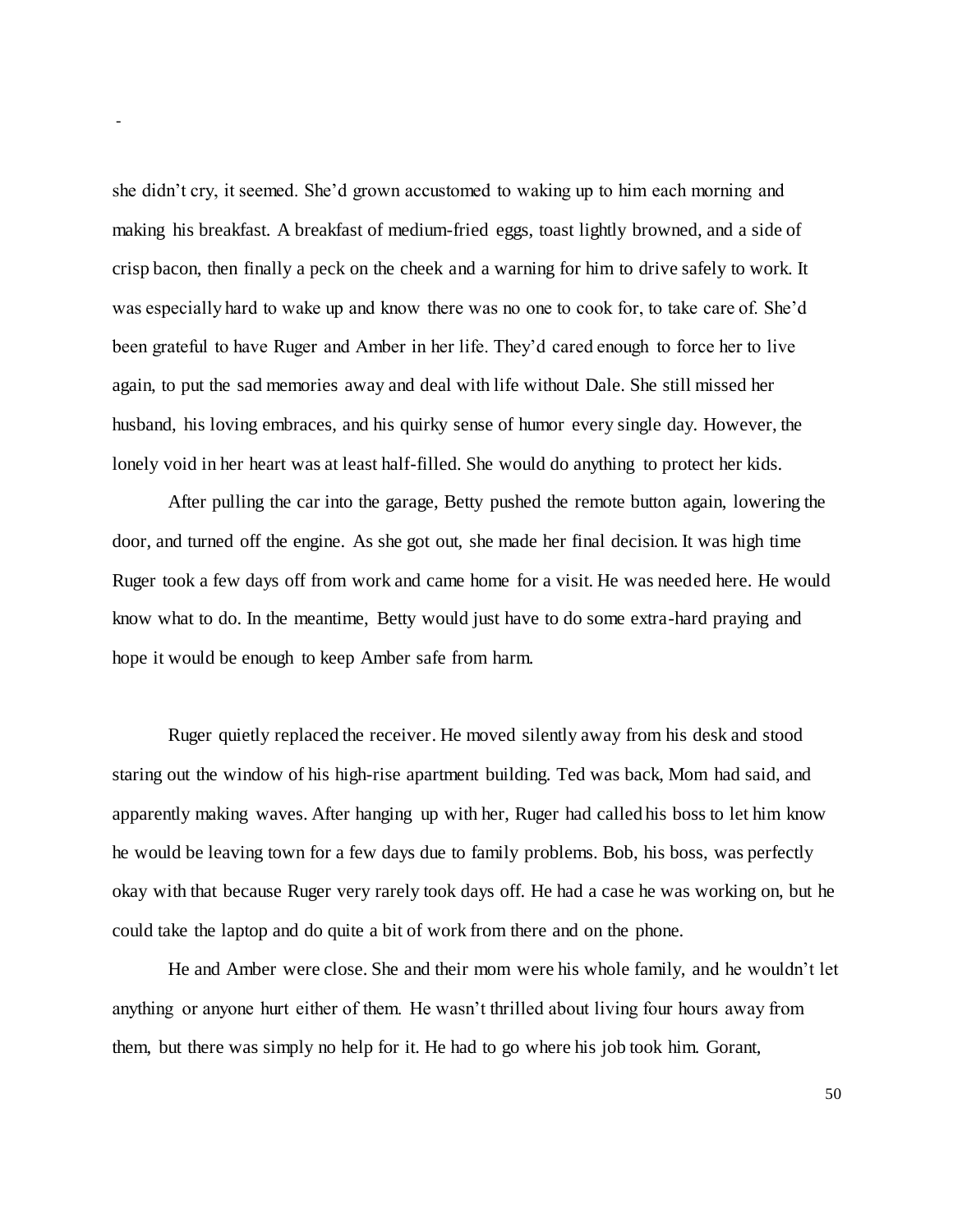she didn't cry, it seemed. She'd grown accustomed to waking up to him each morning and making his breakfast. A breakfast of medium-fried eggs, toast lightly browned, and a side of crisp bacon, then finally a peck on the cheek and a warning for him to drive safely to work. It was especially hard to wake up and know there was no one to cook for, to take care of. She'd been grateful to have Ruger and Amber in her life. They'd cared enough to force her to live again, to put the sad memories away and deal with life without Dale. She still missed her husband, his loving embraces, and his quirky sense of humor every single day. However, the lonely void in her heart was at least half-filled. She would do anything to protect her kids.

-

After pulling the car into the garage, Betty pushed the remote button again, lowering the door, and turned off the engine. As she got out, she made her final decision. It was high time Ruger took a few days off from work and came home for a visit. He was needed here. He would know what to do. In the meantime, Betty would just have to do some extra-hard praying and hope it would be enough to keep Amber safe from harm.

Ruger quietly replaced the receiver. He moved silently away from his desk and stood staring out the window of his high-rise apartment building. Ted was back, Mom had said, and apparently making waves. After hanging up with her, Ruger had called his boss to let him know he would be leaving town for a few days due to family problems. Bob, his boss, was perfectly okay with that because Ruger very rarely took days off. He had a case he was working on, but he could take the laptop and do quite a bit of work from there and on the phone.

He and Amber were close. She and their mom were his whole family, and he wouldn't let anything or anyone hurt either of them. He wasn't thrilled about living four hours away from them, but there was simply no help for it. He had to go where his job took him. Gorant,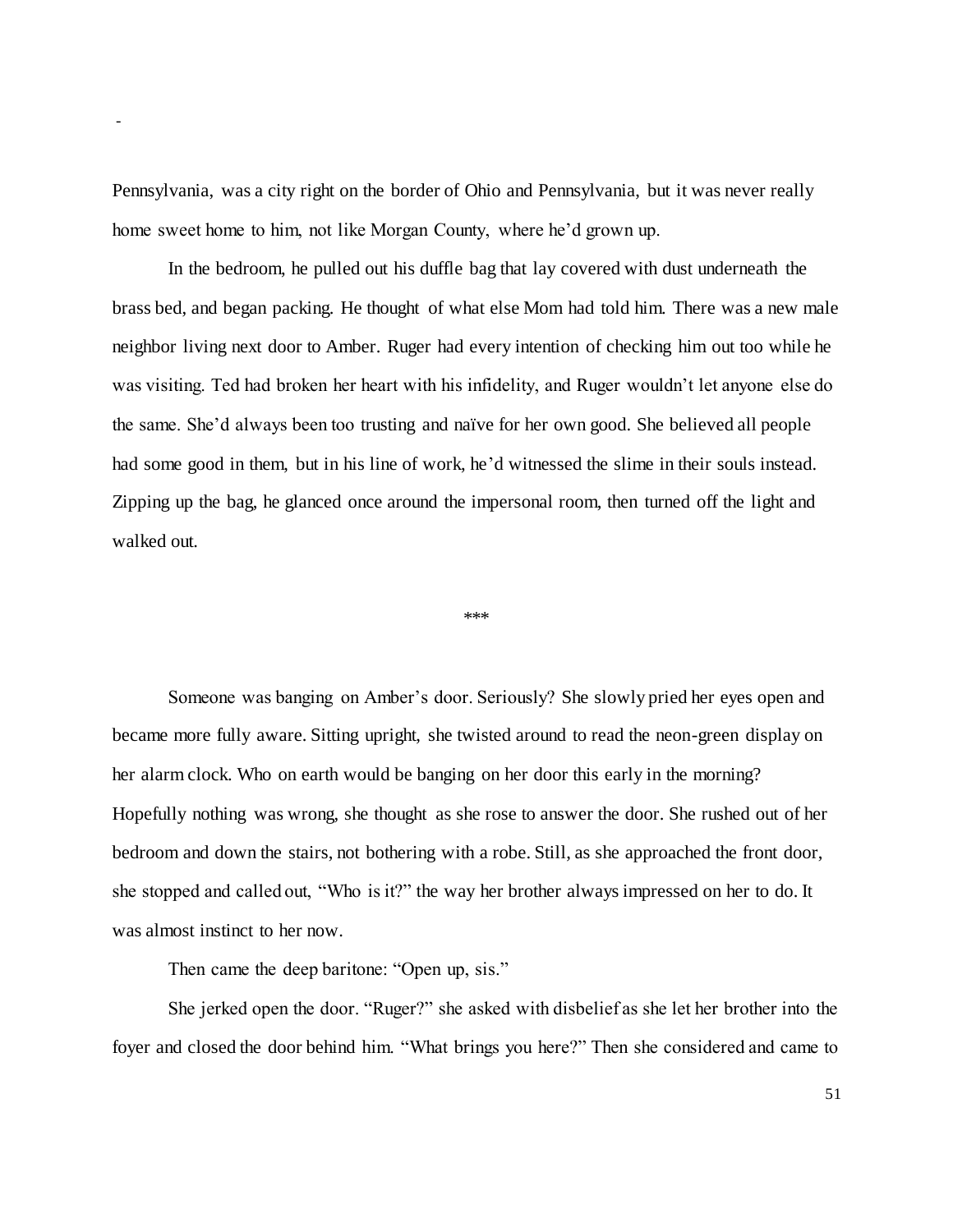Pennsylvania, was a city right on the border of Ohio and Pennsylvania, but it was never really home sweet home to him, not like Morgan County, where he'd grown up.

-

In the bedroom, he pulled out his duffle bag that lay covered with dust underneath the brass bed, and began packing. He thought of what else Mom had told him. There was a new male neighbor living next door to Amber. Ruger had every intention of checking him out too while he was visiting. Ted had broken her heart with his infidelity, and Ruger wouldn't let anyone else do the same. She'd always been too trusting and naïve for her own good. She believed all people had some good in them, but in his line of work, he'd witnessed the slime in their souls instead. Zipping up the bag, he glanced once around the impersonal room, then turned off the light and walked out.

\*\*\*

Someone was banging on Amber's door. Seriously? She slowly pried her eyes open and became more fully aware. Sitting upright, she twisted around to read the neon-green display on her alarm clock. Who on earth would be banging on her door this early in the morning? Hopefully nothing was wrong, she thought as she rose to answer the door. She rushed out of her bedroom and down the stairs, not bothering with a robe. Still, as she approached the front door, she stopped and called out, "Who is it?" the way her brother always impressed on her to do. It was almost instinct to her now.

Then came the deep baritone: "Open up, sis."

She jerked open the door. "Ruger?" she asked with disbelief as she let her brother into the foyer and closed the door behind him. "What brings you here?" Then she considered and came to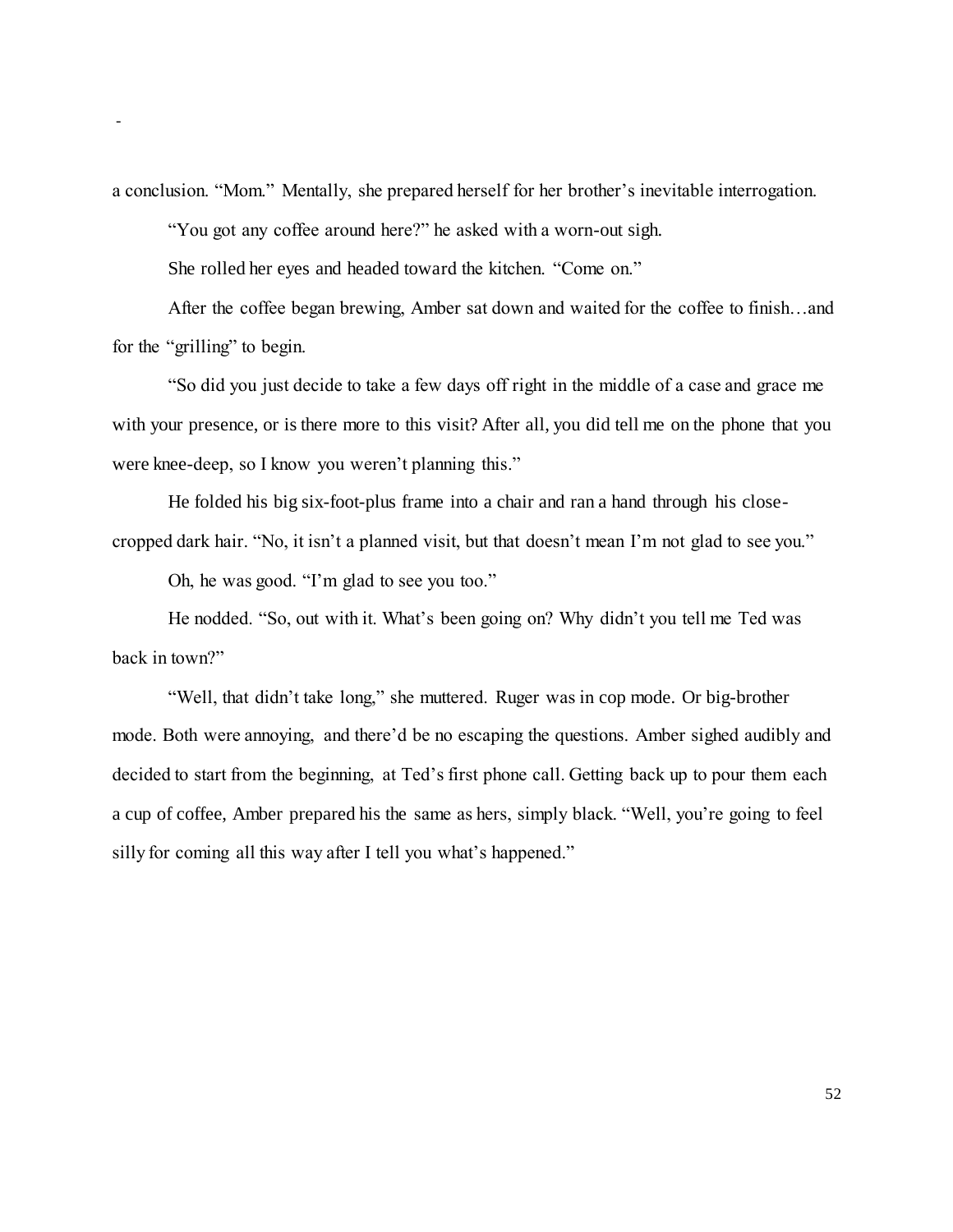a conclusion. "Mom." Mentally, she prepared herself for her brother's inevitable interrogation.

"You got any coffee around here?" he asked with a worn-out sigh.

She rolled her eyes and headed toward the kitchen. "Come on."

After the coffee began brewing, Amber sat down and waited for the coffee to finish…and for the "grilling" to begin.

"So did you just decide to take a few days off right in the middle of a case and grace me with your presence, or is there more to this visit? After all, you did tell me on the phone that you were knee-deep, so I know you weren't planning this."

He folded his big six-foot-plus frame into a chair and ran a hand through his closecropped dark hair. "No, it isn't a planned visit, but that doesn't mean I'm not glad to see you."

Oh, he was good. "I'm glad to see you too."

-

He nodded. "So, out with it. What's been going on? Why didn't you tell me Ted was back in town?"

"Well, that didn't take long," she muttered. Ruger was in cop mode. Or big-brother mode. Both were annoying, and there'd be no escaping the questions. Amber sighed audibly and decided to start from the beginning, at Ted's first phone call. Getting back up to pour them each a cup of coffee, Amber prepared his the same as hers, simply black. "Well, you're going to feel silly for coming all this way after I tell you what's happened."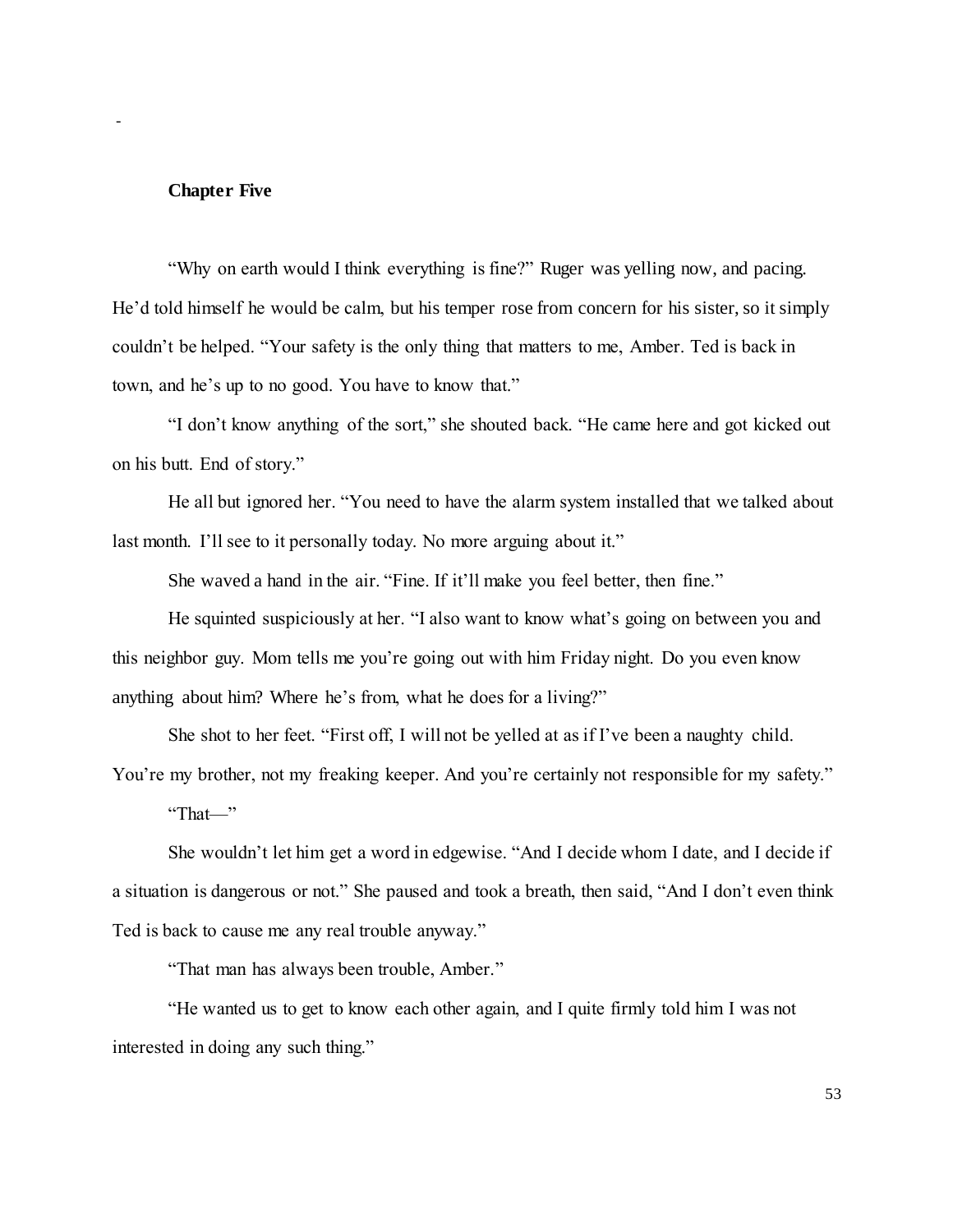# **Chapter Five**

-

"Why on earth would I think everything is fine?" Ruger was yelling now, and pacing. He'd told himself he would be calm, but his temper rose from concern for his sister, so it simply couldn't be helped. "Your safety is the only thing that matters to me, Amber. Ted is back in town, and he's up to no good. You have to know that."

"I don't know anything of the sort," she shouted back. "He came here and got kicked out on his butt. End of story."

He all but ignored her. "You need to have the alarm system installed that we talked about last month. I'll see to it personally today. No more arguing about it."

She waved a hand in the air. "Fine. If it'll make you feel better, then fine."

He squinted suspiciously at her. "I also want to know what's going on between you and this neighbor guy. Mom tells me you're going out with him Friday night. Do you even know anything about him? Where he's from, what he does for a living?"

She shot to her feet. "First off, I will not be yelled at as if I've been a naughty child.

You're my brother, not my freaking keeper. And you're certainly not responsible for my safety." "That—"

She wouldn't let him get a word in edgewise. "And I decide whom I date, and I decide if a situation is dangerous or not." She paused and took a breath, then said, "And I don't even think Ted is back to cause me any real trouble anyway."

"That man has always been trouble, Amber."

"He wanted us to get to know each other again, and I quite firmly told him I was not interested in doing any such thing."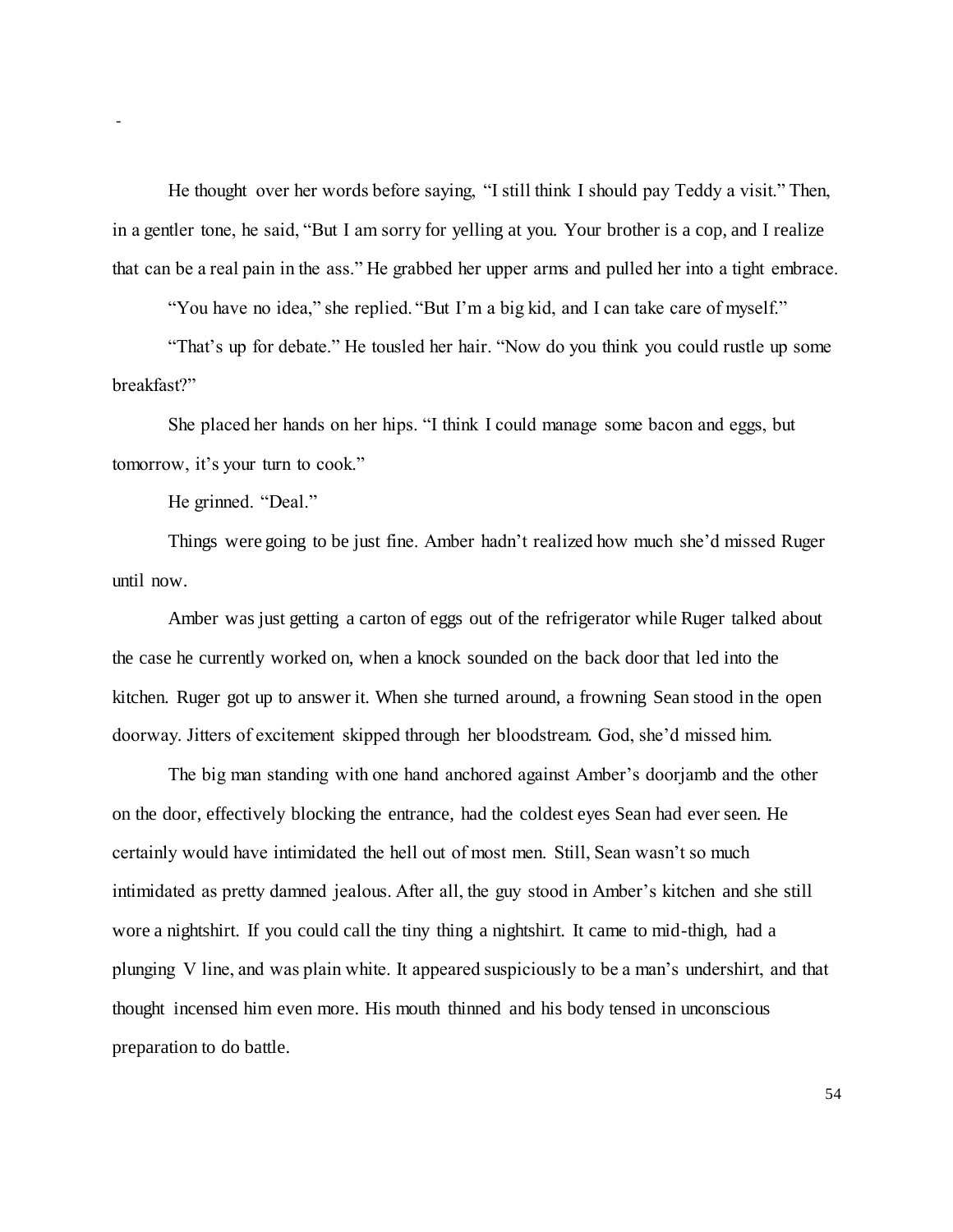He thought over her words before saying, "I still think I should pay Teddy a visit." Then, in a gentler tone, he said, "But I am sorry for yelling at you. Your brother is a cop, and I realize that can be a real pain in the ass." He grabbed her upper arms and pulled her into a tight embrace.

"You have no idea," she replied. "But I'm a big kid, and I can take care of myself."

"That's up for debate." He tousled her hair. "Now do you think you could rustle up some breakfast?"

She placed her hands on her hips. "I think I could manage some bacon and eggs, but tomorrow, it's your turn to cook."

He grinned. "Deal."

-

Things were going to be just fine. Amber hadn't realized how much she'd missed Ruger until now.

Amber was just getting a carton of eggs out of the refrigerator while Ruger talked about the case he currently worked on, when a knock sounded on the back door that led into the kitchen. Ruger got up to answer it. When she turned around, a frowning Sean stood in the open doorway. Jitters of excitement skipped through her bloodstream. God, she'd missed him.

The big man standing with one hand anchored against Amber's doorjamb and the other on the door, effectively blocking the entrance, had the coldest eyes Sean had ever seen. He certainly would have intimidated the hell out of most men. Still, Sean wasn't so much intimidated as pretty damned jealous. After all, the guy stood in Amber's kitchen and she still wore a nightshirt. If you could call the tiny thing a nightshirt. It came to mid-thigh, had a plunging V line, and was plain white. It appeared suspiciously to be a man's undershirt, and that thought incensed him even more. His mouth thinned and his body tensed in unconscious preparation to do battle.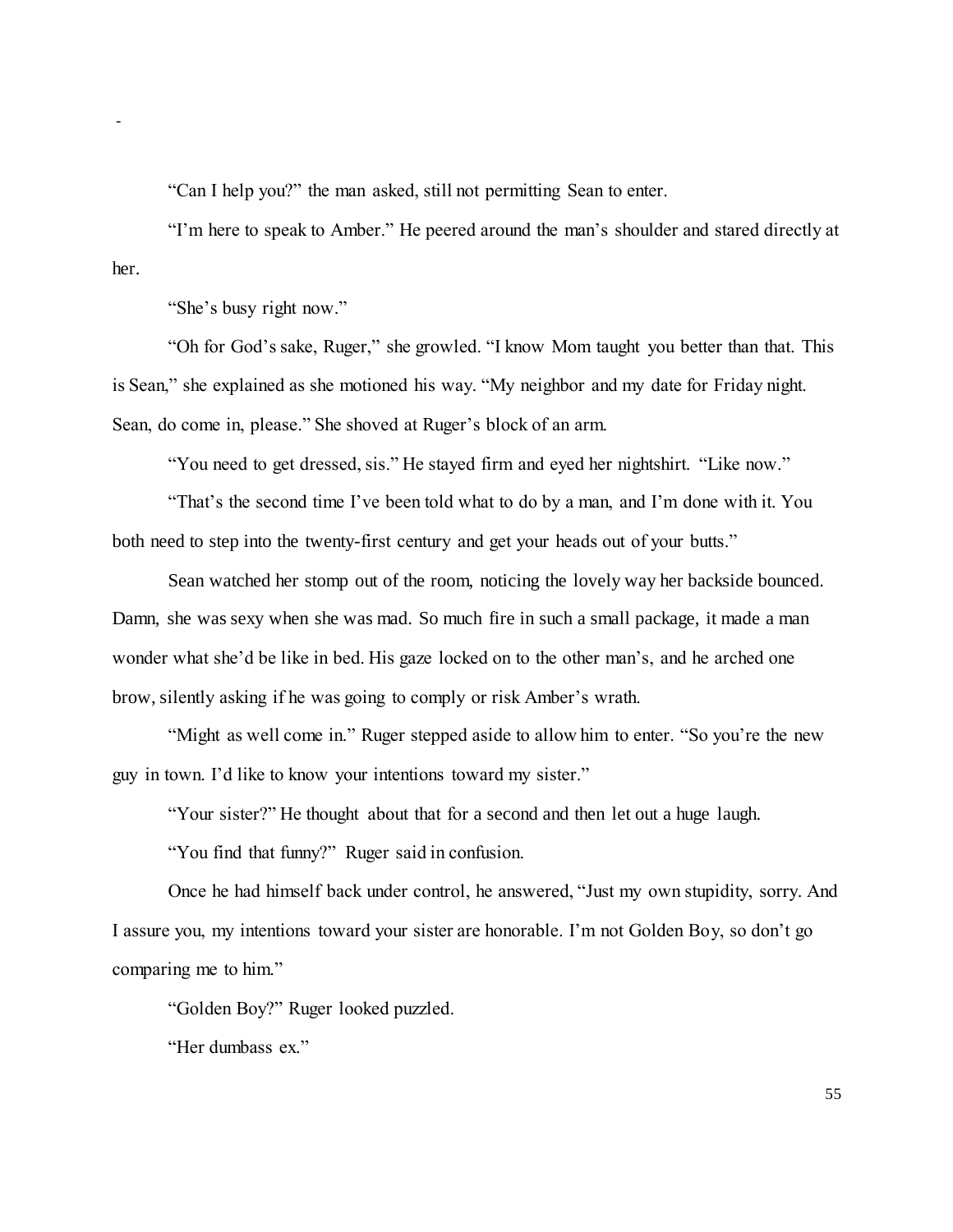"Can I help you?" the man asked, still not permitting Sean to enter.

"I'm here to speak to Amber." He peered around the man's shoulder and stared directly at her.

"She's busy right now."

-

"Oh for God's sake, Ruger," she growled. "I know Mom taught you better than that. This is Sean," she explained as she motioned his way. "My neighbor and my date for Friday night. Sean, do come in, please." She shoved at Ruger's block of an arm.

"You need to get dressed, sis." He stayed firm and eyed her nightshirt. "Like now."

"That's the second time I've been told what to do by a man, and I'm done with it. You both need to step into the twenty-first century and get your heads out of your butts."

Sean watched her stomp out of the room, noticing the lovely way her backside bounced. Damn, she was sexy when she was mad. So much fire in such a small package, it made a man wonder what she'd be like in bed. His gaze locked on to the other man's, and he arched one brow, silently asking if he was going to comply or risk Amber's wrath.

"Might as well come in." Ruger stepped aside to allow him to enter. "So you're the new guy in town. I'd like to know your intentions toward my sister."

"Your sister?" He thought about that for a second and then let out a huge laugh.

"You find that funny?" Ruger said in confusion.

Once he had himself back under control, he answered, "Just my own stupidity, sorry. And I assure you, my intentions toward your sister are honorable. I'm not Golden Boy, so don't go comparing me to him."

"Golden Boy?" Ruger looked puzzled.

"Her dumbass ex."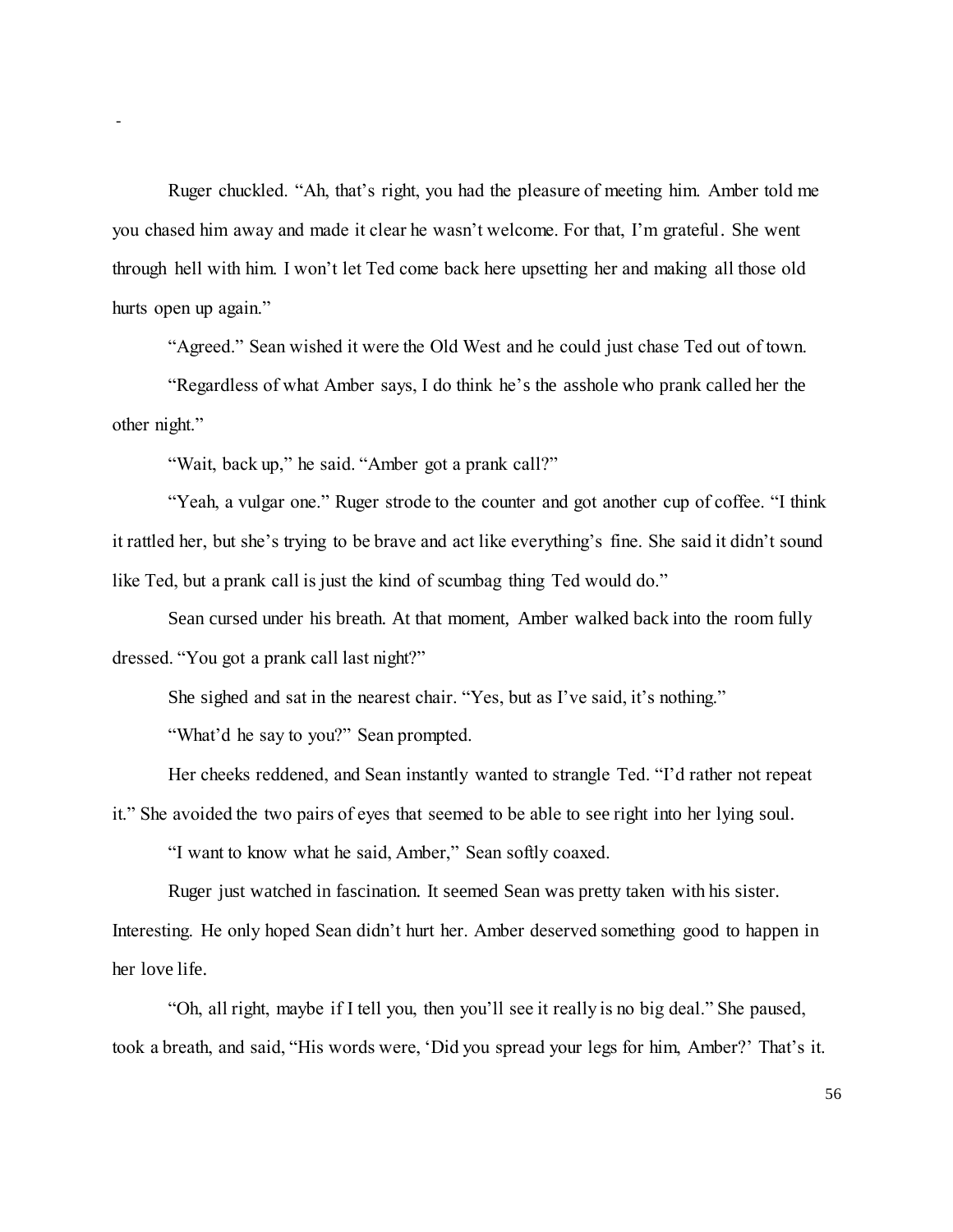Ruger chuckled. "Ah, that's right, you had the pleasure of meeting him. Amber told me you chased him away and made it clear he wasn't welcome. For that, I'm grateful. She went through hell with him. I won't let Ted come back here upsetting her and making all those old hurts open up again."

"Agreed." Sean wished it were the Old West and he could just chase Ted out of town.

"Regardless of what Amber says, I do think he's the asshole who prank called her the other night."

"Wait, back up," he said. "Amber got a prank call?"

-

"Yeah, a vulgar one." Ruger strode to the counter and got another cup of coffee. "I think it rattled her, but she's trying to be brave and act like everything's fine. She said it didn't sound like Ted, but a prank call is just the kind of scumbag thing Ted would do."

Sean cursed under his breath. At that moment, Amber walked back into the room fully dressed. "You got a prank call last night?"

She sighed and sat in the nearest chair. "Yes, but as I've said, it's nothing."

"What'd he say to you?" Sean prompted.

Her cheeks reddened, and Sean instantly wanted to strangle Ted. "I'd rather not repeat it." She avoided the two pairs of eyes that seemed to be able to see right into her lying soul.

"I want to know what he said, Amber," Sean softly coaxed.

Ruger just watched in fascination. It seemed Sean was pretty taken with his sister. Interesting. He only hoped Sean didn't hurt her. Amber deserved something good to happen in her love life.

"Oh, all right, maybe if I tell you, then you'll see it really is no big deal." She paused, took a breath, and said, "His words were, 'Did you spread your legs for him, Amber?' That's it.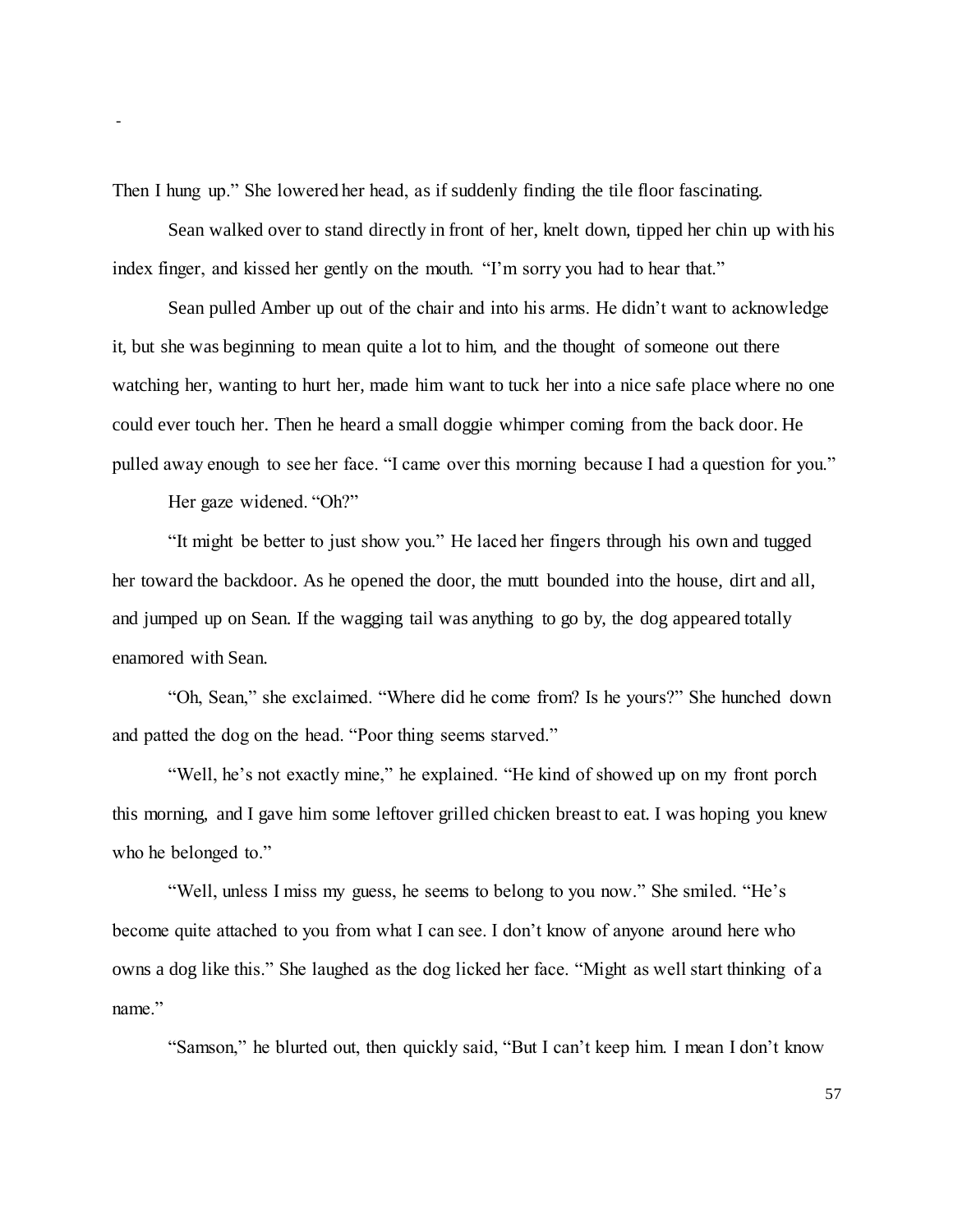Then I hung up." She lowered her head, as if suddenly finding the tile floor fascinating.

Sean walked over to stand directly in front of her, knelt down, tipped her chin up with his index finger, and kissed her gently on the mouth. "I'm sorry you had to hear that."

Sean pulled Amber up out of the chair and into his arms. He didn't want to acknowledge it, but she was beginning to mean quite a lot to him, and the thought of someone out there watching her, wanting to hurt her, made him want to tuck her into a nice safe place where no one could ever touch her. Then he heard a small doggie whimper coming from the back door. He pulled away enough to see her face. "I came over this morning because I had a question for you."

Her gaze widened. "Oh?"

-

"It might be better to just show you." He laced her fingers through his own and tugged her toward the backdoor. As he opened the door, the mutt bounded into the house, dirt and all, and jumped up on Sean. If the wagging tail was anything to go by, the dog appeared totally enamored with Sean.

"Oh, Sean," she exclaimed. "Where did he come from? Is he yours?" She hunched down and patted the dog on the head. "Poor thing seems starved."

"Well, he's not exactly mine," he explained. "He kind of showed up on my front porch this morning, and I gave him some leftover grilled chicken breast to eat. I was hoping you knew who he belonged to."

"Well, unless I miss my guess, he seems to belong to you now." She smiled. "He's become quite attached to you from what I can see. I don't know of anyone around here who owns a dog like this." She laughed as the dog licked her face. "Might as well start thinking of a name."

"Samson," he blurted out, then quickly said, "But I can't keep him. I mean I don't know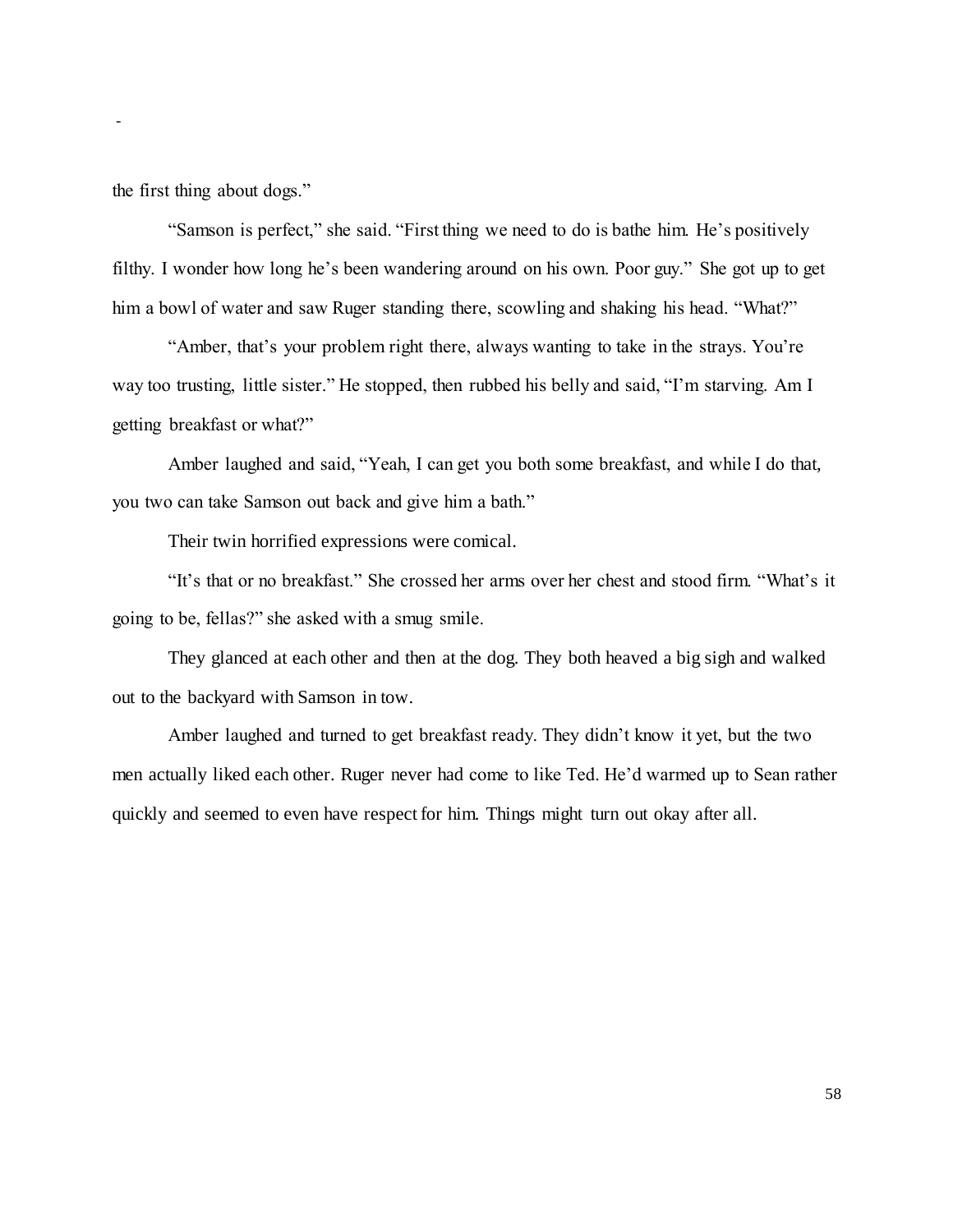the first thing about dogs."

-

"Samson is perfect," she said. "First thing we need to do is bathe him. He's positively filthy. I wonder how long he's been wandering around on his own. Poor guy." She got up to get him a bowl of water and saw Ruger standing there, scowling and shaking his head. "What?"

"Amber, that's your problem right there, always wanting to take in the strays. You're way too trusting, little sister." He stopped, then rubbed his belly and said, "I'm starving. Am I getting breakfast or what?"

Amber laughed and said, "Yeah, I can get you both some breakfast, and while I do that, you two can take Samson out back and give him a bath."

Their twin horrified expressions were comical.

"It's that or no breakfast." She crossed her arms over her chest and stood firm. "What's it going to be, fellas?" she asked with a smug smile.

They glanced at each other and then at the dog. They both heaved a big sigh and walked out to the backyard with Samson in tow.

Amber laughed and turned to get breakfast ready. They didn't know it yet, but the two men actually liked each other. Ruger never had come to like Ted. He'd warmed up to Sean rather quickly and seemed to even have respect for him. Things might turn out okay after all.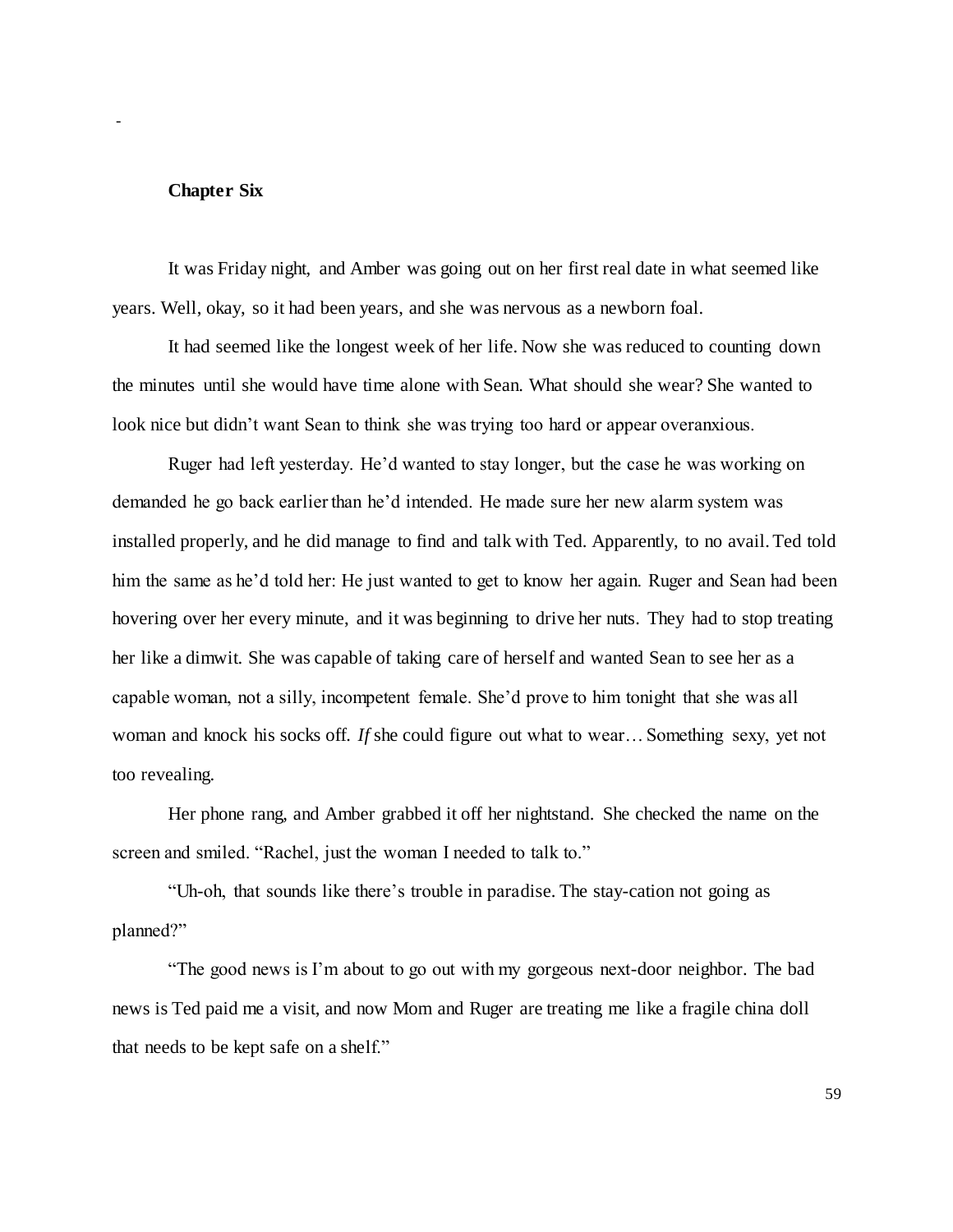# **Chapter Six**

-

It was Friday night, and Amber was going out on her first real date in what seemed like years. Well, okay, so it had been years, and she was nervous as a newborn foal.

It had seemed like the longest week of her life. Now she was reduced to counting down the minutes until she would have time alone with Sean. What should she wear? She wanted to look nice but didn't want Sean to think she was trying too hard or appear overanxious.

Ruger had left yesterday. He'd wanted to stay longer, but the case he was working on demanded he go back earlier than he'd intended. He made sure her new alarm system was installed properly, and he did manage to find and talk with Ted. Apparently, to no avail. Ted told him the same as he'd told her: He just wanted to get to know her again. Ruger and Sean had been hovering over her every minute, and it was beginning to drive her nuts. They had to stop treating her like a dimwit. She was capable of taking care of herself and wanted Sean to see her as a capable woman, not a silly, incompetent female. She'd prove to him tonight that she was all woman and knock his socks off. *If* she could figure out what to wear… Something sexy, yet not too revealing.

Her phone rang, and Amber grabbed it off her nightstand. She checked the name on the screen and smiled. "Rachel, just the woman I needed to talk to."

"Uh-oh, that sounds like there's trouble in paradise. The stay-cation not going as planned?"

"The good news is I'm about to go out with my gorgeous next-door neighbor. The bad news is Ted paid me a visit, and now Mom and Ruger are treating me like a fragile china doll that needs to be kept safe on a shelf."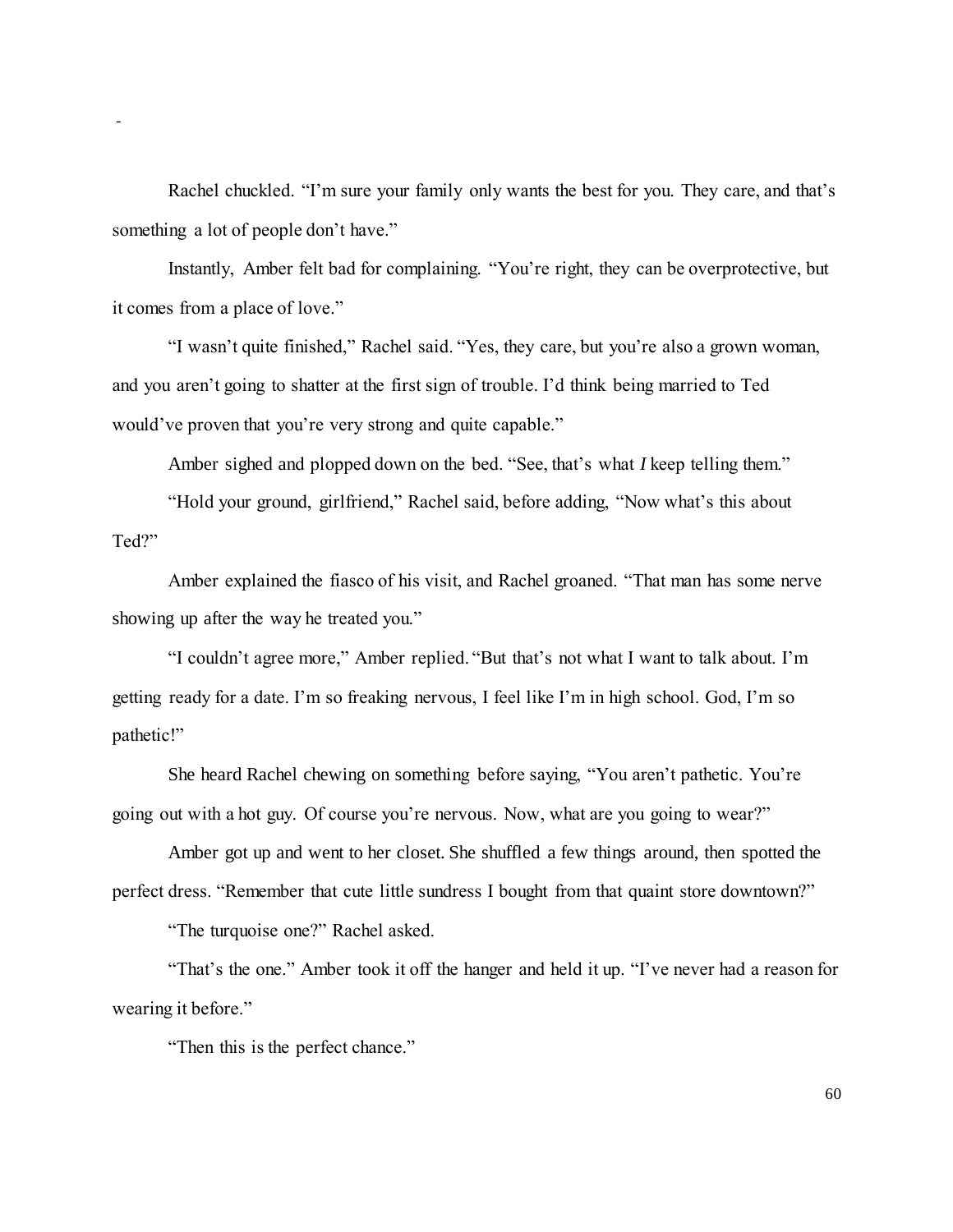Rachel chuckled. "I'm sure your family only wants the best for you. They care, and that's something a lot of people don't have."

Instantly, Amber felt bad for complaining. "You're right, they can be overprotective, but it comes from a place of love."

"I wasn't quite finished," Rachel said. "Yes, they care, but you're also a grown woman, and you aren't going to shatter at the first sign of trouble. I'd think being married to Ted would've proven that you're very strong and quite capable."

Amber sighed and plopped down on the bed. "See, that's what *I* keep telling them."

"Hold your ground, girlfriend," Rachel said, before adding, "Now what's this about Ted?"

Amber explained the fiasco of his visit, and Rachel groaned. "That man has some nerve showing up after the way he treated you."

"I couldn't agree more," Amber replied. "But that's not what I want to talk about. I'm getting ready for a date. I'm so freaking nervous, I feel like I'm in high school. God, I'm so pathetic!"

She heard Rachel chewing on something before saying, "You aren't pathetic. You're going out with a hot guy. Of course you're nervous. Now, what are you going to wear?"

Amber got up and went to her closet. She shuffled a few things around, then spotted the perfect dress. "Remember that cute little sundress I bought from that quaint store downtown?"

"The turquoise one?" Rachel asked.

-

"That's the one." Amber took it off the hanger and held it up. "I've never had a reason for wearing it before."

"Then this is the perfect chance."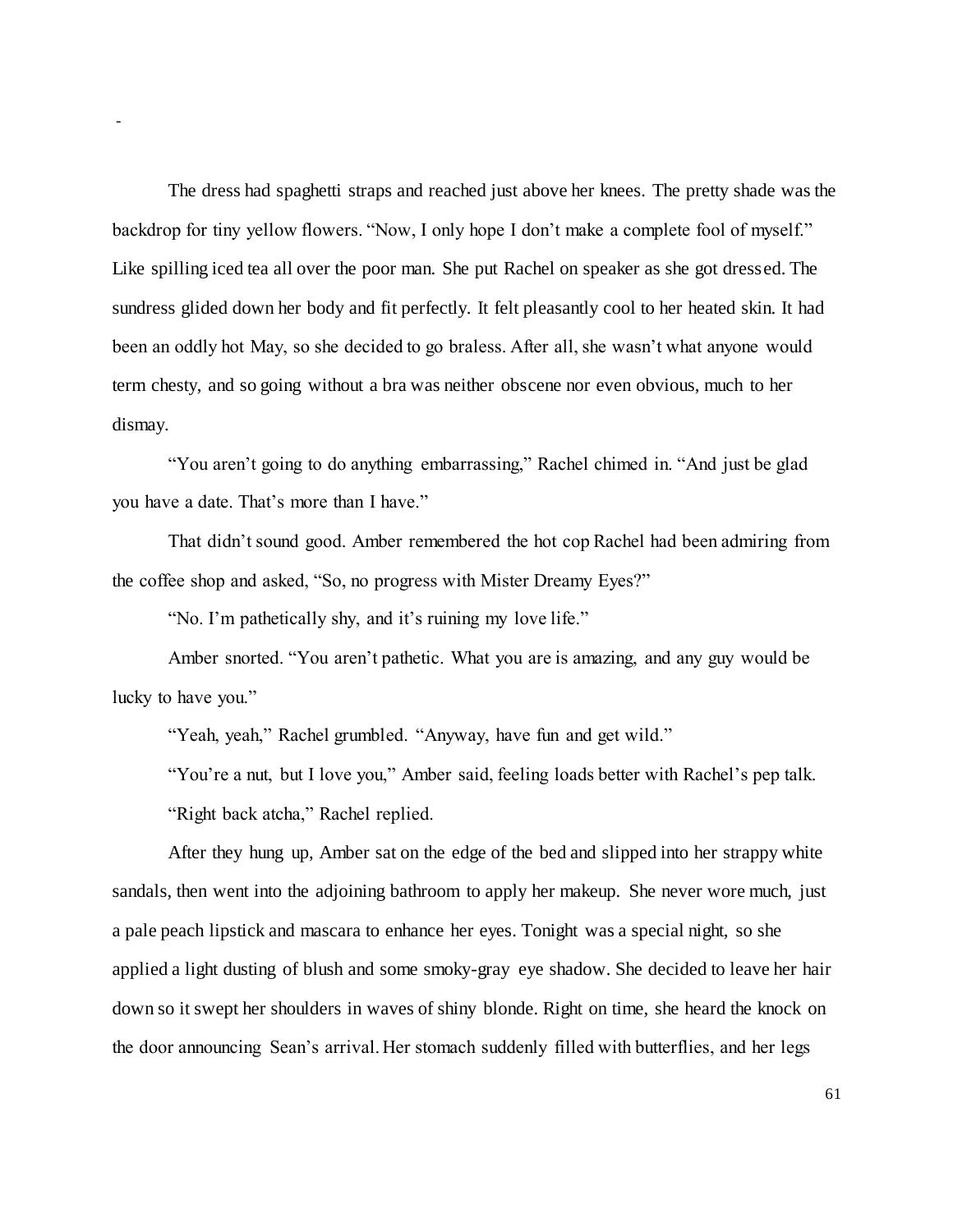The dress had spaghetti straps and reached just above her knees. The pretty shade was the backdrop for tiny yellow flowers. "Now, I only hope I don't make a complete fool of myself." Like spilling iced tea all over the poor man. She put Rachel on speaker as she got dressed. The sundress glided down her body and fit perfectly. It felt pleasantly cool to her heated skin. It had been an oddly hot May, so she decided to go braless. After all, she wasn't what anyone would term chesty, and so going without a bra was neither obscene nor even obvious, much to her dismay.

"You aren't going to do anything embarrassing," Rachel chimed in. "And just be glad you have a date. That's more than I have."

That didn't sound good. Amber remembered the hot cop Rachel had been admiring from the coffee shop and asked, "So, no progress with Mister Dreamy Eyes?"

"No. I'm pathetically shy, and it's ruining my love life."

-

Amber snorted. "You aren't pathetic. What you are is amazing, and any guy would be lucky to have you."

"Yeah, yeah," Rachel grumbled. "Anyway, have fun and get wild."

"You're a nut, but I love you," Amber said, feeling loads better with Rachel's pep talk. "Right back atcha," Rachel replied.

After they hung up, Amber sat on the edge of the bed and slipped into her strappy white sandals, then went into the adjoining bathroom to apply her makeup. She never wore much, just a pale peach lipstick and mascara to enhance her eyes. Tonight was a special night, so she applied a light dusting of blush and some smoky-gray eye shadow. She decided to leave her hair down so it swept her shoulders in waves of shiny blonde. Right on time, she heard the knock on the door announcing Sean's arrival. Her stomach suddenly filled with butterflies, and her legs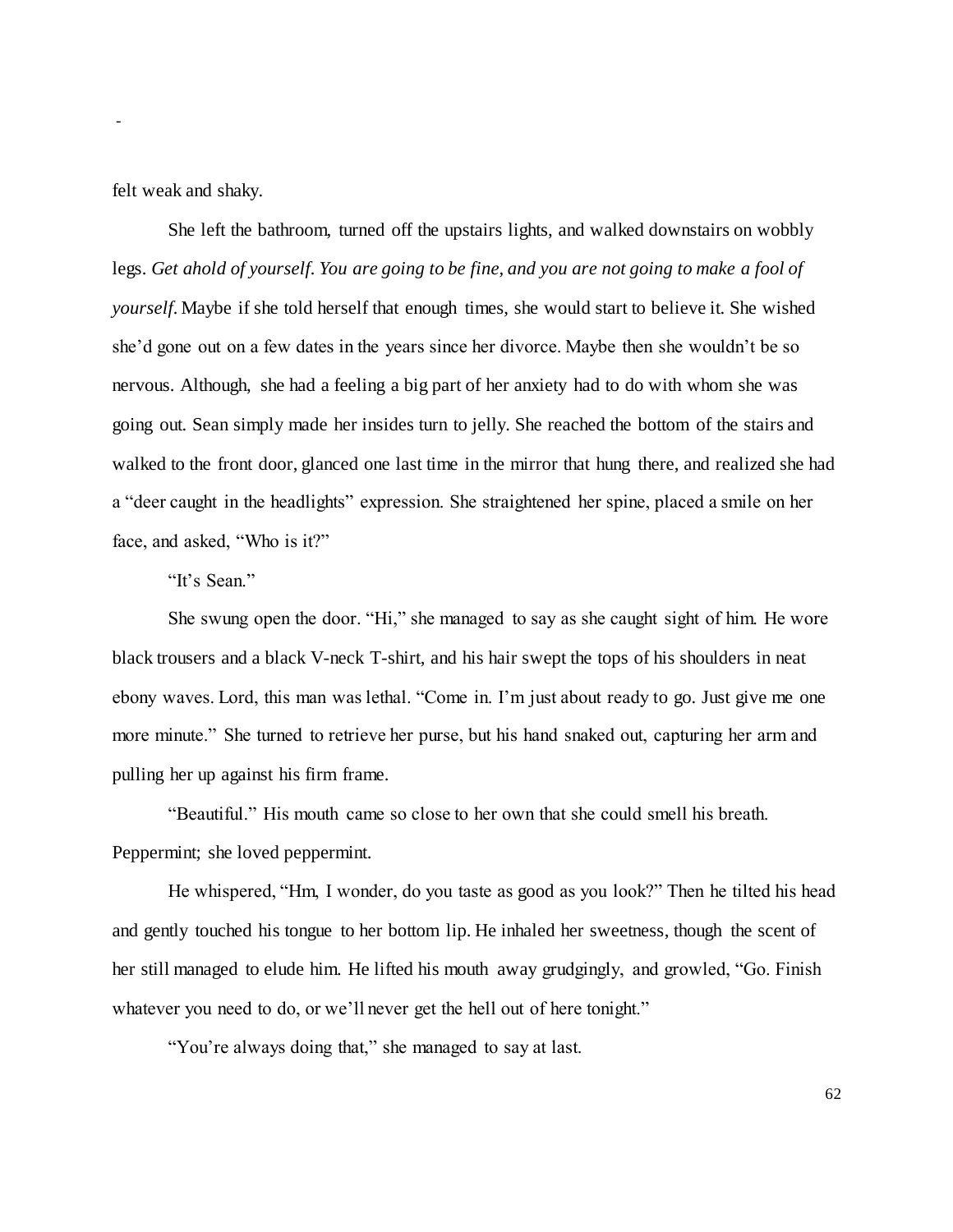felt weak and shaky.

-

She left the bathroom, turned off the upstairs lights, and walked downstairs on wobbly legs. *Get ahold of yourself. You are going to be fine, and you are not going to make a fool of yourself.* Maybe if she told herself that enough times, she would start to believe it. She wished she'd gone out on a few dates in the years since her divorce. Maybe then she wouldn't be so nervous. Although, she had a feeling a big part of her anxiety had to do with whom she was going out. Sean simply made her insides turn to jelly. She reached the bottom of the stairs and walked to the front door, glanced one last time in the mirror that hung there, and realized she had a "deer caught in the headlights" expression. She straightened her spine, placed a smile on her face, and asked, "Who is it?"

# "It's Sean."

She swung open the door. "Hi," she managed to say as she caught sight of him. He wore black trousers and a black V-neck T-shirt, and his hair swept the tops of his shoulders in neat ebony waves. Lord, this man was lethal. "Come in. I'm just about ready to go. Just give me one more minute." She turned to retrieve her purse, but his hand snaked out, capturing her arm and pulling her up against his firm frame.

"Beautiful." His mouth came so close to her own that she could smell his breath. Peppermint; she loved peppermint.

He whispered, "Hm, I wonder, do you taste as good as you look?" Then he tilted his head and gently touched his tongue to her bottom lip. He inhaled her sweetness, though the scent of her still managed to elude him. He lifted his mouth away grudgingly, and growled, "Go. Finish whatever you need to do, or we'll never get the hell out of here tonight."

"You're always doing that," she managed to say at last.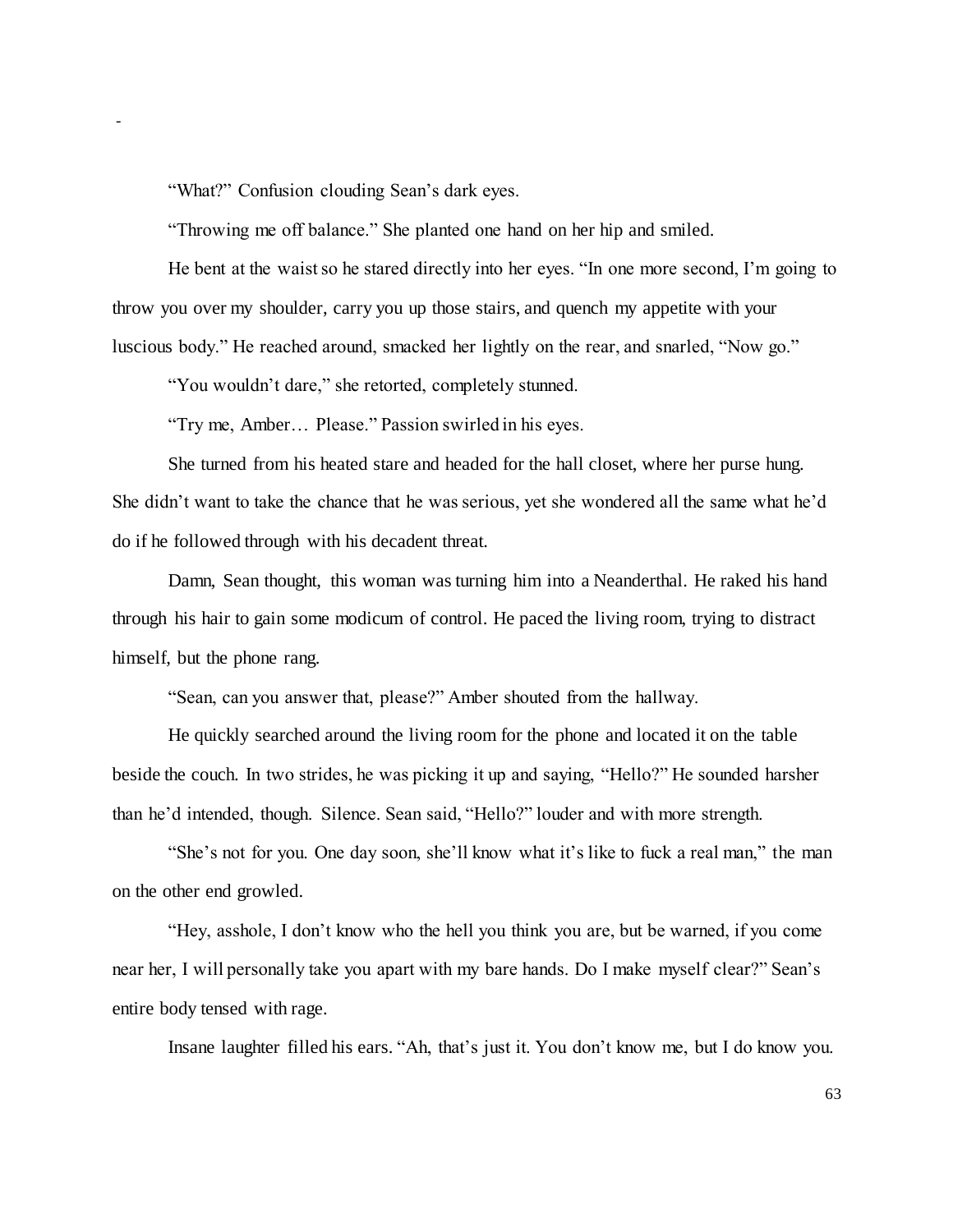"What?" Confusion clouding Sean's dark eyes.

-

"Throwing me off balance." She planted one hand on her hip and smiled.

He bent at the waist so he stared directly into her eyes. "In one more second, I'm going to throw you over my shoulder, carry you up those stairs, and quench my appetite with your luscious body." He reached around, smacked her lightly on the rear, and snarled, "Now go."

"You wouldn't dare," she retorted, completely stunned.

"Try me, Amber… Please." Passion swirled in his eyes.

She turned from his heated stare and headed for the hall closet, where her purse hung. She didn't want to take the chance that he was serious, yet she wondered all the same what he'd do if he followed through with his decadent threat.

Damn, Sean thought, this woman was turning him into a Neanderthal. He raked his hand through his hair to gain some modicum of control. He paced the living room, trying to distract himself, but the phone rang.

"Sean, can you answer that, please?" Amber shouted from the hallway.

He quickly searched around the living room for the phone and located it on the table beside the couch. In two strides, he was picking it up and saying, "Hello?" He sounded harsher than he'd intended, though. Silence. Sean said, "Hello?" louder and with more strength.

"She's not for you. One day soon, she'll know what it's like to fuck a real man," the man on the other end growled.

"Hey, asshole, I don't know who the hell you think you are, but be warned, if you come near her, I will personally take you apart with my bare hands. Do I make myself clear?" Sean's entire body tensed with rage.

Insane laughter filled his ears. "Ah, that's just it. You don't know me, but I do know you.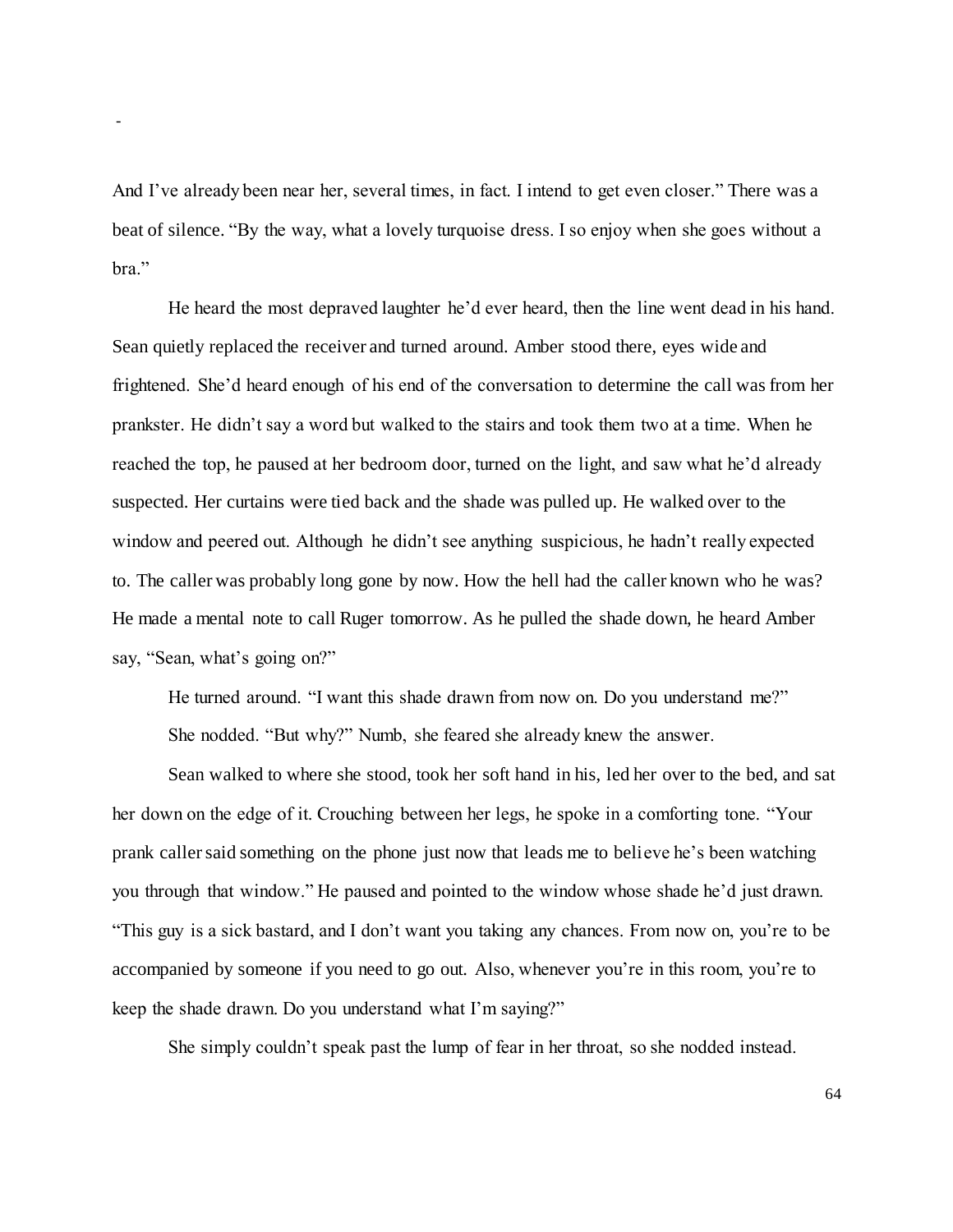And I've already been near her, several times, in fact. I intend to get even closer." There was a beat of silence. "By the way, what a lovely turquoise dress. I so enjoy when she goes without a bra."

-

He heard the most depraved laughter he'd ever heard, then the line went dead in his hand. Sean quietly replaced the receiver and turned around. Amber stood there, eyes wide and frightened. She'd heard enough of his end of the conversation to determine the call was from her prankster. He didn't say a word but walked to the stairs and took them two at a time. When he reached the top, he paused at her bedroom door, turned on the light, and saw what he'd already suspected. Her curtains were tied back and the shade was pulled up. He walked over to the window and peered out. Although he didn't see anything suspicious, he hadn't really expected to. The caller was probably long gone by now. How the hell had the caller known who he was? He made a mental note to call Ruger tomorrow. As he pulled the shade down, he heard Amber say, "Sean, what's going on?"

He turned around. "I want this shade drawn from now on. Do you understand me?" She nodded. "But why?" Numb, she feared she already knew the answer.

Sean walked to where she stood, took her soft hand in his, led her over to the bed, and sat her down on the edge of it. Crouching between her legs, he spoke in a comforting tone. "Your prank caller said something on the phone just now that leads me to believe he's been watching you through that window." He paused and pointed to the window whose shade he'd just drawn. "This guy is a sick bastard, and I don't want you taking any chances. From now on, you're to be accompanied by someone if you need to go out. Also, whenever you're in this room, you're to keep the shade drawn. Do you understand what I'm saying?"

She simply couldn't speak past the lump of fear in her throat, so she nodded instead.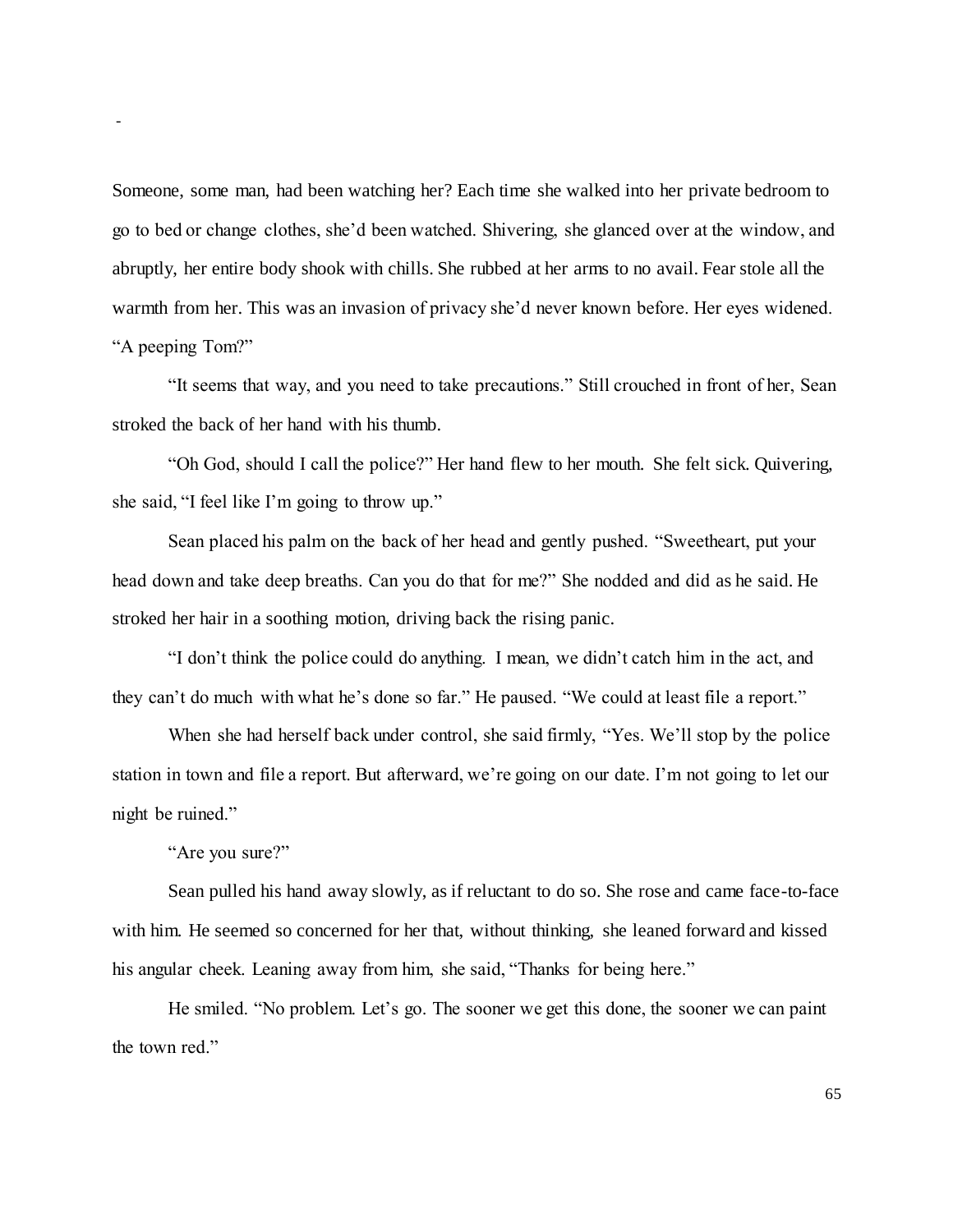Someone, some man, had been watching her? Each time she walked into her private bedroom to go to bed or change clothes, she'd been watched. Shivering, she glanced over at the window, and abruptly, her entire body shook with chills. She rubbed at her arms to no avail. Fear stole all the warmth from her. This was an invasion of privacy she'd never known before. Her eyes widened. "A peeping Tom?"

"It seems that way, and you need to take precautions." Still crouched in front of her, Sean stroked the back of her hand with his thumb.

"Oh God, should I call the police?" Her hand flew to her mouth. She felt sick. Quivering, she said, "I feel like I'm going to throw up."

Sean placed his palm on the back of her head and gently pushed. "Sweetheart, put your head down and take deep breaths. Can you do that for me?" She nodded and did as he said. He stroked her hair in a soothing motion, driving back the rising panic.

"I don't think the police could do anything. I mean, we didn't catch him in the act, and they can't do much with what he's done so far." He paused. "We could at least file a report."

When she had herself back under control, she said firmly, "Yes. We'll stop by the police station in town and file a report. But afterward, we're going on our date. I'm not going to let our night be ruined."

"Are you sure?"

-

Sean pulled his hand away slowly, as if reluctant to do so. She rose and came face-to-face with him. He seemed so concerned for her that, without thinking, she leaned forward and kissed his angular cheek. Leaning away from him, she said, "Thanks for being here."

He smiled. "No problem. Let's go. The sooner we get this done, the sooner we can paint the town red."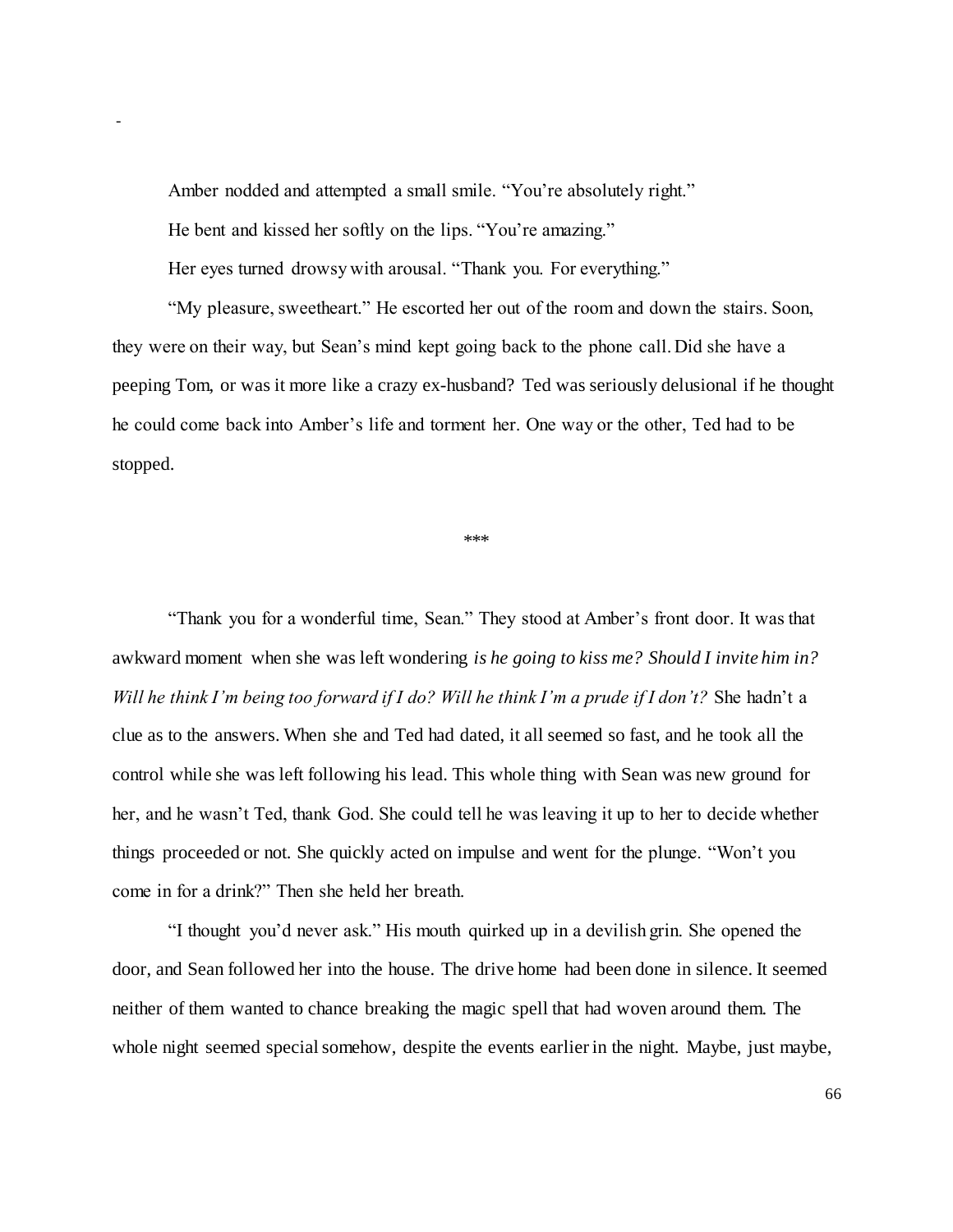Amber nodded and attempted a small smile. "You're absolutely right."

He bent and kissed her softly on the lips. "You're amazing."

-

Her eyes turned drowsy with arousal. "Thank you. For everything."

"My pleasure, sweetheart." He escorted her out of the room and down the stairs. Soon, they were on their way, but Sean's mind kept going back to the phone call. Did she have a peeping Tom, or was it more like a crazy ex-husband? Ted was seriously delusional if he thought he could come back into Amber's life and torment her. One way or the other, Ted had to be stopped.

\*\*\*

"Thank you for a wonderful time, Sean." They stood at Amber's front door. It was that awkward moment when she was left wondering *is he going to kiss me? Should I invite him in? Will he think I'm being too forward if I do? Will he think I'm a prude if I don't?* She hadn't a clue as to the answers. When she and Ted had dated, it all seemed so fast, and he took all the control while she was left following his lead. This whole thing with Sean was new ground for her, and he wasn't Ted, thank God. She could tell he was leaving it up to her to decide whether things proceeded or not. She quickly acted on impulse and went for the plunge. "Won't you come in for a drink?" Then she held her breath.

"I thought you'd never ask." His mouth quirked up in a devilish grin. She opened the door, and Sean followed her into the house. The drive home had been done in silence. It seemed neither of them wanted to chance breaking the magic spell that had woven around them. The whole night seemed special somehow, despite the events earlier in the night. Maybe, just maybe,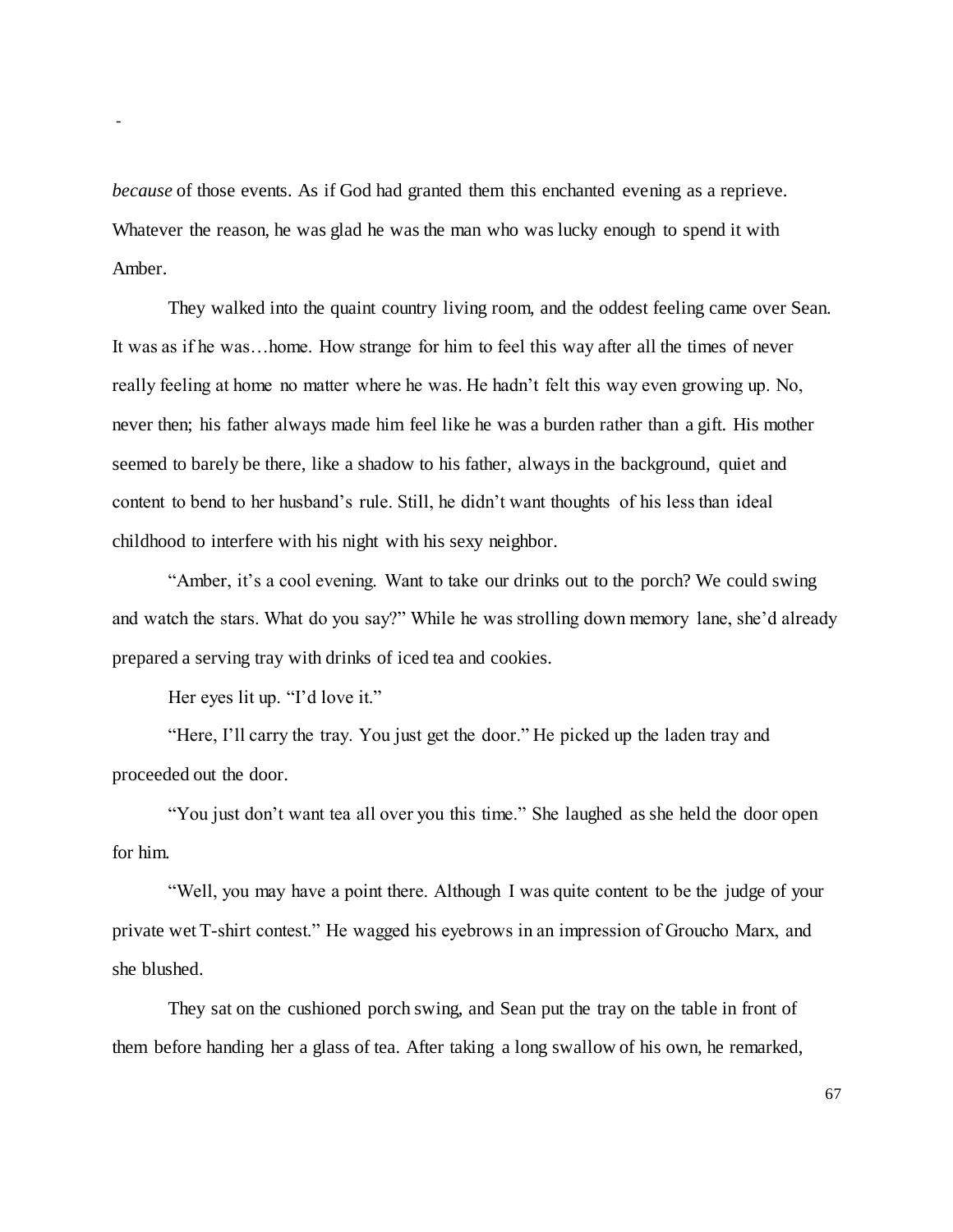*because* of those events. As if God had granted them this enchanted evening as a reprieve. Whatever the reason, he was glad he was the man who was lucky enough to spend it with Amber.

They walked into the quaint country living room, and the oddest feeling came over Sean. It was as if he was…home. How strange for him to feel this way after all the times of never really feeling at home no matter where he was. He hadn't felt this way even growing up. No, never then; his father always made him feel like he was a burden rather than a gift. His mother seemed to barely be there, like a shadow to his father, always in the background, quiet and content to bend to her husband's rule. Still, he didn't want thoughts of his less than ideal childhood to interfere with his night with his sexy neighbor.

"Amber, it's a cool evening. Want to take our drinks out to the porch? We could swing and watch the stars. What do you say?" While he was strolling down memory lane, she'd already prepared a serving tray with drinks of iced tea and cookies.

Her eyes lit up. "I'd love it."

-

"Here, I'll carry the tray. You just get the door." He picked up the laden tray and proceeded out the door.

"You just don't want tea all over you this time." She laughed as she held the door open for him.

"Well, you may have a point there. Although I was quite content to be the judge of your private wet T-shirt contest." He wagged his eyebrows in an impression of Groucho Marx, and she blushed.

They sat on the cushioned porch swing, and Sean put the tray on the table in front of them before handing her a glass of tea. After taking a long swallow of his own, he remarked,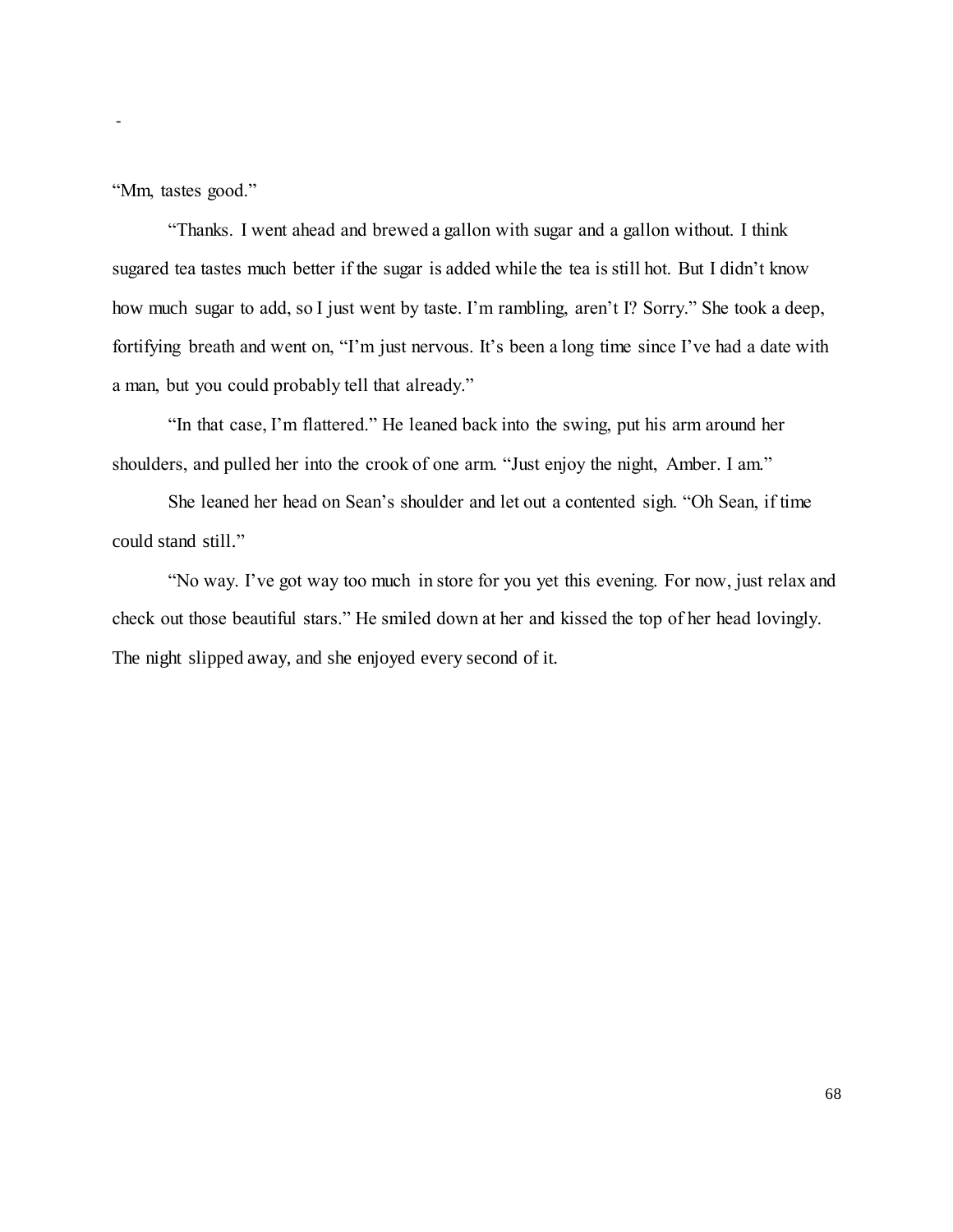"Mm, tastes good."

-

"Thanks. I went ahead and brewed a gallon with sugar and a gallon without. I think sugared tea tastes much better if the sugar is added while the tea is still hot. But I didn't know how much sugar to add, so I just went by taste. I'm rambling, aren't I? Sorry." She took a deep, fortifying breath and went on, "I'm just nervous. It's been a long time since I've had a date with a man, but you could probably tell that already."

"In that case, I'm flattered." He leaned back into the swing, put his arm around her shoulders, and pulled her into the crook of one arm. "Just enjoy the night, Amber. I am."

She leaned her head on Sean's shoulder and let out a contented sigh. "Oh Sean, if time could stand still."

"No way. I've got way too much in store for you yet this evening. For now, just relax and check out those beautiful stars." He smiled down at her and kissed the top of her head lovingly. The night slipped away, and she enjoyed every second of it.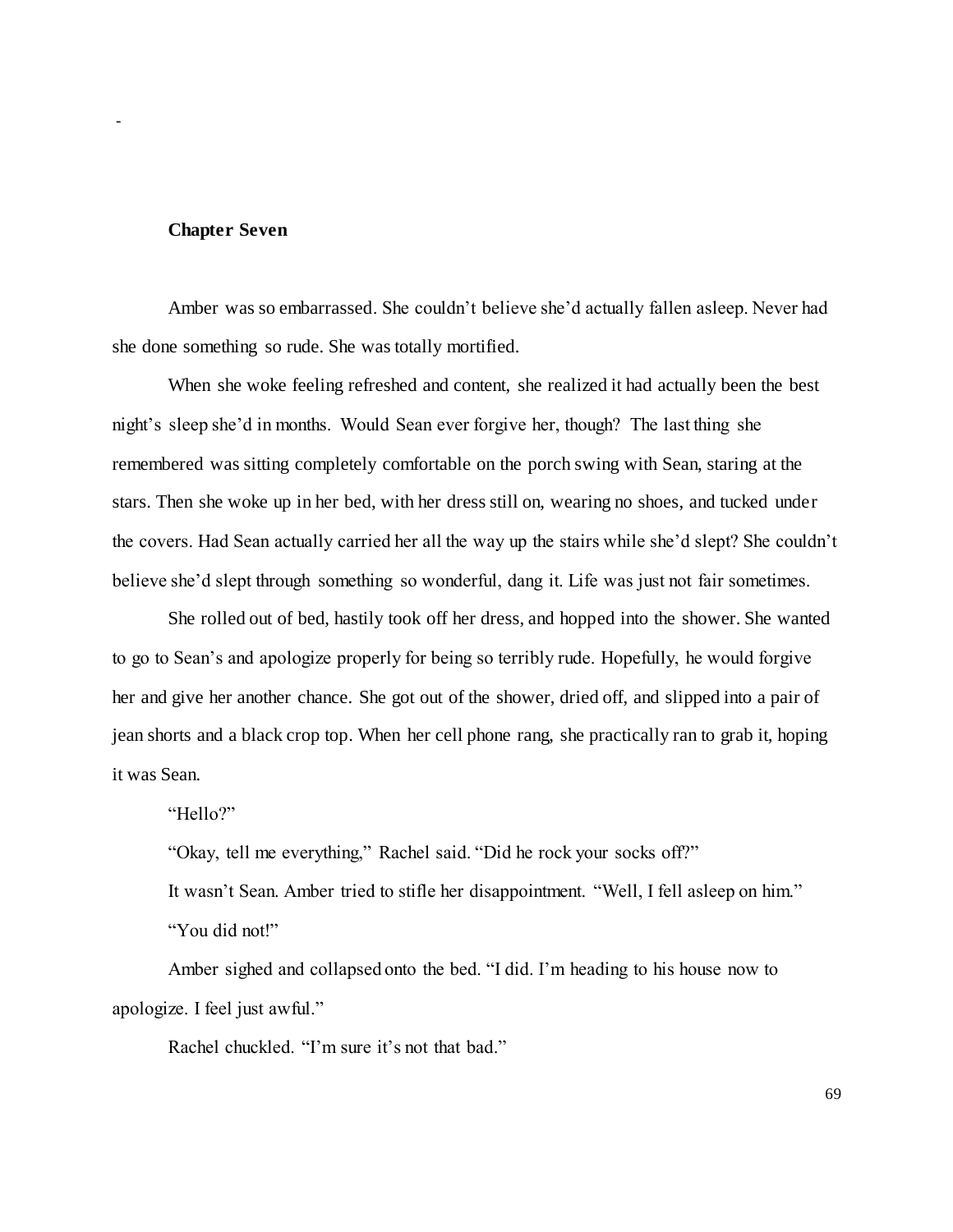## **Chapter Seven**

-

Amber was so embarrassed. She couldn't believe she'd actually fallen asleep. Never had she done something so rude. She was totally mortified.

When she woke feeling refreshed and content, she realized it had actually been the best night's sleep she'd in months. Would Sean ever forgive her, though? The last thing she remembered was sitting completely comfortable on the porch swing with Sean, staring at the stars. Then she woke up in her bed, with her dress still on, wearing no shoes, and tucked under the covers. Had Sean actually carried her all the way up the stairs while she'd slept? She couldn't believe she'd slept through something so wonderful, dang it. Life was just not fair sometimes.

She rolled out of bed, hastily took off her dress, and hopped into the shower. She wanted to go to Sean's and apologize properly for being so terribly rude. Hopefully, he would forgive her and give her another chance. She got out of the shower, dried off, and slipped into a pair of jean shorts and a black crop top. When her cell phone rang, she practically ran to grab it, hoping it was Sean.

"Hello?"

"Okay, tell me everything," Rachel said. "Did he rock your socks off?" It wasn't Sean. Amber tried to stifle her disappointment. "Well, I fell asleep on him." "You did not!"

Amber sighed and collapsed onto the bed. "I did. I'm heading to his house now to apologize. I feel just awful."

Rachel chuckled. "I'm sure it's not that bad."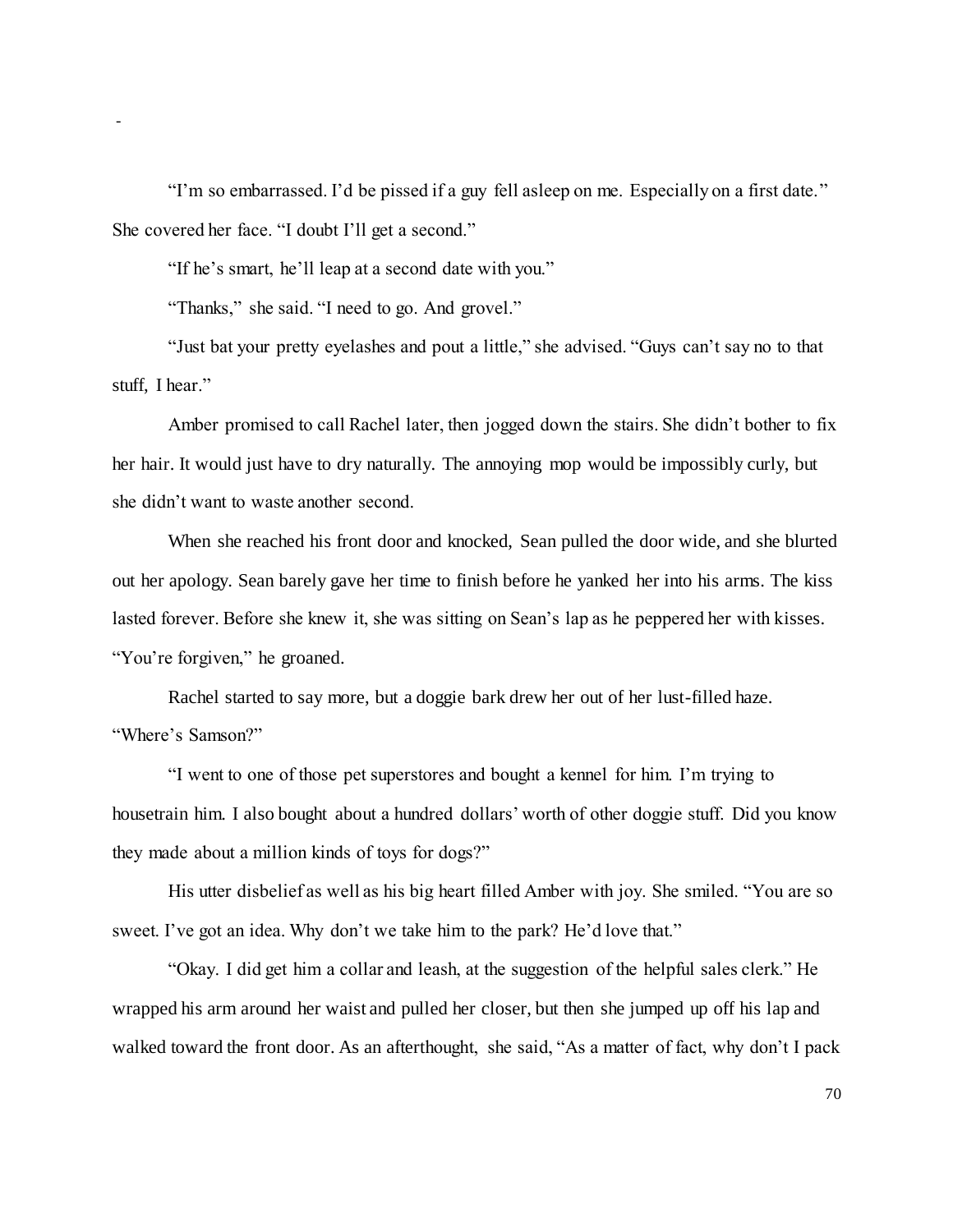"I'm so embarrassed. I'd be pissed if a guy fell asleep on me. Especially on a first date." She covered her face. "I doubt I'll get a second."

"If he's smart, he'll leap at a second date with you."

"Thanks," she said. "I need to go. And grovel."

-

"Just bat your pretty eyelashes and pout a little," she advised. "Guys can't say no to that stuff, I hear."

Amber promised to call Rachel later, then jogged down the stairs. She didn't bother to fix her hair. It would just have to dry naturally. The annoying mop would be impossibly curly, but she didn't want to waste another second.

When she reached his front door and knocked, Sean pulled the door wide, and she blurted out her apology. Sean barely gave her time to finish before he yanked her into his arms. The kiss lasted forever. Before she knew it, she was sitting on Sean's lap as he peppered her with kisses. "You're forgiven," he groaned.

Rachel started to say more, but a doggie bark drew her out of her lust-filled haze. "Where's Samson?"

"I went to one of those pet superstores and bought a kennel for him. I'm trying to housetrain him. I also bought about a hundred dollars' worth of other doggie stuff. Did you know they made about a million kinds of toys for dogs?"

His utter disbelief as well as his big heart filled Amber with joy. She smiled. "You are so sweet. I've got an idea. Why don't we take him to the park? He'd love that."

"Okay. I did get him a collar and leash, at the suggestion of the helpful sales clerk." He wrapped his arm around her waist and pulled her closer, but then she jumped up off his lap and walked toward the front door. As an afterthought, she said, "As a matter of fact, why don't I pack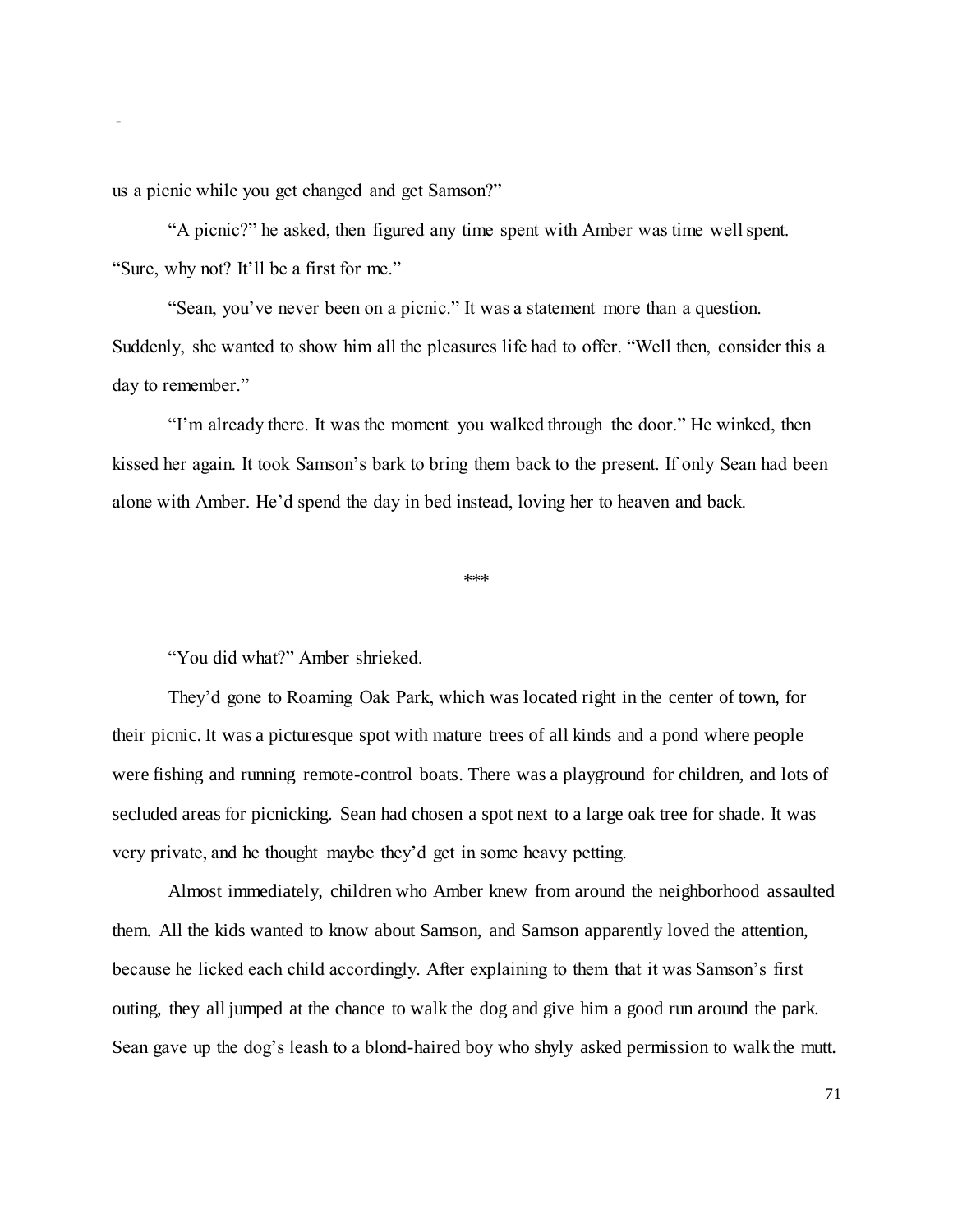us a picnic while you get changed and get Samson?"

-

"A picnic?" he asked, then figured any time spent with Amber was time well spent. "Sure, why not? It'll be a first for me."

"Sean, you've never been on a picnic." It was a statement more than a question. Suddenly, she wanted to show him all the pleasures life had to offer. "Well then, consider this a day to remember."

"I'm already there. It was the moment you walked through the door." He winked, then kissed her again. It took Samson's bark to bring them back to the present. If only Sean had been alone with Amber. He'd spend the day in bed instead, loving her to heaven and back.

\*\*\*

"You did what?" Amber shrieked.

They'd gone to Roaming Oak Park, which was located right in the center of town, for their picnic. It was a picturesque spot with mature trees of all kinds and a pond where people were fishing and running remote-control boats. There was a playground for children, and lots of secluded areas for picnicking. Sean had chosen a spot next to a large oak tree for shade. It was very private, and he thought maybe they'd get in some heavy petting.

Almost immediately, children who Amber knew from around the neighborhood assaulted them. All the kids wanted to know about Samson, and Samson apparently loved the attention, because he licked each child accordingly. After explaining to them that it was Samson's first outing, they all jumped at the chance to walk the dog and give him a good run around the park. Sean gave up the dog's leash to a blond-haired boy who shyly asked permission to walk the mutt.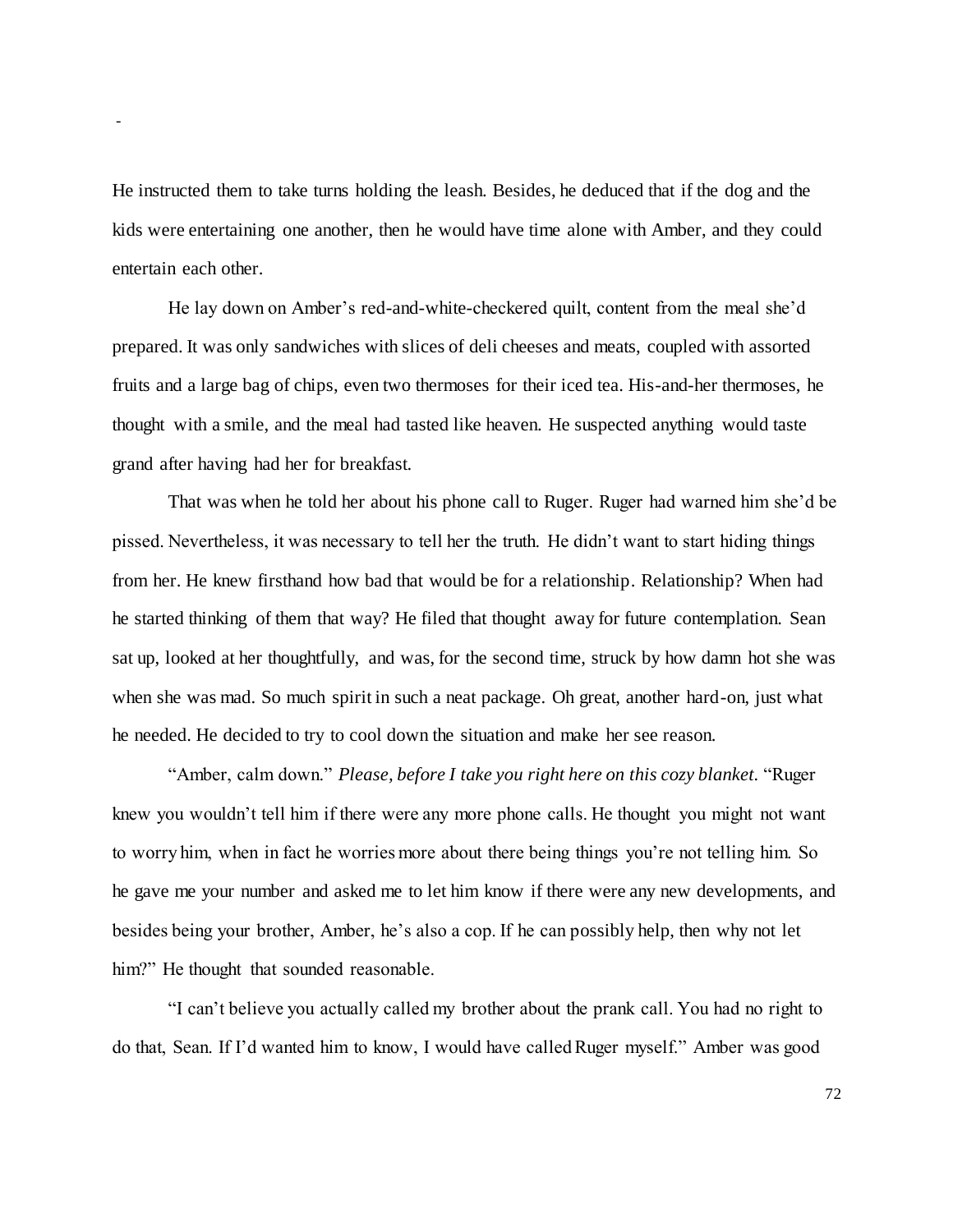He instructed them to take turns holding the leash. Besides, he deduced that if the dog and the kids were entertaining one another, then he would have time alone with Amber, and they could entertain each other.

-

He lay down on Amber's red-and-white-checkered quilt, content from the meal she'd prepared. It was only sandwiches with slices of deli cheeses and meats, coupled with assorted fruits and a large bag of chips, even two thermoses for their iced tea. His-and-her thermoses, he thought with a smile, and the meal had tasted like heaven. He suspected anything would taste grand after having had her for breakfast.

That was when he told her about his phone call to Ruger. Ruger had warned him she'd be pissed. Nevertheless, it was necessary to tell her the truth. He didn't want to start hiding things from her. He knew firsthand how bad that would be for a relationship. Relationship? When had he started thinking of them that way? He filed that thought away for future contemplation. Sean sat up, looked at her thoughtfully, and was, for the second time, struck by how damn hot she was when she was mad. So much spirit in such a neat package. Oh great, another hard-on, just what he needed. He decided to try to cool down the situation and make her see reason.

"Amber, calm down." *Please, before I take you right here on this cozy blanket.* "Ruger knew you wouldn't tell him if there were any more phone calls. He thought you might not want to worry him, when in fact he worries more about there being things you're not telling him. So he gave me your number and asked me to let him know if there were any new developments, and besides being your brother, Amber, he's also a cop. If he can possibly help, then why not let him?" He thought that sounded reasonable.

"I can't believe you actually called my brother about the prank call. You had no right to do that, Sean. If I'd wanted him to know, I would have called Ruger myself." Amber was good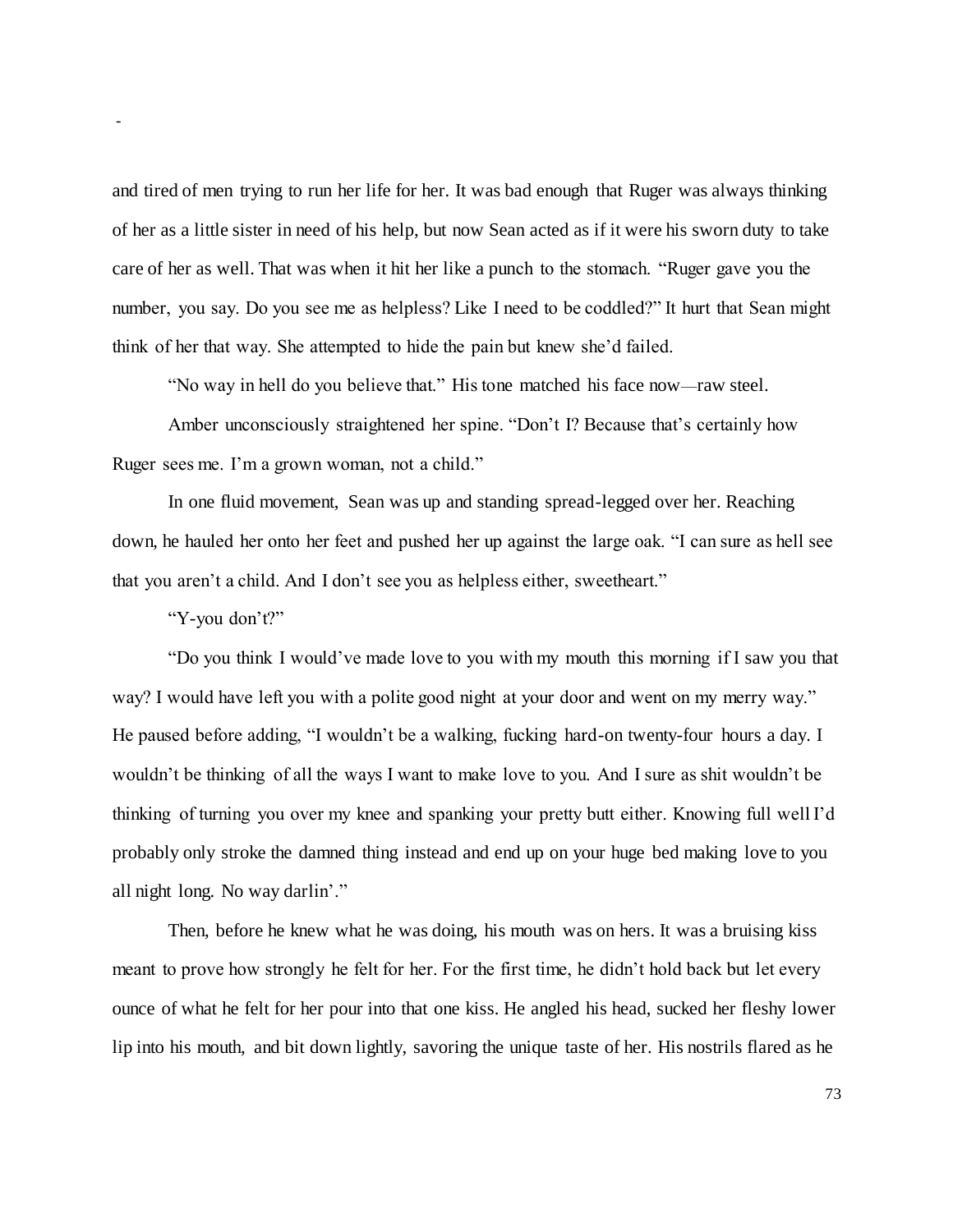and tired of men trying to run her life for her. It was bad enough that Ruger was always thinking of her as a little sister in need of his help, but now Sean acted as if it were his sworn duty to take care of her as well. That was when it hit her like a punch to the stomach. "Ruger gave you the number, you say. Do you see me as helpless? Like I need to be coddled?" It hurt that Sean might think of her that way. She attempted to hide the pain but knew she'd failed.

"No way in hell do you believe that." His tone matched his face now—raw steel.

Amber unconsciously straightened her spine. "Don't I? Because that's certainly how Ruger sees me. I'm a grown woman, not a child."

In one fluid movement, Sean was up and standing spread-legged over her. Reaching down, he hauled her onto her feet and pushed her up against the large oak. "I can sure as hell see that you aren't a child. And I don't see you as helpless either, sweetheart."

"Y-you don't?"

-

"Do you think I would've made love to you with my mouth this morning if I saw you that way? I would have left you with a polite good night at your door and went on my merry way." He paused before adding, "I wouldn't be a walking, fucking hard-on twenty-four hours a day. I wouldn't be thinking of all the ways I want to make love to you. And I sure as shit wouldn't be thinking of turning you over my knee and spanking your pretty butt either. Knowing full well I'd probably only stroke the damned thing instead and end up on your huge bed making love to you all night long. No way darlin'."

Then, before he knew what he was doing, his mouth was on hers. It was a bruising kiss meant to prove how strongly he felt for her. For the first time, he didn't hold back but let every ounce of what he felt for her pour into that one kiss. He angled his head, sucked her fleshy lower lip into his mouth, and bit down lightly, savoring the unique taste of her. His nostrils flared as he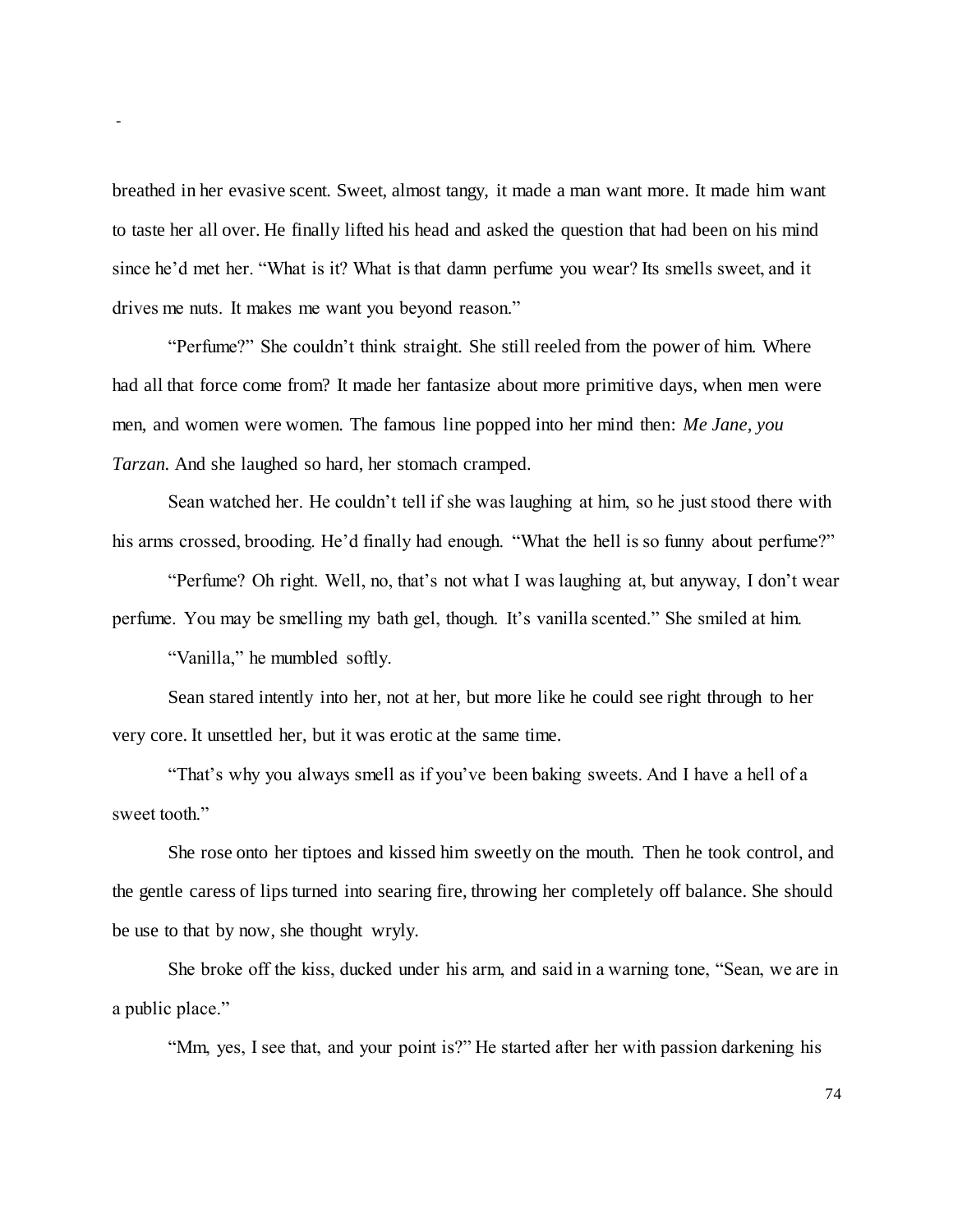breathed in her evasive scent. Sweet, almost tangy, it made a man want more. It made him want to taste her all over. He finally lifted his head and asked the question that had been on his mind since he'd met her. "What is it? What is that damn perfume you wear? Its smells sweet, and it drives me nuts. It makes me want you beyond reason."

"Perfume?" She couldn't think straight. She still reeled from the power of him. Where had all that force come from? It made her fantasize about more primitive days, when men were men, and women were women. The famous line popped into her mind then: *Me Jane, you Tarzan.* And she laughed so hard, her stomach cramped.

Sean watched her. He couldn't tell if she was laughing at him, so he just stood there with his arms crossed, brooding. He'd finally had enough. "What the hell is so funny about perfume?"

"Perfume? Oh right. Well, no, that's not what I was laughing at, but anyway, I don't wear perfume. You may be smelling my bath gel, though. It's vanilla scented." She smiled at him.

"Vanilla," he mumbled softly.

-

Sean stared intently into her, not at her, but more like he could see right through to her very core. It unsettled her, but it was erotic at the same time.

"That's why you always smell as if you've been baking sweets. And I have a hell of a sweet tooth."

She rose onto her tiptoes and kissed him sweetly on the mouth. Then he took control, and the gentle caress of lips turned into searing fire, throwing her completely off balance. She should be use to that by now, she thought wryly.

She broke off the kiss, ducked under his arm, and said in a warning tone, "Sean, we are in a public place."

"Mm, yes, I see that, and your point is?" He started after her with passion darkening his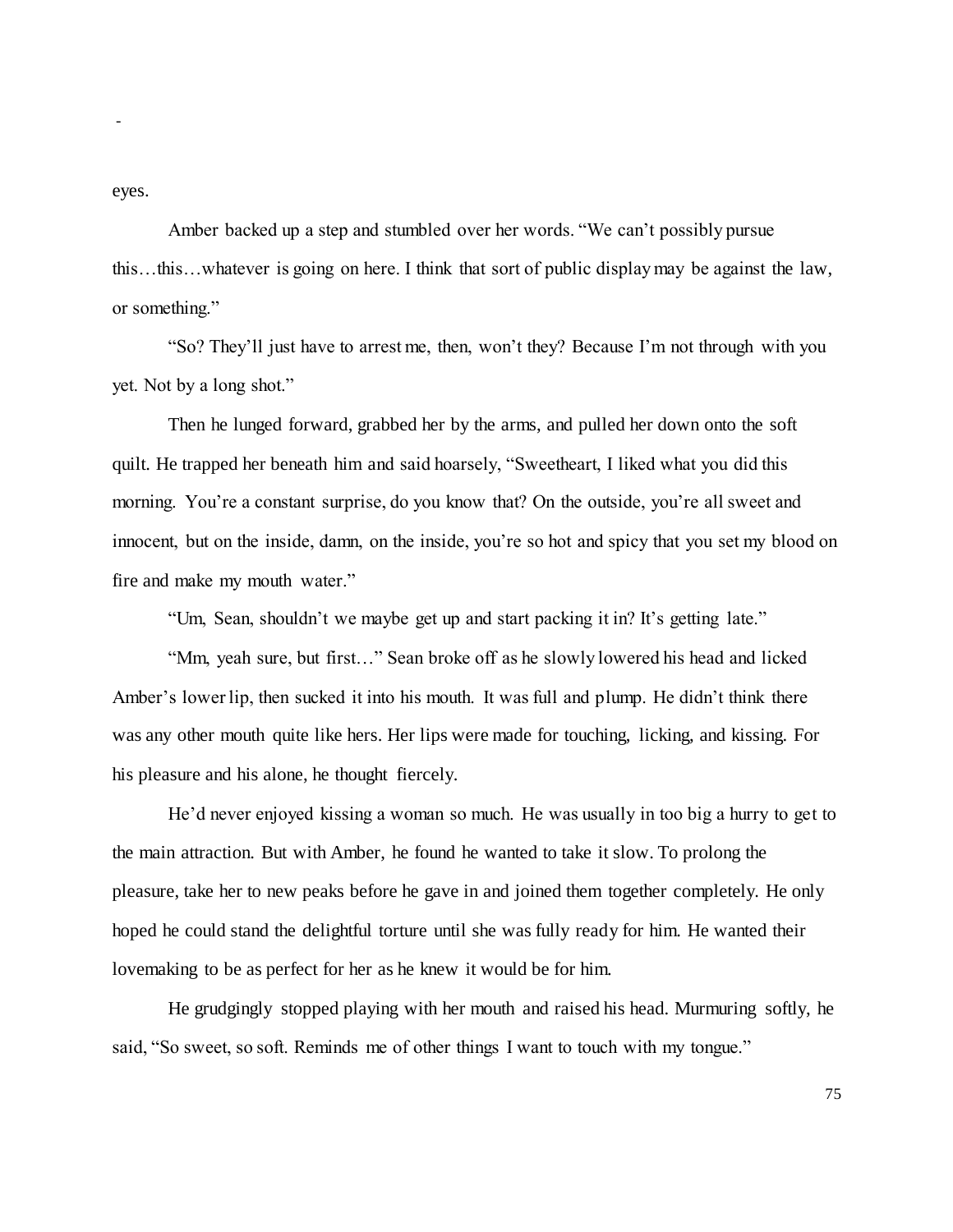eyes.

-

Amber backed up a step and stumbled over her words. "We can't possibly pursue this…this…whatever is going on here. I think that sort of public display may be against the law, or something."

"So? They'll just have to arrest me, then, won't they? Because I'm not through with you yet. Not by a long shot."

Then he lunged forward, grabbed her by the arms, and pulled her down onto the soft quilt. He trapped her beneath him and said hoarsely, "Sweetheart, I liked what you did this morning. You're a constant surprise, do you know that? On the outside, you're all sweet and innocent, but on the inside, damn, on the inside, you're so hot and spicy that you set my blood on fire and make my mouth water."

"Um, Sean, shouldn't we maybe get up and start packing it in? It's getting late."

"Mm, yeah sure, but first…" Sean broke off as he slowly lowered his head and licked Amber's lower lip, then sucked it into his mouth. It was full and plump. He didn't think there was any other mouth quite like hers. Her lips were made for touching, licking, and kissing. For his pleasure and his alone, he thought fiercely.

He'd never enjoyed kissing a woman so much. He was usually in too big a hurry to get to the main attraction. But with Amber, he found he wanted to take it slow. To prolong the pleasure, take her to new peaks before he gave in and joined them together completely. He only hoped he could stand the delightful torture until she was fully ready for him. He wanted their lovemaking to be as perfect for her as he knew it would be for him.

He grudgingly stopped playing with her mouth and raised his head. Murmuring softly, he said, "So sweet, so soft. Reminds me of other things I want to touch with my tongue."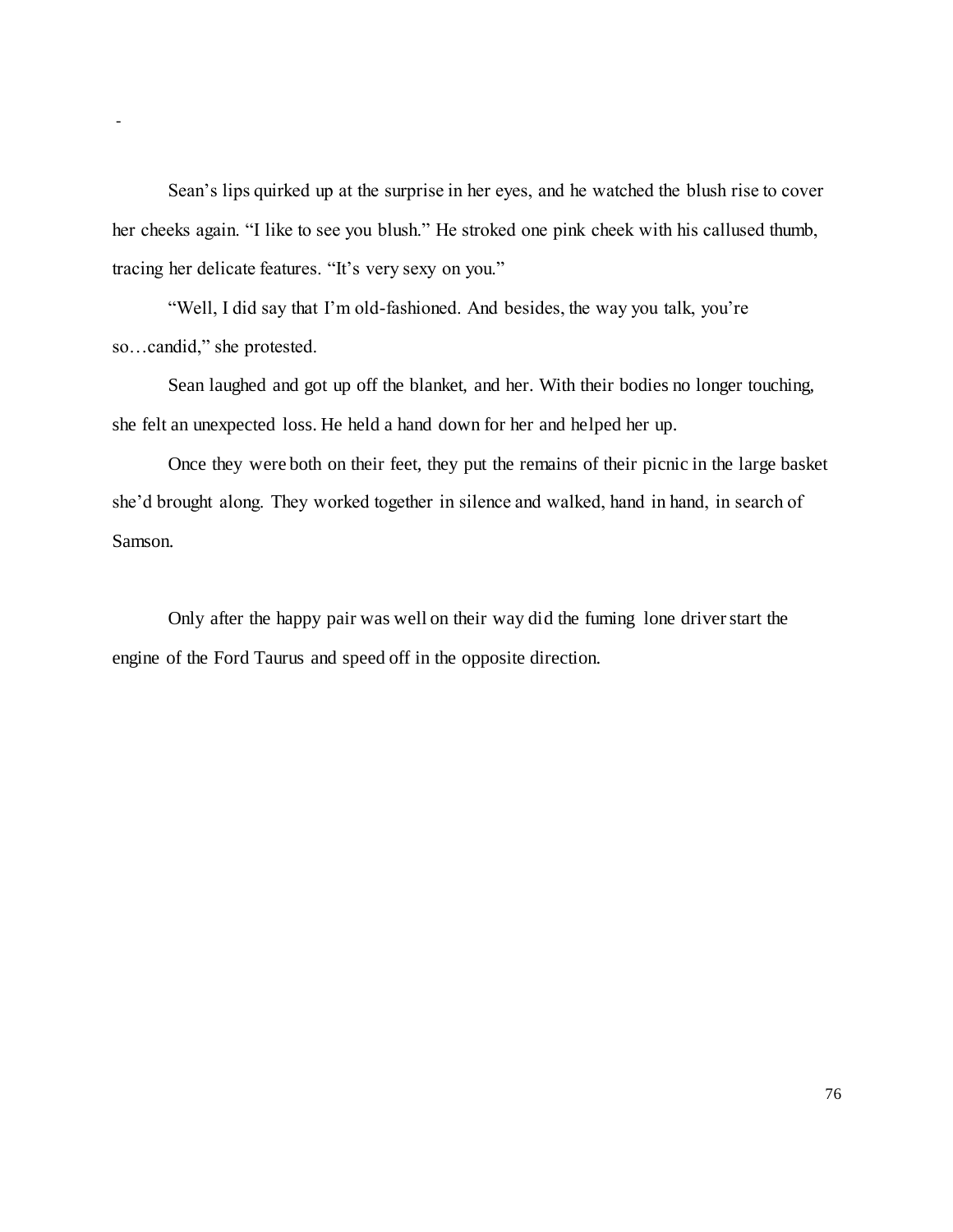Sean's lips quirked up at the surprise in her eyes, and he watched the blush rise to cover her cheeks again. "I like to see you blush." He stroked one pink cheek with his callused thumb, tracing her delicate features. "It's very sexy on you."

"Well, I did say that I'm old-fashioned. And besides, the way you talk, you're so…candid," she protested.

-

Sean laughed and got up off the blanket, and her. With their bodies no longer touching, she felt an unexpected loss. He held a hand down for her and helped her up.

Once they were both on their feet, they put the remains of their picnic in the large basket she'd brought along. They worked together in silence and walked, hand in hand, in search of Samson.

Only after the happy pair was well on their way did the fuming lone driver start the engine of the Ford Taurus and speed off in the opposite direction.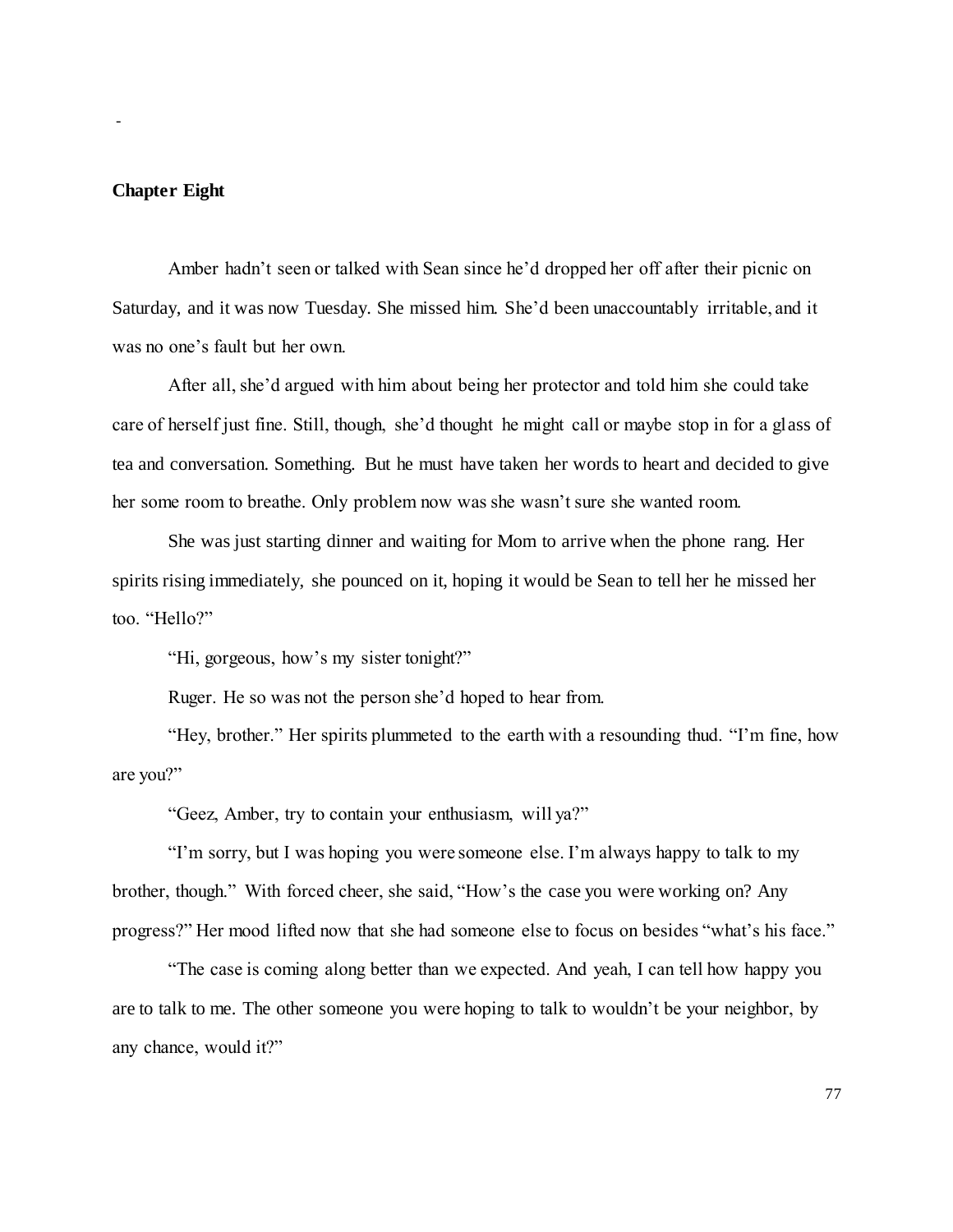## **Chapter Eight**

-

Amber hadn't seen or talked with Sean since he'd dropped her off after their picnic on Saturday, and it was now Tuesday. She missed him. She'd been unaccountably irritable, and it was no one's fault but her own.

After all, she'd argued with him about being her protector and told him she could take care of herself just fine. Still, though, she'd thought he might call or maybe stop in for a glass of tea and conversation. Something. But he must have taken her words to heart and decided to give her some room to breathe. Only problem now was she wasn't sure she wanted room.

She was just starting dinner and waiting for Mom to arrive when the phone rang. Her spirits rising immediately, she pounced on it, hoping it would be Sean to tell her he missed her too. "Hello?"

"Hi, gorgeous, how's my sister tonight?"

Ruger. He so was not the person she'd hoped to hear from.

"Hey, brother." Her spirits plummeted to the earth with a resounding thud. "I'm fine, how are you?"

"Geez, Amber, try to contain your enthusiasm, will ya?"

"I'm sorry, but I was hoping you were someone else. I'm always happy to talk to my brother, though." With forced cheer, she said, "How's the case you were working on? Any progress?" Her mood lifted now that she had someone else to focus on besides "what's his face."

"The case is coming along better than we expected. And yeah, I can tell how happy you are to talk to me. The other someone you were hoping to talk to wouldn't be your neighbor, by any chance, would it?"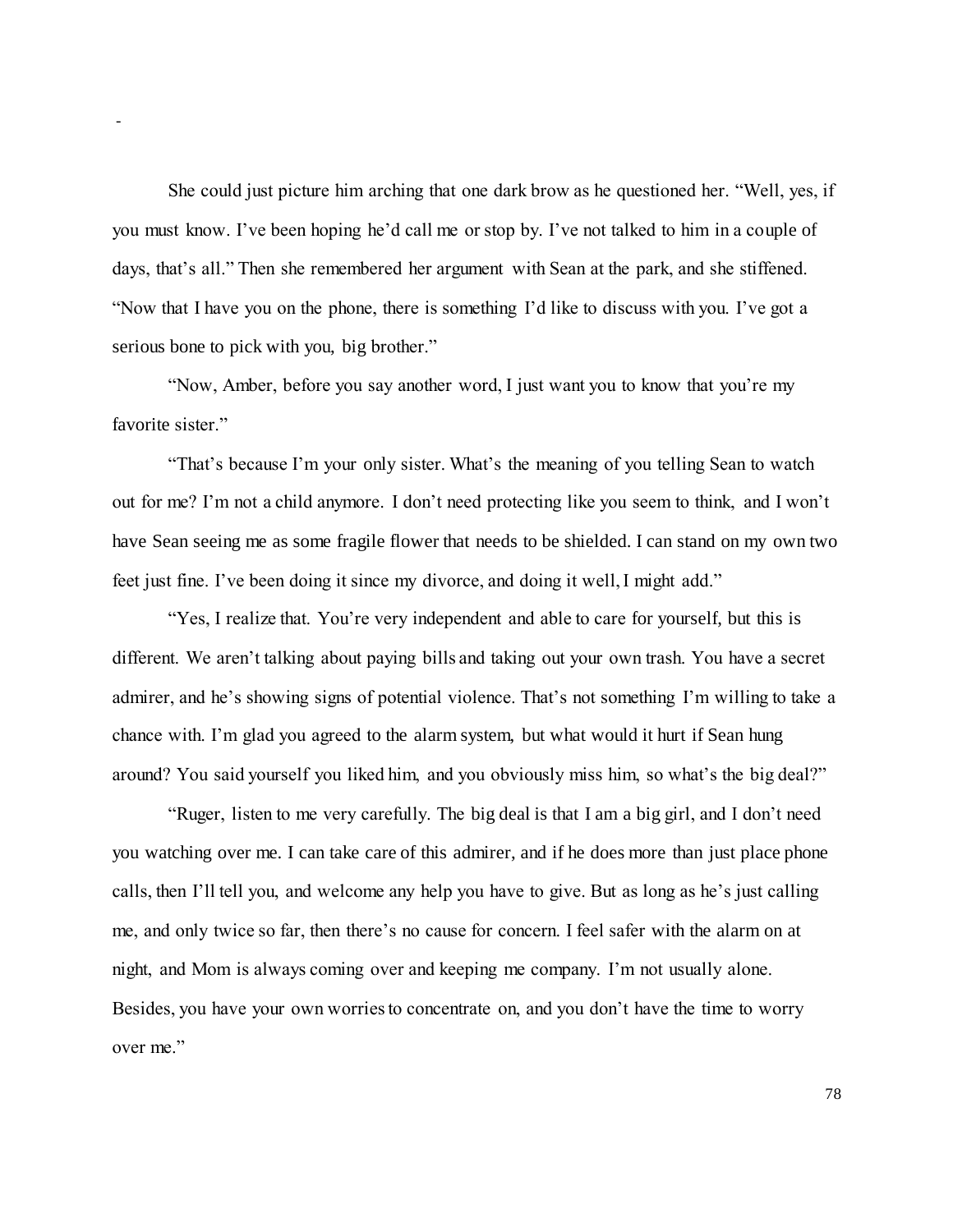She could just picture him arching that one dark brow as he questioned her. "Well, yes, if you must know. I've been hoping he'd call me or stop by. I've not talked to him in a couple of days, that's all." Then she remembered her argument with Sean at the park, and she stiffened. "Now that I have you on the phone, there is something I'd like to discuss with you. I've got a serious bone to pick with you, big brother."

-

"Now, Amber, before you say another word, I just want you to know that you're my favorite sister."

"That's because I'm your only sister. What's the meaning of you telling Sean to watch out for me? I'm not a child anymore. I don't need protecting like you seem to think, and I won't have Sean seeing me as some fragile flower that needs to be shielded. I can stand on my own two feet just fine. I've been doing it since my divorce, and doing it well, I might add."

"Yes, I realize that. You're very independent and able to care for yourself, but this is different. We aren't talking about paying bills and taking out your own trash. You have a secret admirer, and he's showing signs of potential violence. That's not something I'm willing to take a chance with. I'm glad you agreed to the alarm system, but what would it hurt if Sean hung around? You said yourself you liked him, and you obviously miss him, so what's the big deal?"

"Ruger, listen to me very carefully. The big deal is that I am a big girl, and I don't need you watching over me. I can take care of this admirer, and if he does more than just place phone calls, then I'll tell you, and welcome any help you have to give. But as long as he's just calling me, and only twice so far, then there's no cause for concern. I feel safer with the alarm on at night, and Mom is always coming over and keeping me company. I'm not usually alone. Besides, you have your own worries to concentrate on, and you don't have the time to worry over me."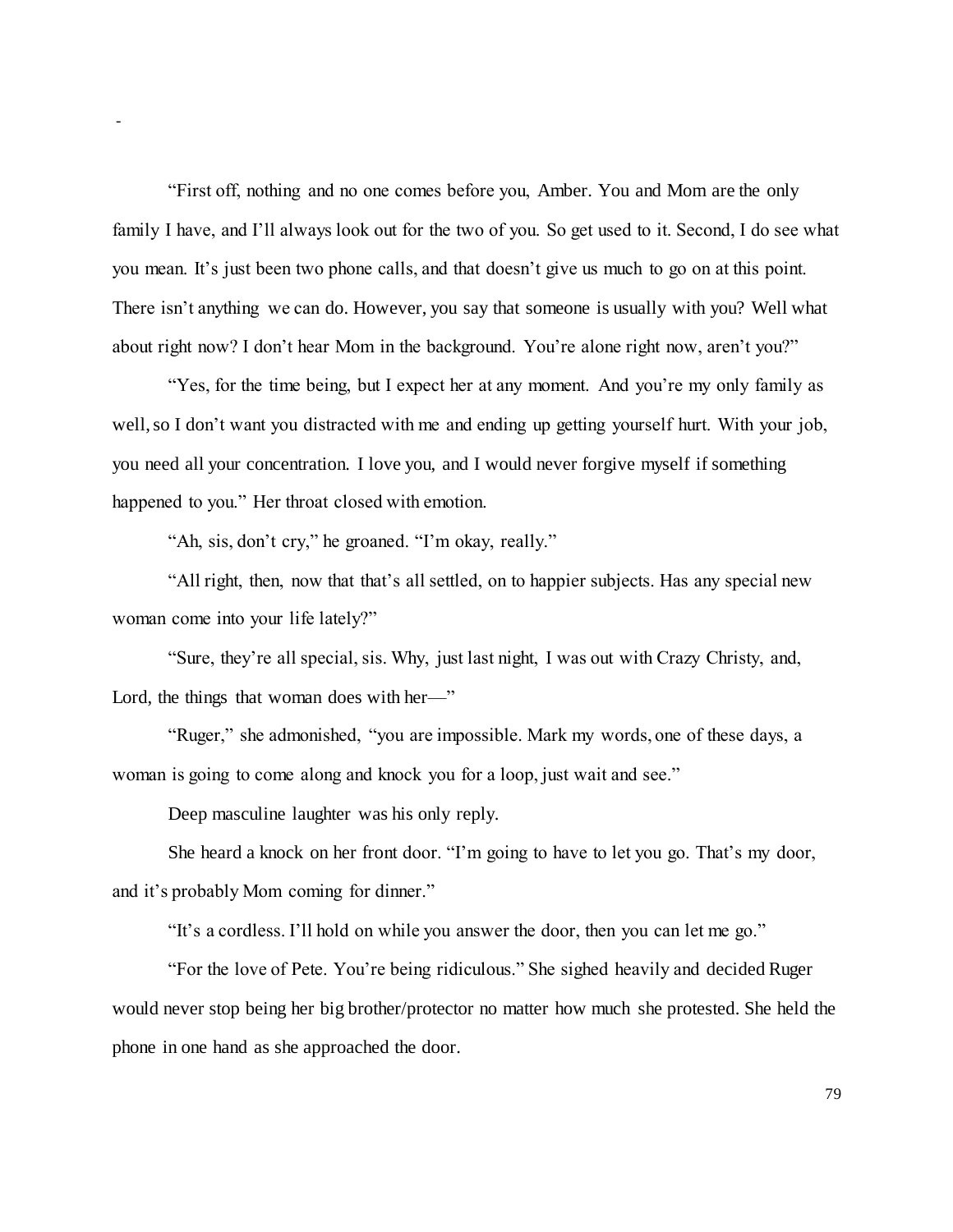"First off, nothing and no one comes before you, Amber. You and Mom are the only family I have, and I'll always look out for the two of you. So get used to it. Second, I do see what you mean. It's just been two phone calls, and that doesn't give us much to go on at this point. There isn't anything we can do. However, you say that someone is usually with you? Well what about right now? I don't hear Mom in the background. You're alone right now, aren't you?"

"Yes, for the time being, but I expect her at any moment. And you're my only family as well, so I don't want you distracted with me and ending up getting yourself hurt. With your job, you need all your concentration. I love you, and I would never forgive myself if something happened to you." Her throat closed with emotion.

"Ah, sis, don't cry," he groaned. "I'm okay, really."

-

"All right, then, now that that's all settled, on to happier subjects. Has any special new woman come into your life lately?"

"Sure, they're all special, sis. Why, just last night, I was out with Crazy Christy, and, Lord, the things that woman does with her—"

"Ruger," she admonished, "you are impossible. Mark my words, one of these days, a woman is going to come along and knock you for a loop, just wait and see."

Deep masculine laughter was his only reply.

She heard a knock on her front door. "I'm going to have to let you go. That's my door, and it's probably Mom coming for dinner."

"It's a cordless. I'll hold on while you answer the door, then you can let me go."

"For the love of Pete. You're being ridiculous." She sighed heavily and decided Ruger would never stop being her big brother/protector no matter how much she protested. She held the phone in one hand as she approached the door.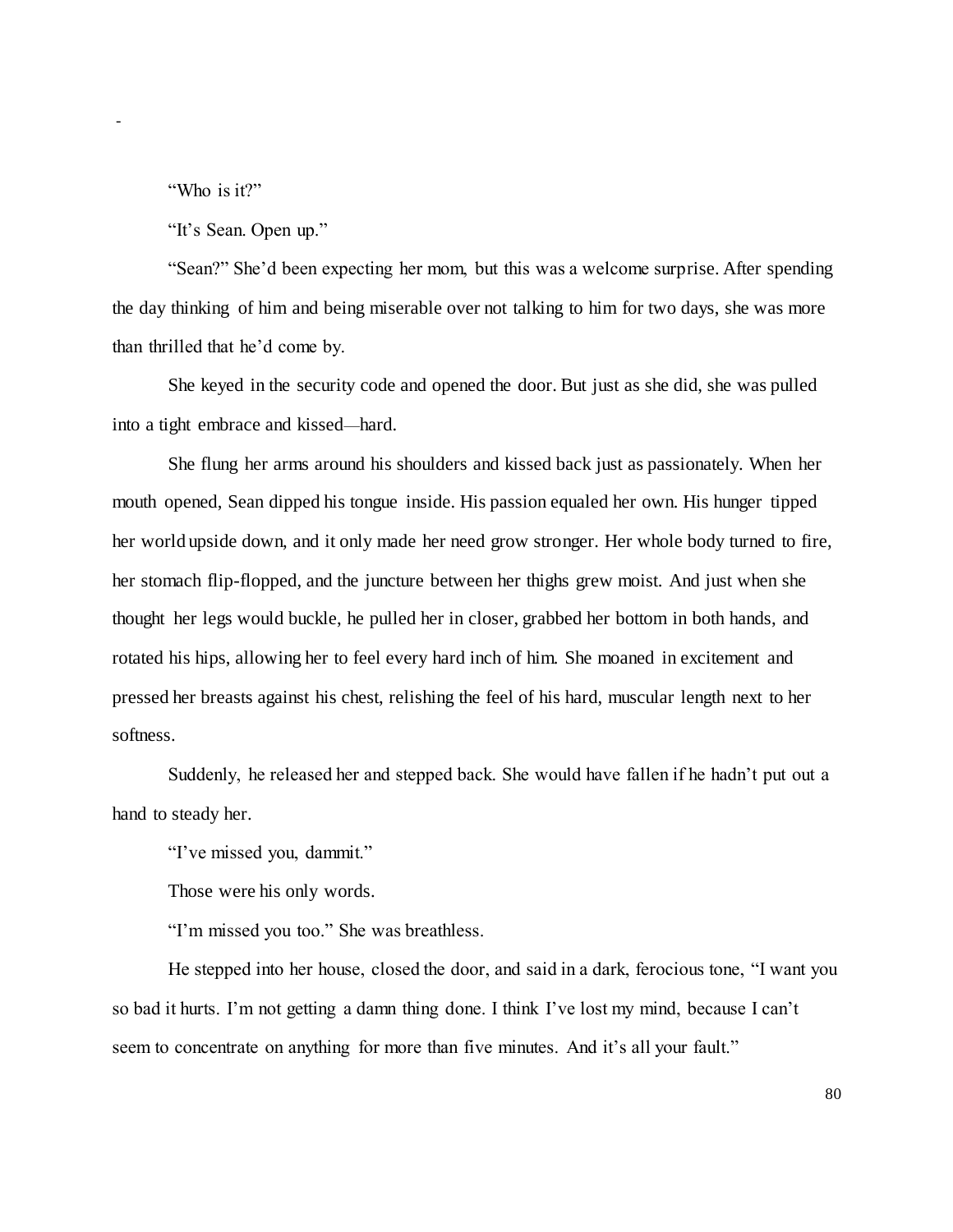"Who is it?"

-

"It's Sean. Open up."

"Sean?" She'd been expecting her mom, but this was a welcome surprise. After spending the day thinking of him and being miserable over not talking to him for two days, she was more than thrilled that he'd come by.

She keyed in the security code and opened the door. But just as she did, she was pulled into a tight embrace and kissed—hard.

She flung her arms around his shoulders and kissed back just as passionately. When her mouth opened, Sean dipped his tongue inside. His passion equaled her own. His hunger tipped her world upside down, and it only made her need grow stronger. Her whole body turned to fire, her stomach flip-flopped, and the juncture between her thighs grew moist. And just when she thought her legs would buckle, he pulled her in closer, grabbed her bottom in both hands, and rotated his hips, allowing her to feel every hard inch of him. She moaned in excitement and pressed her breasts against his chest, relishing the feel of his hard, muscular length next to her softness.

Suddenly, he released her and stepped back. She would have fallen if he hadn't put out a hand to steady her.

"I've missed you, dammit."

Those were his only words.

"I'm missed you too." She was breathless.

He stepped into her house, closed the door, and said in a dark, ferocious tone, "I want you so bad it hurts. I'm not getting a damn thing done. I think I've lost my mind, because I can't seem to concentrate on anything for more than five minutes. And it's all your fault."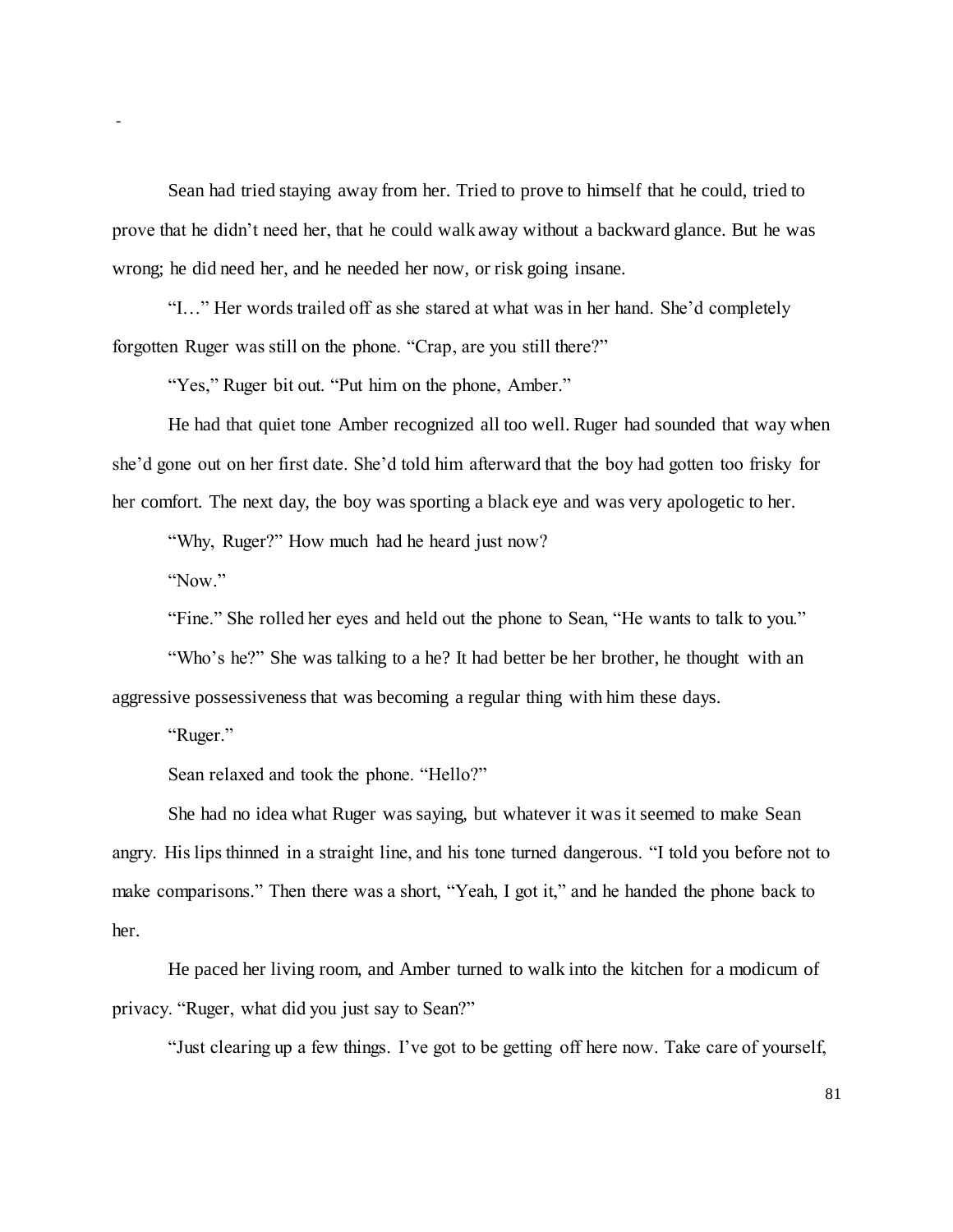Sean had tried staying away from her. Tried to prove to himself that he could, tried to prove that he didn't need her, that he could walk away without a backward glance. But he was wrong; he did need her, and he needed her now, or risk going insane.

"I…" Her words trailed off as she stared at what was in her hand. She'd completely forgotten Ruger was still on the phone. "Crap, are you still there?"

"Yes," Ruger bit out. "Put him on the phone, Amber."

He had that quiet tone Amber recognized all too well. Ruger had sounded that way when she'd gone out on her first date. She'd told him afterward that the boy had gotten too frisky for her comfort. The next day, the boy was sporting a black eye and was very apologetic to her.

"Why, Ruger?" How much had he heard just now?

"Now."

-

"Fine." She rolled her eyes and held out the phone to Sean, "He wants to talk to you."

"Who's he?" She was talking to a he? It had better be her brother, he thought with an aggressive possessiveness that was becoming a regular thing with him these days.

"Ruger."

Sean relaxed and took the phone. "Hello?"

She had no idea what Ruger was saying, but whatever it was it seemed to make Sean angry. His lips thinned in a straight line, and his tone turned dangerous. "I told you before not to make comparisons." Then there was a short, "Yeah, I got it," and he handed the phone back to her.

He paced her living room, and Amber turned to walk into the kitchen for a modicum of privacy. "Ruger, what did you just say to Sean?"

"Just clearing up a few things. I've got to be getting off here now. Take care of yourself,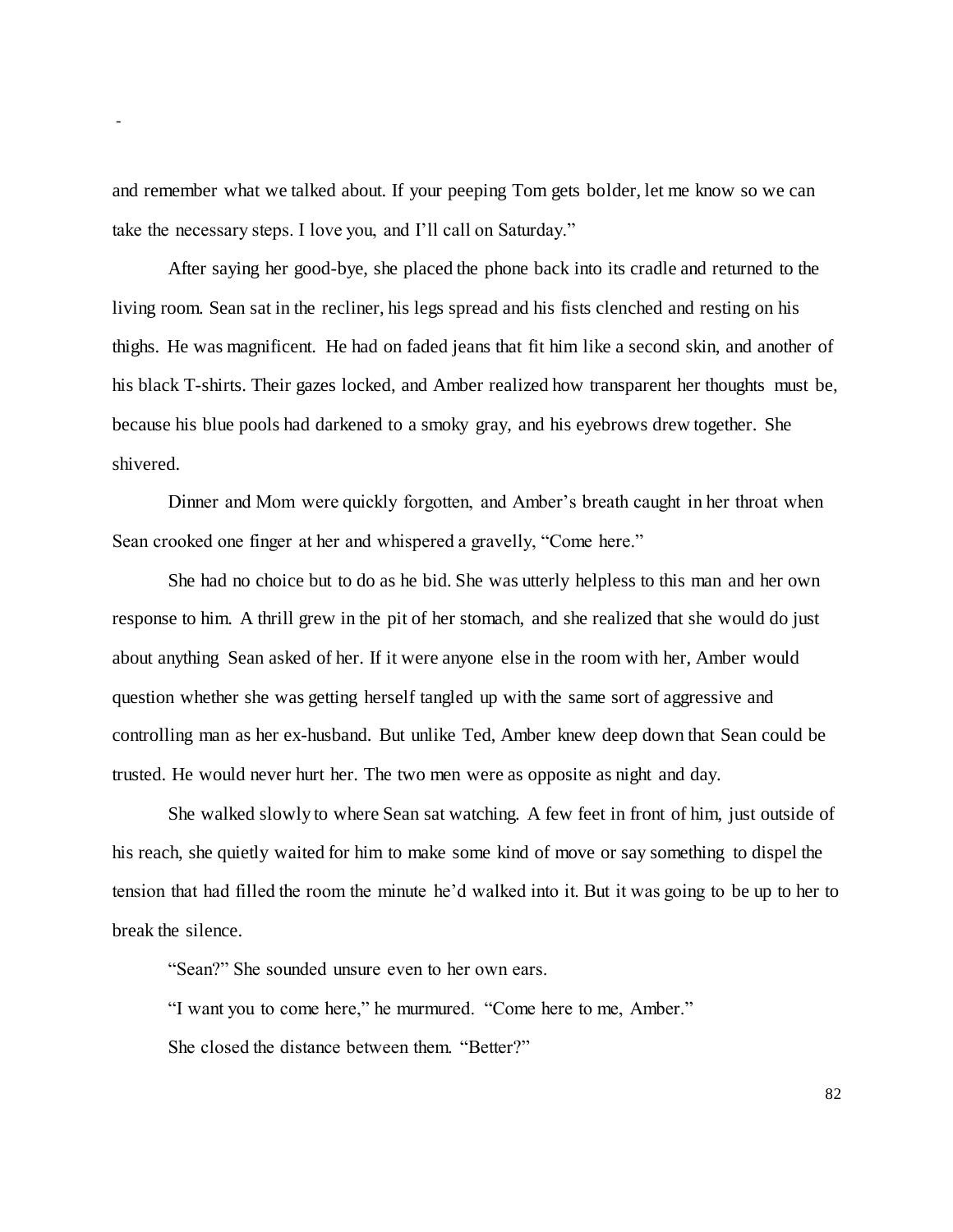and remember what we talked about. If your peeping Tom gets bolder, let me know so we can take the necessary steps. I love you, and I'll call on Saturday."

-

After saying her good-bye, she placed the phone back into its cradle and returned to the living room. Sean sat in the recliner, his legs spread and his fists clenched and resting on his thighs. He was magnificent. He had on faded jeans that fit him like a second skin, and another of his black T-shirts. Their gazes locked, and Amber realized how transparent her thoughts must be, because his blue pools had darkened to a smoky gray, and his eyebrows drew together. She shivered.

Dinner and Mom were quickly forgotten, and Amber's breath caught in her throat when Sean crooked one finger at her and whispered a gravelly, "Come here."

She had no choice but to do as he bid. She was utterly helpless to this man and her own response to him. A thrill grew in the pit of her stomach, and she realized that she would do just about anything Sean asked of her. If it were anyone else in the room with her, Amber would question whether she was getting herself tangled up with the same sort of aggressive and controlling man as her ex-husband. But unlike Ted, Amber knew deep down that Sean could be trusted. He would never hurt her. The two men were as opposite as night and day.

She walked slowly to where Sean sat watching. A few feet in front of him, just outside of his reach, she quietly waited for him to make some kind of move or say something to dispel the tension that had filled the room the minute he'd walked into it. But it was going to be up to her to break the silence.

"Sean?" She sounded unsure even to her own ears.

"I want you to come here," he murmured. "Come here to me, Amber."

She closed the distance between them. "Better?"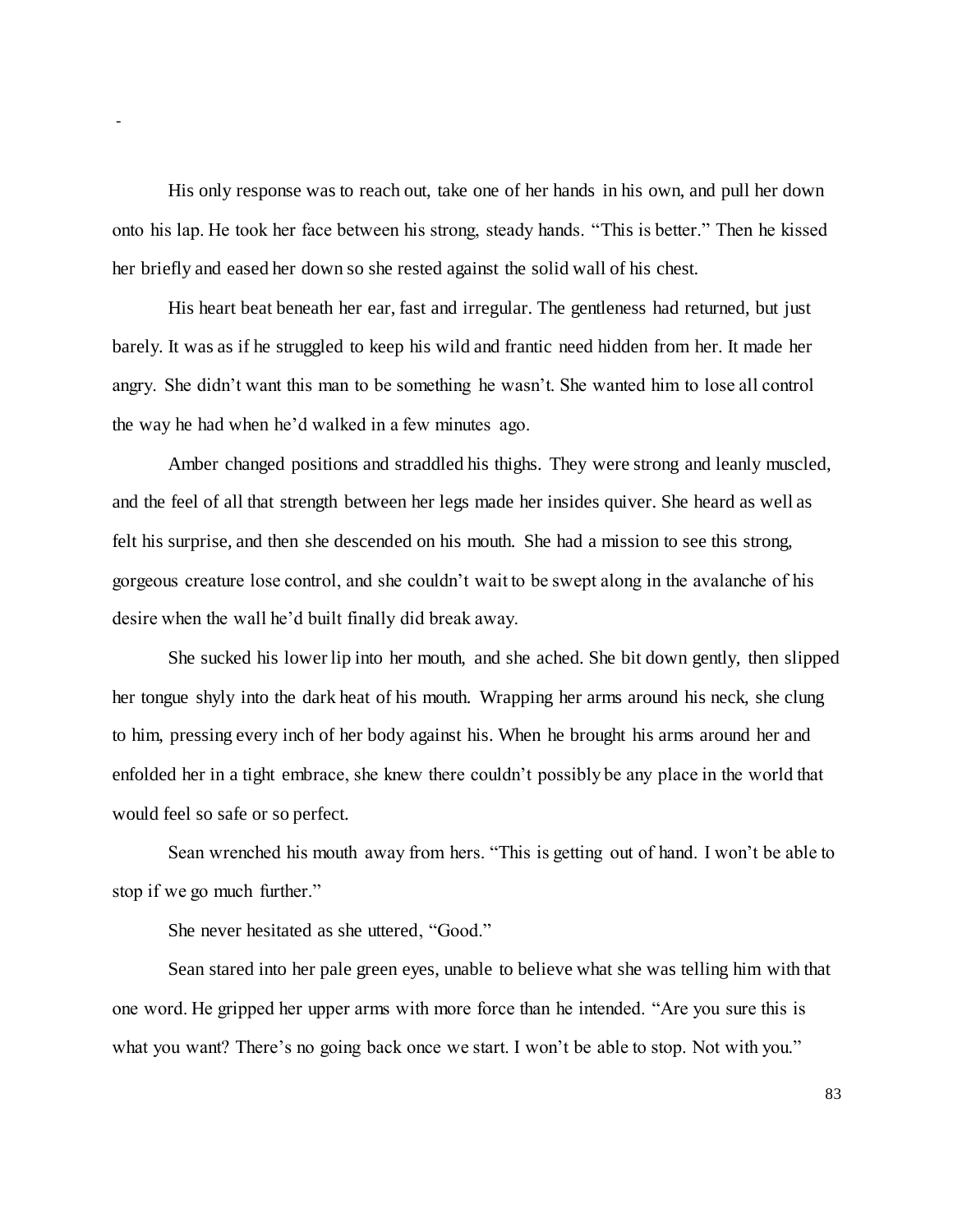His only response was to reach out, take one of her hands in his own, and pull her down onto his lap. He took her face between his strong, steady hands. "This is better." Then he kissed her briefly and eased her down so she rested against the solid wall of his chest.

His heart beat beneath her ear, fast and irregular. The gentleness had returned, but just barely. It was as if he struggled to keep his wild and frantic need hidden from her. It made her angry. She didn't want this man to be something he wasn't. She wanted him to lose all control the way he had when he'd walked in a few minutes ago.

Amber changed positions and straddled his thighs. They were strong and leanly muscled, and the feel of all that strength between her legs made her insides quiver. She heard as well as felt his surprise, and then she descended on his mouth. She had a mission to see this strong, gorgeous creature lose control, and she couldn't wait to be swept along in the avalanche of his desire when the wall he'd built finally did break away.

She sucked his lower lip into her mouth, and she ached. She bit down gently, then slipped her tongue shyly into the dark heat of his mouth. Wrapping her arms around his neck, she clung to him, pressing every inch of her body against his. When he brought his arms around her and enfolded her in a tight embrace, she knew there couldn't possibly be any place in the world that would feel so safe or so perfect.

Sean wrenched his mouth away from hers. "This is getting out of hand. I won't be able to stop if we go much further."

She never hesitated as she uttered, "Good."

-

Sean stared into her pale green eyes, unable to believe what she was telling him with that one word. He gripped her upper arms with more force than he intended. "Are you sure this is what you want? There's no going back once we start. I won't be able to stop. Not with you."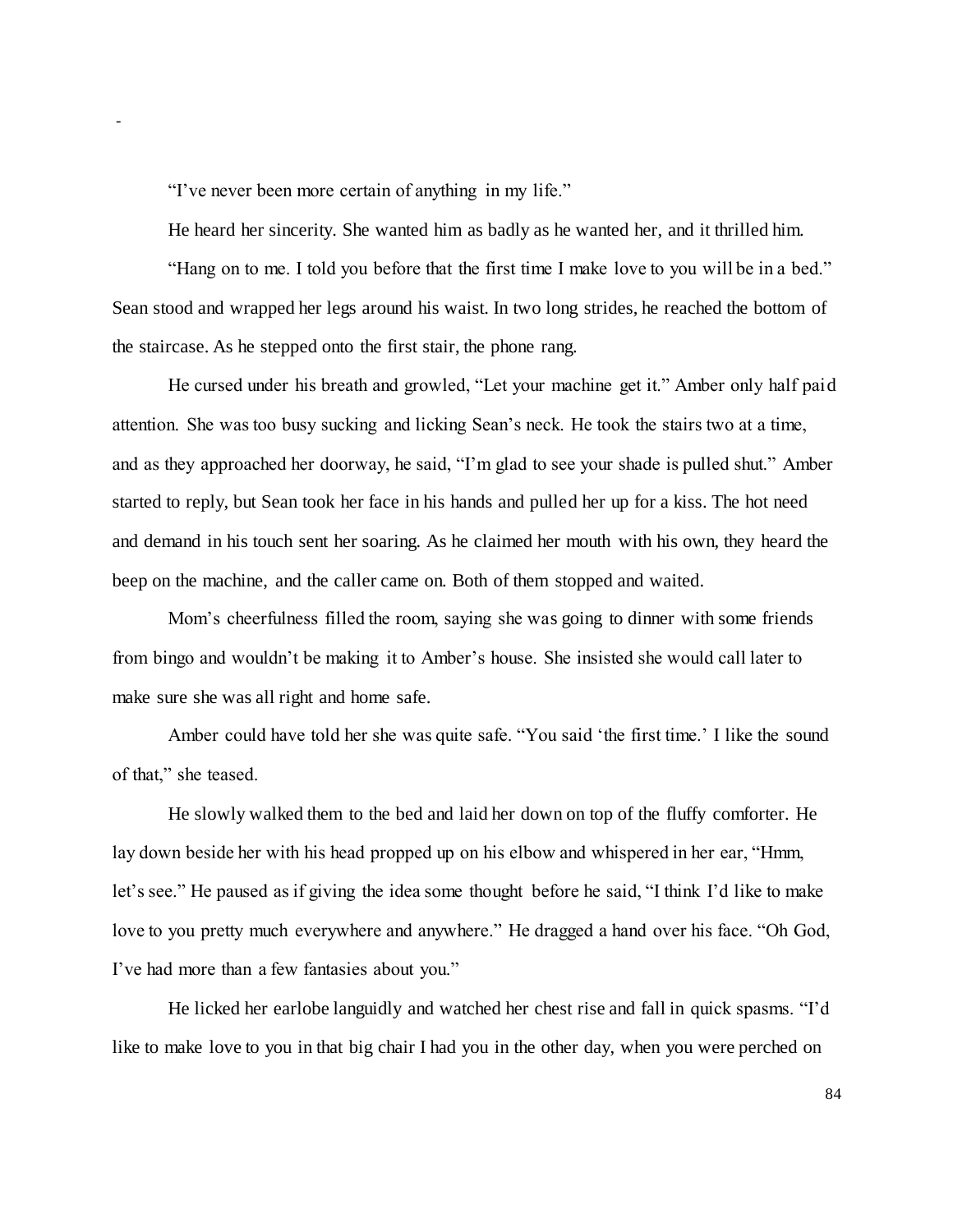"I've never been more certain of anything in my life."

-

He heard her sincerity. She wanted him as badly as he wanted her, and it thrilled him.

"Hang on to me. I told you before that the first time I make love to you will be in a bed." Sean stood and wrapped her legs around his waist. In two long strides, he reached the bottom of the staircase. As he stepped onto the first stair, the phone rang.

He cursed under his breath and growled, "Let your machine get it." Amber only half paid attention. She was too busy sucking and licking Sean's neck. He took the stairs two at a time, and as they approached her doorway, he said, "I'm glad to see your shade is pulled shut." Amber started to reply, but Sean took her face in his hands and pulled her up for a kiss. The hot need and demand in his touch sent her soaring. As he claimed her mouth with his own, they heard the beep on the machine, and the caller came on. Both of them stopped and waited.

Mom's cheerfulness filled the room, saying she was going to dinner with some friends from bingo and wouldn't be making it to Amber's house. She insisted she would call later to make sure she was all right and home safe.

Amber could have told her she was quite safe. "You said 'the first time.' I like the sound of that," she teased.

He slowly walked them to the bed and laid her down on top of the fluffy comforter. He lay down beside her with his head propped up on his elbow and whispered in her ear, "Hmm, let's see." He paused as if giving the idea some thought before he said, "I think I'd like to make love to you pretty much everywhere and anywhere." He dragged a hand over his face. "Oh God, I've had more than a few fantasies about you."

He licked her earlobe languidly and watched her chest rise and fall in quick spasms. "I'd like to make love to you in that big chair I had you in the other day, when you were perched on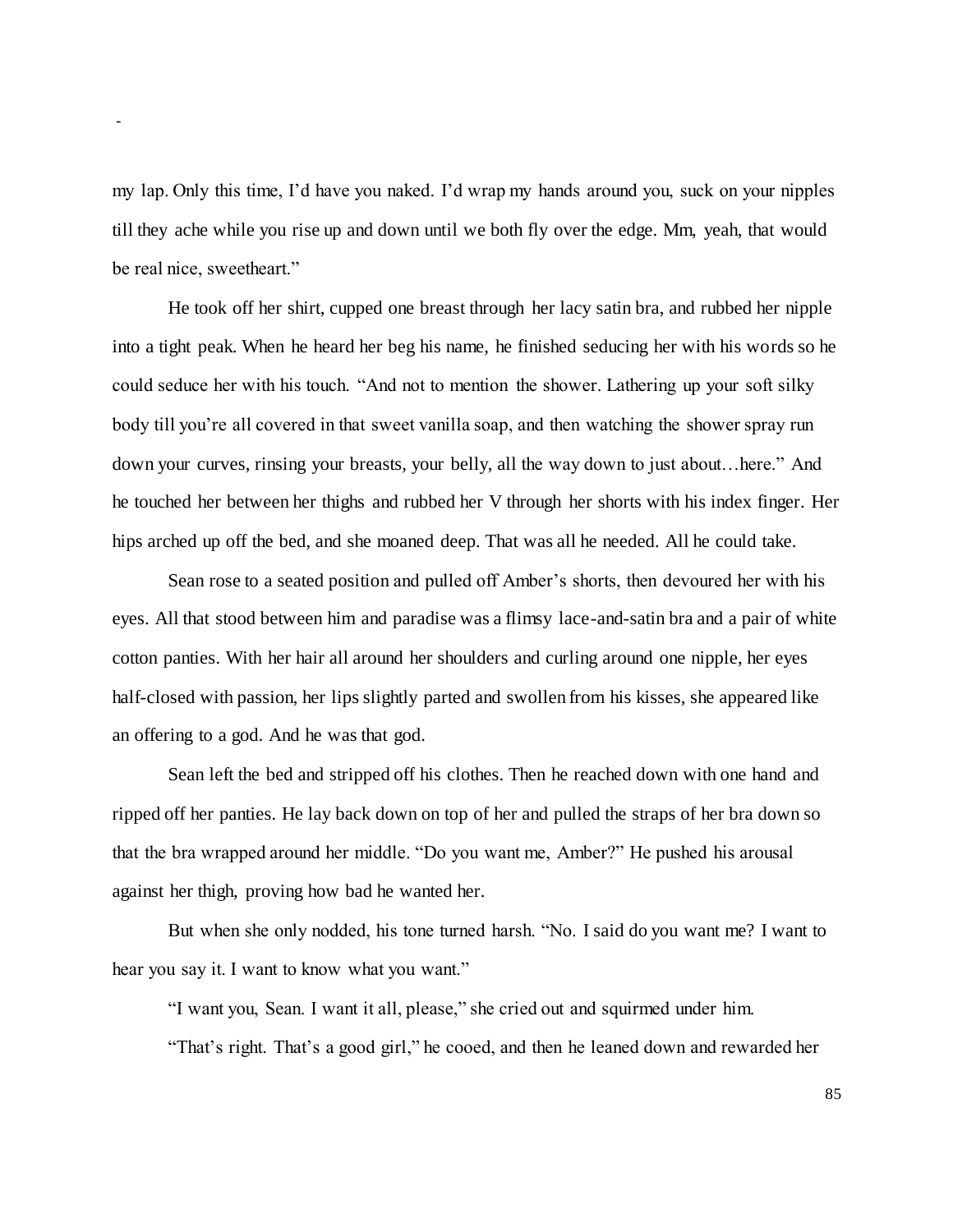my lap. Only this time, I'd have you naked. I'd wrap my hands around you, suck on your nipples till they ache while you rise up and down until we both fly over the edge. Mm, yeah, that would be real nice, sweetheart."

-

He took off her shirt, cupped one breast through her lacy satin bra, and rubbed her nipple into a tight peak. When he heard her beg his name, he finished seducing her with his words so he could seduce her with his touch. "And not to mention the shower. Lathering up your soft silky body till you're all covered in that sweet vanilla soap, and then watching the shower spray run down your curves, rinsing your breasts, your belly, all the way down to just about…here." And he touched her between her thighs and rubbed her V through her shorts with his index finger. Her hips arched up off the bed, and she moaned deep. That was all he needed. All he could take.

Sean rose to a seated position and pulled off Amber's shorts, then devoured her with his eyes. All that stood between him and paradise was a flimsy lace-and-satin bra and a pair of white cotton panties. With her hair all around her shoulders and curling around one nipple, her eyes half-closed with passion, her lips slightly parted and swollen from his kisses, she appeared like an offering to a god. And he was that god.

Sean left the bed and stripped off his clothes. Then he reached down with one hand and ripped off her panties. He lay back down on top of her and pulled the straps of her bra down so that the bra wrapped around her middle. "Do you want me, Amber?" He pushed his arousal against her thigh, proving how bad he wanted her.

But when she only nodded, his tone turned harsh. "No. I said do you want me? I want to hear you say it. I want to know what you want."

"I want you, Sean. I want it all, please," she cried out and squirmed under him. "That's right. That's a good girl," he cooed, and then he leaned down and rewarded her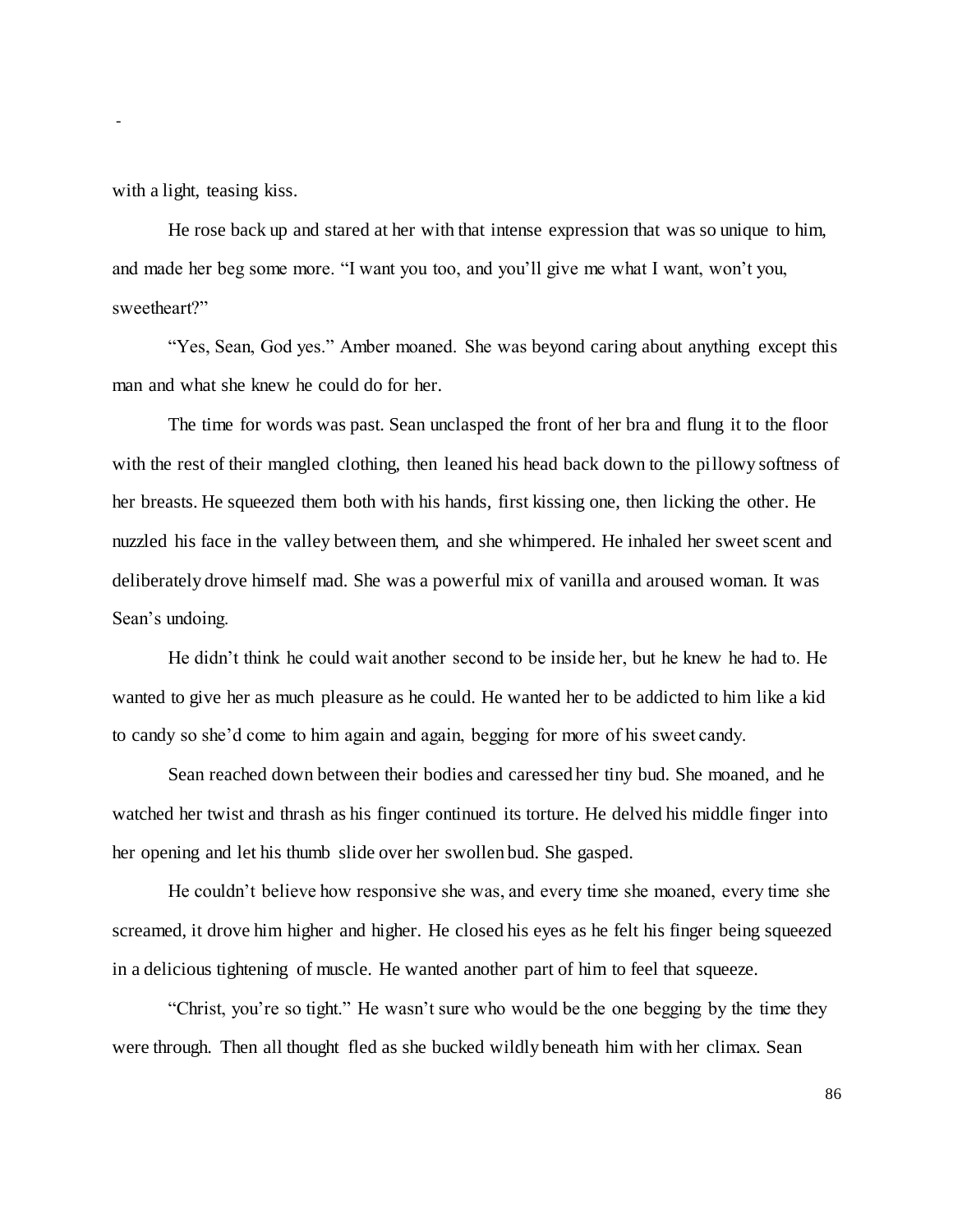with a light, teasing kiss.

-

He rose back up and stared at her with that intense expression that was so unique to him, and made her beg some more. "I want you too, and you'll give me what I want, won't you, sweetheart?"

"Yes, Sean, God yes." Amber moaned. She was beyond caring about anything except this man and what she knew he could do for her.

The time for words was past. Sean unclasped the front of her bra and flung it to the floor with the rest of their mangled clothing, then leaned his head back down to the pillowy softness of her breasts. He squeezed them both with his hands, first kissing one, then licking the other. He nuzzled his face in the valley between them, and she whimpered. He inhaled her sweet scent and deliberately drove himself mad. She was a powerful mix of vanilla and aroused woman. It was Sean's undoing.

He didn't think he could wait another second to be inside her, but he knew he had to. He wanted to give her as much pleasure as he could. He wanted her to be addicted to him like a kid to candy so she'd come to him again and again, begging for more of his sweet candy.

Sean reached down between their bodies and caressed her tiny bud. She moaned, and he watched her twist and thrash as his finger continued its torture. He delved his middle finger into her opening and let his thumb slide over her swollen bud. She gasped.

He couldn't believe how responsive she was, and every time she moaned, every time she screamed, it drove him higher and higher. He closed his eyes as he felt his finger being squeezed in a delicious tightening of muscle. He wanted another part of him to feel that squeeze.

"Christ, you're so tight." He wasn't sure who would be the one begging by the time they were through. Then all thought fled as she bucked wildly beneath him with her climax. Sean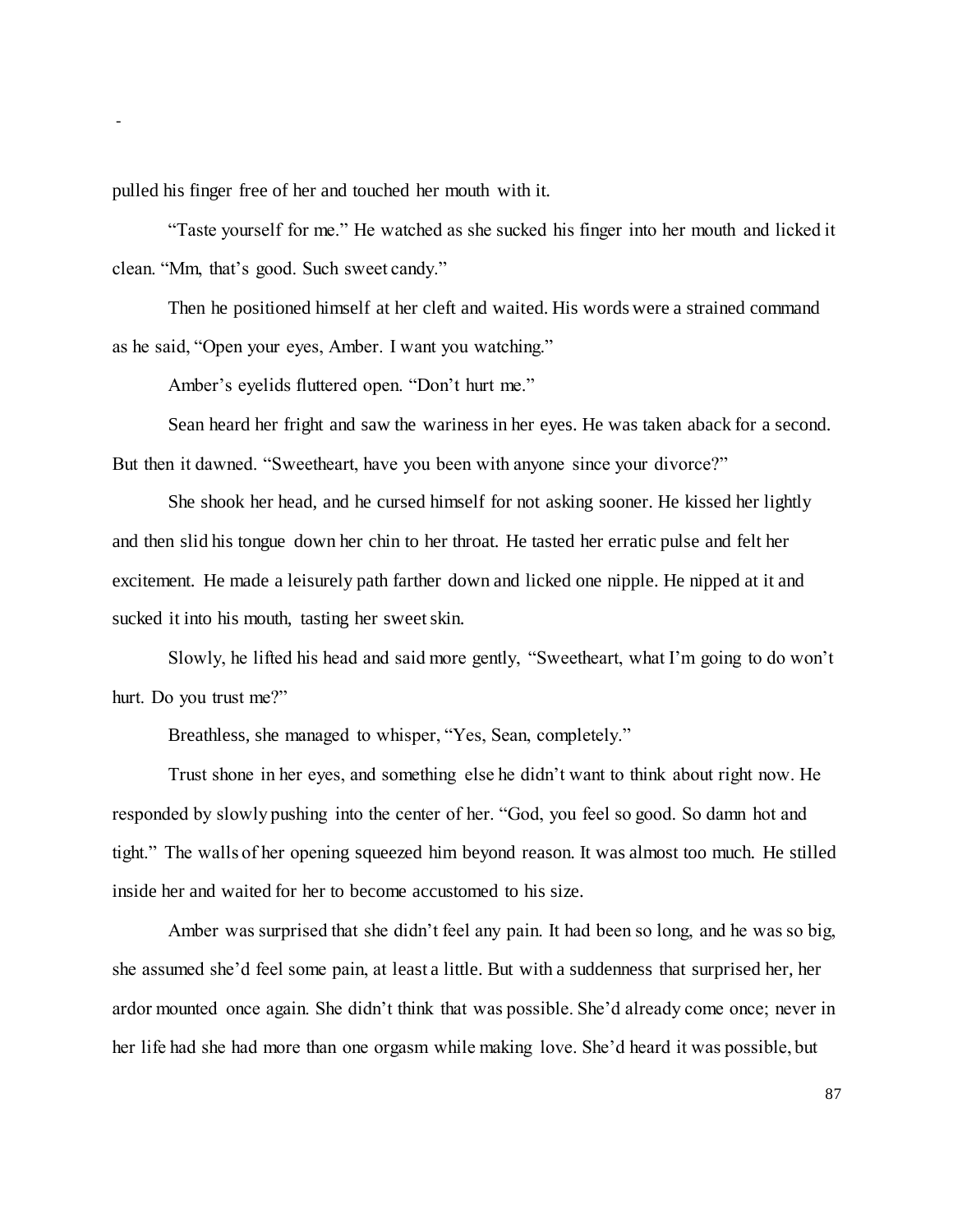pulled his finger free of her and touched her mouth with it.

-

"Taste yourself for me." He watched as she sucked his finger into her mouth and licked it clean. "Mm, that's good. Such sweet candy."

Then he positioned himself at her cleft and waited. His words were a strained command as he said, "Open your eyes, Amber. I want you watching."

Amber's eyelids fluttered open. "Don't hurt me."

Sean heard her fright and saw the wariness in her eyes. He was taken aback for a second. But then it dawned. "Sweetheart, have you been with anyone since your divorce?"

She shook her head, and he cursed himself for not asking sooner. He kissed her lightly and then slid his tongue down her chin to her throat. He tasted her erratic pulse and felt her excitement. He made a leisurely path farther down and licked one nipple. He nipped at it and sucked it into his mouth, tasting her sweet skin.

Slowly, he lifted his head and said more gently, "Sweetheart, what I'm going to do won't hurt. Do you trust me?"

Breathless, she managed to whisper, "Yes, Sean, completely."

Trust shone in her eyes, and something else he didn't want to think about right now. He responded by slowly pushing into the center of her. "God, you feel so good. So damn hot and tight." The walls of her opening squeezed him beyond reason. It was almost too much. He stilled inside her and waited for her to become accustomed to his size.

Amber was surprised that she didn't feel any pain. It had been so long, and he was so big, she assumed she'd feel some pain, at least a little. But with a suddenness that surprised her, her ardor mounted once again. She didn't think that was possible. She'd already come once; never in her life had she had more than one orgasm while making love. She'd heard it was possible, but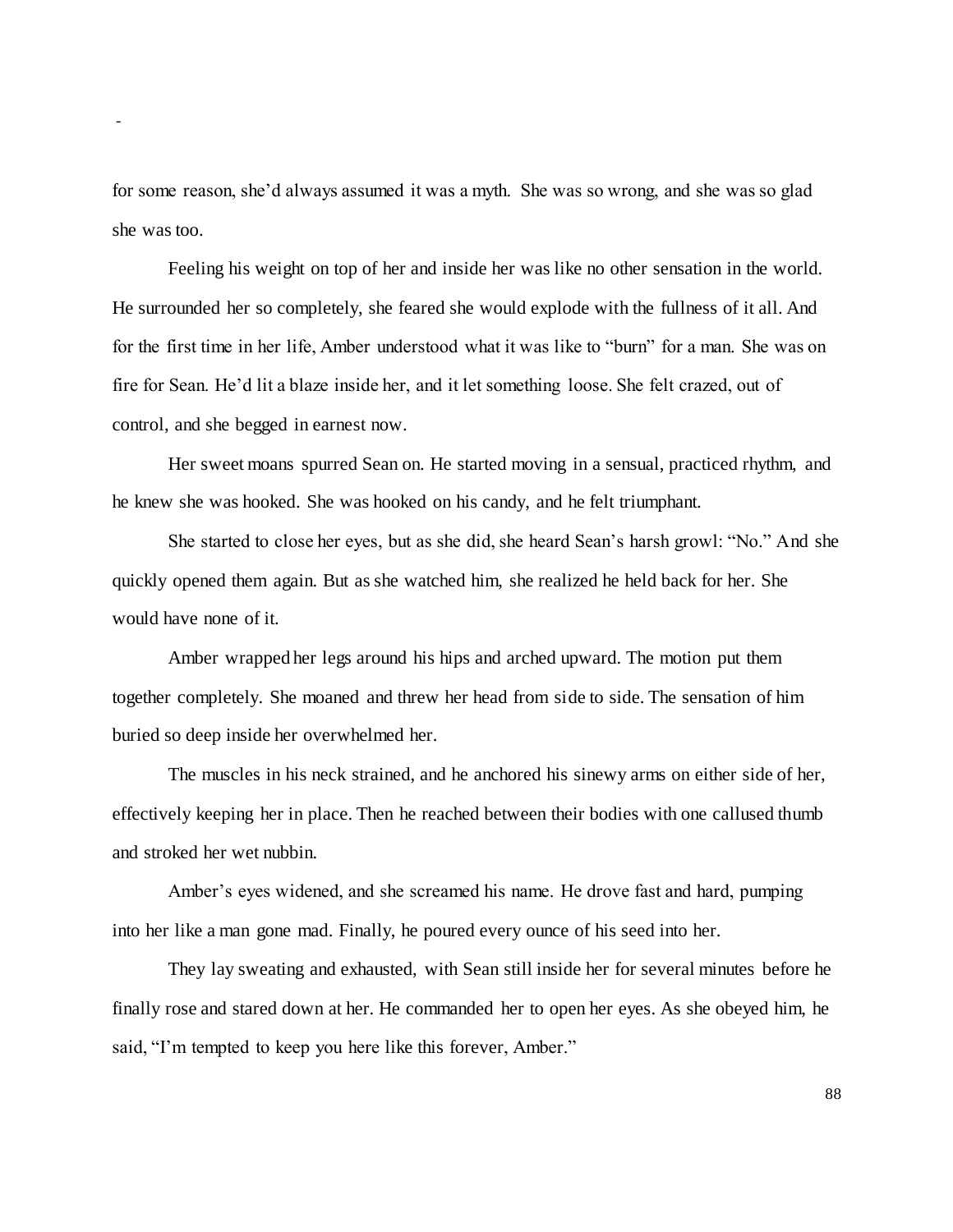for some reason, she'd always assumed it was a myth. She was so wrong, and she was so glad she was too.

-

Feeling his weight on top of her and inside her was like no other sensation in the world. He surrounded her so completely, she feared she would explode with the fullness of it all. And for the first time in her life, Amber understood what it was like to "burn" for a man. She was on fire for Sean. He'd lit a blaze inside her, and it let something loose. She felt crazed, out of control, and she begged in earnest now.

Her sweet moans spurred Sean on. He started moving in a sensual, practiced rhythm, and he knew she was hooked. She was hooked on his candy, and he felt triumphant.

She started to close her eyes, but as she did, she heard Sean's harsh growl: "No." And she quickly opened them again. But as she watched him, she realized he held back for her. She would have none of it.

Amber wrapped her legs around his hips and arched upward. The motion put them together completely. She moaned and threw her head from side to side. The sensation of him buried so deep inside her overwhelmed her.

The muscles in his neck strained, and he anchored his sinewy arms on either side of her, effectively keeping her in place. Then he reached between their bodies with one callused thumb and stroked her wet nubbin.

Amber's eyes widened, and she screamed his name. He drove fast and hard, pumping into her like a man gone mad. Finally, he poured every ounce of his seed into her.

They lay sweating and exhausted, with Sean still inside her for several minutes before he finally rose and stared down at her. He commanded her to open her eyes. As she obeyed him, he said, "I'm tempted to keep you here like this forever, Amber."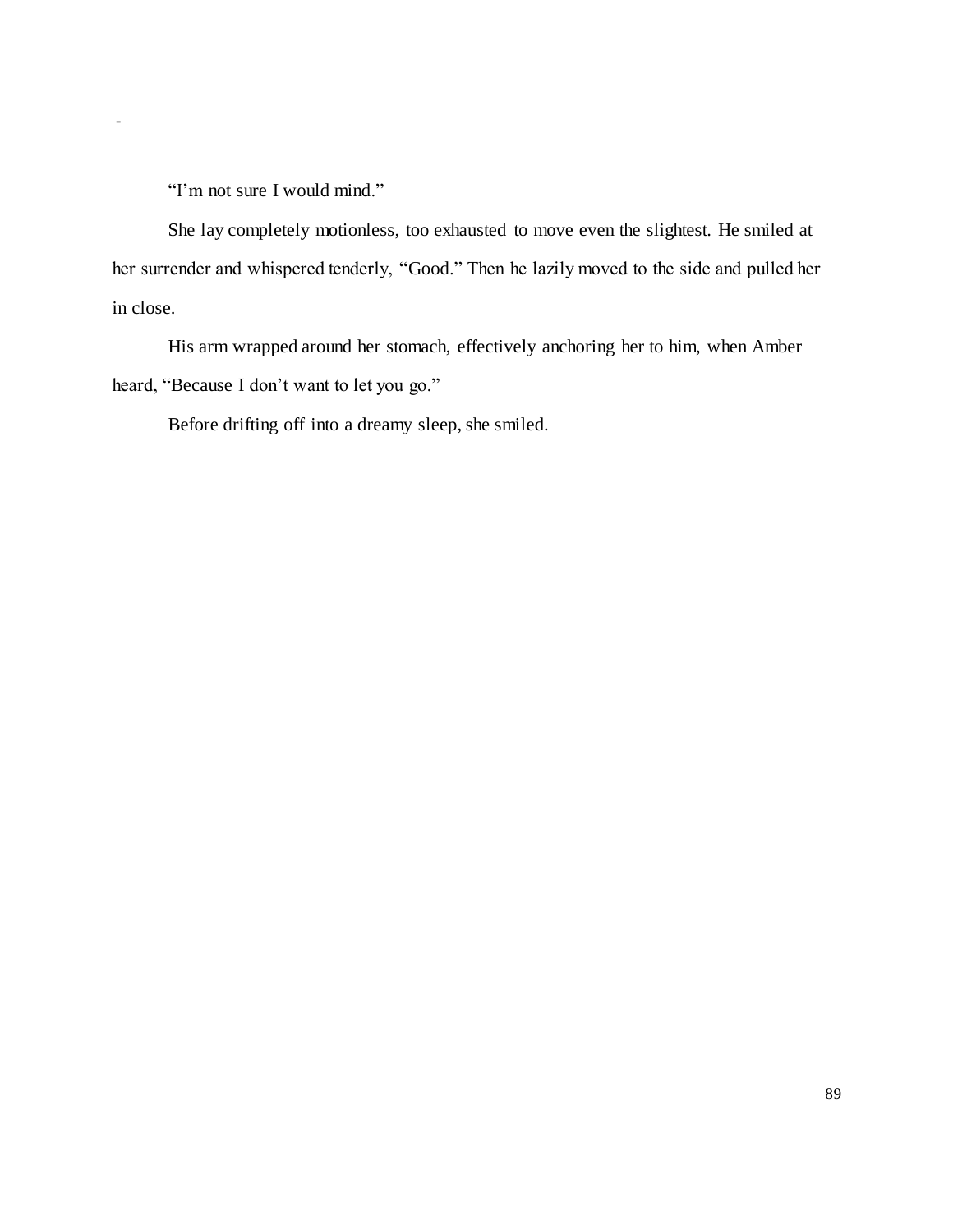"I'm not sure I would mind."

-

She lay completely motionless, too exhausted to move even the slightest. He smiled at her surrender and whispered tenderly, "Good." Then he lazily moved to the side and pulled her in close.

His arm wrapped around her stomach, effectively anchoring her to him, when Amber heard, "Because I don't want to let you go."

Before drifting off into a dreamy sleep, she smiled.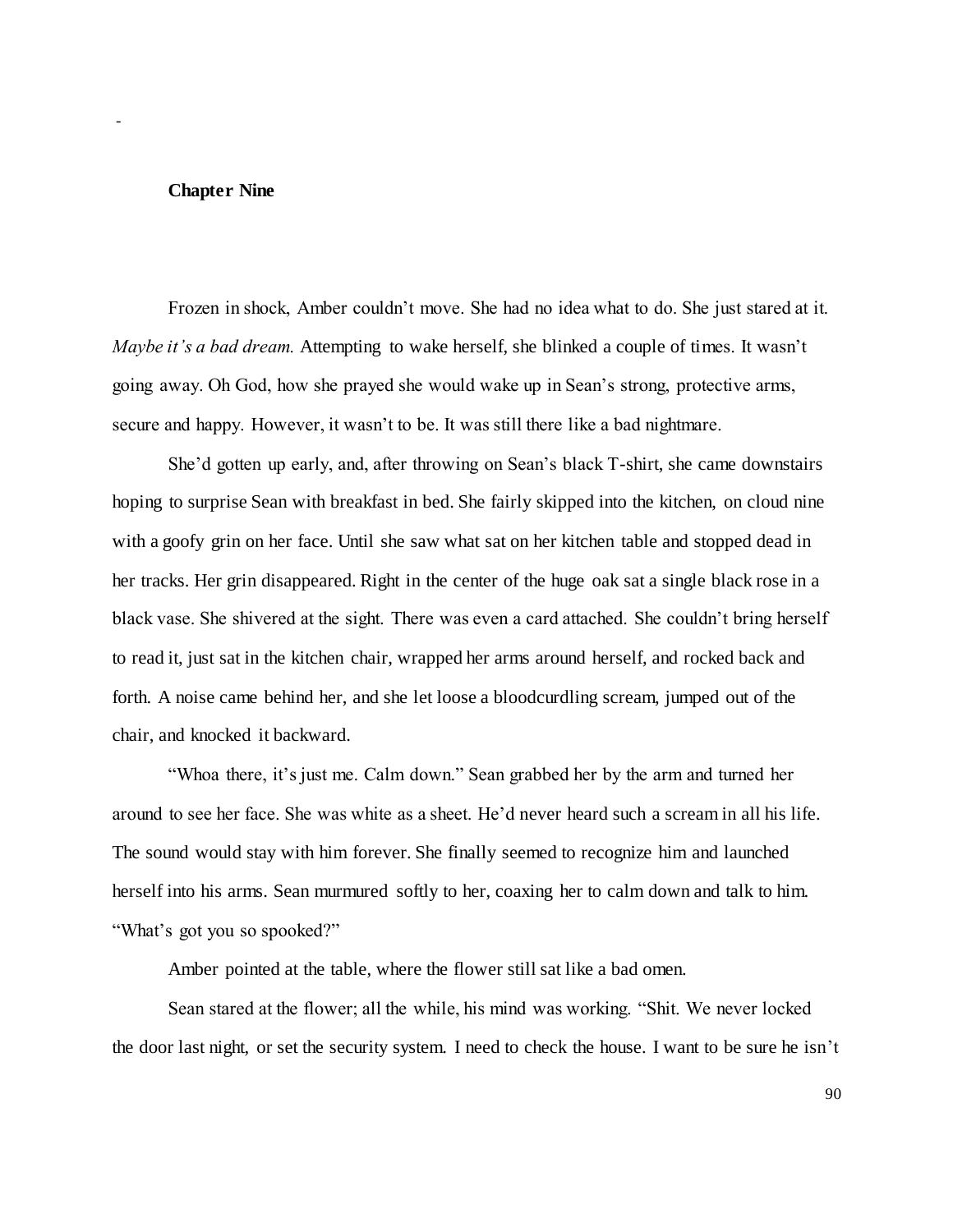## **Chapter Nine**

-

Frozen in shock, Amber couldn't move. She had no idea what to do. She just stared at it. *Maybe it's a bad dream.* Attempting to wake herself, she blinked a couple of times. It wasn't going away. Oh God, how she prayed she would wake up in Sean's strong, protective arms, secure and happy. However, it wasn't to be. It was still there like a bad nightmare.

She'd gotten up early, and, after throwing on Sean's black T-shirt, she came downstairs hoping to surprise Sean with breakfast in bed. She fairly skipped into the kitchen, on cloud nine with a goofy grin on her face. Until she saw what sat on her kitchen table and stopped dead in her tracks. Her grin disappeared. Right in the center of the huge oak sat a single black rose in a black vase. She shivered at the sight. There was even a card attached. She couldn't bring herself to read it, just sat in the kitchen chair, wrapped her arms around herself, and rocked back and forth. A noise came behind her, and she let loose a bloodcurdling scream, jumped out of the chair, and knocked it backward.

"Whoa there, it's just me. Calm down." Sean grabbed her by the arm and turned her around to see her face. She was white as a sheet. He'd never heard such a scream in all his life. The sound would stay with him forever. She finally seemed to recognize him and launched herself into his arms. Sean murmured softly to her, coaxing her to calm down and talk to him. "What's got you so spooked?"

Amber pointed at the table, where the flower still sat like a bad omen.

Sean stared at the flower; all the while, his mind was working. "Shit. We never locked the door last night, or set the security system. I need to check the house. I want to be sure he isn't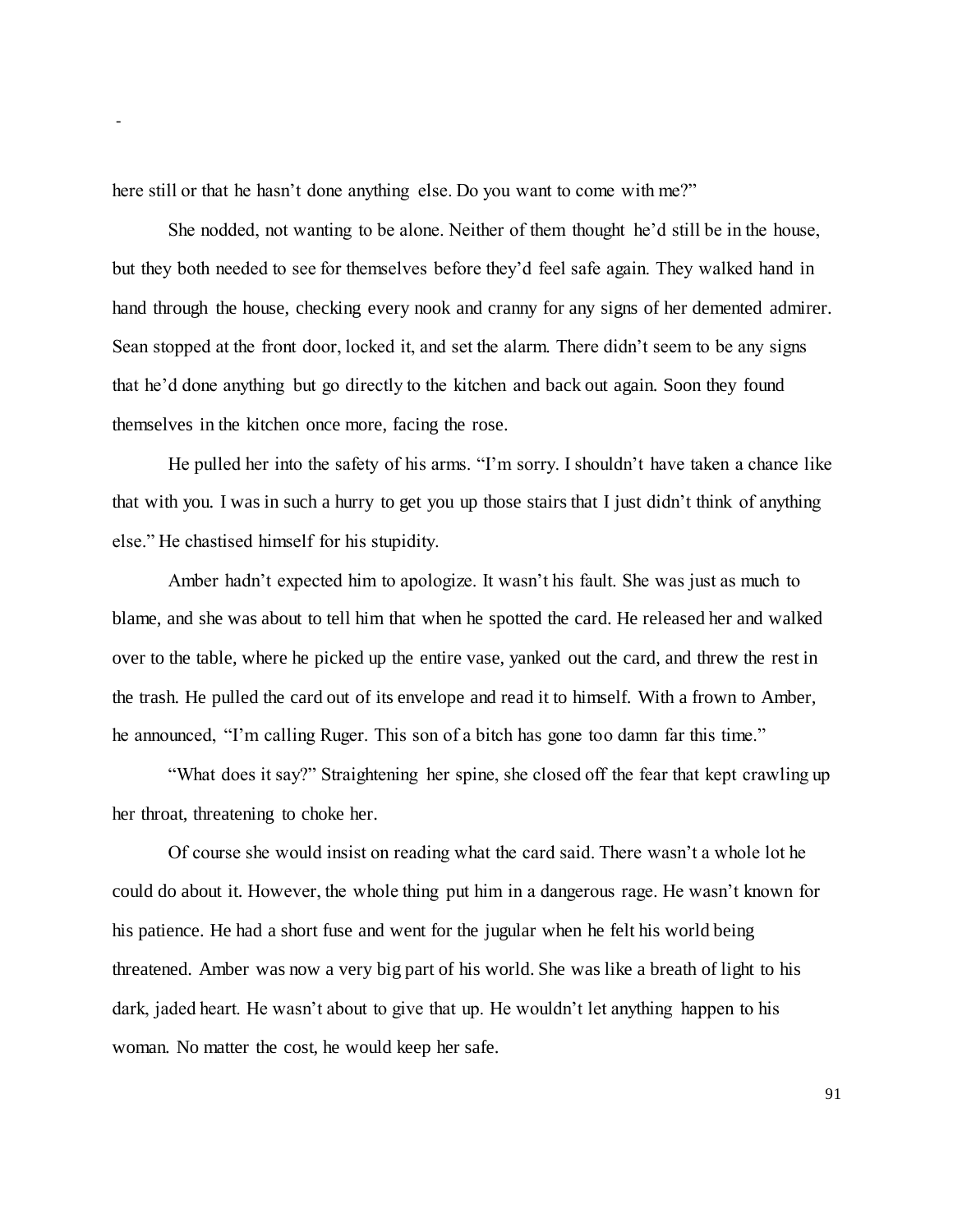here still or that he hasn't done anything else. Do you want to come with me?"

-

She nodded, not wanting to be alone. Neither of them thought he'd still be in the house, but they both needed to see for themselves before they'd feel safe again. They walked hand in hand through the house, checking every nook and cranny for any signs of her demented admirer. Sean stopped at the front door, locked it, and set the alarm. There didn't seem to be any signs that he'd done anything but go directly to the kitchen and back out again. Soon they found themselves in the kitchen once more, facing the rose.

He pulled her into the safety of his arms. "I'm sorry. I shouldn't have taken a chance like that with you. I was in such a hurry to get you up those stairs that I just didn't think of anything else." He chastised himself for his stupidity.

Amber hadn't expected him to apologize. It wasn't his fault. She was just as much to blame, and she was about to tell him that when he spotted the card. He released her and walked over to the table, where he picked up the entire vase, yanked out the card, and threw the rest in the trash. He pulled the card out of its envelope and read it to himself. With a frown to Amber, he announced, "I'm calling Ruger. This son of a bitch has gone too damn far this time."

"What does it say?" Straightening her spine, she closed off the fear that kept crawling up her throat, threatening to choke her.

Of course she would insist on reading what the card said. There wasn't a whole lot he could do about it. However, the whole thing put him in a dangerous rage. He wasn't known for his patience. He had a short fuse and went for the jugular when he felt his world being threatened. Amber was now a very big part of his world. She was like a breath of light to his dark, jaded heart. He wasn't about to give that up. He wouldn't let anything happen to his woman. No matter the cost, he would keep her safe.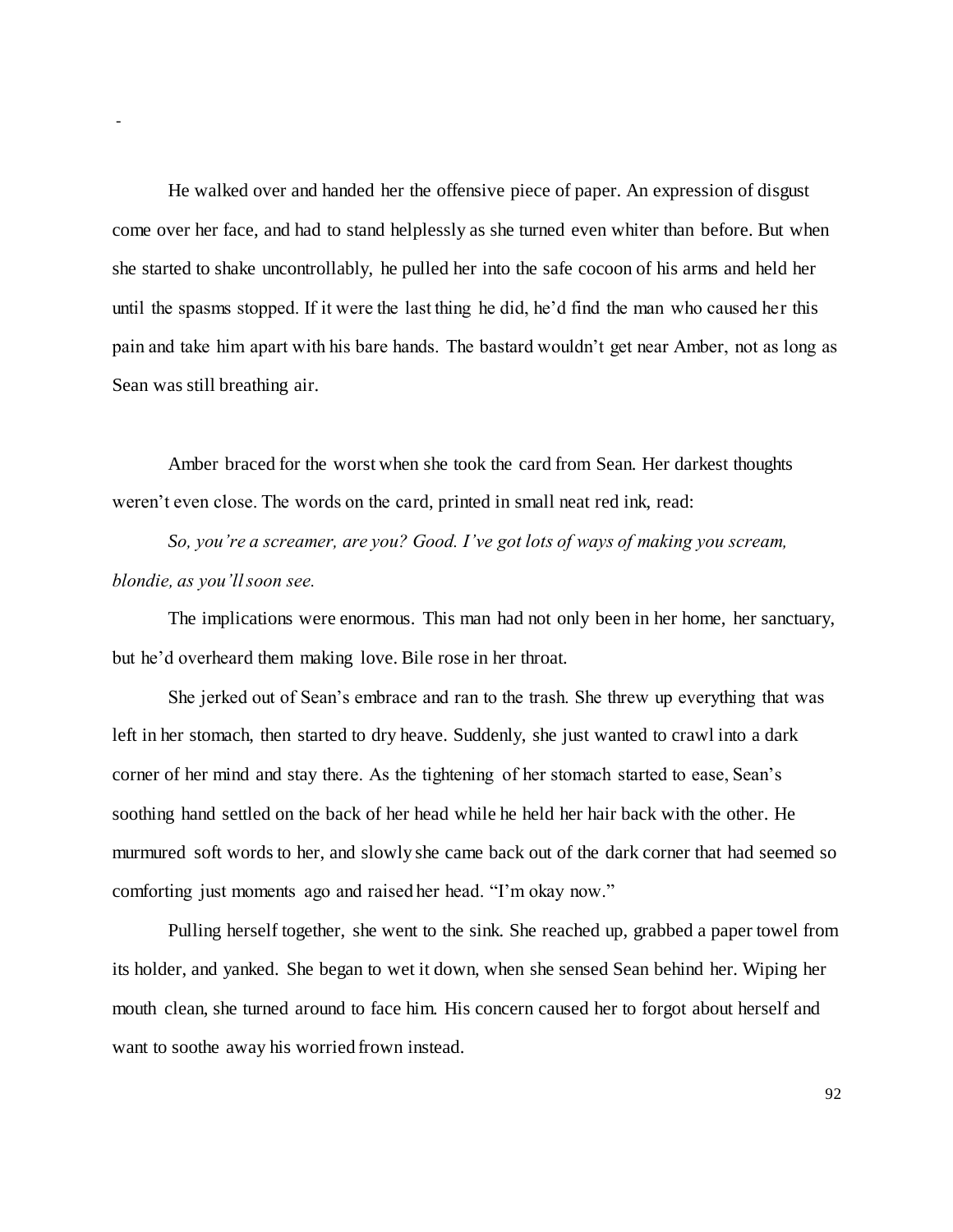He walked over and handed her the offensive piece of paper. An expression of disgust come over her face, and had to stand helplessly as she turned even whiter than before. But when she started to shake uncontrollably, he pulled her into the safe cocoon of his arms and held her until the spasms stopped. If it were the last thing he did, he'd find the man who caused her this pain and take him apart with his bare hands. The bastard wouldn't get near Amber, not as long as Sean was still breathing air.

-

Amber braced for the worst when she took the card from Sean. Her darkest thoughts weren't even close. The words on the card, printed in small neat red ink, read:

*So, you're a screamer, are you? Good. I've got lots of ways of making you scream, blondie, as you'll soon see.*

The implications were enormous. This man had not only been in her home, her sanctuary, but he'd overheard them making love. Bile rose in her throat.

She jerked out of Sean's embrace and ran to the trash. She threw up everything that was left in her stomach, then started to dry heave. Suddenly, she just wanted to crawl into a dark corner of her mind and stay there. As the tightening of her stomach started to ease, Sean's soothing hand settled on the back of her head while he held her hair back with the other. He murmured soft words to her, and slowly she came back out of the dark corner that had seemed so comforting just moments ago and raised her head. "I'm okay now."

Pulling herself together, she went to the sink. She reached up, grabbed a paper towel from its holder, and yanked. She began to wet it down, when she sensed Sean behind her. Wiping her mouth clean, she turned around to face him. His concern caused her to forgot about herself and want to soothe away his worried frown instead.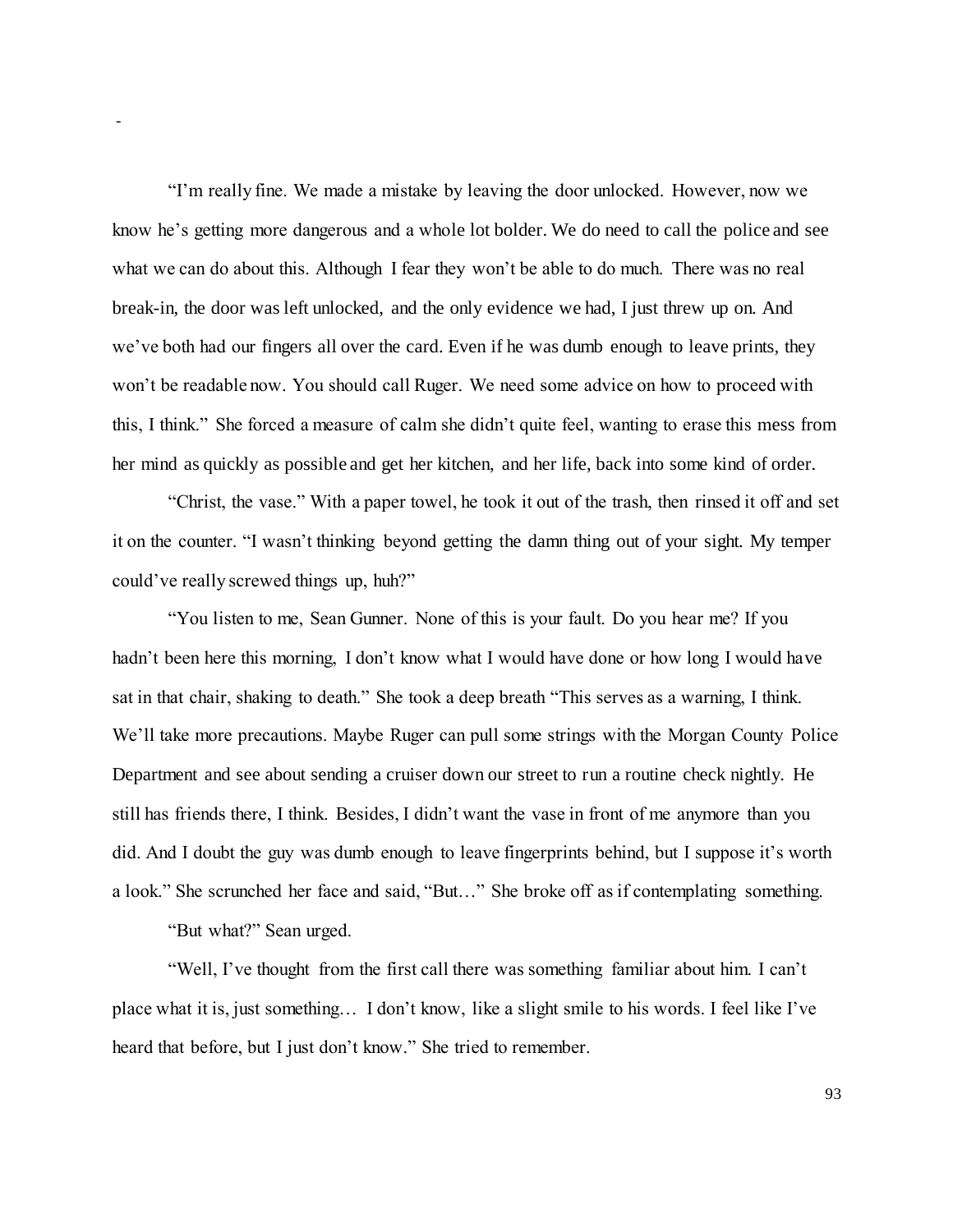"I'm really fine. We made a mistake by leaving the door unlocked. However, now we know he's getting more dangerous and a whole lot bolder. We do need to call the police and see what we can do about this. Although I fear they won't be able to do much. There was no real break-in, the door was left unlocked, and the only evidence we had, I just threw up on. And we've both had our fingers all over the card. Even if he was dumb enough to leave prints, they won't be readable now. You should call Ruger. We need some advice on how to proceed with this, I think." She forced a measure of calm she didn't quite feel, wanting to erase this mess from her mind as quickly as possible and get her kitchen, and her life, back into some kind of order.

"Christ, the vase." With a paper towel, he took it out of the trash, then rinsed it off and set it on the counter. "I wasn't thinking beyond getting the damn thing out of your sight. My temper could've really screwed things up, huh?"

"You listen to me, Sean Gunner. None of this is your fault. Do you hear me? If you hadn't been here this morning, I don't know what I would have done or how long I would have sat in that chair, shaking to death." She took a deep breath "This serves as a warning, I think. We'll take more precautions. Maybe Ruger can pull some strings with the Morgan County Police Department and see about sending a cruiser down our street to run a routine check nightly. He still has friends there, I think. Besides, I didn't want the vase in front of me anymore than you did. And I doubt the guy was dumb enough to leave fingerprints behind, but I suppose it's worth a look." She scrunched her face and said, "But…" She broke off as if contemplating something.

"But what?" Sean urged.

-

"Well, I've thought from the first call there was something familiar about him. I can't place what it is, just something… I don't know, like a slight smile to his words. I feel like I've heard that before, but I just don't know." She tried to remember.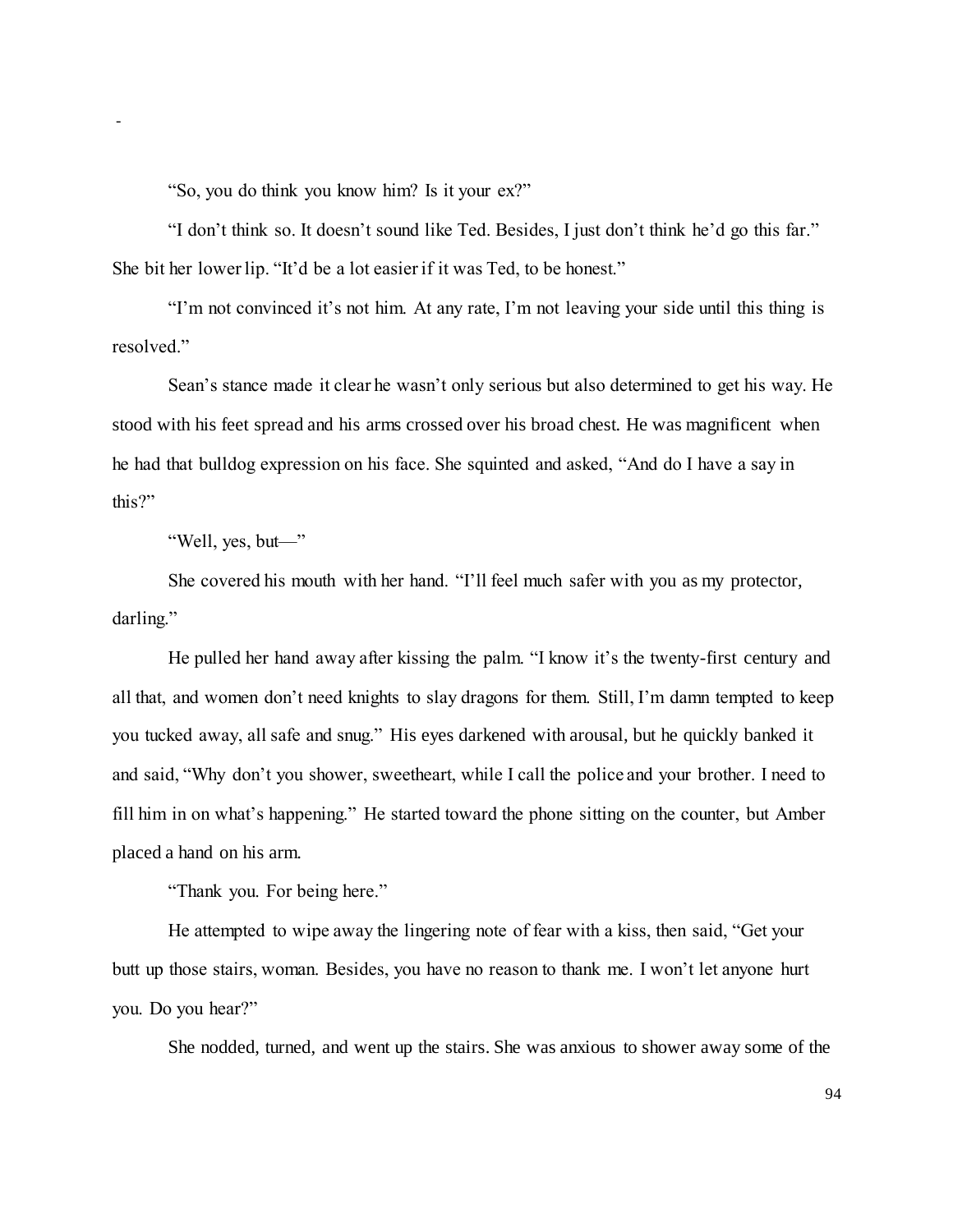"So, you do think you know him? Is it your ex?"

"I don't think so. It doesn't sound like Ted. Besides, I just don't think he'd go this far." She bit her lower lip. "It'd be a lot easier if it was Ted, to be honest."

"I'm not convinced it's not him. At any rate, I'm not leaving your side until this thing is resolved."

Sean's stance made it clear he wasn't only serious but also determined to get his way. He stood with his feet spread and his arms crossed over his broad chest. He was magnificent when he had that bulldog expression on his face. She squinted and asked, "And do I have a say in this?"

"Well, yes, but—"

-

She covered his mouth with her hand. "I'll feel much safer with you as my protector, darling."

He pulled her hand away after kissing the palm. "I know it's the twenty-first century and all that, and women don't need knights to slay dragons for them. Still, I'm damn tempted to keep you tucked away, all safe and snug." His eyes darkened with arousal, but he quickly banked it and said, "Why don't you shower, sweetheart, while I call the police and your brother. I need to fill him in on what's happening." He started toward the phone sitting on the counter, but Amber placed a hand on his arm.

"Thank you. For being here."

He attempted to wipe away the lingering note of fear with a kiss, then said, "Get your butt up those stairs, woman. Besides, you have no reason to thank me. I won't let anyone hurt you. Do you hear?"

She nodded, turned, and went up the stairs. She was anxious to shower away some of the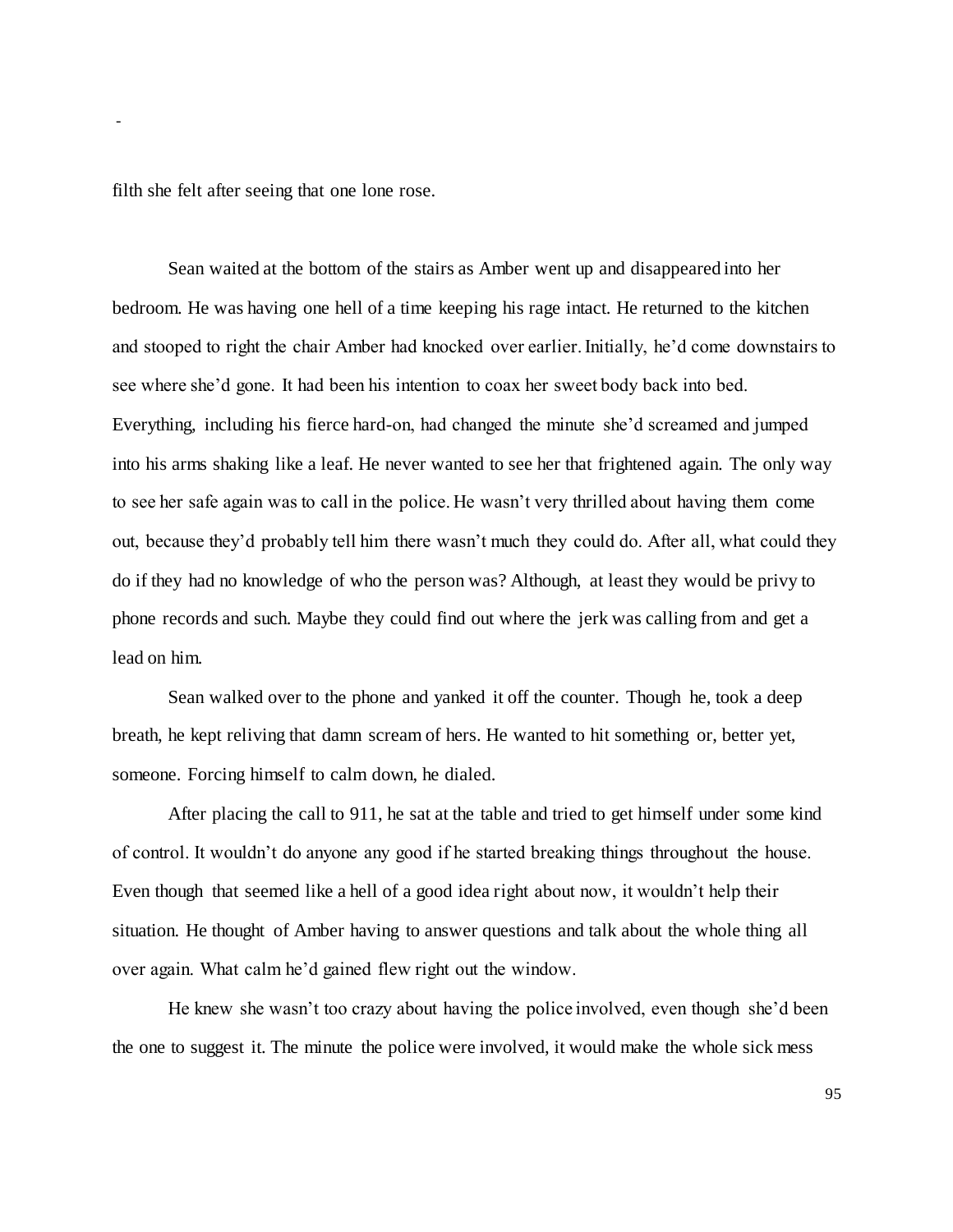filth she felt after seeing that one lone rose.

-

Sean waited at the bottom of the stairs as Amber went up and disappeared into her bedroom. He was having one hell of a time keeping his rage intact. He returned to the kitchen and stooped to right the chair Amber had knocked over earlier. Initially, he'd come downstairs to see where she'd gone. It had been his intention to coax her sweet body back into bed. Everything, including his fierce hard-on, had changed the minute she'd screamed and jumped into his arms shaking like a leaf. He never wanted to see her that frightened again. The only way to see her safe again was to call in the police. He wasn't very thrilled about having them come out, because they'd probably tell him there wasn't much they could do. After all, what could they do if they had no knowledge of who the person was? Although, at least they would be privy to phone records and such. Maybe they could find out where the jerk was calling from and get a lead on him.

Sean walked over to the phone and yanked it off the counter. Though he, took a deep breath, he kept reliving that damn scream of hers. He wanted to hit something or, better yet, someone. Forcing himself to calm down, he dialed.

After placing the call to 911, he sat at the table and tried to get himself under some kind of control. It wouldn't do anyone any good if he started breaking things throughout the house. Even though that seemed like a hell of a good idea right about now, it wouldn't help their situation. He thought of Amber having to answer questions and talk about the whole thing all over again. What calm he'd gained flew right out the window.

He knew she wasn't too crazy about having the police involved, even though she'd been the one to suggest it. The minute the police were involved, it would make the whole sick mess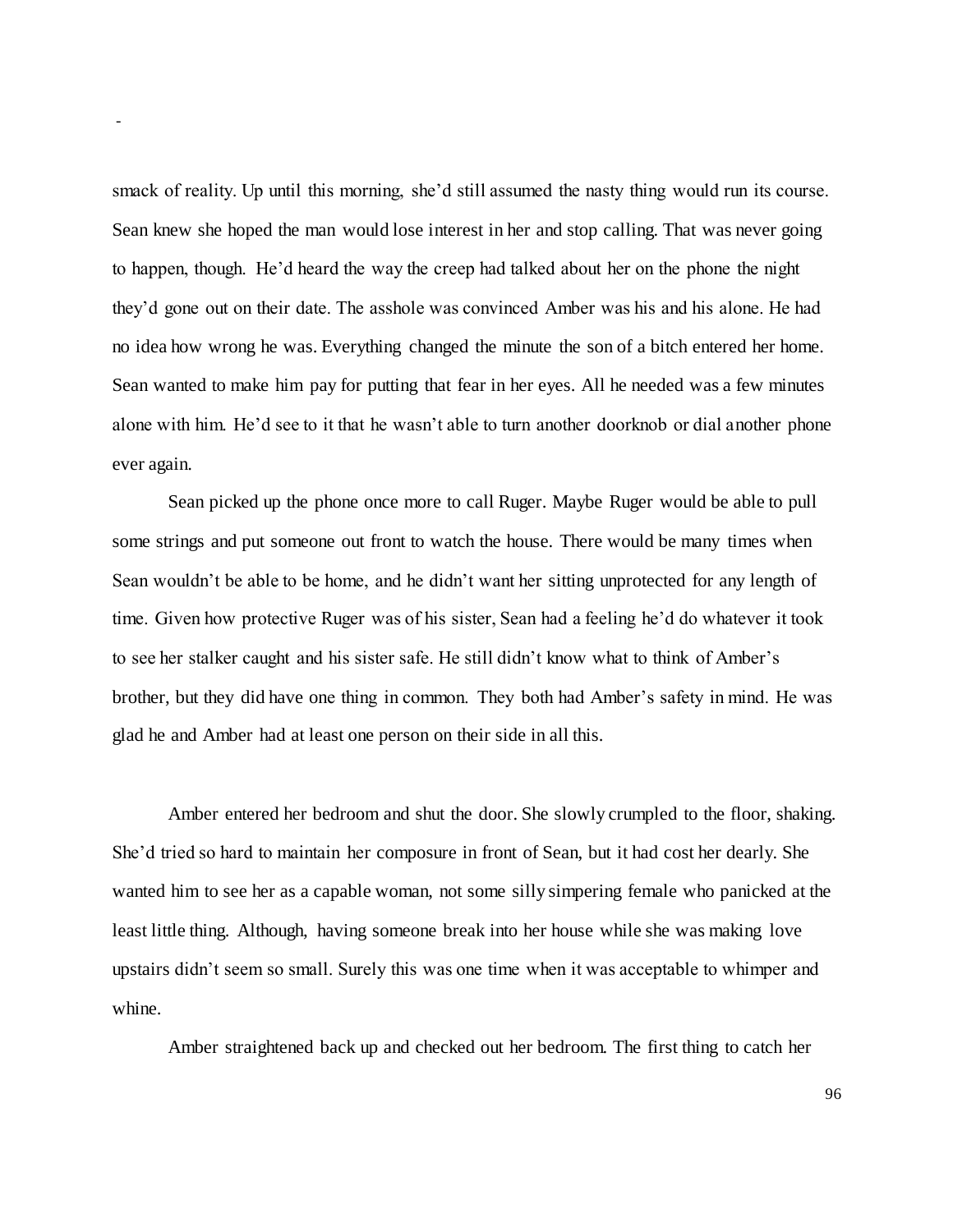smack of reality. Up until this morning, she'd still assumed the nasty thing would run its course. Sean knew she hoped the man would lose interest in her and stop calling. That was never going to happen, though. He'd heard the way the creep had talked about her on the phone the night they'd gone out on their date. The asshole was convinced Amber was his and his alone. He had no idea how wrong he was. Everything changed the minute the son of a bitch entered her home. Sean wanted to make him pay for putting that fear in her eyes. All he needed was a few minutes alone with him. He'd see to it that he wasn't able to turn another doorknob or dial another phone ever again.

-

Sean picked up the phone once more to call Ruger. Maybe Ruger would be able to pull some strings and put someone out front to watch the house. There would be many times when Sean wouldn't be able to be home, and he didn't want her sitting unprotected for any length of time. Given how protective Ruger was of his sister, Sean had a feeling he'd do whatever it took to see her stalker caught and his sister safe. He still didn't know what to think of Amber's brother, but they did have one thing in common. They both had Amber's safety in mind. He was glad he and Amber had at least one person on their side in all this.

Amber entered her bedroom and shut the door. She slowly crumpled to the floor, shaking. She'd tried so hard to maintain her composure in front of Sean, but it had cost her dearly. She wanted him to see her as a capable woman, not some silly simpering female who panicked at the least little thing. Although, having someone break into her house while she was making love upstairs didn't seem so small. Surely this was one time when it was acceptable to whimper and whine.

Amber straightened back up and checked out her bedroom. The first thing to catch her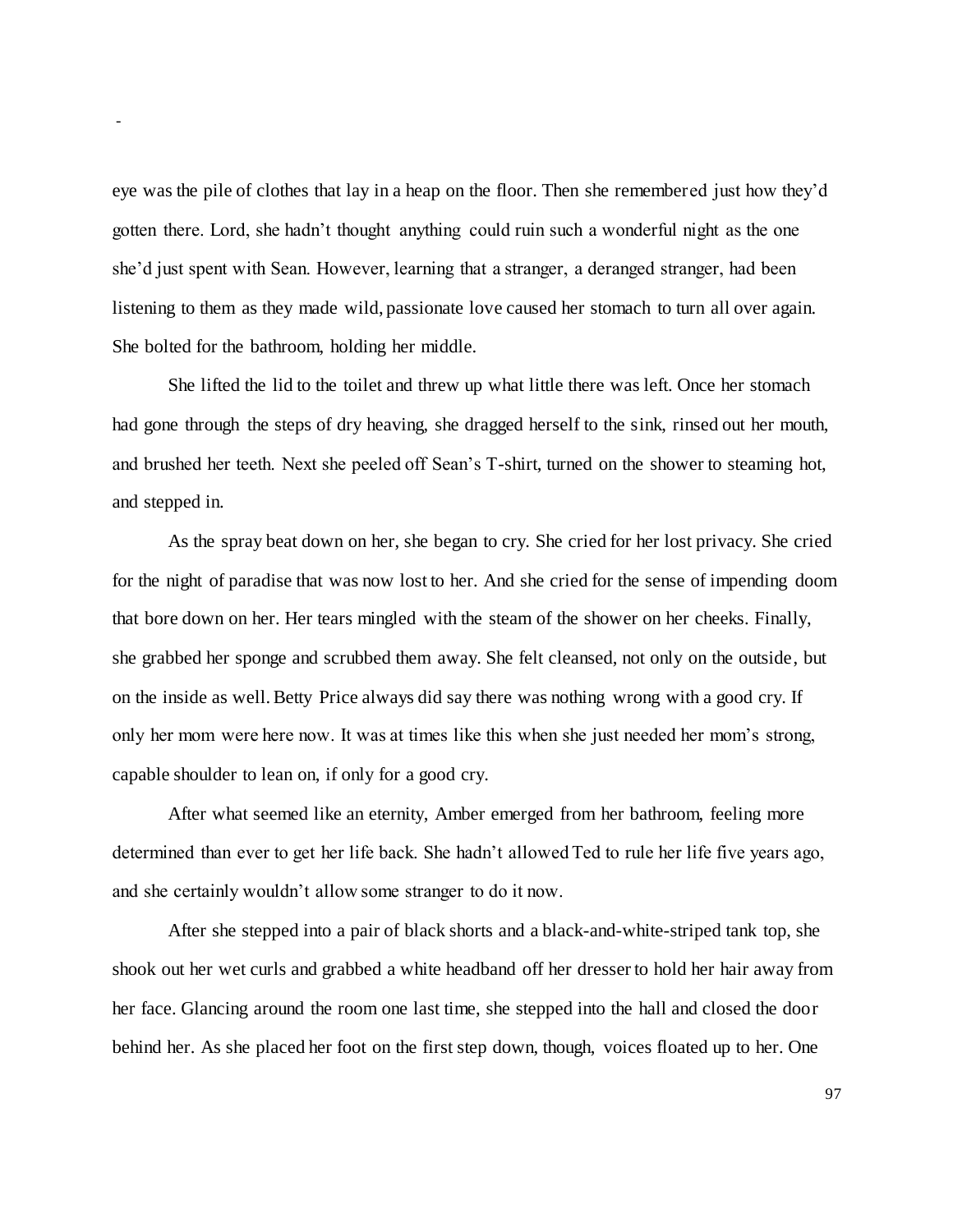eye was the pile of clothes that lay in a heap on the floor. Then she remembered just how they'd gotten there. Lord, she hadn't thought anything could ruin such a wonderful night as the one she'd just spent with Sean. However, learning that a stranger, a deranged stranger, had been listening to them as they made wild, passionate love caused her stomach to turn all over again. She bolted for the bathroom, holding her middle.

-

She lifted the lid to the toilet and threw up what little there was left. Once her stomach had gone through the steps of dry heaving, she dragged herself to the sink, rinsed out her mouth, and brushed her teeth. Next she peeled off Sean's T-shirt, turned on the shower to steaming hot, and stepped in.

As the spray beat down on her, she began to cry. She cried for her lost privacy. She cried for the night of paradise that was now lost to her. And she cried for the sense of impending doom that bore down on her. Her tears mingled with the steam of the shower on her cheeks. Finally, she grabbed her sponge and scrubbed them away. She felt cleansed, not only on the outside, but on the inside as well. Betty Price always did say there was nothing wrong with a good cry. If only her mom were here now. It was at times like this when she just needed her mom's strong, capable shoulder to lean on, if only for a good cry.

After what seemed like an eternity, Amber emerged from her bathroom, feeling more determined than ever to get her life back. She hadn't allowed Ted to rule her life five years ago, and she certainly wouldn't allow some stranger to do it now.

After she stepped into a pair of black shorts and a black-and-white-striped tank top, she shook out her wet curls and grabbed a white headband off her dresser to hold her hair away from her face. Glancing around the room one last time, she stepped into the hall and closed the door behind her. As she placed her foot on the first step down, though, voices floated up to her. One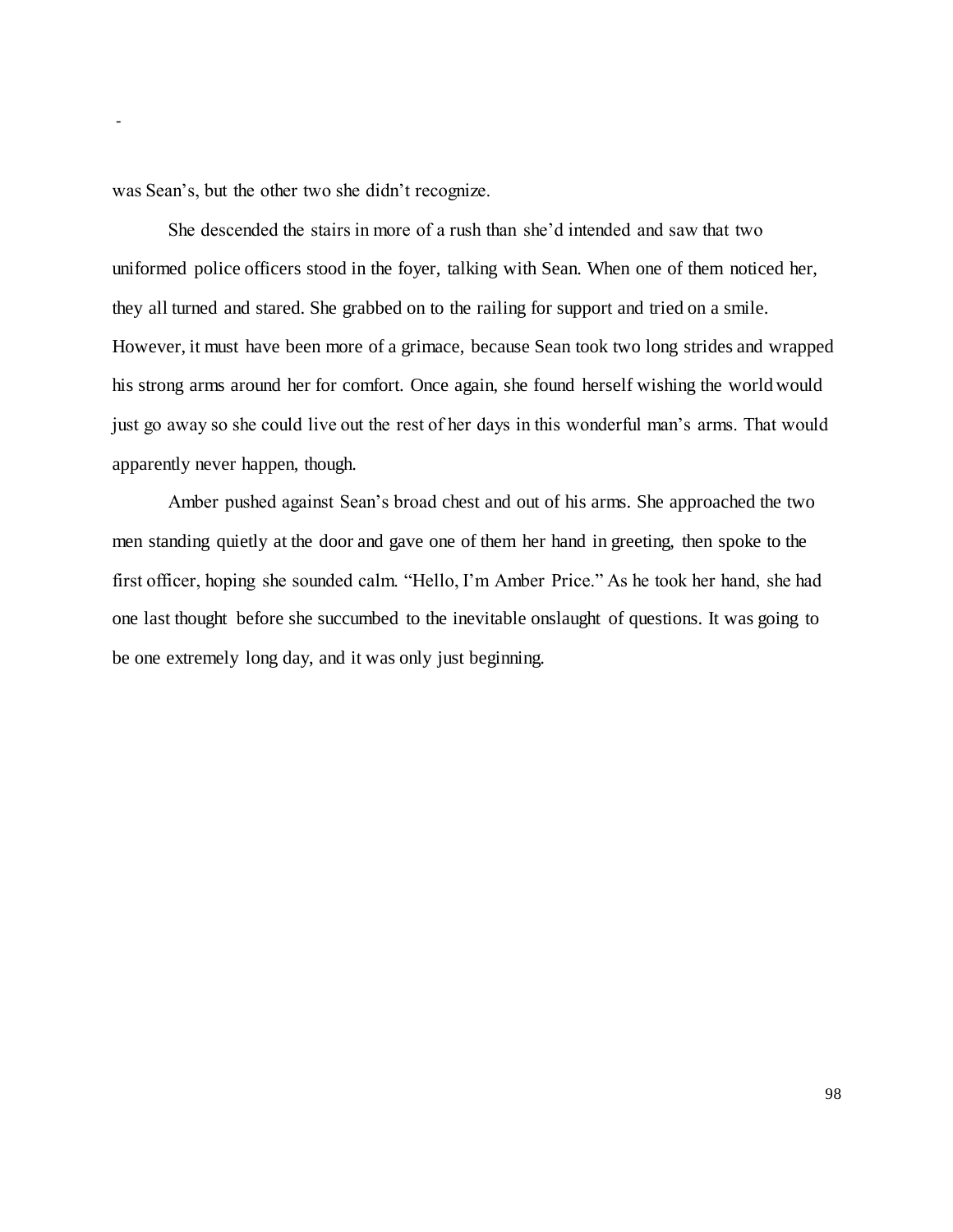was Sean's, but the other two she didn't recognize.

-

She descended the stairs in more of a rush than she'd intended and saw that two uniformed police officers stood in the foyer, talking with Sean. When one of them noticed her, they all turned and stared. She grabbed on to the railing for support and tried on a smile. However, it must have been more of a grimace, because Sean took two long strides and wrapped his strong arms around her for comfort. Once again, she found herself wishing the world would just go away so she could live out the rest of her days in this wonderful man's arms. That would apparently never happen, though.

Amber pushed against Sean's broad chest and out of his arms. She approached the two men standing quietly at the door and gave one of them her hand in greeting, then spoke to the first officer, hoping she sounded calm. "Hello, I'm Amber Price." As he took her hand, she had one last thought before she succumbed to the inevitable onslaught of questions. It was going to be one extremely long day, and it was only just beginning.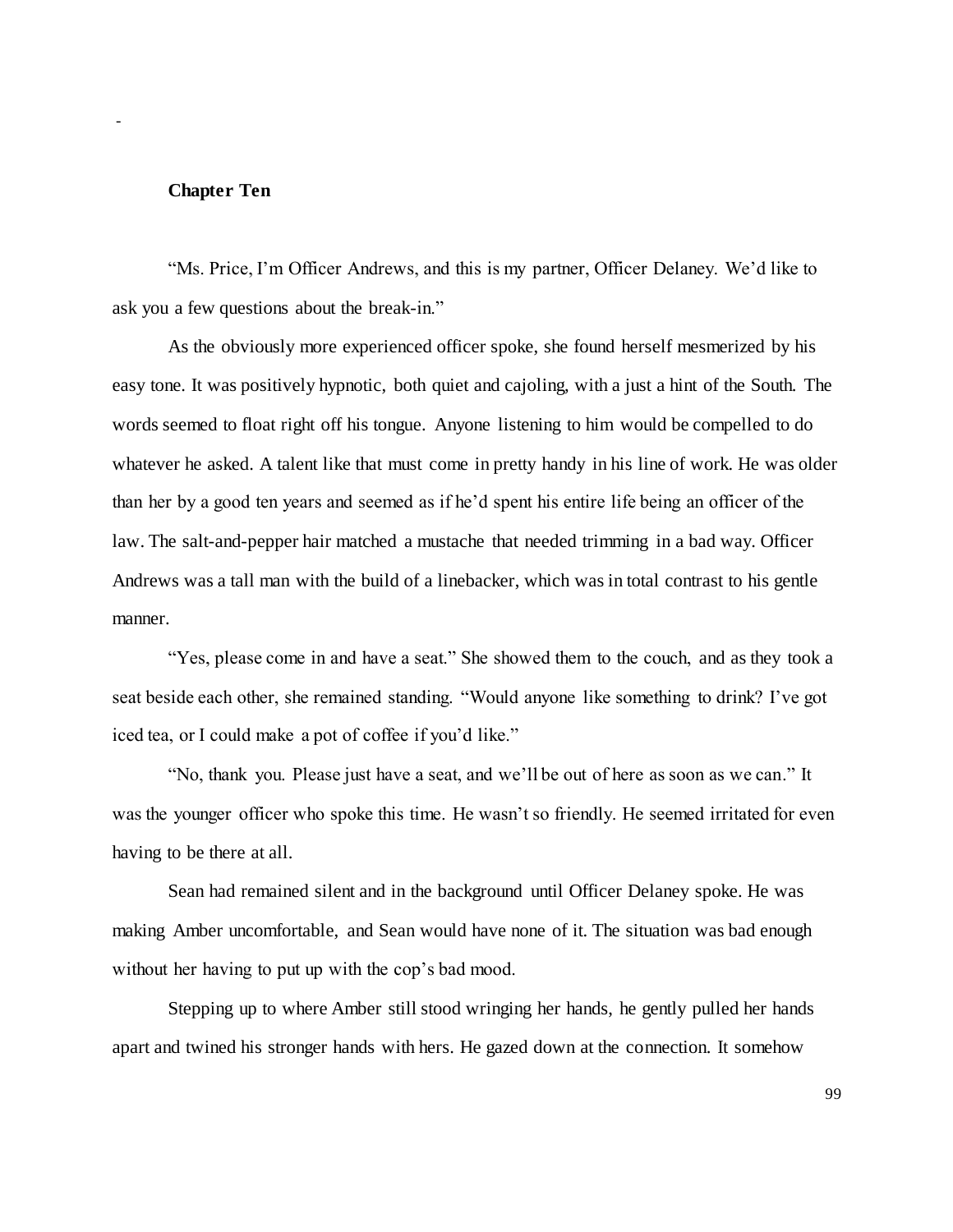## **Chapter Ten**

-

"Ms. Price, I'm Officer Andrews, and this is my partner, Officer Delaney. We'd like to ask you a few questions about the break-in."

As the obviously more experienced officer spoke, she found herself mesmerized by his easy tone. It was positively hypnotic, both quiet and cajoling, with a just a hint of the South. The words seemed to float right off his tongue. Anyone listening to him would be compelled to do whatever he asked. A talent like that must come in pretty handy in his line of work. He was older than her by a good ten years and seemed as if he'd spent his entire life being an officer of the law. The salt-and-pepper hair matched a mustache that needed trimming in a bad way. Officer Andrews was a tall man with the build of a linebacker, which was in total contrast to his gentle manner.

"Yes, please come in and have a seat." She showed them to the couch, and as they took a seat beside each other, she remained standing. "Would anyone like something to drink? I've got iced tea, or I could make a pot of coffee if you'd like."

"No, thank you. Please just have a seat, and we'll be out of here as soon as we can." It was the younger officer who spoke this time. He wasn't so friendly. He seemed irritated for even having to be there at all.

Sean had remained silent and in the background until Officer Delaney spoke. He was making Amber uncomfortable, and Sean would have none of it. The situation was bad enough without her having to put up with the cop's bad mood.

Stepping up to where Amber still stood wringing her hands, he gently pulled her hands apart and twined his stronger hands with hers. He gazed down at the connection. It somehow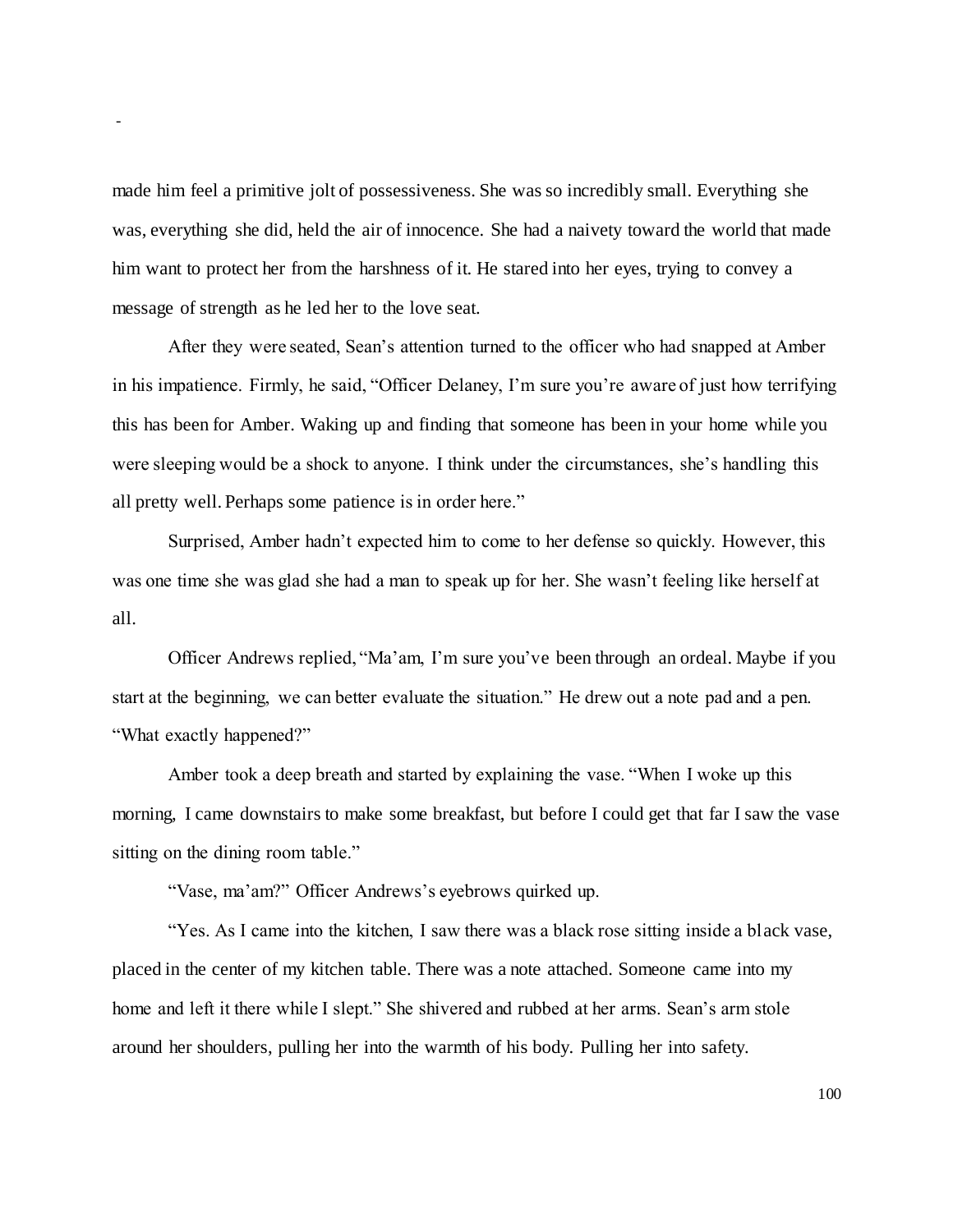made him feel a primitive jolt of possessiveness. She was so incredibly small. Everything she was, everything she did, held the air of innocence. She had a naivety toward the world that made him want to protect her from the harshness of it. He stared into her eyes, trying to convey a message of strength as he led her to the love seat.

-

After they were seated, Sean's attention turned to the officer who had snapped at Amber in his impatience. Firmly, he said, "Officer Delaney, I'm sure you're aware of just how terrifying this has been for Amber. Waking up and finding that someone has been in your home while you were sleeping would be a shock to anyone. I think under the circumstances, she's handling this all pretty well. Perhaps some patience is in order here."

Surprised, Amber hadn't expected him to come to her defense so quickly. However, this was one time she was glad she had a man to speak up for her. She wasn't feeling like herself at all.

Officer Andrews replied, "Ma'am, I'm sure you've been through an ordeal. Maybe if you start at the beginning, we can better evaluate the situation." He drew out a note pad and a pen. "What exactly happened?"

Amber took a deep breath and started by explaining the vase. "When I woke up this morning, I came downstairs to make some breakfast, but before I could get that far I saw the vase sitting on the dining room table."

"Vase, ma'am?" Officer Andrews's eyebrows quirked up.

"Yes. As I came into the kitchen, I saw there was a black rose sitting inside a black vase, placed in the center of my kitchen table. There was a note attached. Someone came into my home and left it there while I slept." She shivered and rubbed at her arms. Sean's arm stole around her shoulders, pulling her into the warmth of his body. Pulling her into safety.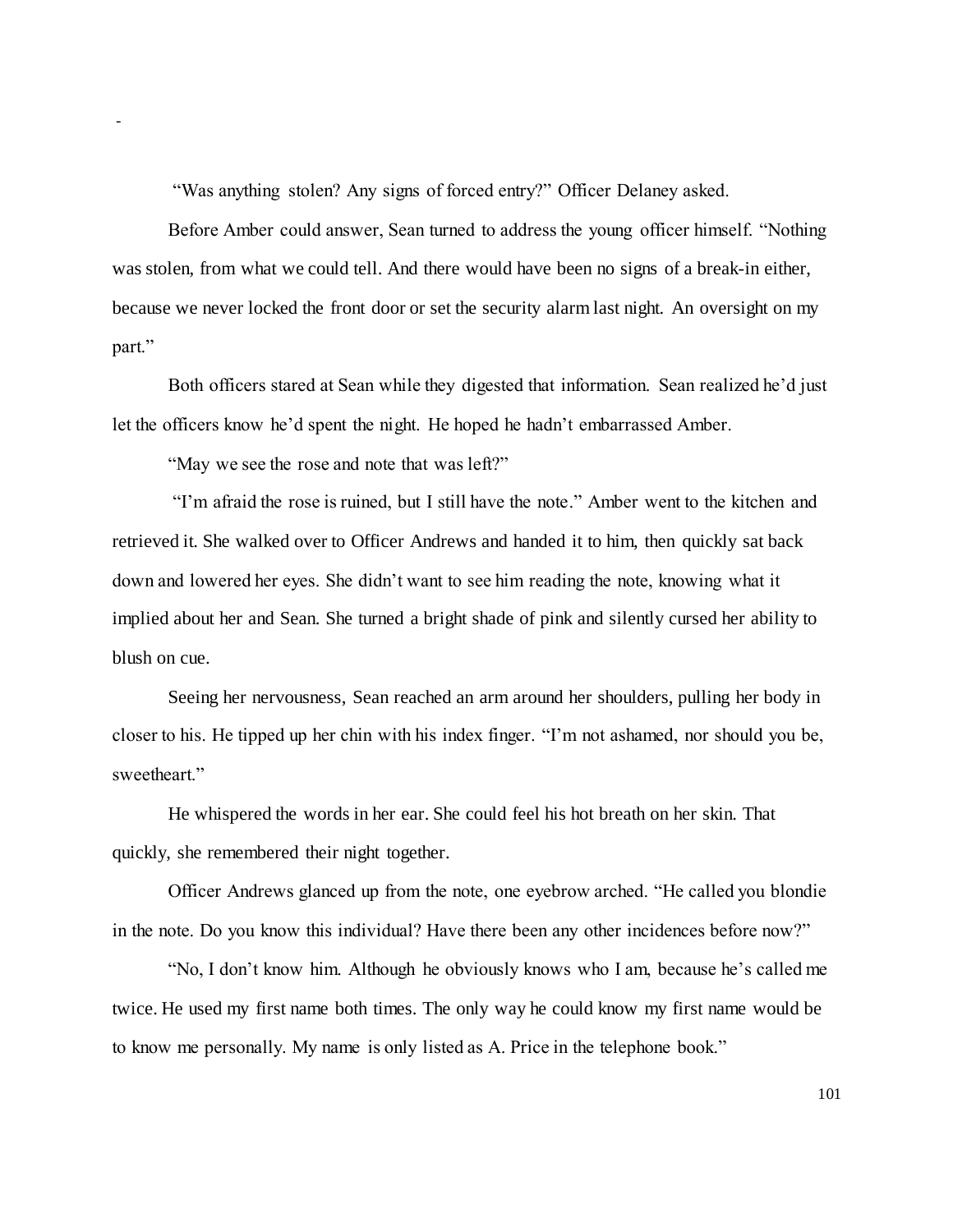"Was anything stolen? Any signs of forced entry?" Officer Delaney asked.

Before Amber could answer, Sean turned to address the young officer himself. "Nothing was stolen, from what we could tell. And there would have been no signs of a break-in either, because we never locked the front door or set the security alarm last night. An oversight on my part."

Both officers stared at Sean while they digested that information. Sean realized he'd just let the officers know he'd spent the night. He hoped he hadn't embarrassed Amber.

"May we see the rose and note that was left?"

-

"I'm afraid the rose is ruined, but I still have the note." Amber went to the kitchen and retrieved it. She walked over to Officer Andrews and handed it to him, then quickly sat back down and lowered her eyes. She didn't want to see him reading the note, knowing what it implied about her and Sean. She turned a bright shade of pink and silently cursed her ability to blush on cue.

Seeing her nervousness, Sean reached an arm around her shoulders, pulling her body in closer to his. He tipped up her chin with his index finger. "I'm not ashamed, nor should you be, sweetheart."

He whispered the words in her ear. She could feel his hot breath on her skin. That quickly, she remembered their night together.

Officer Andrews glanced up from the note, one eyebrow arched. "He called you blondie in the note. Do you know this individual? Have there been any other incidences before now?"

"No, I don't know him. Although he obviously knows who I am, because he's called me twice. He used my first name both times. The only way he could know my first name would be to know me personally. My name is only listed as A. Price in the telephone book."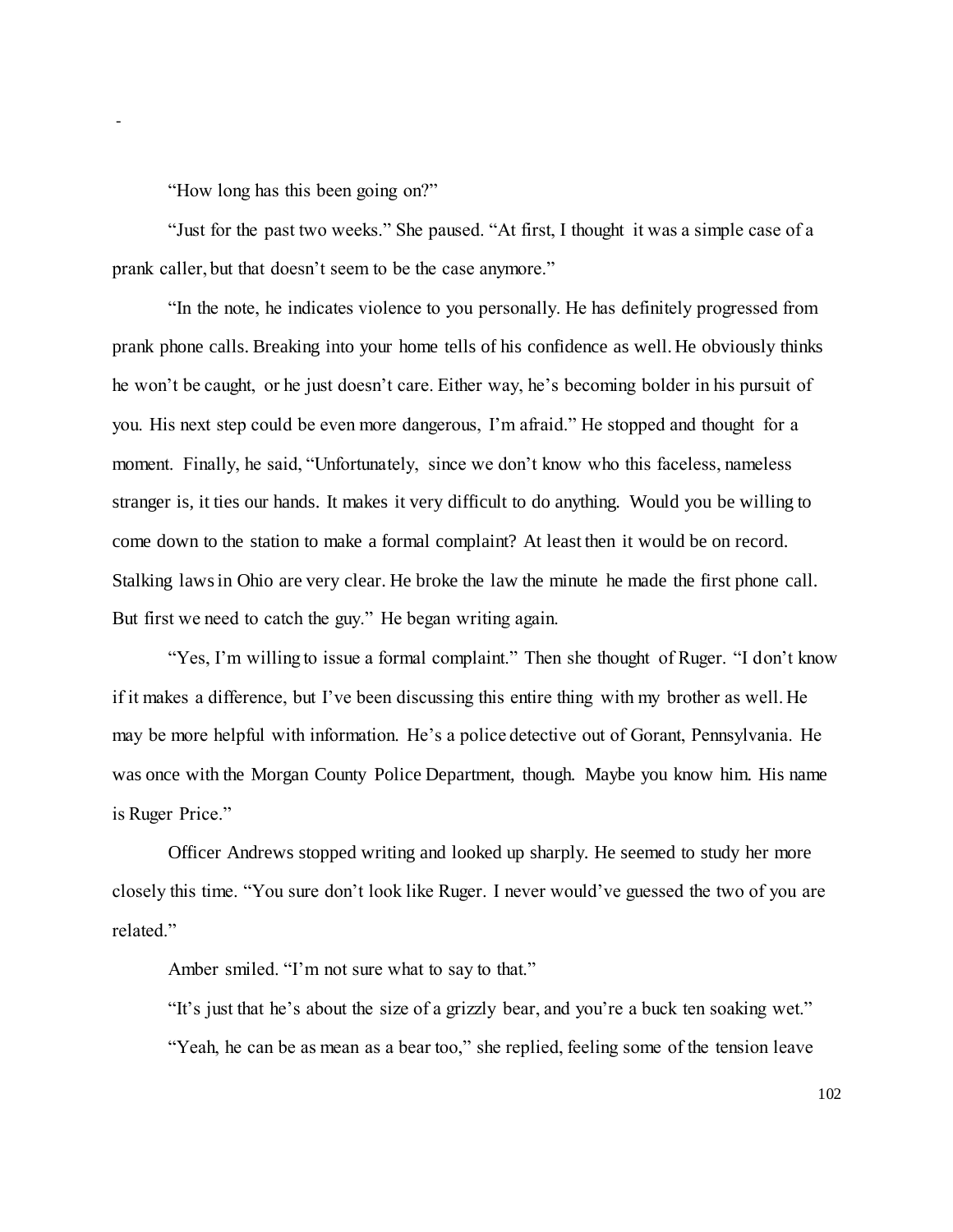"How long has this been going on?"

-

"Just for the past two weeks." She paused. "At first, I thought it was a simple case of a prank caller, but that doesn't seem to be the case anymore."

"In the note, he indicates violence to you personally. He has definitely progressed from prank phone calls. Breaking into your home tells of his confidence as well. He obviously thinks he won't be caught, or he just doesn't care. Either way, he's becoming bolder in his pursuit of you. His next step could be even more dangerous, I'm afraid." He stopped and thought for a moment. Finally, he said, "Unfortunately, since we don't know who this faceless, nameless stranger is, it ties our hands. It makes it very difficult to do anything. Would you be willing to come down to the station to make a formal complaint? At least then it would be on record. Stalking laws in Ohio are very clear. He broke the law the minute he made the first phone call. But first we need to catch the guy." He began writing again.

"Yes, I'm willing to issue a formal complaint." Then she thought of Ruger. "I don't know if it makes a difference, but I've been discussing this entire thing with my brother as well. He may be more helpful with information. He's a police detective out of Gorant, Pennsylvania. He was once with the Morgan County Police Department, though. Maybe you know him. His name is Ruger Price."

Officer Andrews stopped writing and looked up sharply. He seemed to study her more closely this time. "You sure don't look like Ruger. I never would've guessed the two of you are related."

Amber smiled. "I'm not sure what to say to that."

"It's just that he's about the size of a grizzly bear, and you're a buck ten soaking wet." "Yeah, he can be as mean as a bear too," she replied, feeling some of the tension leave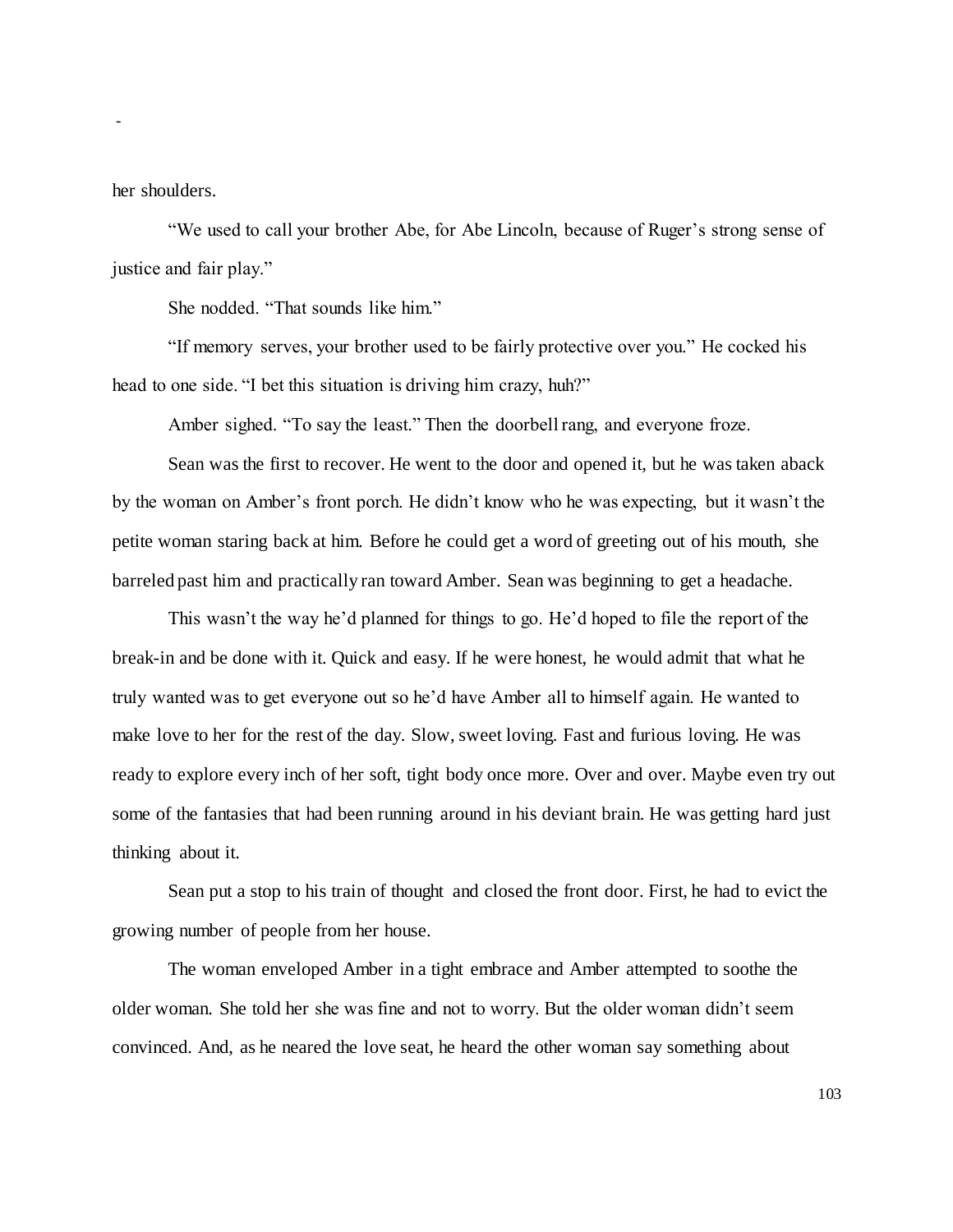her shoulders.

-

"We used to call your brother Abe, for Abe Lincoln, because of Ruger's strong sense of justice and fair play."

She nodded. "That sounds like him."

"If memory serves, your brother used to be fairly protective over you." He cocked his head to one side. "I bet this situation is driving him crazy, huh?"

Amber sighed. "To say the least." Then the doorbell rang, and everyone froze.

Sean was the first to recover. He went to the door and opened it, but he was taken aback by the woman on Amber's front porch. He didn't know who he was expecting, but it wasn't the petite woman staring back at him. Before he could get a word of greeting out of his mouth, she barreled past him and practically ran toward Amber. Sean was beginning to get a headache.

This wasn't the way he'd planned for things to go. He'd hoped to file the report of the break-in and be done with it. Quick and easy. If he were honest, he would admit that what he truly wanted was to get everyone out so he'd have Amber all to himself again. He wanted to make love to her for the rest of the day. Slow, sweet loving. Fast and furious loving. He was ready to explore every inch of her soft, tight body once more. Over and over. Maybe even try out some of the fantasies that had been running around in his deviant brain. He was getting hard just thinking about it.

Sean put a stop to his train of thought and closed the front door. First, he had to evict the growing number of people from her house.

The woman enveloped Amber in a tight embrace and Amber attempted to soothe the older woman. She told her she was fine and not to worry. But the older woman didn't seem convinced. And, as he neared the love seat, he heard the other woman say something about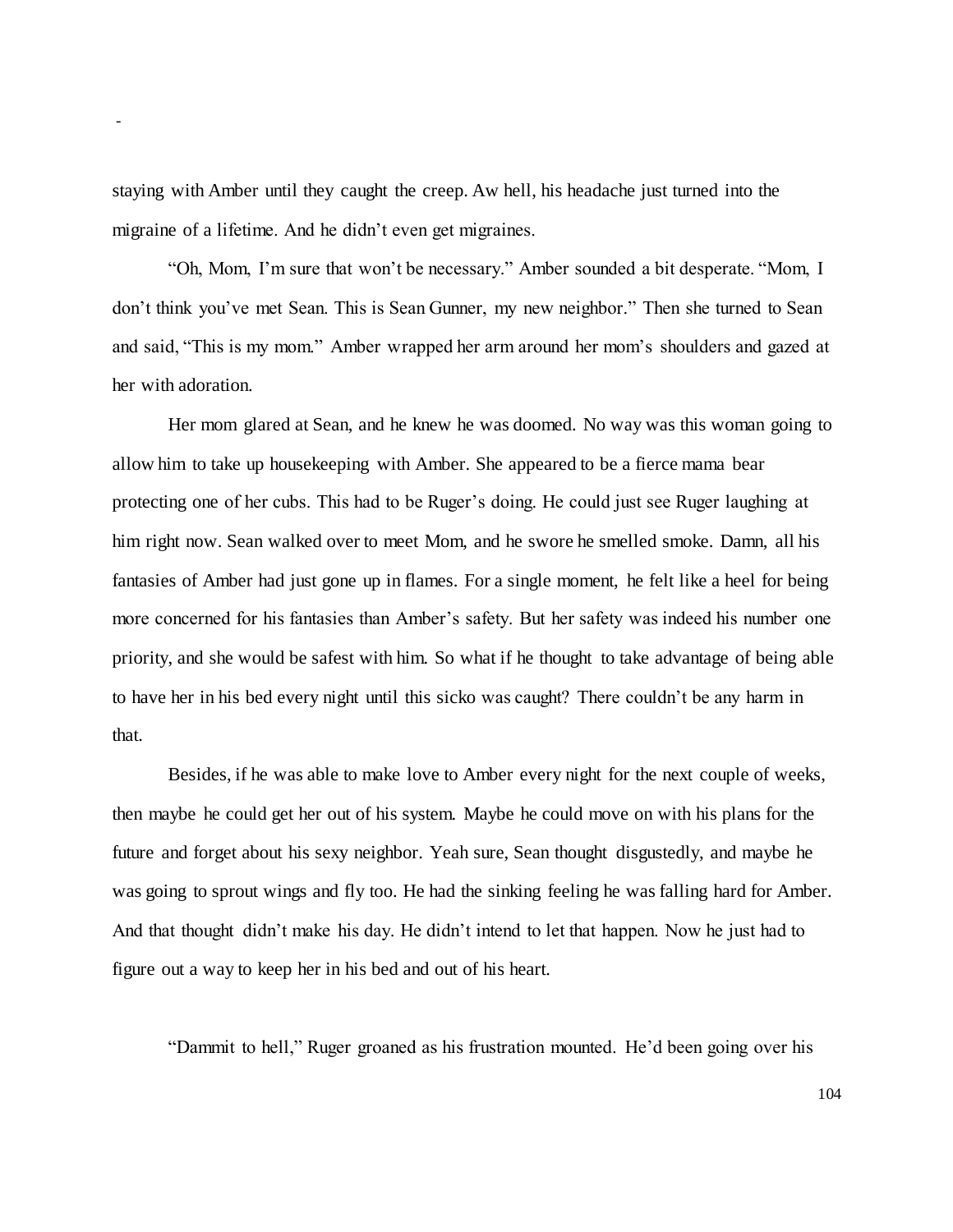staying with Amber until they caught the creep. Aw hell, his headache just turned into the migraine of a lifetime. And he didn't even get migraines.

-

"Oh, Mom, I'm sure that won't be necessary." Amber sounded a bit desperate. "Mom, I don't think you've met Sean. This is Sean Gunner, my new neighbor." Then she turned to Sean and said, "This is my mom." Amber wrapped her arm around her mom's shoulders and gazed at her with adoration.

Her mom glared at Sean, and he knew he was doomed. No way was this woman going to allow him to take up housekeeping with Amber. She appeared to be a fierce mama bear protecting one of her cubs. This had to be Ruger's doing. He could just see Ruger laughing at him right now. Sean walked over to meet Mom, and he swore he smelled smoke. Damn, all his fantasies of Amber had just gone up in flames. For a single moment, he felt like a heel for being more concerned for his fantasies than Amber's safety. But her safety was indeed his number one priority, and she would be safest with him. So what if he thought to take advantage of being able to have her in his bed every night until this sicko was caught? There couldn't be any harm in that.

Besides, if he was able to make love to Amber every night for the next couple of weeks, then maybe he could get her out of his system. Maybe he could move on with his plans for the future and forget about his sexy neighbor. Yeah sure, Sean thought disgustedly, and maybe he was going to sprout wings and fly too. He had the sinking feeling he was falling hard for Amber. And that thought didn't make his day. He didn't intend to let that happen. Now he just had to figure out a way to keep her in his bed and out of his heart.

"Dammit to hell," Ruger groaned as his frustration mounted. He'd been going over his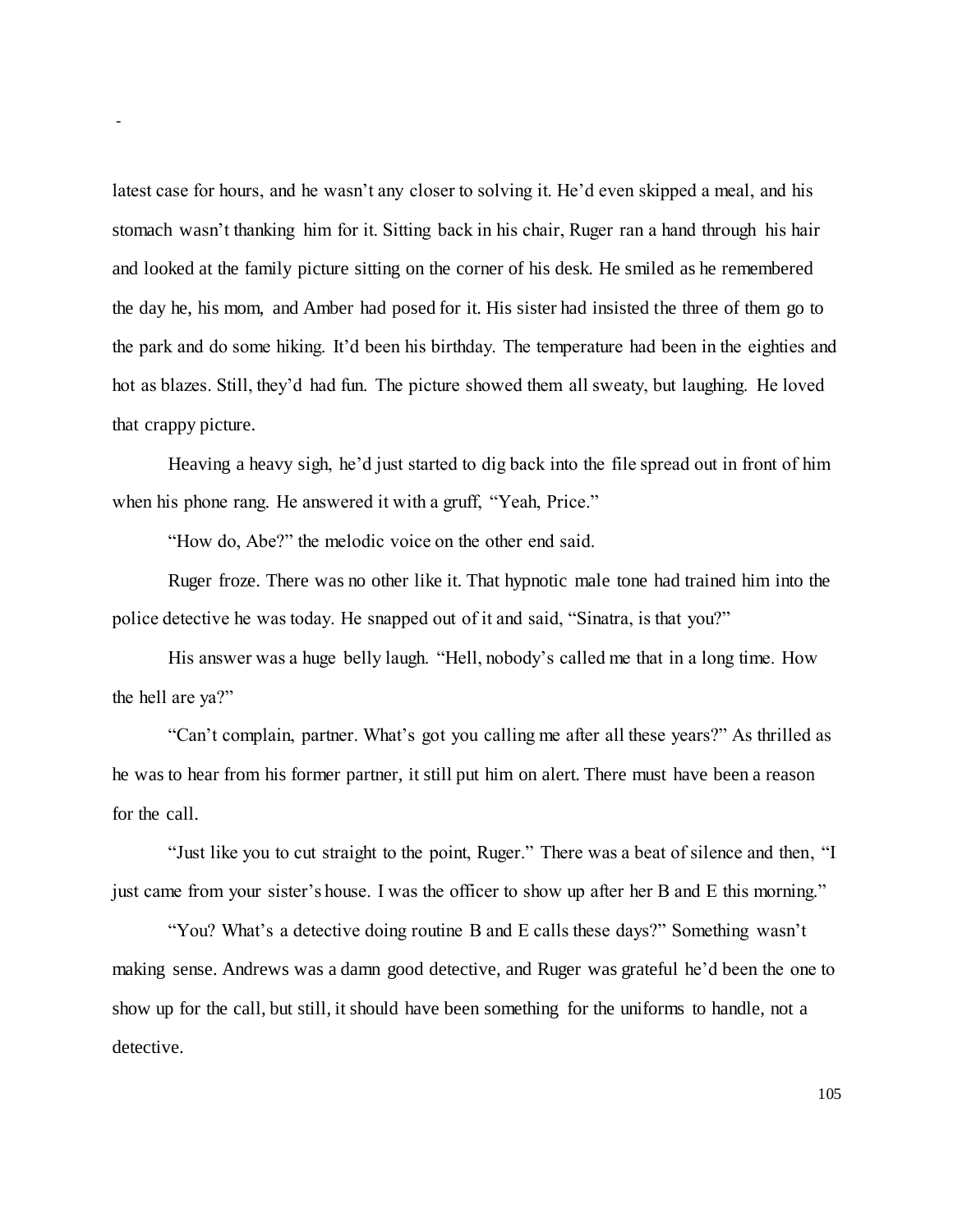latest case for hours, and he wasn't any closer to solving it. He'd even skipped a meal, and his stomach wasn't thanking him for it. Sitting back in his chair, Ruger ran a hand through his hair and looked at the family picture sitting on the corner of his desk. He smiled as he remembered the day he, his mom, and Amber had posed for it. His sister had insisted the three of them go to the park and do some hiking. It'd been his birthday. The temperature had been in the eighties and hot as blazes. Still, they'd had fun. The picture showed them all sweaty, but laughing. He loved that crappy picture.

Heaving a heavy sigh, he'd just started to dig back into the file spread out in front of him when his phone rang. He answered it with a gruff, "Yeah, Price."

"How do, Abe?" the melodic voice on the other end said.

-

Ruger froze. There was no other like it. That hypnotic male tone had trained him into the police detective he was today. He snapped out of it and said, "Sinatra, is that you?"

His answer was a huge belly laugh. "Hell, nobody's called me that in a long time. How the hell are ya?"

"Can't complain, partner. What's got you calling me after all these years?" As thrilled as he was to hear from his former partner, it still put him on alert. There must have been a reason for the call.

"Just like you to cut straight to the point, Ruger." There was a beat of silence and then, "I just came from your sister's house. I was the officer to show up after her B and E this morning."

"You? What's a detective doing routine B and E calls these days?" Something wasn't making sense. Andrews was a damn good detective, and Ruger was grateful he'd been the one to show up for the call, but still, it should have been something for the uniforms to handle, not a detective.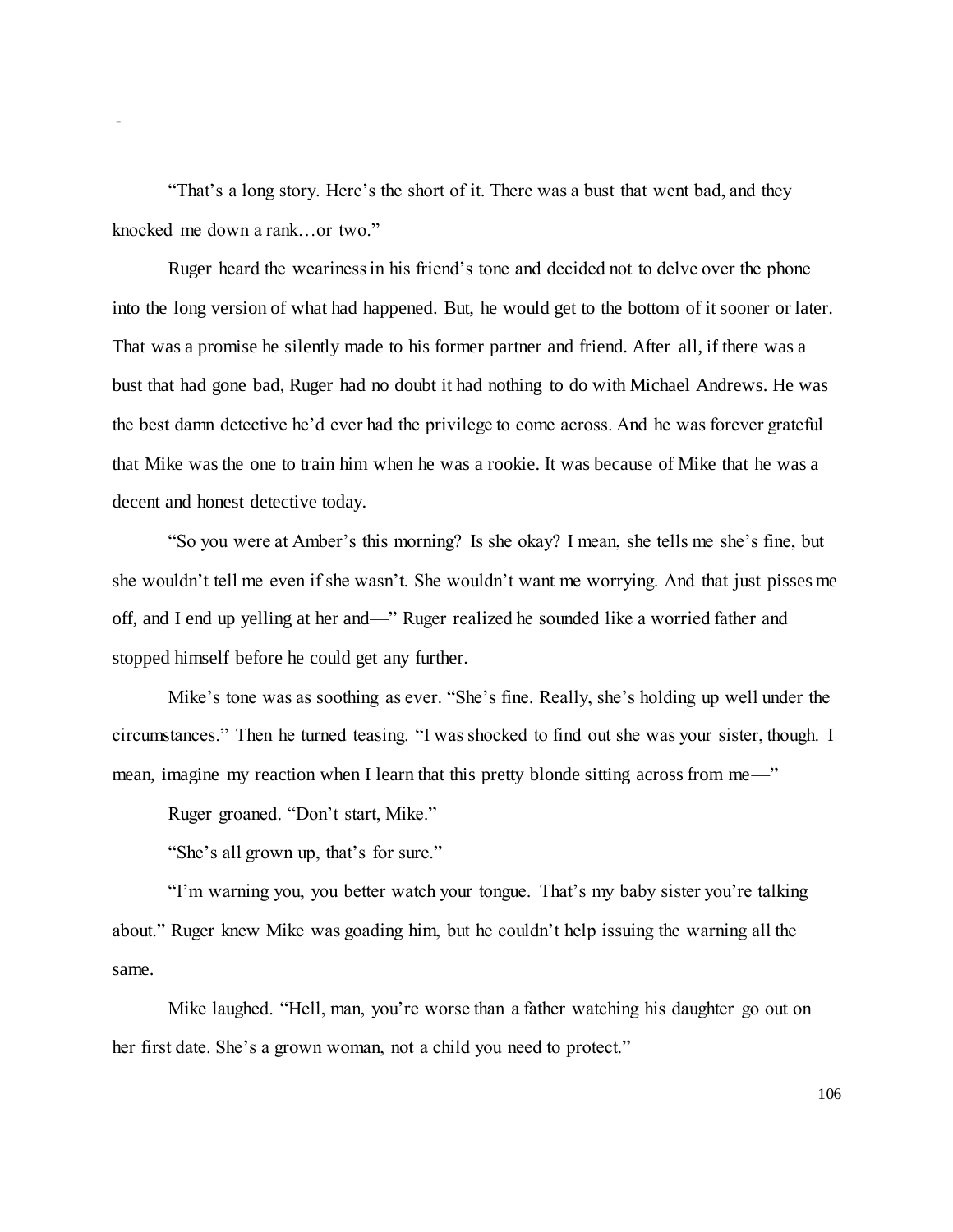"That's a long story. Here's the short of it. There was a bust that went bad, and they knocked me down a rank…or two."

Ruger heard the weariness in his friend's tone and decided not to delve over the phone into the long version of what had happened. But, he would get to the bottom of it sooner or later. That was a promise he silently made to his former partner and friend. After all, if there was a bust that had gone bad, Ruger had no doubt it had nothing to do with Michael Andrews. He was the best damn detective he'd ever had the privilege to come across. And he was forever grateful that Mike was the one to train him when he was a rookie. It was because of Mike that he was a decent and honest detective today.

"So you were at Amber's this morning? Is she okay? I mean, she tells me she's fine, but she wouldn't tell me even if she wasn't. She wouldn't want me worrying. And that just pisses me off, and I end up yelling at her and—" Ruger realized he sounded like a worried father and stopped himself before he could get any further.

Mike's tone was as soothing as ever. "She's fine. Really, she's holding up well under the circumstances." Then he turned teasing. "I was shocked to find out she was your sister, though. I mean, imagine my reaction when I learn that this pretty blonde sitting across from me—"

Ruger groaned. "Don't start, Mike."

-

"She's all grown up, that's for sure."

"I'm warning you, you better watch your tongue. That's my baby sister you're talking about." Ruger knew Mike was goading him, but he couldn't help issuing the warning all the same.

Mike laughed. "Hell, man, you're worse than a father watching his daughter go out on her first date. She's a grown woman, not a child you need to protect."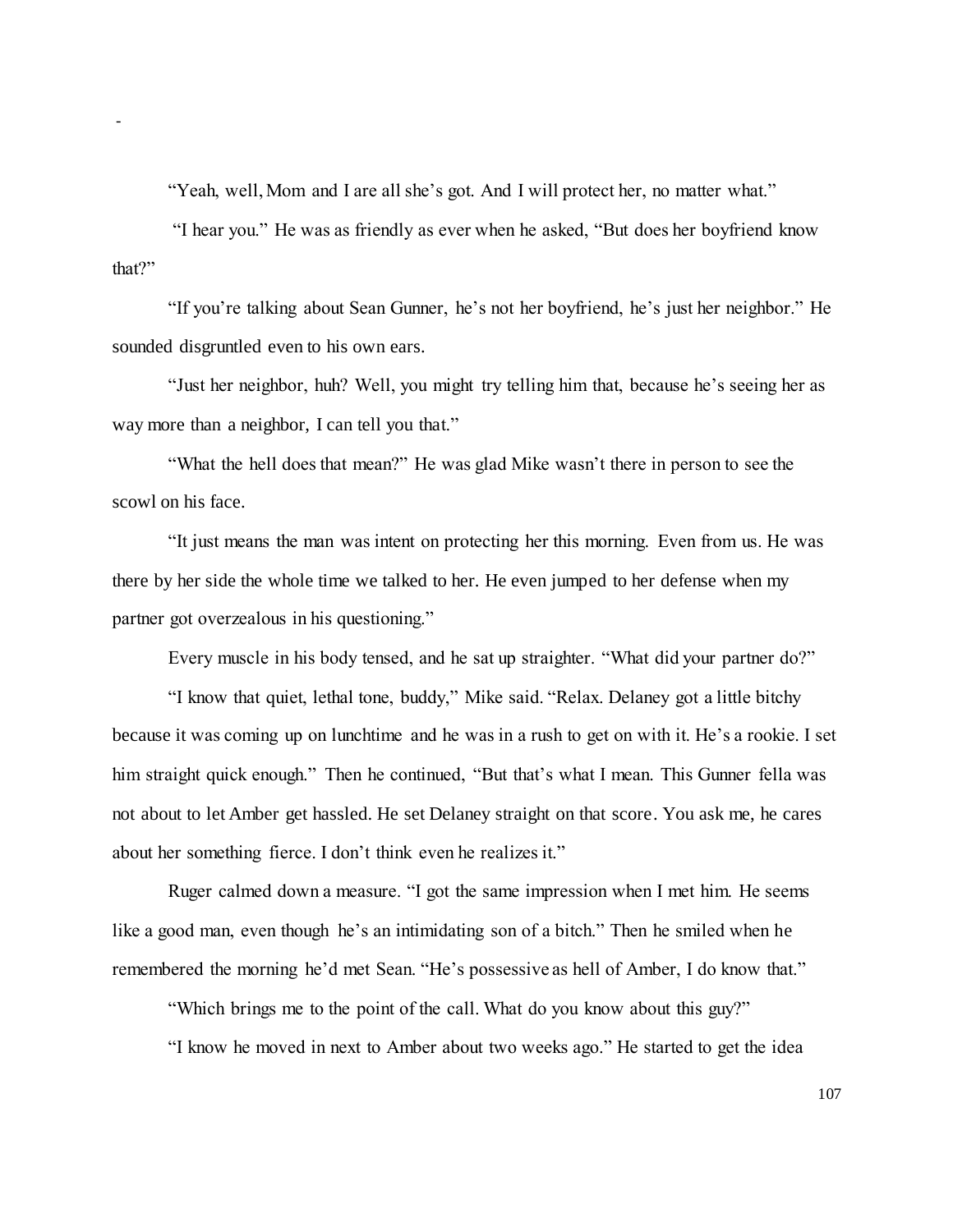"Yeah, well, Mom and I are all she's got. And I will protect her, no matter what."

-

"I hear you." He was as friendly as ever when he asked, "But does her boyfriend know that?"

"If you're talking about Sean Gunner, he's not her boyfriend, he's just her neighbor." He sounded disgruntled even to his own ears.

"Just her neighbor, huh? Well, you might try telling him that, because he's seeing her as way more than a neighbor, I can tell you that."

"What the hell does that mean?" He was glad Mike wasn't there in person to see the scowl on his face.

"It just means the man was intent on protecting her this morning. Even from us. He was there by her side the whole time we talked to her. He even jumped to her defense when my partner got overzealous in his questioning."

Every muscle in his body tensed, and he sat up straighter. "What did your partner do?"

"I know that quiet, lethal tone, buddy," Mike said. "Relax. Delaney got a little bitchy because it was coming up on lunchtime and he was in a rush to get on with it. He's a rookie. I set him straight quick enough." Then he continued, "But that's what I mean. This Gunner fella was not about to let Amber get hassled. He set Delaney straight on that score. You ask me, he cares about her something fierce. I don't think even he realizes it."

Ruger calmed down a measure. "I got the same impression when I met him. He seems like a good man, even though he's an intimidating son of a bitch." Then he smiled when he remembered the morning he'd met Sean. "He's possessive as hell of Amber, I do know that."

"Which brings me to the point of the call. What do you know about this guy?"

"I know he moved in next to Amber about two weeks ago." He started to get the idea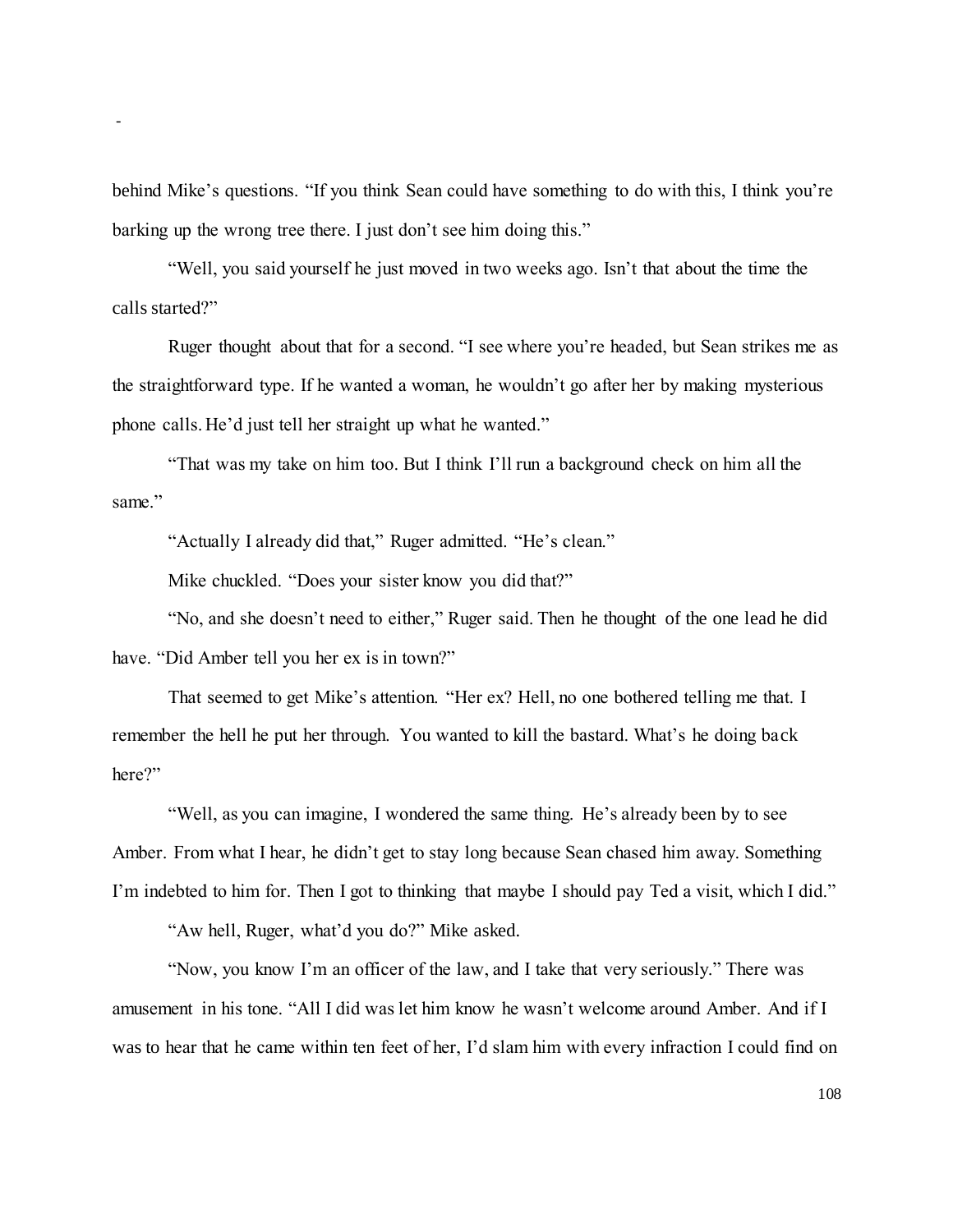behind Mike's questions. "If you think Sean could have something to do with this, I think you're barking up the wrong tree there. I just don't see him doing this."

"Well, you said yourself he just moved in two weeks ago. Isn't that about the time the calls started?"

Ruger thought about that for a second. "I see where you're headed, but Sean strikes me as the straightforward type. If he wanted a woman, he wouldn't go after her by making mysterious phone calls. He'd just tell her straight up what he wanted."

"That was my take on him too. But I think I'll run a background check on him all the same."

"Actually I already did that," Ruger admitted. "He's clean."

Mike chuckled. "Does your sister know you did that?"

-

"No, and she doesn't need to either," Ruger said. Then he thought of the one lead he did have. "Did Amber tell you her ex is in town?"

That seemed to get Mike's attention. "Her ex? Hell, no one bothered telling me that. I remember the hell he put her through. You wanted to kill the bastard. What's he doing back here?"

"Well, as you can imagine, I wondered the same thing. He's already been by to see Amber. From what I hear, he didn't get to stay long because Sean chased him away. Something I'm indebted to him for. Then I got to thinking that maybe I should pay Ted a visit, which I did."

"Aw hell, Ruger, what'd you do?" Mike asked.

"Now, you know I'm an officer of the law, and I take that very seriously." There was amusement in his tone. "All I did was let him know he wasn't welcome around Amber. And if I was to hear that he came within ten feet of her, I'd slam him with every infraction I could find on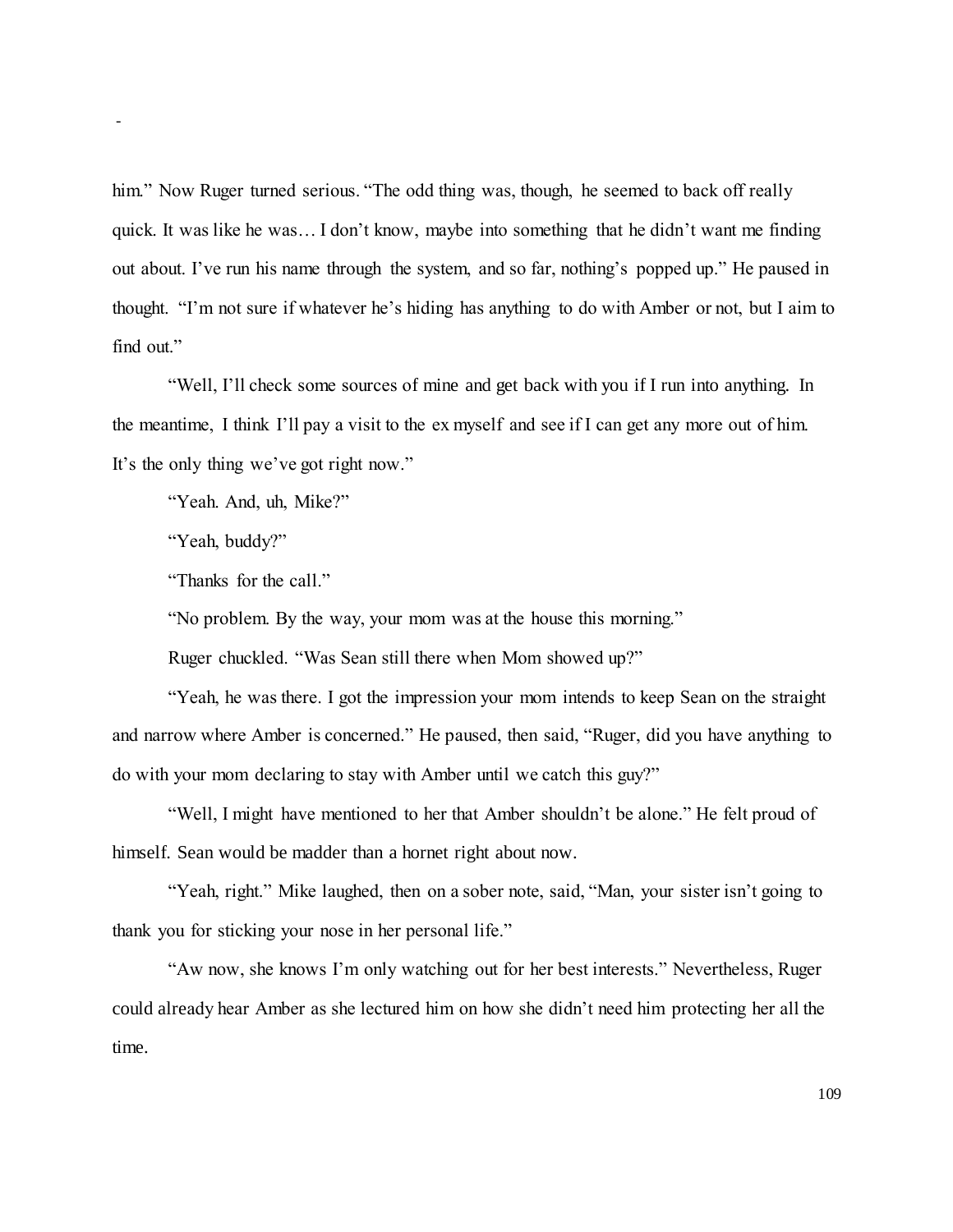him." Now Ruger turned serious. "The odd thing was, though, he seemed to back off really quick. It was like he was… I don't know, maybe into something that he didn't want me finding out about. I've run his name through the system, and so far, nothing's popped up." He paused in thought. "I'm not sure if whatever he's hiding has anything to do with Amber or not, but I aim to find out."

"Well, I'll check some sources of mine and get back with you if I run into anything. In the meantime, I think I'll pay a visit to the ex myself and see if I can get any more out of him. It's the only thing we've got right now."

"Yeah. And, uh, Mike?"

"Yeah, buddy?"

-

"Thanks for the call."

"No problem. By the way, your mom was at the house this morning."

Ruger chuckled. "Was Sean still there when Mom showed up?"

"Yeah, he was there. I got the impression your mom intends to keep Sean on the straight and narrow where Amber is concerned." He paused, then said, "Ruger, did you have anything to do with your mom declaring to stay with Amber until we catch this guy?"

"Well, I might have mentioned to her that Amber shouldn't be alone." He felt proud of himself. Sean would be madder than a hornet right about now.

"Yeah, right." Mike laughed, then on a sober note, said, "Man, your sister isn't going to thank you for sticking your nose in her personal life."

"Aw now, she knows I'm only watching out for her best interests." Nevertheless, Ruger could already hear Amber as she lectured him on how she didn't need him protecting her all the time.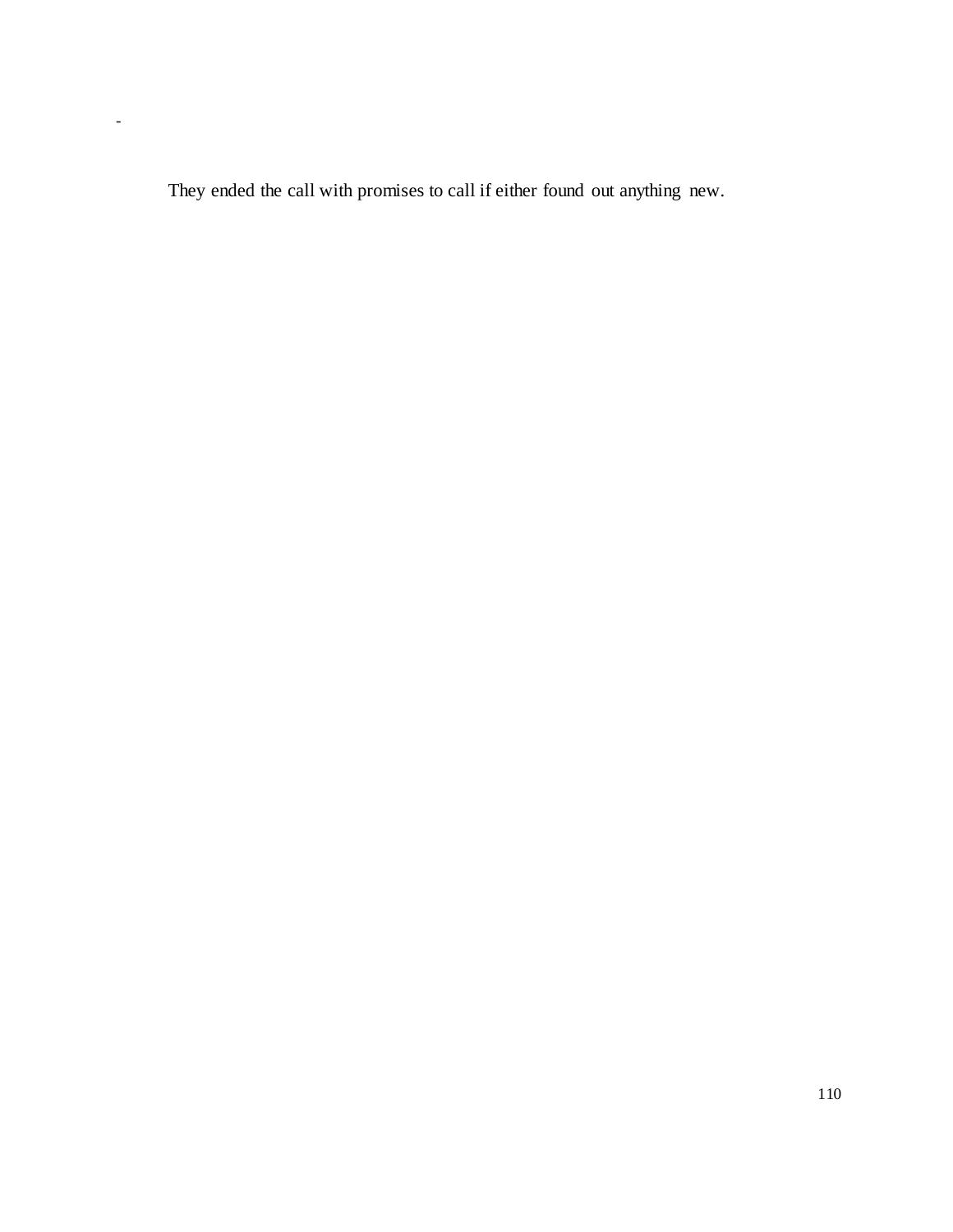They ended the call with promises to call if either found out anything new.

-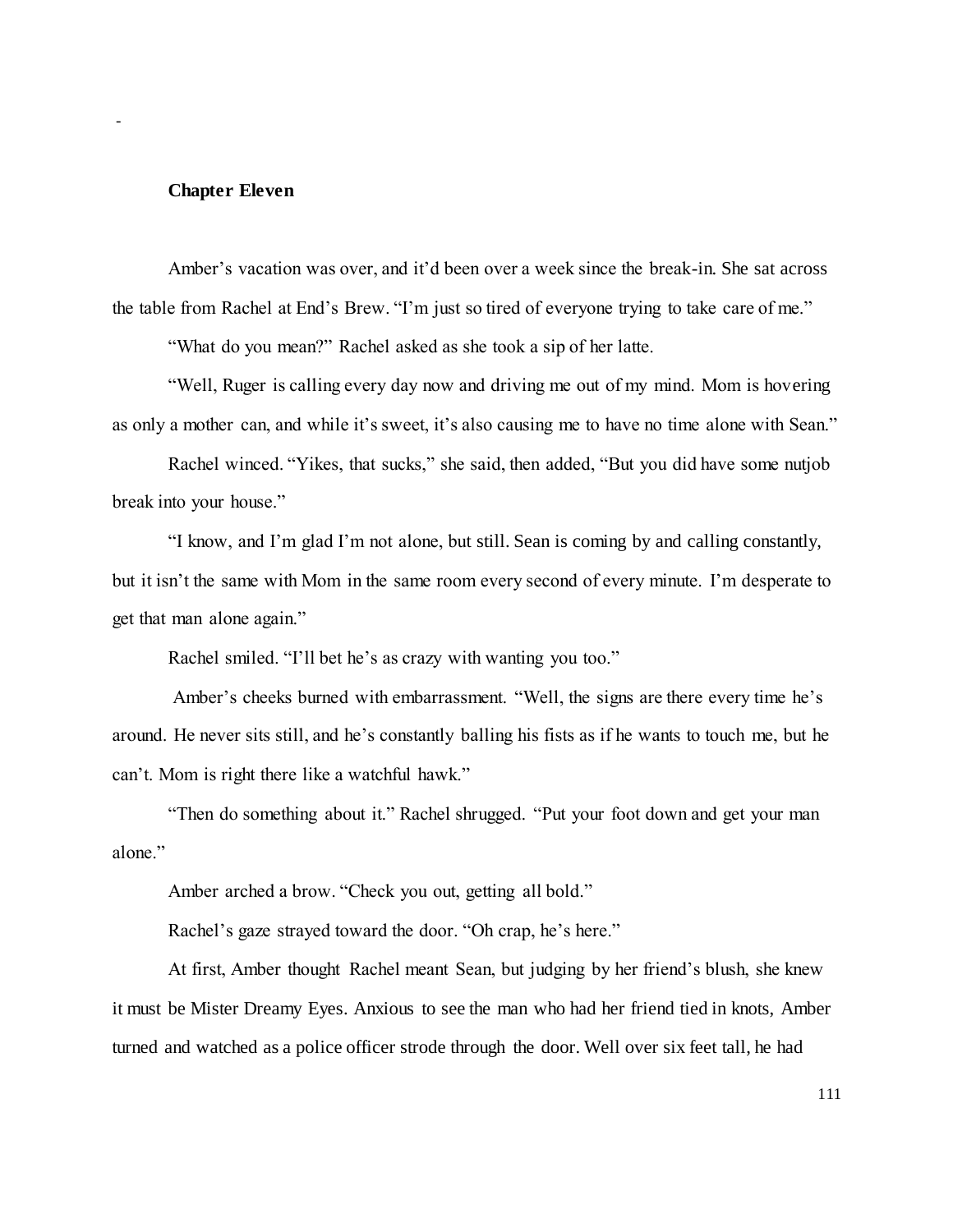## **Chapter Eleven**

-

Amber's vacation was over, and it'd been over a week since the break-in. She sat across the table from Rachel at End's Brew. "I'm just so tired of everyone trying to take care of me."

"What do you mean?" Rachel asked as she took a sip of her latte.

"Well, Ruger is calling every day now and driving me out of my mind. Mom is hovering as only a mother can, and while it's sweet, it's also causing me to have no time alone with Sean."

Rachel winced. "Yikes, that sucks," she said, then added, "But you did have some nutjob break into your house."

"I know, and I'm glad I'm not alone, but still. Sean is coming by and calling constantly, but it isn't the same with Mom in the same room every second of every minute. I'm desperate to

get that man alone again."

Rachel smiled. "I'll bet he's as crazy with wanting you too."

Amber's cheeks burned with embarrassment. "Well, the signs are there every time he's around. He never sits still, and he's constantly balling his fists as if he wants to touch me, but he can't. Mom is right there like a watchful hawk."

"Then do something about it." Rachel shrugged. "Put your foot down and get your man alone."

Amber arched a brow. "Check you out, getting all bold."

Rachel's gaze strayed toward the door. "Oh crap, he's here."

At first, Amber thought Rachel meant Sean, but judging by her friend's blush, she knew it must be Mister Dreamy Eyes. Anxious to see the man who had her friend tied in knots, Amber turned and watched as a police officer strode through the door. Well over six feet tall, he had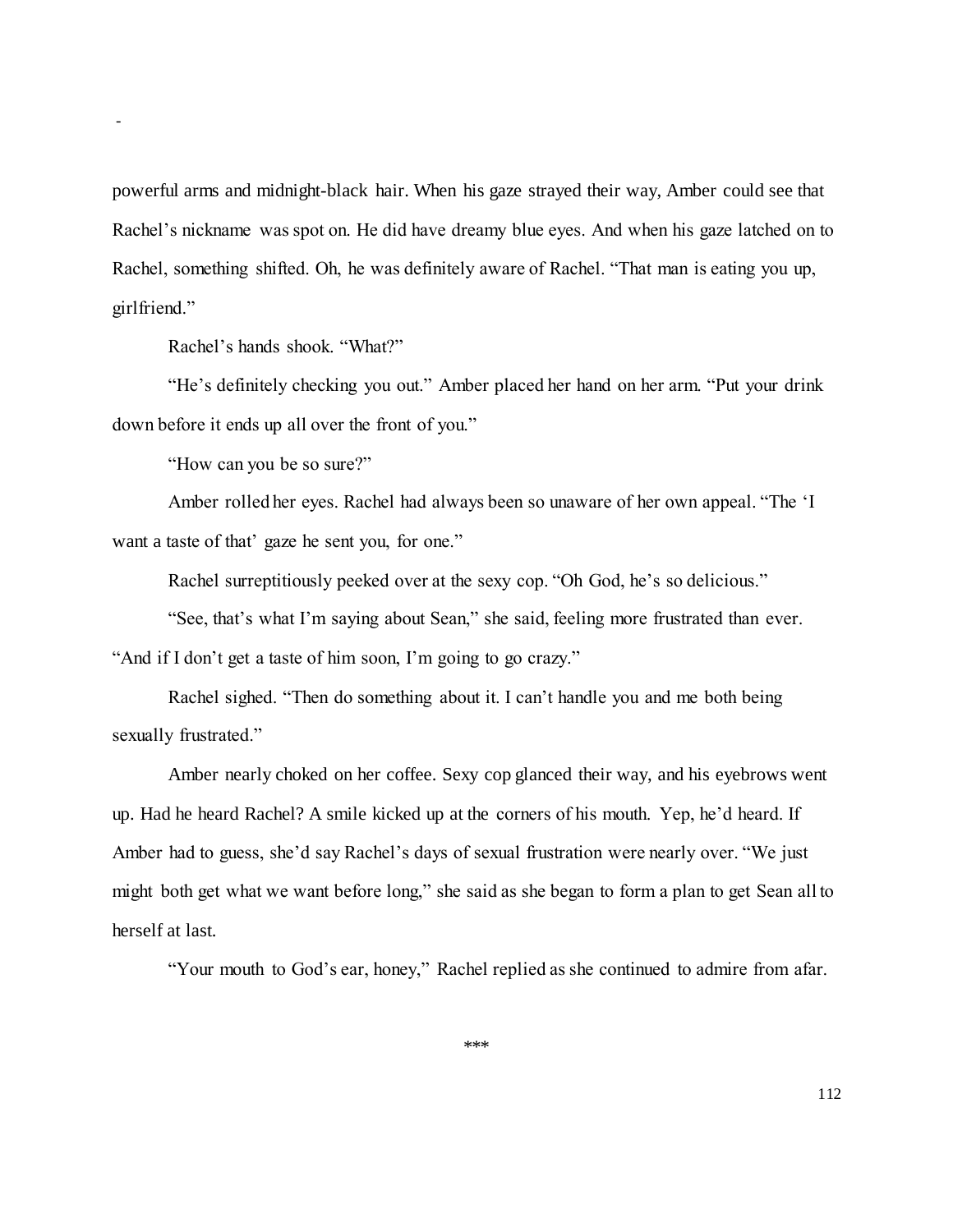powerful arms and midnight-black hair. When his gaze strayed their way, Amber could see that Rachel's nickname was spot on. He did have dreamy blue eyes. And when his gaze latched on to Rachel, something shifted. Oh, he was definitely aware of Rachel. "That man is eating you up, girlfriend."

Rachel's hands shook. "What?"

-

"He's definitely checking you out." Amber placed her hand on her arm. "Put your drink down before it ends up all over the front of you."

"How can you be so sure?"

Amber rolled her eyes. Rachel had always been so unaware of her own appeal. "The 'I want a taste of that' gaze he sent you, for one."

Rachel surreptitiously peeked over at the sexy cop. "Oh God, he's so delicious."

"See, that's what I'm saying about Sean," she said, feeling more frustrated than ever.

"And if I don't get a taste of him soon, I'm going to go crazy."

Rachel sighed. "Then do something about it. I can't handle you and me both being sexually frustrated."

Amber nearly choked on her coffee. Sexy cop glanced their way, and his eyebrows went up. Had he heard Rachel? A smile kicked up at the corners of his mouth. Yep, he'd heard. If Amber had to guess, she'd say Rachel's days of sexual frustration were nearly over. "We just might both get what we want before long," she said as she began to form a plan to get Sean all to herself at last.

"Your mouth to God's ear, honey," Rachel replied as she continued to admire from afar.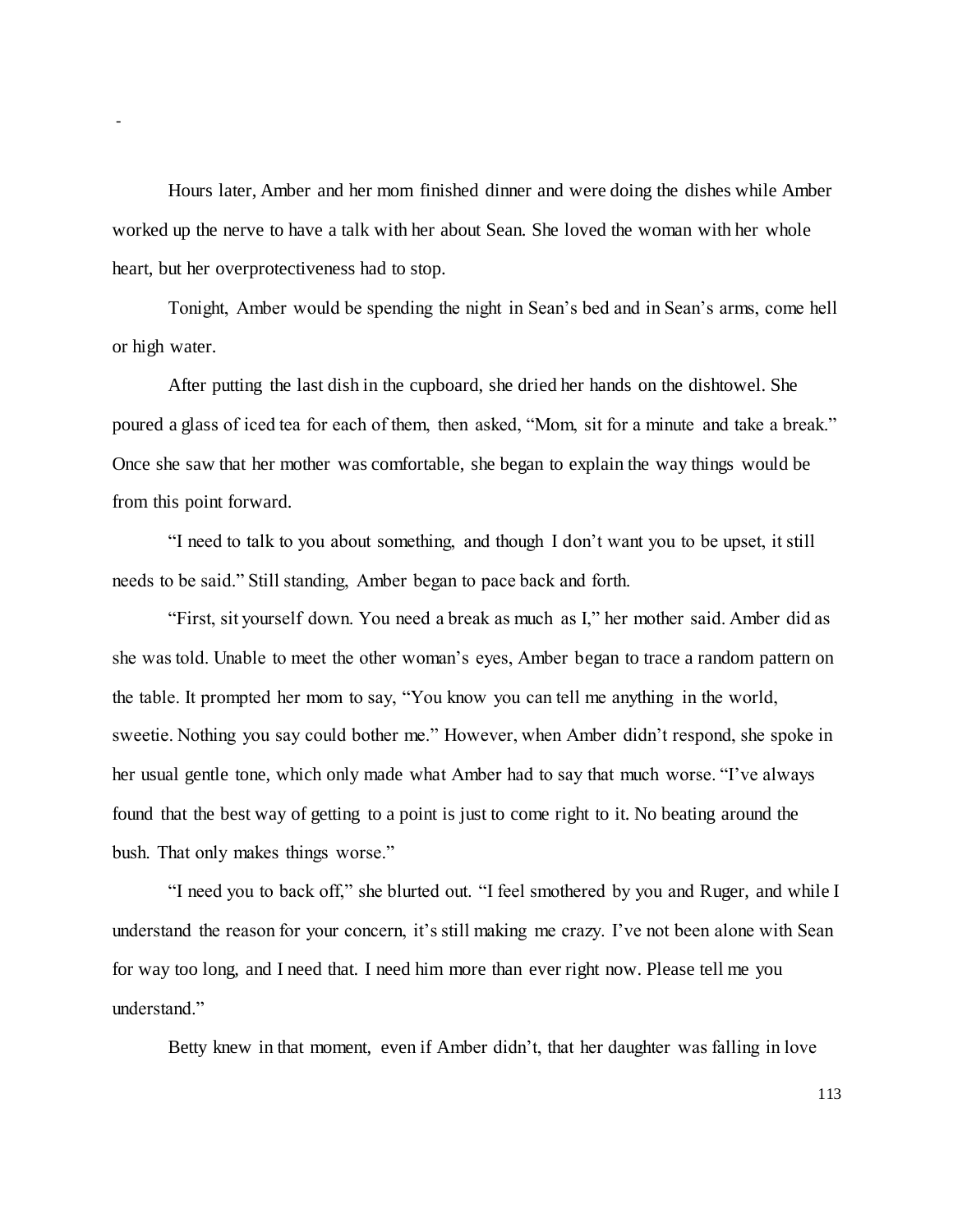Hours later, Amber and her mom finished dinner and were doing the dishes while Amber worked up the nerve to have a talk with her about Sean. She loved the woman with her whole heart, but her overprotectiveness had to stop.

-

Tonight, Amber would be spending the night in Sean's bed and in Sean's arms, come hell or high water.

After putting the last dish in the cupboard, she dried her hands on the dishtowel. She poured a glass of iced tea for each of them, then asked, "Mom, sit for a minute and take a break." Once she saw that her mother was comfortable, she began to explain the way things would be from this point forward.

"I need to talk to you about something, and though I don't want you to be upset, it still needs to be said." Still standing, Amber began to pace back and forth.

"First, sit yourself down. You need a break as much as I," her mother said. Amber did as she was told. Unable to meet the other woman's eyes, Amber began to trace a random pattern on the table. It prompted her mom to say, "You know you can tell me anything in the world, sweetie. Nothing you say could bother me." However, when Amber didn't respond, she spoke in her usual gentle tone, which only made what Amber had to say that much worse. "I've always found that the best way of getting to a point is just to come right to it. No beating around the bush. That only makes things worse."

"I need you to back off," she blurted out. "I feel smothered by you and Ruger, and while I understand the reason for your concern, it's still making me crazy. I've not been alone with Sean for way too long, and I need that. I need him more than ever right now. Please tell me you understand."

Betty knew in that moment, even if Amber didn't, that her daughter was falling in love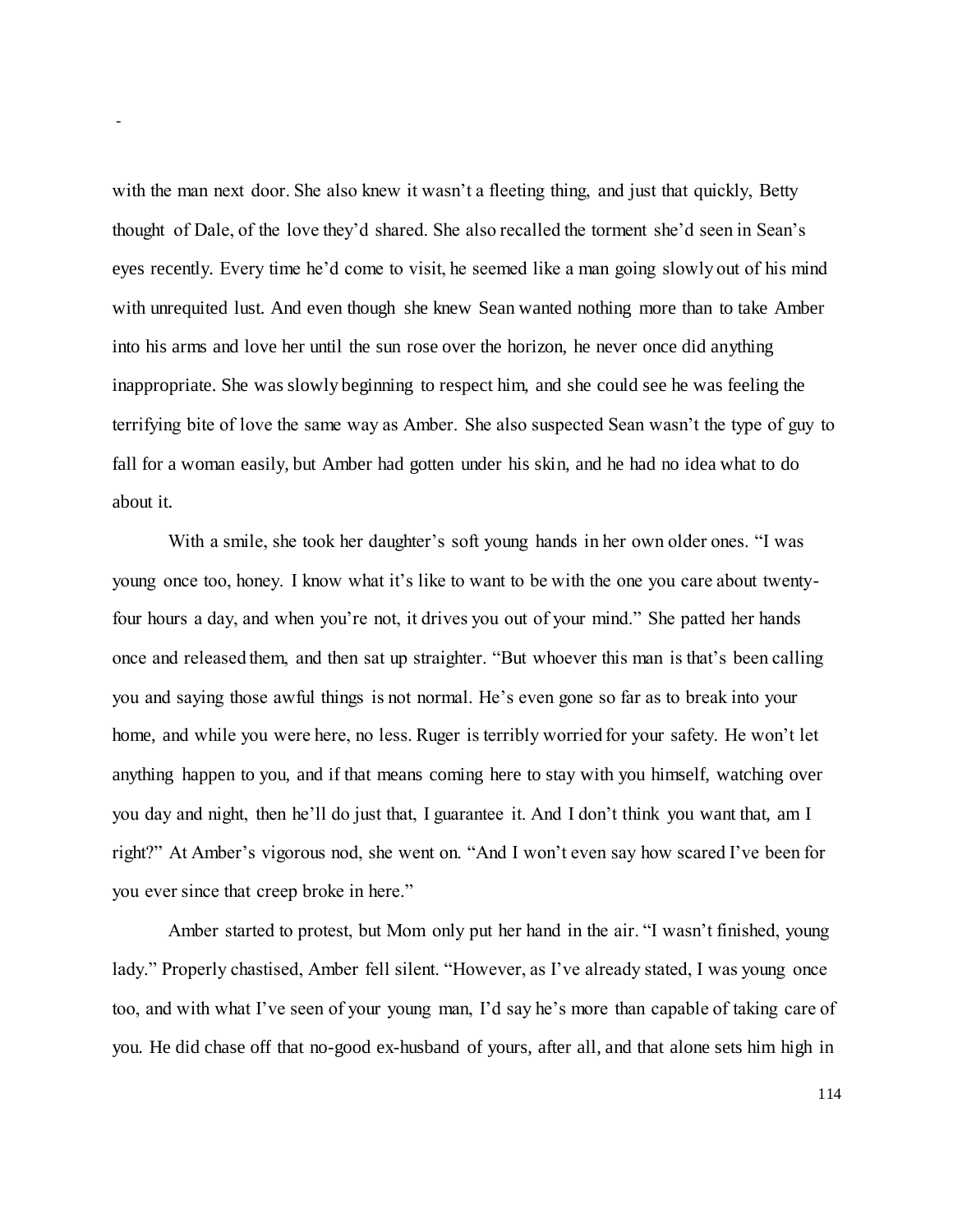with the man next door. She also knew it wasn't a fleeting thing, and just that quickly, Betty thought of Dale, of the love they'd shared. She also recalled the torment she'd seen in Sean's eyes recently. Every time he'd come to visit, he seemed like a man going slowly out of his mind with unrequited lust. And even though she knew Sean wanted nothing more than to take Amber into his arms and love her until the sun rose over the horizon, he never once did anything inappropriate. She was slowly beginning to respect him, and she could see he was feeling the terrifying bite of love the same way as Amber. She also suspected Sean wasn't the type of guy to fall for a woman easily, but Amber had gotten under his skin, and he had no idea what to do about it.

-

With a smile, she took her daughter's soft young hands in her own older ones. "I was young once too, honey. I know what it's like to want to be with the one you care about twentyfour hours a day, and when you're not, it drives you out of your mind." She patted her hands once and released them, and then sat up straighter. "But whoever this man is that's been calling you and saying those awful things is not normal. He's even gone so far as to break into your home, and while you were here, no less. Ruger is terribly worried for your safety. He won't let anything happen to you, and if that means coming here to stay with you himself, watching over you day and night, then he'll do just that, I guarantee it. And I don't think you want that, am I right?" At Amber's vigorous nod, she went on. "And I won't even say how scared I've been for you ever since that creep broke in here."

Amber started to protest, but Mom only put her hand in the air. "I wasn't finished, young lady." Properly chastised, Amber fell silent. "However, as I've already stated, I was young once too, and with what I've seen of your young man, I'd say he's more than capable of taking care of you. He did chase off that no-good ex-husband of yours, after all, and that alone sets him high in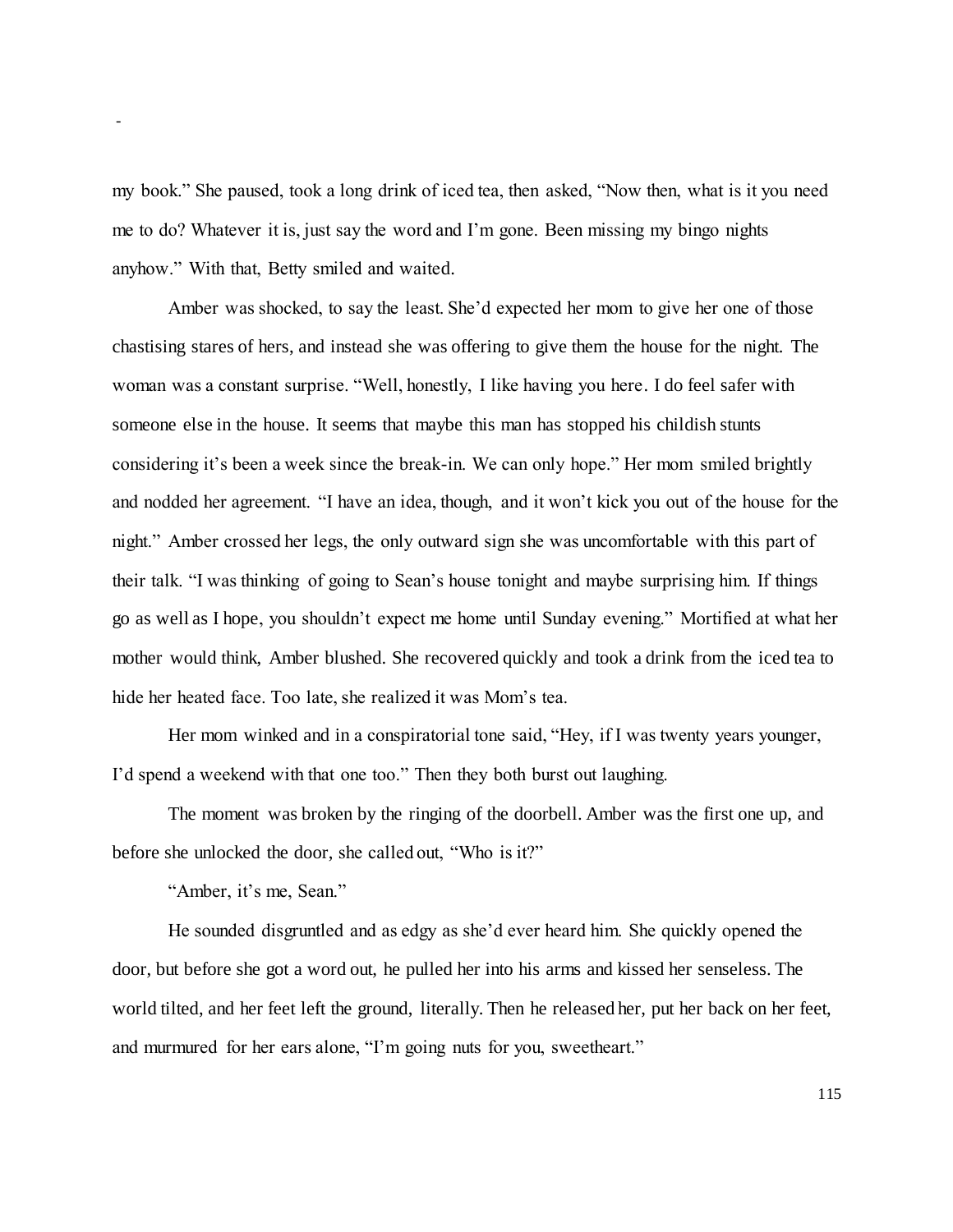my book." She paused, took a long drink of iced tea, then asked, "Now then, what is it you need me to do? Whatever it is, just say the word and I'm gone. Been missing my bingo nights anyhow." With that, Betty smiled and waited.

Amber was shocked, to say the least. She'd expected her mom to give her one of those chastising stares of hers, and instead she was offering to give them the house for the night. The woman was a constant surprise. "Well, honestly, I like having you here. I do feel safer with someone else in the house. It seems that maybe this man has stopped his childish stunts considering it's been a week since the break-in. We can only hope." Her mom smiled brightly and nodded her agreement. "I have an idea, though, and it won't kick you out of the house for the night." Amber crossed her legs, the only outward sign she was uncomfortable with this part of their talk. "I was thinking of going to Sean's house tonight and maybe surprising him. If things go as well as I hope, you shouldn't expect me home until Sunday evening." Mortified at what her mother would think, Amber blushed. She recovered quickly and took a drink from the iced tea to hide her heated face. Too late, she realized it was Mom's tea.

Her mom winked and in a conspiratorial tone said, "Hey, if I was twenty years younger, I'd spend a weekend with that one too." Then they both burst out laughing.

The moment was broken by the ringing of the doorbell. Amber was the first one up, and before she unlocked the door, she called out, "Who is it?"

"Amber, it's me, Sean."

-

He sounded disgruntled and as edgy as she'd ever heard him. She quickly opened the door, but before she got a word out, he pulled her into his arms and kissed her senseless. The world tilted, and her feet left the ground, literally. Then he released her, put her back on her feet, and murmured for her ears alone, "I'm going nuts for you, sweetheart."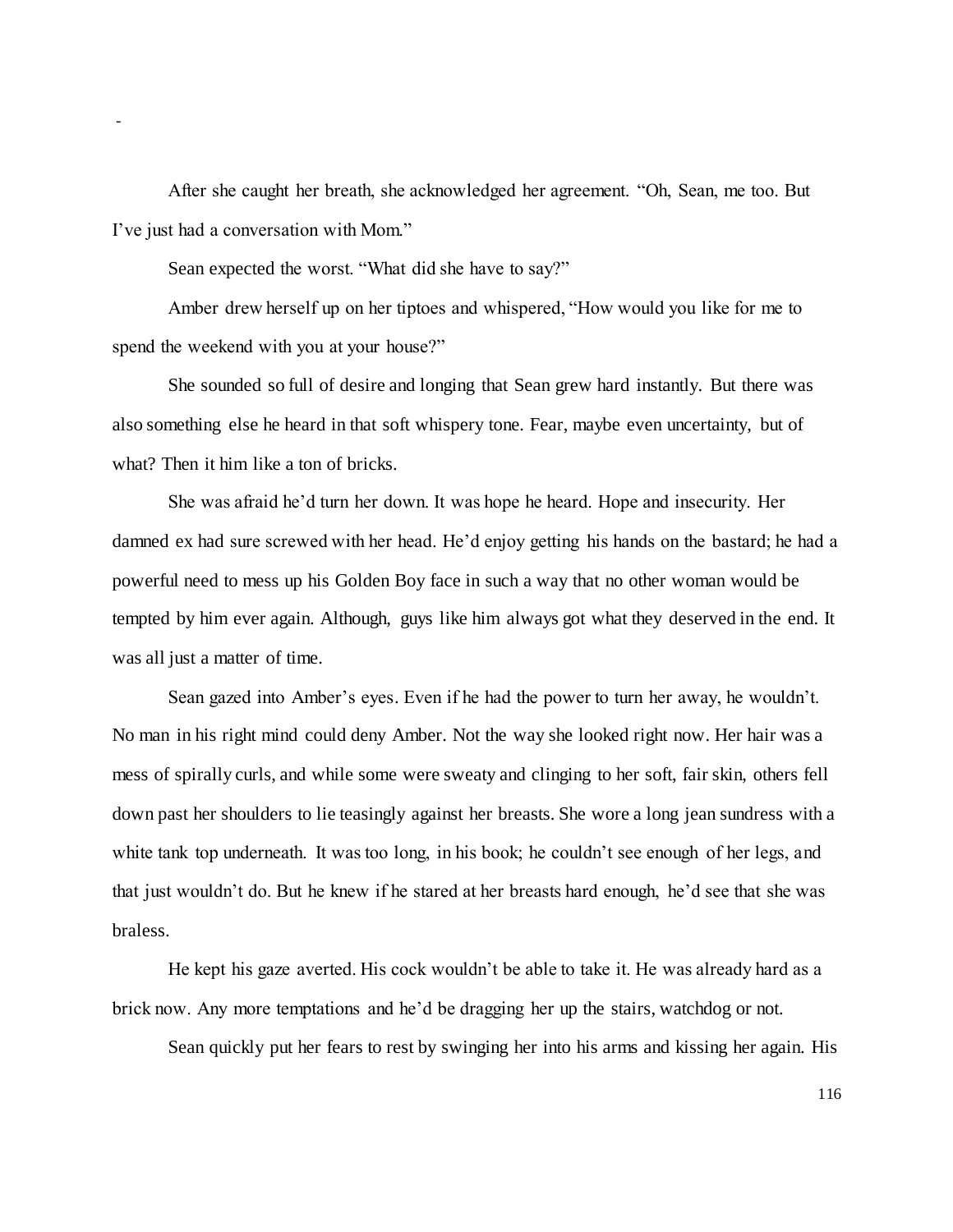After she caught her breath, she acknowledged her agreement. "Oh, Sean, me too. But I've just had a conversation with Mom."

Sean expected the worst. "What did she have to say?"

-

Amber drew herself up on her tiptoes and whispered, "How would you like for me to spend the weekend with you at your house?"

She sounded so full of desire and longing that Sean grew hard instantly. But there was also something else he heard in that soft whispery tone. Fear, maybe even uncertainty, but of what? Then it him like a ton of bricks.

She was afraid he'd turn her down. It was hope he heard. Hope and insecurity. Her damned ex had sure screwed with her head. He'd enjoy getting his hands on the bastard; he had a powerful need to mess up his Golden Boy face in such a way that no other woman would be tempted by him ever again. Although, guys like him always got what they deserved in the end. It was all just a matter of time.

Sean gazed into Amber's eyes. Even if he had the power to turn her away, he wouldn't. No man in his right mind could deny Amber. Not the way she looked right now. Her hair was a mess of spirally curls, and while some were sweaty and clinging to her soft, fair skin, others fell down past her shoulders to lie teasingly against her breasts. She wore a long jean sundress with a white tank top underneath. It was too long, in his book; he couldn't see enough of her legs, and that just wouldn't do. But he knew if he stared at her breasts hard enough, he'd see that she was braless.

He kept his gaze averted. His cock wouldn't be able to take it. He was already hard as a brick now. Any more temptations and he'd be dragging her up the stairs, watchdog or not.

Sean quickly put her fears to rest by swinging her into his arms and kissing her again. His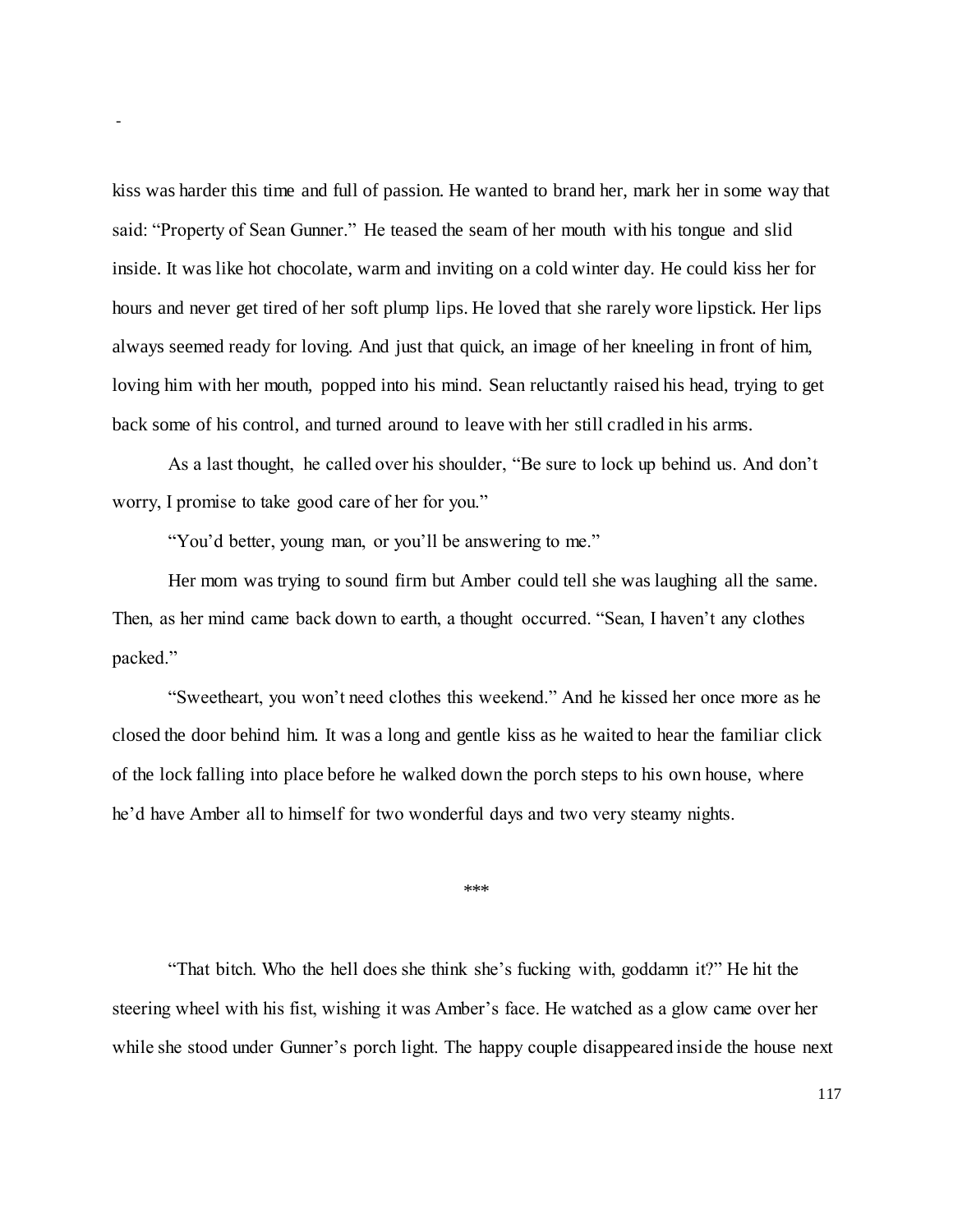kiss was harder this time and full of passion. He wanted to brand her, mark her in some way that said: "Property of Sean Gunner." He teased the seam of her mouth with his tongue and slid inside. It was like hot chocolate, warm and inviting on a cold winter day. He could kiss her for hours and never get tired of her soft plump lips. He loved that she rarely wore lipstick. Her lips always seemed ready for loving. And just that quick, an image of her kneeling in front of him, loving him with her mouth, popped into his mind. Sean reluctantly raised his head, trying to get back some of his control, and turned around to leave with her still cradled in his arms.

As a last thought, he called over his shoulder, "Be sure to lock up behind us. And don't worry, I promise to take good care of her for you."

"You'd better, young man, or you'll be answering to me."

-

Her mom was trying to sound firm but Amber could tell she was laughing all the same. Then, as her mind came back down to earth, a thought occurred. "Sean, I haven't any clothes packed."

"Sweetheart, you won't need clothes this weekend." And he kissed her once more as he closed the door behind him. It was a long and gentle kiss as he waited to hear the familiar click of the lock falling into place before he walked down the porch steps to his own house, where he'd have Amber all to himself for two wonderful days and two very steamy nights.

\*\*\*

"That bitch. Who the hell does she think she's fucking with, goddamn it?" He hit the steering wheel with his fist, wishing it was Amber's face. He watched as a glow came over her while she stood under Gunner's porch light. The happy couple disappeared inside the house next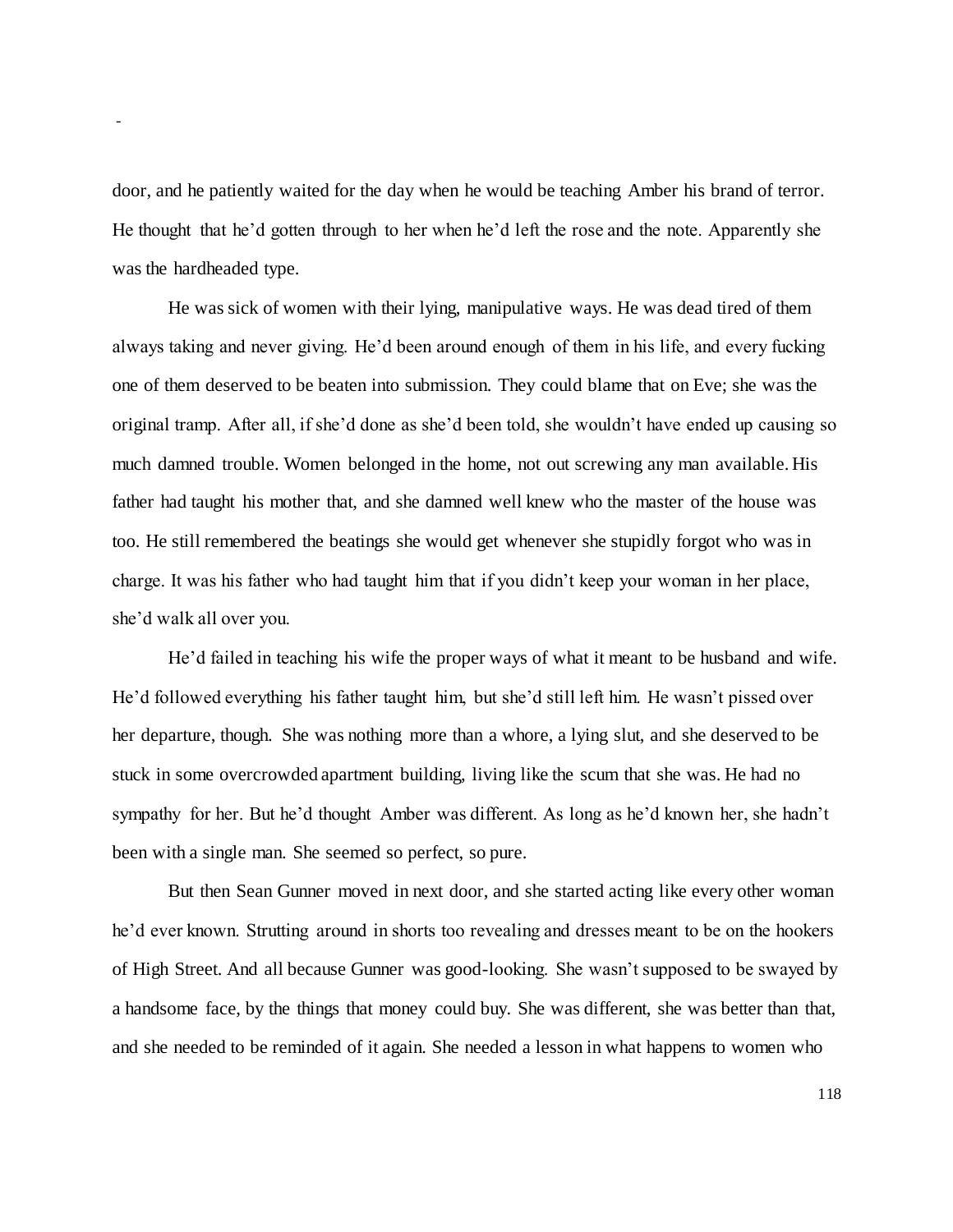door, and he patiently waited for the day when he would be teaching Amber his brand of terror. He thought that he'd gotten through to her when he'd left the rose and the note. Apparently she was the hardheaded type.

-

He was sick of women with their lying, manipulative ways. He was dead tired of them always taking and never giving. He'd been around enough of them in his life, and every fucking one of them deserved to be beaten into submission. They could blame that on Eve; she was the original tramp. After all, if she'd done as she'd been told, she wouldn't have ended up causing so much damned trouble. Women belonged in the home, not out screwing any man available. His father had taught his mother that, and she damned well knew who the master of the house was too. He still remembered the beatings she would get whenever she stupidly forgot who was in charge. It was his father who had taught him that if you didn't keep your woman in her place, she'd walk all over you.

He'd failed in teaching his wife the proper ways of what it meant to be husband and wife. He'd followed everything his father taught him, but she'd still left him. He wasn't pissed over her departure, though. She was nothing more than a whore, a lying slut, and she deserved to be stuck in some overcrowded apartment building, living like the scum that she was. He had no sympathy for her. But he'd thought Amber was different. As long as he'd known her, she hadn't been with a single man. She seemed so perfect, so pure.

But then Sean Gunner moved in next door, and she started acting like every other woman he'd ever known. Strutting around in shorts too revealing and dresses meant to be on the hookers of High Street. And all because Gunner was good-looking. She wasn't supposed to be swayed by a handsome face, by the things that money could buy. She was different, she was better than that, and she needed to be reminded of it again. She needed a lesson in what happens to women who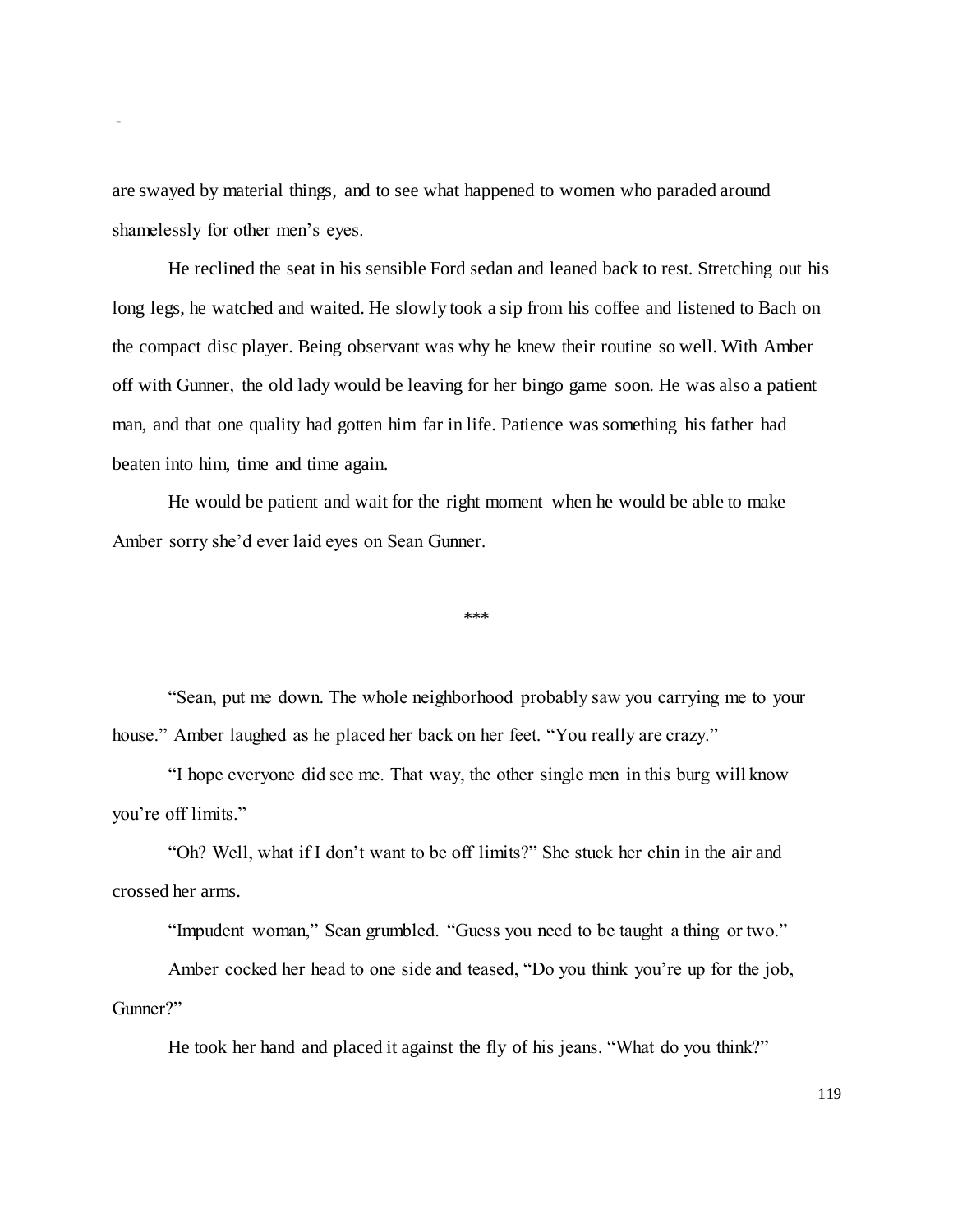are swayed by material things, and to see what happened to women who paraded around shamelessly for other men's eyes.

-

He reclined the seat in his sensible Ford sedan and leaned back to rest. Stretching out his long legs, he watched and waited. He slowly took a sip from his coffee and listened to Bach on the compact disc player. Being observant was why he knew their routine so well. With Amber off with Gunner, the old lady would be leaving for her bingo game soon. He was also a patient man, and that one quality had gotten him far in life. Patience was something his father had beaten into him, time and time again.

He would be patient and wait for the right moment when he would be able to make Amber sorry she'd ever laid eyes on Sean Gunner.

\*\*\*

"Sean, put me down. The whole neighborhood probably saw you carrying me to your house." Amber laughed as he placed her back on her feet. "You really are crazy."

"I hope everyone did see me. That way, the other single men in this burg will know you're off limits."

"Oh? Well, what if I don't want to be off limits?" She stuck her chin in the air and crossed her arms.

"Impudent woman," Sean grumbled. "Guess you need to be taught a thing or two."

Amber cocked her head to one side and teased, "Do you think you're up for the job, Gunner?"

He took her hand and placed it against the fly of his jeans. "What do you think?"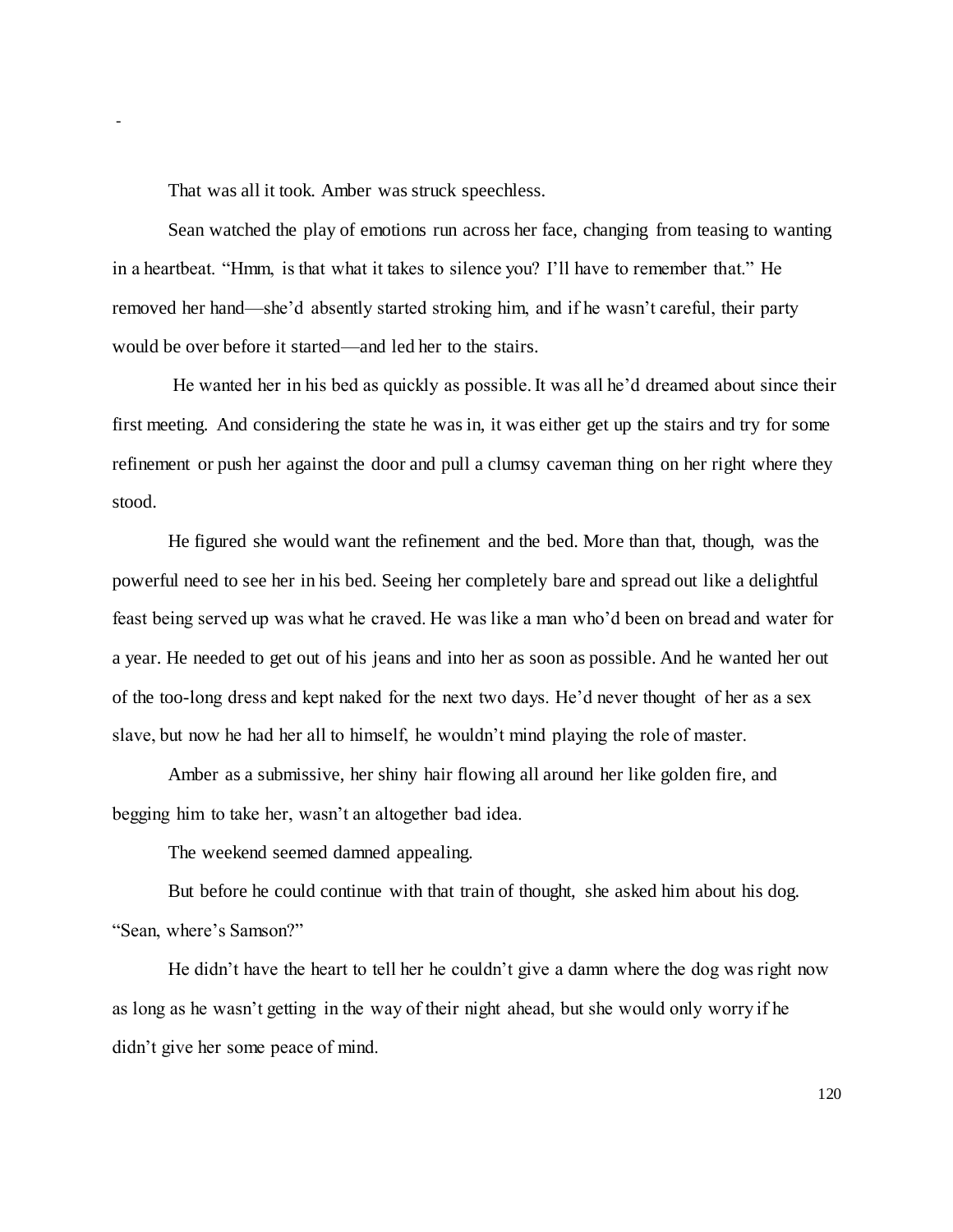That was all it took. Amber was struck speechless.

-

Sean watched the play of emotions run across her face, changing from teasing to wanting in a heartbeat. "Hmm, is that what it takes to silence you? I'll have to remember that." He removed her hand—she'd absently started stroking him, and if he wasn't careful, their party would be over before it started—and led her to the stairs.

He wanted her in his bed as quickly as possible. It was all he'd dreamed about since their first meeting. And considering the state he was in, it was either get up the stairs and try for some refinement or push her against the door and pull a clumsy caveman thing on her right where they stood.

He figured she would want the refinement and the bed. More than that, though, was the powerful need to see her in his bed. Seeing her completely bare and spread out like a delightful feast being served up was what he craved. He was like a man who'd been on bread and water for a year. He needed to get out of his jeans and into her as soon as possible. And he wanted her out of the too-long dress and kept naked for the next two days. He'd never thought of her as a sex slave, but now he had her all to himself, he wouldn't mind playing the role of master.

Amber as a submissive, her shiny hair flowing all around her like golden fire, and begging him to take her, wasn't an altogether bad idea.

The weekend seemed damned appealing.

But before he could continue with that train of thought, she asked him about his dog. "Sean, where's Samson?"

He didn't have the heart to tell her he couldn't give a damn where the dog was right now as long as he wasn't getting in the way of their night ahead, but she would only worry if he didn't give her some peace of mind.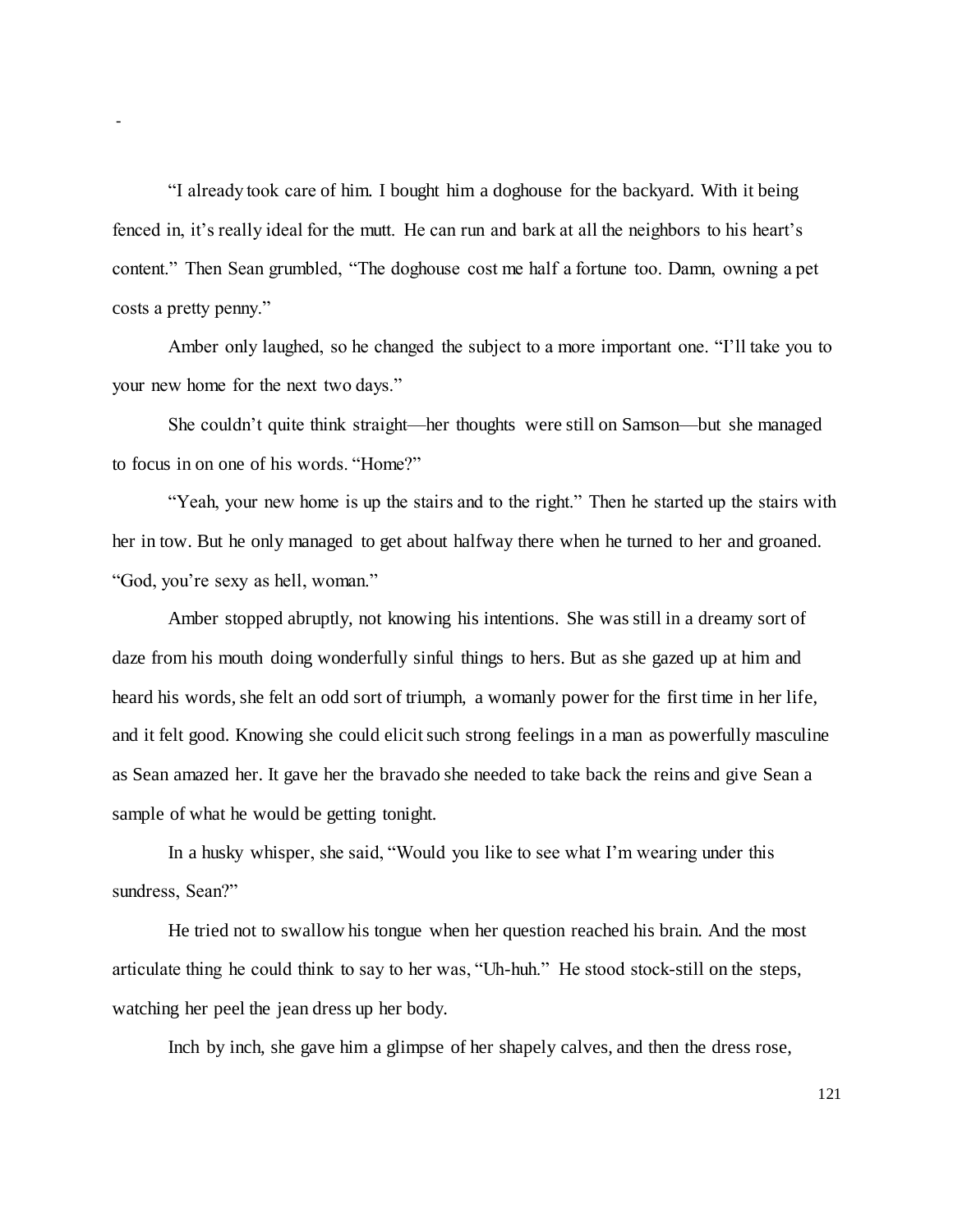"I already took care of him. I bought him a doghouse for the backyard. With it being fenced in, it's really ideal for the mutt. He can run and bark at all the neighbors to his heart's content." Then Sean grumbled, "The doghouse cost me half a fortune too. Damn, owning a pet costs a pretty penny."

-

Amber only laughed, so he changed the subject to a more important one. "I'll take you to your new home for the next two days."

She couldn't quite think straight—her thoughts were still on Samson—but she managed to focus in on one of his words. "Home?"

"Yeah, your new home is up the stairs and to the right." Then he started up the stairs with her in tow. But he only managed to get about halfway there when he turned to her and groaned. "God, you're sexy as hell, woman."

Amber stopped abruptly, not knowing his intentions. She was still in a dreamy sort of daze from his mouth doing wonderfully sinful things to hers. But as she gazed up at him and heard his words, she felt an odd sort of triumph, a womanly power for the first time in her life, and it felt good. Knowing she could elicit such strong feelings in a man as powerfully masculine as Sean amazed her. It gave her the bravado she needed to take back the reins and give Sean a sample of what he would be getting tonight.

In a husky whisper, she said, "Would you like to see what I'm wearing under this sundress, Sean?"

He tried not to swallow his tongue when her question reached his brain. And the most articulate thing he could think to say to her was, "Uh-huh." He stood stock-still on the steps, watching her peel the jean dress up her body.

Inch by inch, she gave him a glimpse of her shapely calves, and then the dress rose,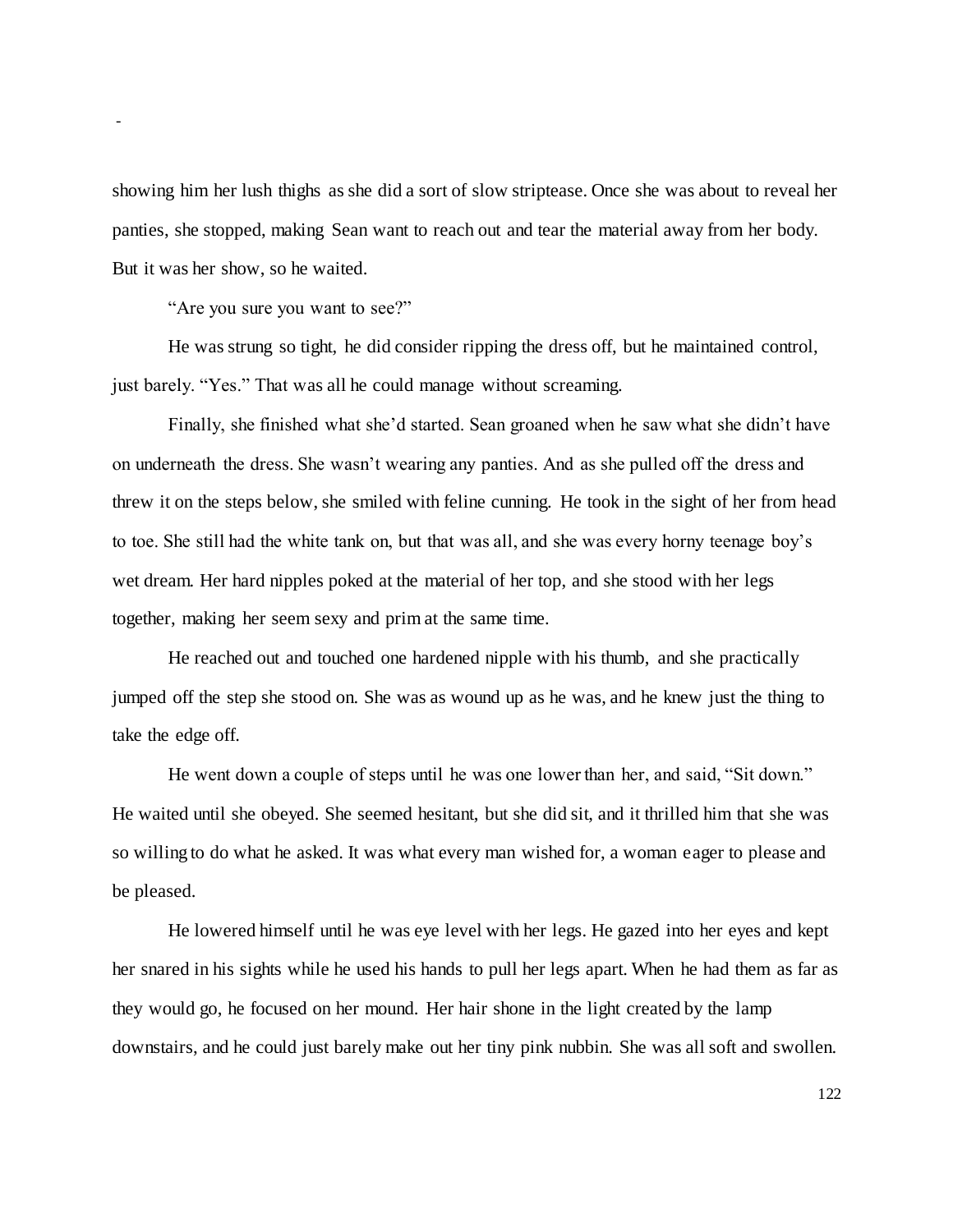showing him her lush thighs as she did a sort of slow striptease. Once she was about to reveal her panties, she stopped, making Sean want to reach out and tear the material away from her body. But it was her show, so he waited.

"Are you sure you want to see?"

-

He was strung so tight, he did consider ripping the dress off, but he maintained control, just barely. "Yes." That was all he could manage without screaming.

Finally, she finished what she'd started. Sean groaned when he saw what she didn't have on underneath the dress. She wasn't wearing any panties. And as she pulled off the dress and threw it on the steps below, she smiled with feline cunning. He took in the sight of her from head to toe. She still had the white tank on, but that was all, and she was every horny teenage boy's wet dream. Her hard nipples poked at the material of her top, and she stood with her legs together, making her seem sexy and prim at the same time.

He reached out and touched one hardened nipple with his thumb, and she practically jumped off the step she stood on. She was as wound up as he was, and he knew just the thing to take the edge off.

He went down a couple of steps until he was one lower than her, and said, "Sit down." He waited until she obeyed. She seemed hesitant, but she did sit, and it thrilled him that she was so willing to do what he asked. It was what every man wished for, a woman eager to please and be pleased.

He lowered himself until he was eye level with her legs. He gazed into her eyes and kept her snared in his sights while he used his hands to pull her legs apart. When he had them as far as they would go, he focused on her mound. Her hair shone in the light created by the lamp downstairs, and he could just barely make out her tiny pink nubbin. She was all soft and swollen.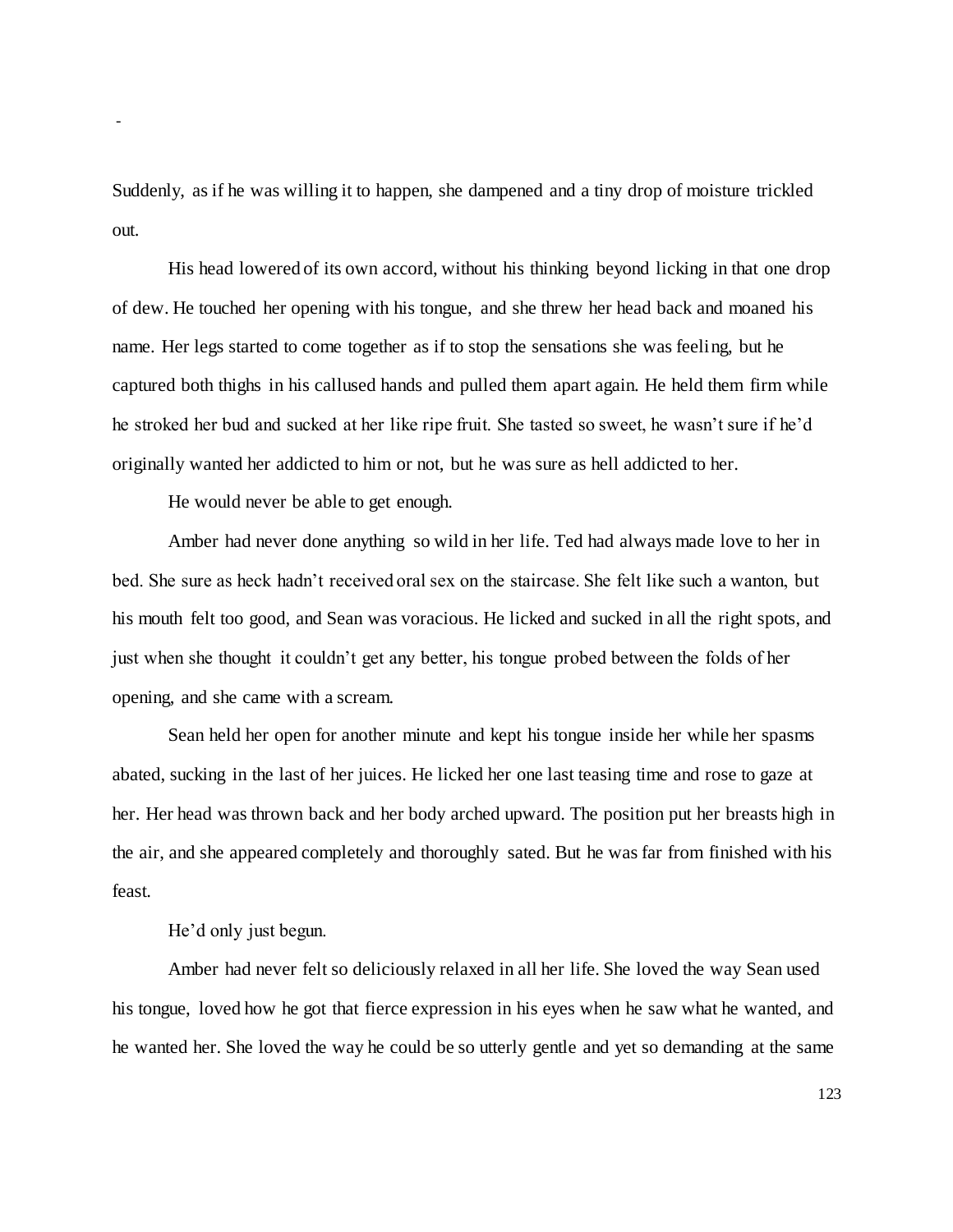Suddenly, as if he was willing it to happen, she dampened and a tiny drop of moisture trickled out.

His head lowered of its own accord, without his thinking beyond licking in that one drop of dew. He touched her opening with his tongue, and she threw her head back and moaned his name. Her legs started to come together as if to stop the sensations she was feeling, but he captured both thighs in his callused hands and pulled them apart again. He held them firm while he stroked her bud and sucked at her like ripe fruit. She tasted so sweet, he wasn't sure if he'd originally wanted her addicted to him or not, but he was sure as hell addicted to her.

He would never be able to get enough.

-

Amber had never done anything so wild in her life. Ted had always made love to her in bed. She sure as heck hadn't received oral sex on the staircase. She felt like such a wanton, but his mouth felt too good, and Sean was voracious. He licked and sucked in all the right spots, and just when she thought it couldn't get any better, his tongue probed between the folds of her opening, and she came with a scream.

Sean held her open for another minute and kept his tongue inside her while her spasms abated, sucking in the last of her juices. He licked her one last teasing time and rose to gaze at her. Her head was thrown back and her body arched upward. The position put her breasts high in the air, and she appeared completely and thoroughly sated. But he was far from finished with his feast.

He'd only just begun.

Amber had never felt so deliciously relaxed in all her life. She loved the way Sean used his tongue, loved how he got that fierce expression in his eyes when he saw what he wanted, and he wanted her. She loved the way he could be so utterly gentle and yet so demanding at the same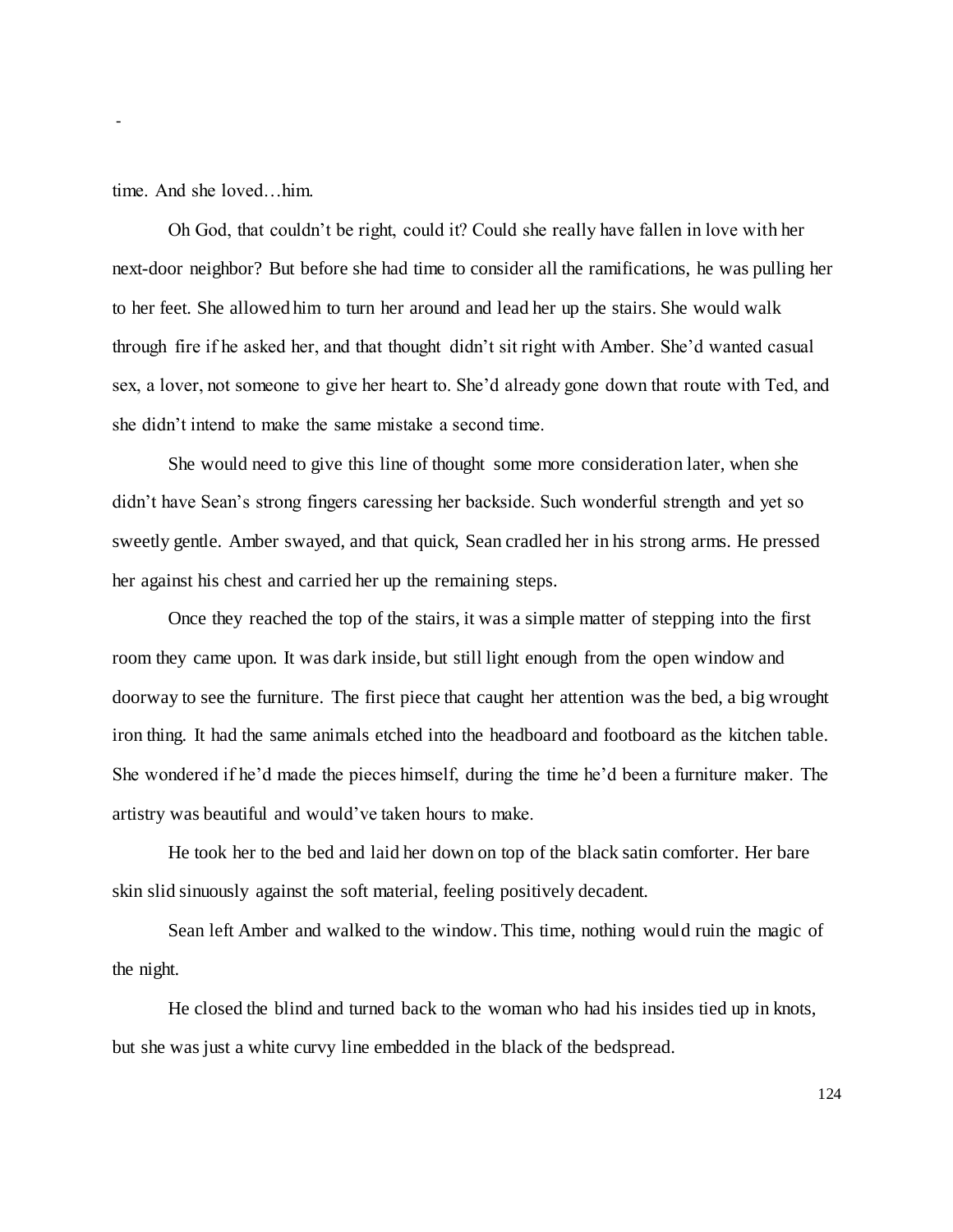time. And she loved…him.

-

Oh God, that couldn't be right, could it? Could she really have fallen in love with her next-door neighbor? But before she had time to consider all the ramifications, he was pulling her to her feet. She allowed him to turn her around and lead her up the stairs. She would walk through fire if he asked her, and that thought didn't sit right with Amber. She'd wanted casual sex, a lover, not someone to give her heart to. She'd already gone down that route with Ted, and she didn't intend to make the same mistake a second time.

She would need to give this line of thought some more consideration later, when she didn't have Sean's strong fingers caressing her backside. Such wonderful strength and yet so sweetly gentle. Amber swayed, and that quick, Sean cradled her in his strong arms. He pressed her against his chest and carried her up the remaining steps.

Once they reached the top of the stairs, it was a simple matter of stepping into the first room they came upon. It was dark inside, but still light enough from the open window and doorway to see the furniture. The first piece that caught her attention was the bed, a big wrought iron thing. It had the same animals etched into the headboard and footboard as the kitchen table. She wondered if he'd made the pieces himself, during the time he'd been a furniture maker. The artistry was beautiful and would've taken hours to make.

He took her to the bed and laid her down on top of the black satin comforter. Her bare skin slid sinuously against the soft material, feeling positively decadent.

Sean left Amber and walked to the window. This time, nothing would ruin the magic of the night.

He closed the blind and turned back to the woman who had his insides tied up in knots, but she was just a white curvy line embedded in the black of the bedspread.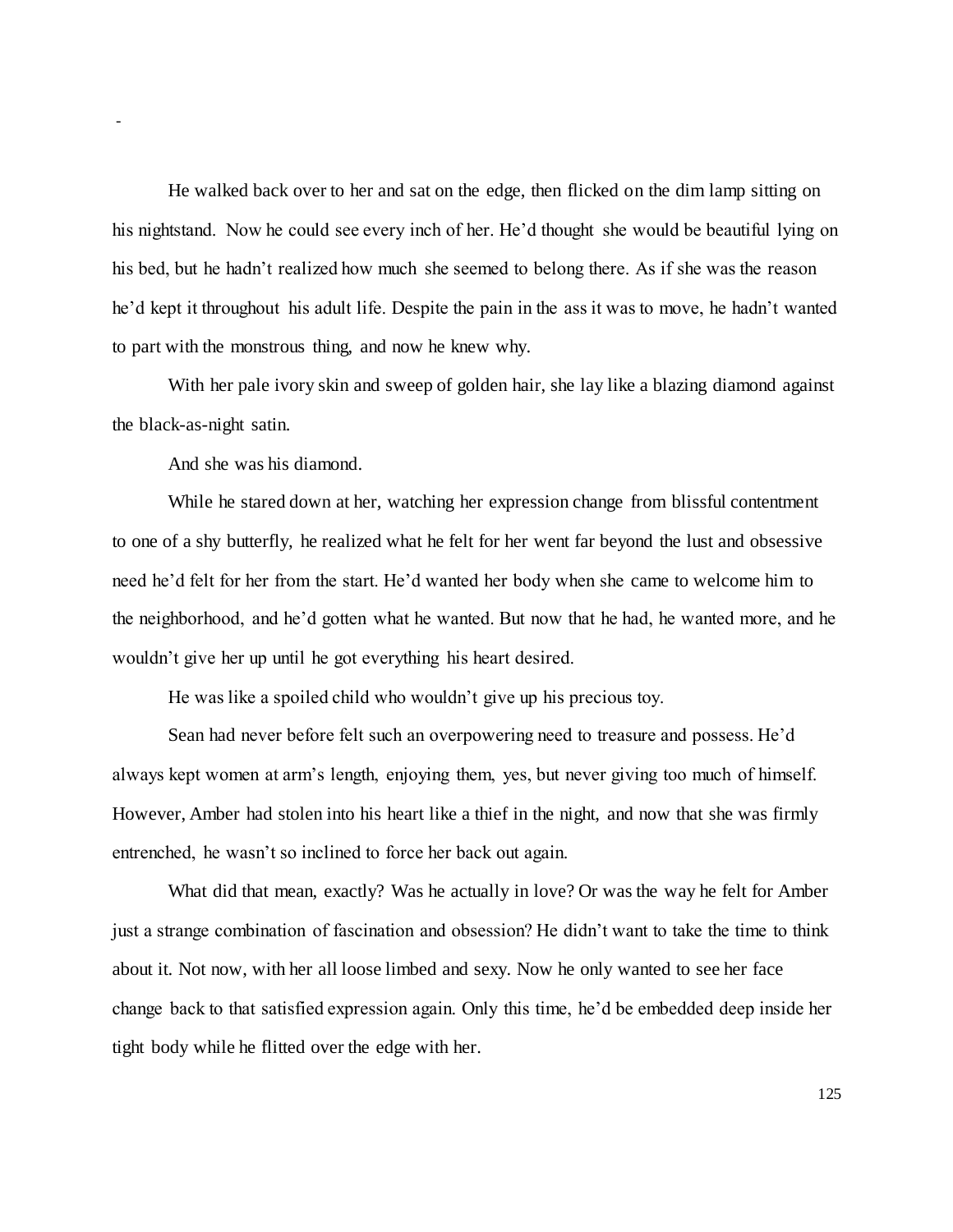He walked back over to her and sat on the edge, then flicked on the dim lamp sitting on his nightstand. Now he could see every inch of her. He'd thought she would be beautiful lying on his bed, but he hadn't realized how much she seemed to belong there. As if she was the reason he'd kept it throughout his adult life. Despite the pain in the ass it was to move, he hadn't wanted to part with the monstrous thing, and now he knew why.

With her pale ivory skin and sweep of golden hair, she lay like a blazing diamond against the black-as-night satin.

And she was his diamond.

-

While he stared down at her, watching her expression change from blissful contentment to one of a shy butterfly, he realized what he felt for her went far beyond the lust and obsessive need he'd felt for her from the start. He'd wanted her body when she came to welcome him to the neighborhood, and he'd gotten what he wanted. But now that he had, he wanted more, and he wouldn't give her up until he got everything his heart desired.

He was like a spoiled child who wouldn't give up his precious toy.

Sean had never before felt such an overpowering need to treasure and possess. He'd always kept women at arm's length, enjoying them, yes, but never giving too much of himself. However, Amber had stolen into his heart like a thief in the night, and now that she was firmly entrenched, he wasn't so inclined to force her back out again.

What did that mean, exactly? Was he actually in love? Or was the way he felt for Amber just a strange combination of fascination and obsession? He didn't want to take the time to think about it. Not now, with her all loose limbed and sexy. Now he only wanted to see her face change back to that satisfied expression again. Only this time, he'd be embedded deep inside her tight body while he flitted over the edge with her.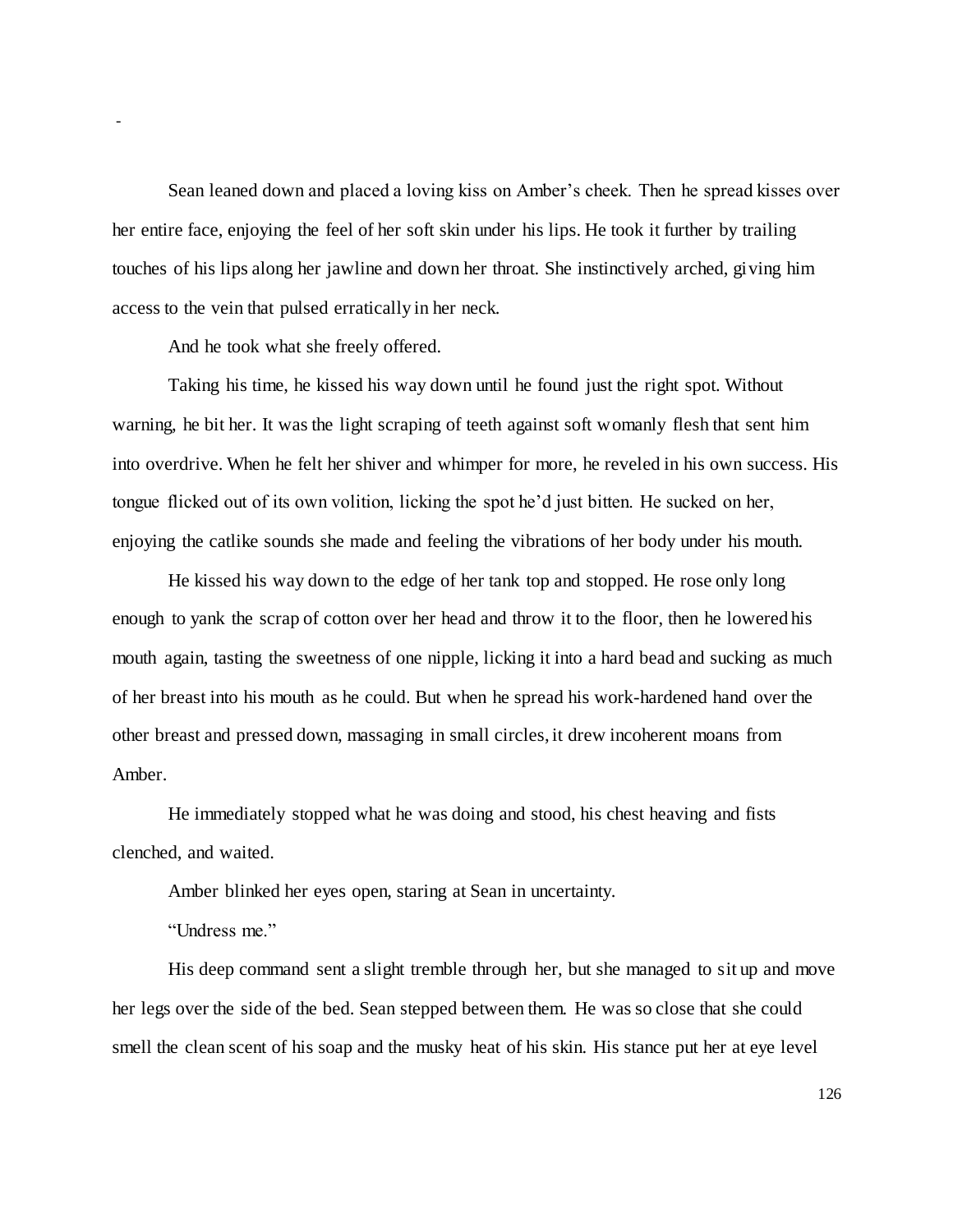Sean leaned down and placed a loving kiss on Amber's cheek. Then he spread kisses over her entire face, enjoying the feel of her soft skin under his lips. He took it further by trailing touches of his lips along her jawline and down her throat. She instinctively arched, giving him access to the vein that pulsed erratically in her neck.

And he took what she freely offered.

-

Taking his time, he kissed his way down until he found just the right spot. Without warning, he bit her. It was the light scraping of teeth against soft womanly flesh that sent him into overdrive. When he felt her shiver and whimper for more, he reveled in his own success. His tongue flicked out of its own volition, licking the spot he'd just bitten. He sucked on her, enjoying the catlike sounds she made and feeling the vibrations of her body under his mouth.

He kissed his way down to the edge of her tank top and stopped. He rose only long enough to yank the scrap of cotton over her head and throw it to the floor, then he lowered his mouth again, tasting the sweetness of one nipple, licking it into a hard bead and sucking as much of her breast into his mouth as he could. But when he spread his work-hardened hand over the other breast and pressed down, massaging in small circles, it drew incoherent moans from Amber.

He immediately stopped what he was doing and stood, his chest heaving and fists clenched, and waited.

Amber blinked her eyes open, staring at Sean in uncertainty.

"Undress me."

His deep command sent a slight tremble through her, but she managed to sit up and move her legs over the side of the bed. Sean stepped between them. He was so close that she could smell the clean scent of his soap and the musky heat of his skin. His stance put her at eye level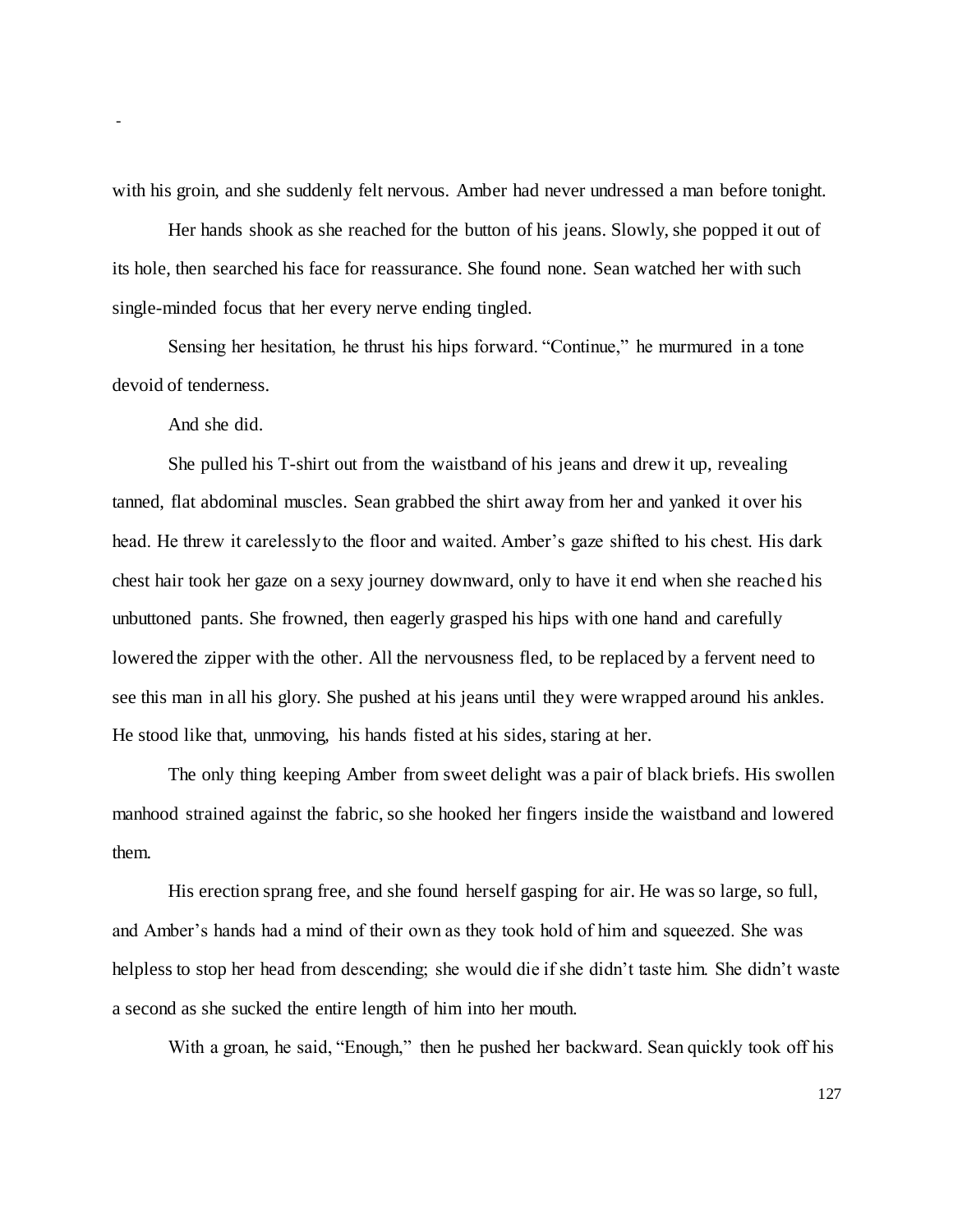with his groin, and she suddenly felt nervous. Amber had never undressed a man before tonight.

Her hands shook as she reached for the button of his jeans. Slowly, she popped it out of its hole, then searched his face for reassurance. She found none. Sean watched her with such single-minded focus that her every nerve ending tingled.

Sensing her hesitation, he thrust his hips forward. "Continue," he murmured in a tone devoid of tenderness.

And she did.

-

She pulled his T-shirt out from the waistband of his jeans and drew it up, revealing tanned, flat abdominal muscles. Sean grabbed the shirt away from her and yanked it over his head. He threw it carelessly to the floor and waited. Amber's gaze shifted to his chest. His dark chest hair took her gaze on a sexy journey downward, only to have it end when she reached his unbuttoned pants. She frowned, then eagerly grasped his hips with one hand and carefully lowered the zipper with the other. All the nervousness fled, to be replaced by a fervent need to see this man in all his glory. She pushed at his jeans until they were wrapped around his ankles. He stood like that, unmoving, his hands fisted at his sides, staring at her.

The only thing keeping Amber from sweet delight was a pair of black briefs. His swollen manhood strained against the fabric, so she hooked her fingers inside the waistband and lowered them.

His erection sprang free, and she found herself gasping for air. He was so large, so full, and Amber's hands had a mind of their own as they took hold of him and squeezed. She was helpless to stop her head from descending; she would die if she didn't taste him. She didn't waste a second as she sucked the entire length of him into her mouth.

With a groan, he said, "Enough," then he pushed her backward. Sean quickly took off his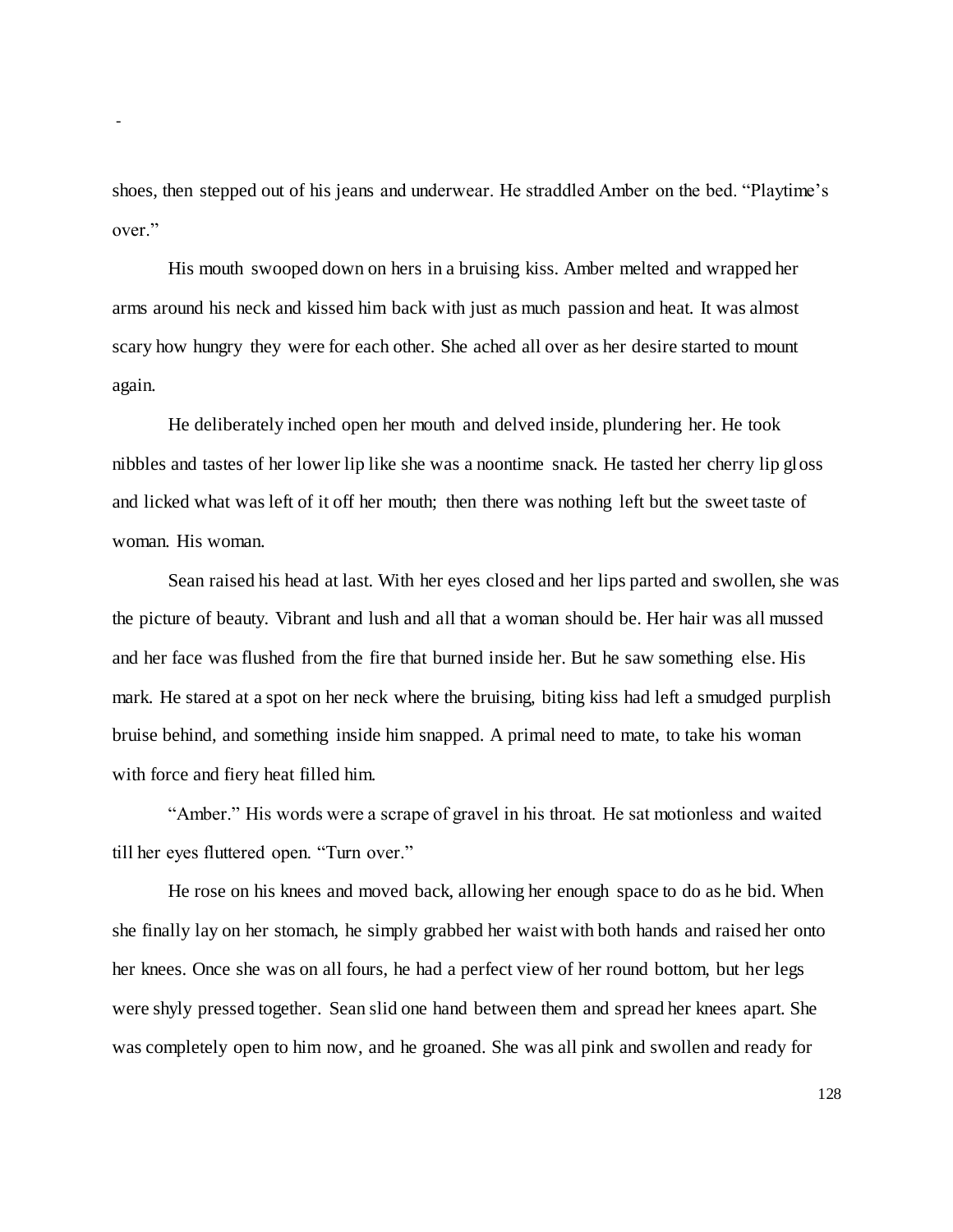shoes, then stepped out of his jeans and underwear. He straddled Amber on the bed. "Playtime's over."

-

His mouth swooped down on hers in a bruising kiss. Amber melted and wrapped her arms around his neck and kissed him back with just as much passion and heat. It was almost scary how hungry they were for each other. She ached all over as her desire started to mount again.

He deliberately inched open her mouth and delved inside, plundering her. He took nibbles and tastes of her lower lip like she was a noontime snack. He tasted her cherry lip gloss and licked what was left of it off her mouth; then there was nothing left but the sweet taste of woman. His woman.

Sean raised his head at last. With her eyes closed and her lips parted and swollen, she was the picture of beauty. Vibrant and lush and all that a woman should be. Her hair was all mussed and her face was flushed from the fire that burned inside her. But he saw something else. His mark. He stared at a spot on her neck where the bruising, biting kiss had left a smudged purplish bruise behind, and something inside him snapped. A primal need to mate, to take his woman with force and fiery heat filled him.

"Amber." His words were a scrape of gravel in his throat. He sat motionless and waited till her eyes fluttered open. "Turn over."

He rose on his knees and moved back, allowing her enough space to do as he bid. When she finally lay on her stomach, he simply grabbed her waist with both hands and raised her onto her knees. Once she was on all fours, he had a perfect view of her round bottom, but her legs were shyly pressed together. Sean slid one hand between them and spread her knees apart. She was completely open to him now, and he groaned. She was all pink and swollen and ready for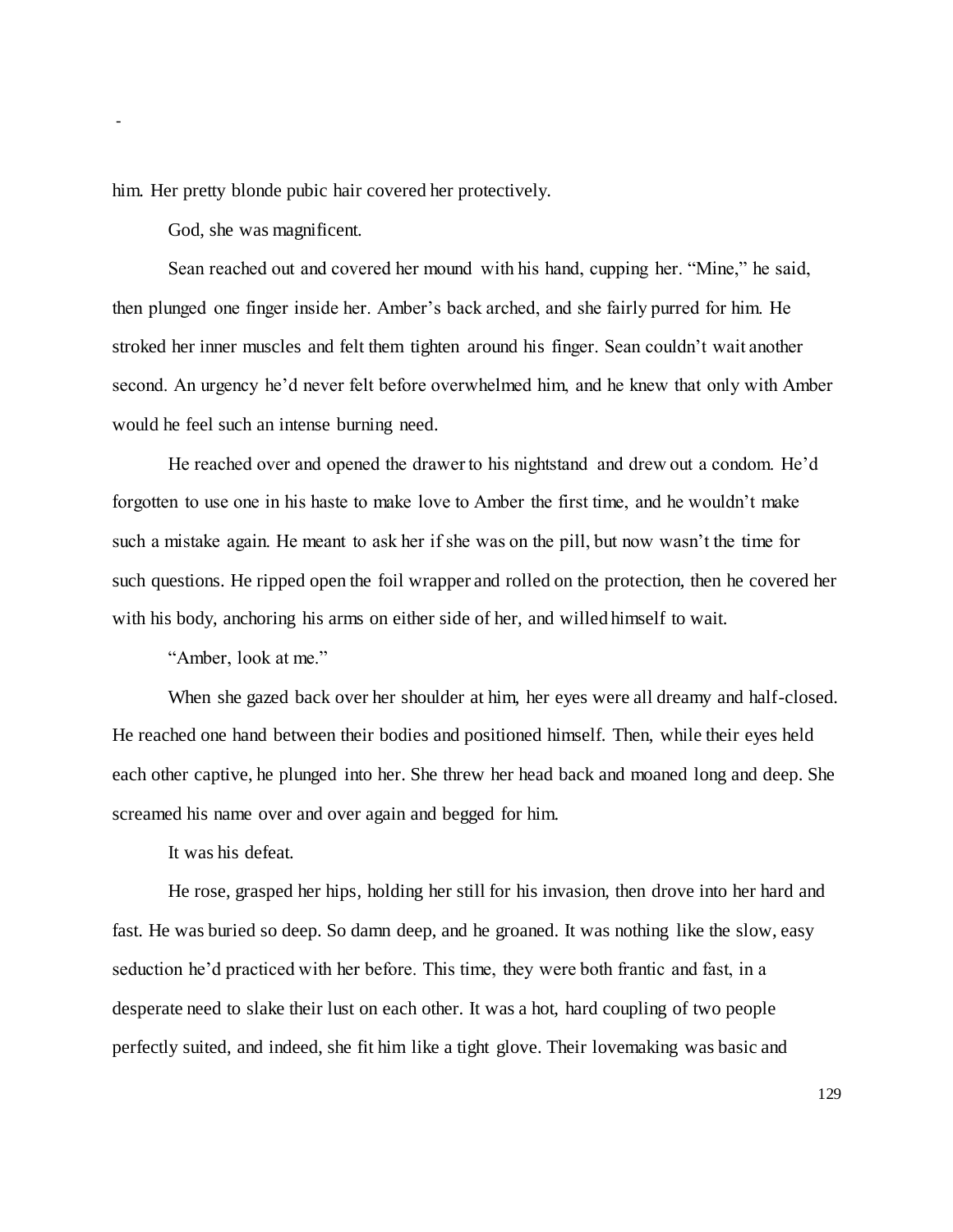him. Her pretty blonde pubic hair covered her protectively.

God, she was magnificent.

-

Sean reached out and covered her mound with his hand, cupping her. "Mine," he said, then plunged one finger inside her. Amber's back arched, and she fairly purred for him. He stroked her inner muscles and felt them tighten around his finger. Sean couldn't wait another second. An urgency he'd never felt before overwhelmed him, and he knew that only with Amber would he feel such an intense burning need.

He reached over and opened the drawer to his nightstand and drew out a condom. He'd forgotten to use one in his haste to make love to Amber the first time, and he wouldn't make such a mistake again. He meant to ask her if she was on the pill, but now wasn't the time for such questions. He ripped open the foil wrapper and rolled on the protection, then he covered her with his body, anchoring his arms on either side of her, and willed himself to wait.

"Amber, look at me."

When she gazed back over her shoulder at him, her eyes were all dreamy and half-closed. He reached one hand between their bodies and positioned himself. Then, while their eyes held each other captive, he plunged into her. She threw her head back and moaned long and deep. She screamed his name over and over again and begged for him.

It was his defeat.

He rose, grasped her hips, holding her still for his invasion, then drove into her hard and fast. He was buried so deep. So damn deep, and he groaned. It was nothing like the slow, easy seduction he'd practiced with her before. This time, they were both frantic and fast, in a desperate need to slake their lust on each other. It was a hot, hard coupling of two people perfectly suited, and indeed, she fit him like a tight glove. Their lovemaking was basic and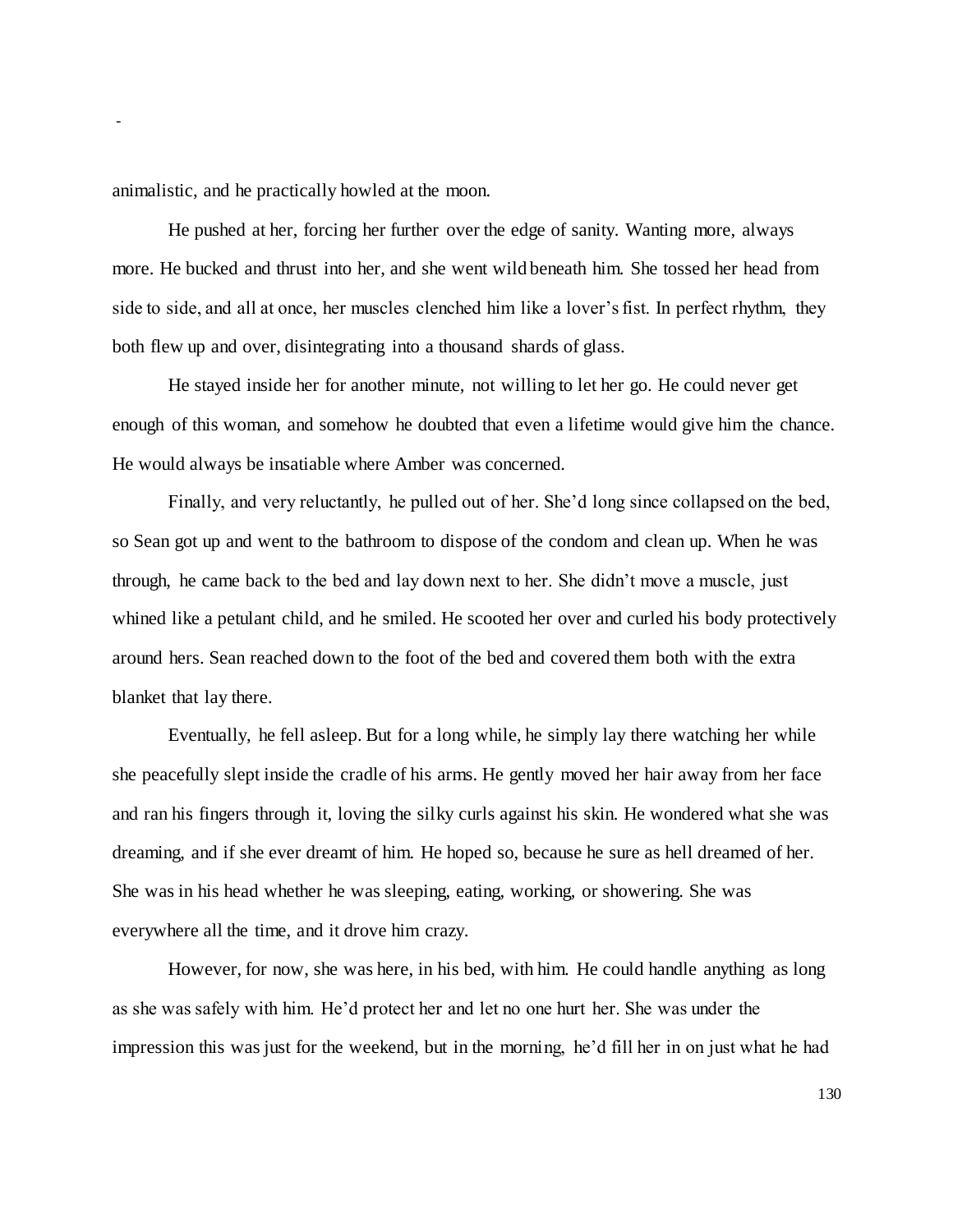animalistic, and he practically howled at the moon.

-

He pushed at her, forcing her further over the edge of sanity. Wanting more, always more. He bucked and thrust into her, and she went wild beneath him. She tossed her head from side to side, and all at once, her muscles clenched him like a lover's fist. In perfect rhythm, they both flew up and over, disintegrating into a thousand shards of glass.

He stayed inside her for another minute, not willing to let her go. He could never get enough of this woman, and somehow he doubted that even a lifetime would give him the chance. He would always be insatiable where Amber was concerned.

Finally, and very reluctantly, he pulled out of her. She'd long since collapsed on the bed, so Sean got up and went to the bathroom to dispose of the condom and clean up. When he was through, he came back to the bed and lay down next to her. She didn't move a muscle, just whined like a petulant child, and he smiled. He scooted her over and curled his body protectively around hers. Sean reached down to the foot of the bed and covered them both with the extra blanket that lay there.

Eventually, he fell asleep. But for a long while, he simply lay there watching her while she peacefully slept inside the cradle of his arms. He gently moved her hair away from her face and ran his fingers through it, loving the silky curls against his skin. He wondered what she was dreaming, and if she ever dreamt of him. He hoped so, because he sure as hell dreamed of her. She was in his head whether he was sleeping, eating, working, or showering. She was everywhere all the time, and it drove him crazy.

However, for now, she was here, in his bed, with him. He could handle anything as long as she was safely with him. He'd protect her and let no one hurt her. She was under the impression this was just for the weekend, but in the morning, he'd fill her in on just what he had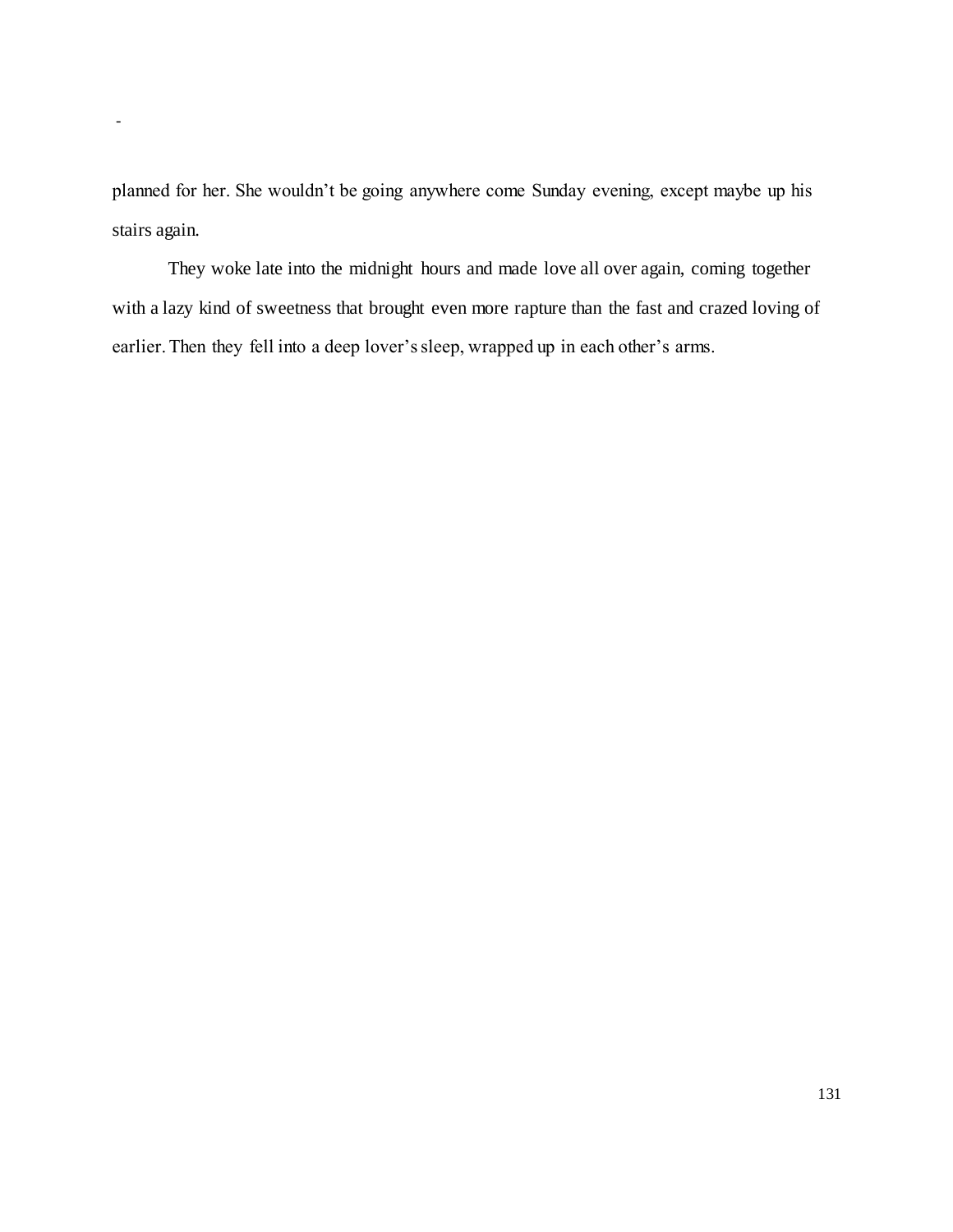planned for her. She wouldn't be going anywhere come Sunday evening, except maybe up his stairs again.

-

They woke late into the midnight hours and made love all over again, coming together with a lazy kind of sweetness that brought even more rapture than the fast and crazed loving of earlier. Then they fell into a deep lover's sleep, wrapped up in each other's arms.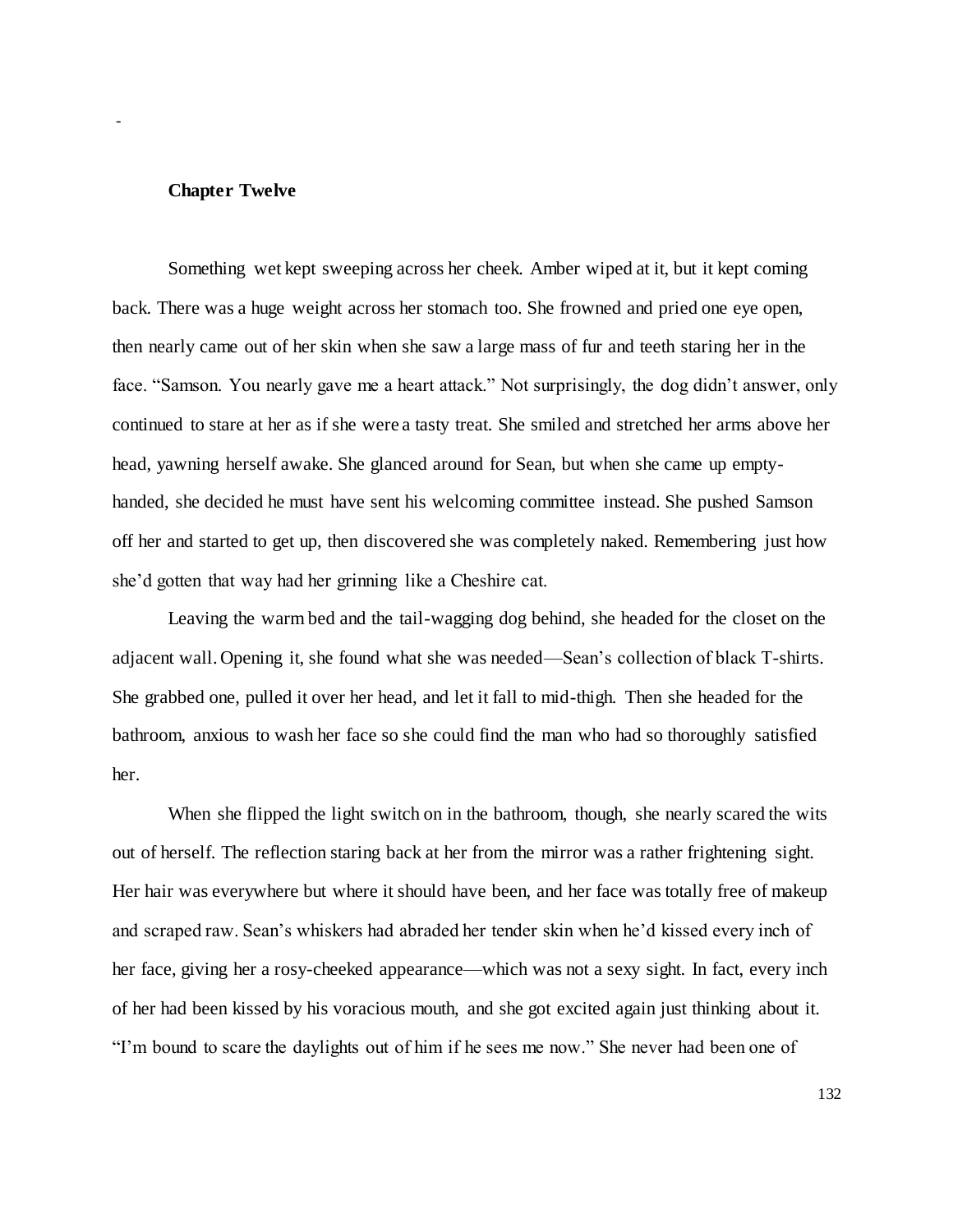## **Chapter Twelve**

-

Something wet kept sweeping across her cheek. Amber wiped at it, but it kept coming back. There was a huge weight across her stomach too. She frowned and pried one eye open, then nearly came out of her skin when she saw a large mass of fur and teeth staring her in the face. "Samson. You nearly gave me a heart attack." Not surprisingly, the dog didn't answer, only continued to stare at her as if she were a tasty treat. She smiled and stretched her arms above her head, yawning herself awake. She glanced around for Sean, but when she came up emptyhanded, she decided he must have sent his welcoming committee instead. She pushed Samson off her and started to get up, then discovered she was completely naked. Remembering just how she'd gotten that way had her grinning like a Cheshire cat.

Leaving the warm bed and the tail-wagging dog behind, she headed for the closet on the adjacent wall. Opening it, she found what she was needed—Sean's collection of black T-shirts. She grabbed one, pulled it over her head, and let it fall to mid-thigh. Then she headed for the bathroom, anxious to wash her face so she could find the man who had so thoroughly satisfied her.

When she flipped the light switch on in the bathroom, though, she nearly scared the wits out of herself. The reflection staring back at her from the mirror was a rather frightening sight. Her hair was everywhere but where it should have been, and her face was totally free of makeup and scraped raw. Sean's whiskers had abraded her tender skin when he'd kissed every inch of her face, giving her a rosy-cheeked appearance—which was not a sexy sight. In fact, every inch of her had been kissed by his voracious mouth, and she got excited again just thinking about it. "I'm bound to scare the daylights out of him if he sees me now." She never had been one of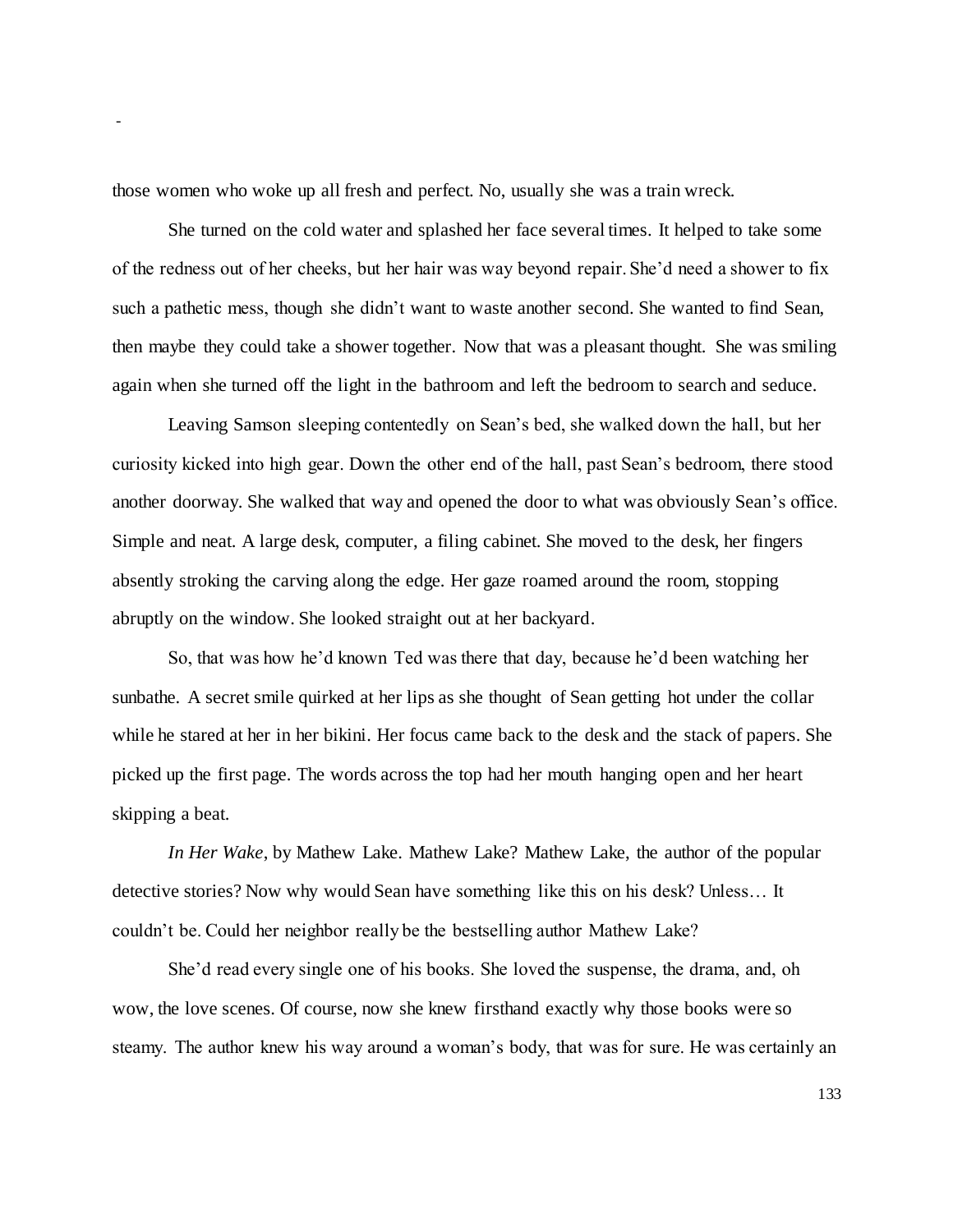those women who woke up all fresh and perfect. No, usually she was a train wreck.

-

She turned on the cold water and splashed her face several times. It helped to take some of the redness out of her cheeks, but her hair was way beyond repair. She'd need a shower to fix such a pathetic mess, though she didn't want to waste another second. She wanted to find Sean, then maybe they could take a shower together. Now that was a pleasant thought. She was smiling again when she turned off the light in the bathroom and left the bedroom to search and seduce.

Leaving Samson sleeping contentedly on Sean's bed, she walked down the hall, but her curiosity kicked into high gear. Down the other end of the hall, past Sean's bedroom, there stood another doorway. She walked that way and opened the door to what was obviously Sean's office. Simple and neat. A large desk, computer, a filing cabinet. She moved to the desk, her fingers absently stroking the carving along the edge. Her gaze roamed around the room, stopping abruptly on the window. She looked straight out at her backyard.

So, that was how he'd known Ted was there that day, because he'd been watching her sunbathe. A secret smile quirked at her lips as she thought of Sean getting hot under the collar while he stared at her in her bikini. Her focus came back to the desk and the stack of papers. She picked up the first page. The words across the top had her mouth hanging open and her heart skipping a beat.

*In Her Wake*, by Mathew Lake. Mathew Lake? Mathew Lake, the author of the popular detective stories? Now why would Sean have something like this on his desk? Unless… It couldn't be. Could her neighbor really be the bestselling author Mathew Lake?

She'd read every single one of his books. She loved the suspense, the drama, and, oh wow, the love scenes. Of course, now she knew firsthand exactly why those books were so steamy. The author knew his way around a woman's body, that was for sure. He was certainly an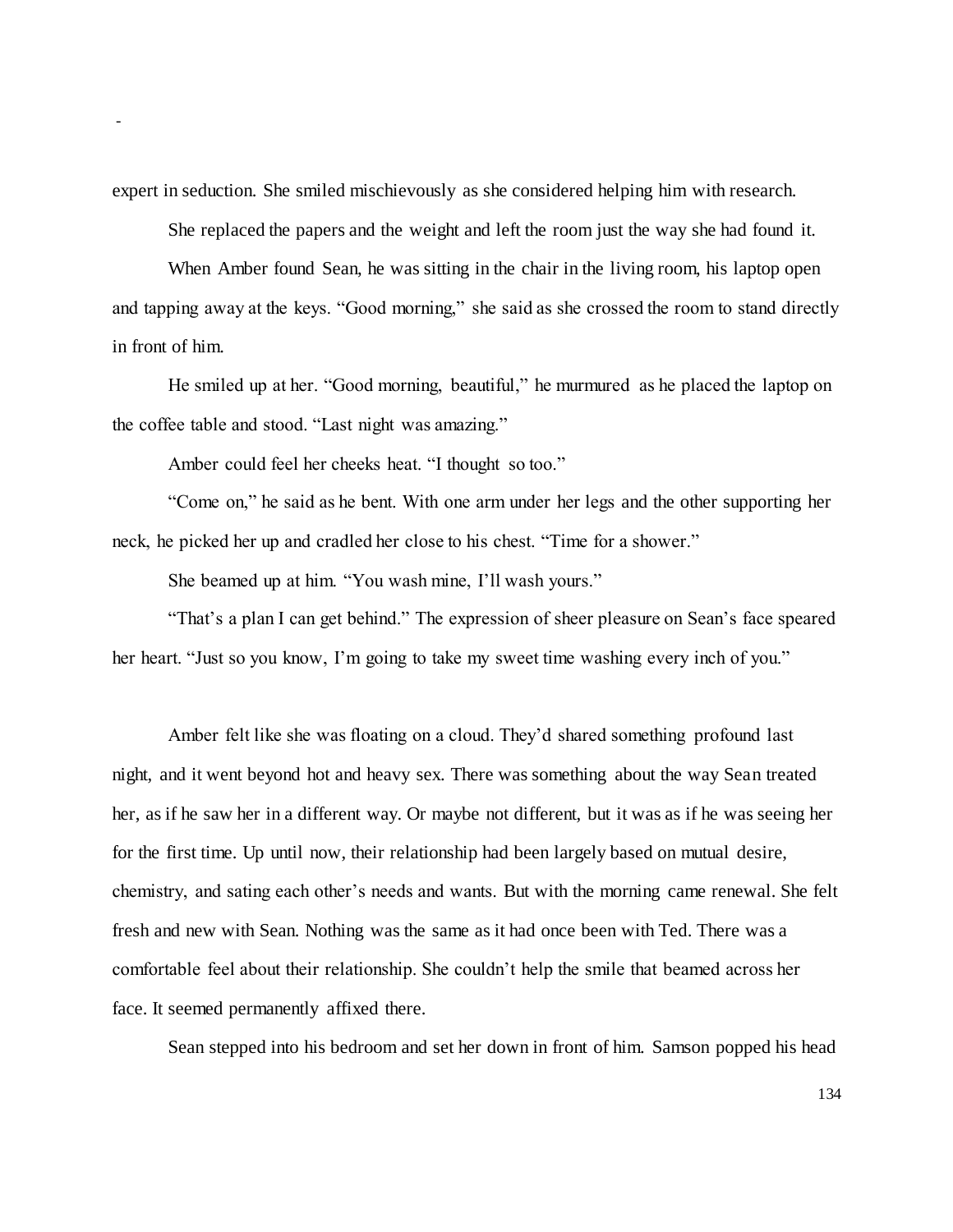expert in seduction. She smiled mischievously as she considered helping him with research.

She replaced the papers and the weight and left the room just the way she had found it.

When Amber found Sean, he was sitting in the chair in the living room, his laptop open and tapping away at the keys. "Good morning," she said as she crossed the room to stand directly in front of him.

He smiled up at her. "Good morning, beautiful," he murmured as he placed the laptop on the coffee table and stood. "Last night was amazing."

Amber could feel her cheeks heat. "I thought so too."

-

"Come on," he said as he bent. With one arm under her legs and the other supporting her neck, he picked her up and cradled her close to his chest. "Time for a shower."

She beamed up at him. "You wash mine, I'll wash yours."

"That's a plan I can get behind." The expression of sheer pleasure on Sean's face speared her heart. "Just so you know, I'm going to take my sweet time washing every inch of you."

Amber felt like she was floating on a cloud. They'd shared something profound last night, and it went beyond hot and heavy sex. There was something about the way Sean treated her, as if he saw her in a different way. Or maybe not different, but it was as if he was seeing her for the first time. Up until now, their relationship had been largely based on mutual desire, chemistry, and sating each other's needs and wants. But with the morning came renewal. She felt fresh and new with Sean. Nothing was the same as it had once been with Ted. There was a comfortable feel about their relationship. She couldn't help the smile that beamed across her face. It seemed permanently affixed there.

Sean stepped into his bedroom and set her down in front of him. Samson popped his head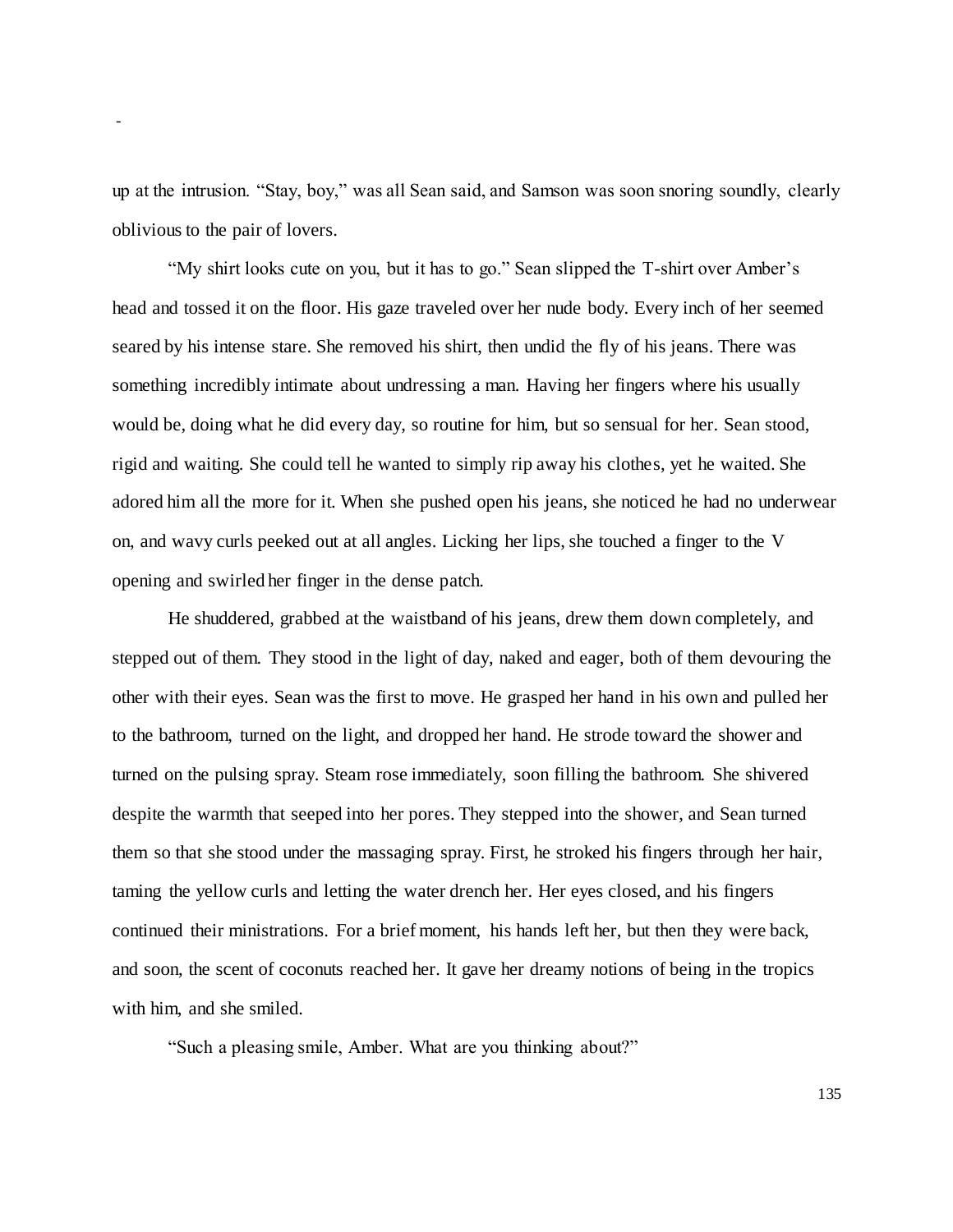up at the intrusion. "Stay, boy," was all Sean said, and Samson was soon snoring soundly, clearly oblivious to the pair of lovers.

-

"My shirt looks cute on you, but it has to go." Sean slipped the T-shirt over Amber's head and tossed it on the floor. His gaze traveled over her nude body. Every inch of her seemed seared by his intense stare. She removed his shirt, then undid the fly of his jeans. There was something incredibly intimate about undressing a man. Having her fingers where his usually would be, doing what he did every day, so routine for him, but so sensual for her. Sean stood, rigid and waiting. She could tell he wanted to simply rip away his clothes, yet he waited. She adored him all the more for it. When she pushed open his jeans, she noticed he had no underwear on, and wavy curls peeked out at all angles. Licking her lips, she touched a finger to the V opening and swirled her finger in the dense patch.

He shuddered, grabbed at the waistband of his jeans, drew them down completely, and stepped out of them. They stood in the light of day, naked and eager, both of them devouring the other with their eyes. Sean was the first to move. He grasped her hand in his own and pulled her to the bathroom, turned on the light, and dropped her hand. He strode toward the shower and turned on the pulsing spray. Steam rose immediately, soon filling the bathroom. She shivered despite the warmth that seeped into her pores. They stepped into the shower, and Sean turned them so that she stood under the massaging spray. First, he stroked his fingers through her hair, taming the yellow curls and letting the water drench her. Her eyes closed, and his fingers continued their ministrations. For a brief moment, his hands left her, but then they were back, and soon, the scent of coconuts reached her. It gave her dreamy notions of being in the tropics with him, and she smiled.

"Such a pleasing smile, Amber. What are you thinking about?"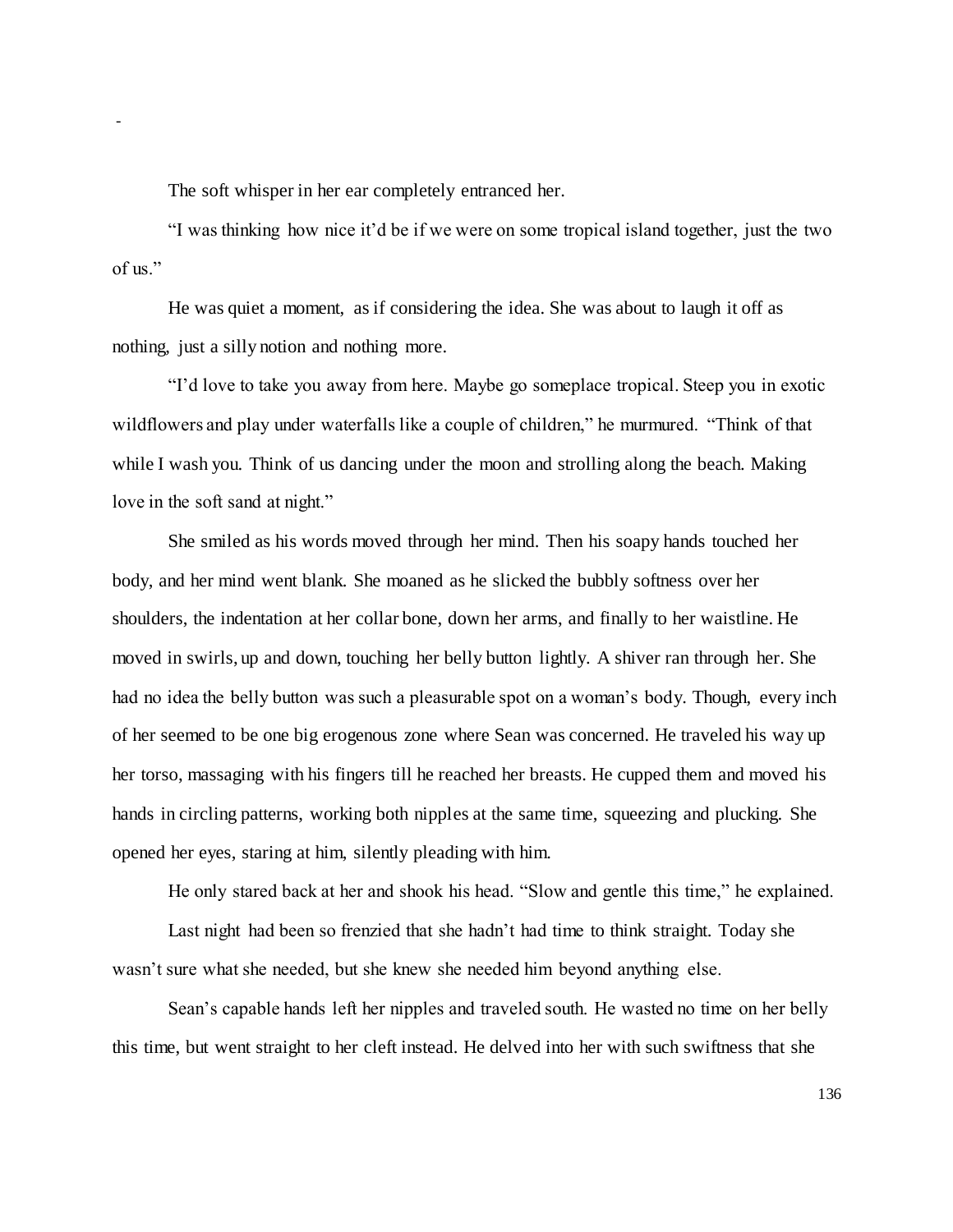The soft whisper in her ear completely entranced her.

-

"I was thinking how nice it'd be if we were on some tropical island together, just the two of us."

He was quiet a moment, as if considering the idea. She was about to laugh it off as nothing, just a silly notion and nothing more.

"I'd love to take you away from here. Maybe go someplace tropical. Steep you in exotic wildflowers and play under waterfalls like a couple of children," he murmured. "Think of that while I wash you. Think of us dancing under the moon and strolling along the beach. Making love in the soft sand at night."

She smiled as his words moved through her mind. Then his soapy hands touched her body, and her mind went blank. She moaned as he slicked the bubbly softness over her shoulders, the indentation at her collar bone, down her arms, and finally to her waistline. He moved in swirls, up and down, touching her belly button lightly. A shiver ran through her. She had no idea the belly button was such a pleasurable spot on a woman's body. Though, every inch of her seemed to be one big erogenous zone where Sean was concerned. He traveled his way up her torso, massaging with his fingers till he reached her breasts. He cupped them and moved his hands in circling patterns, working both nipples at the same time, squeezing and plucking. She opened her eyes, staring at him, silently pleading with him.

He only stared back at her and shook his head. "Slow and gentle this time," he explained.

Last night had been so frenzied that she hadn't had time to think straight. Today she wasn't sure what she needed, but she knew she needed him beyond anything else.

Sean's capable hands left her nipples and traveled south. He wasted no time on her belly this time, but went straight to her cleft instead. He delved into her with such swiftness that she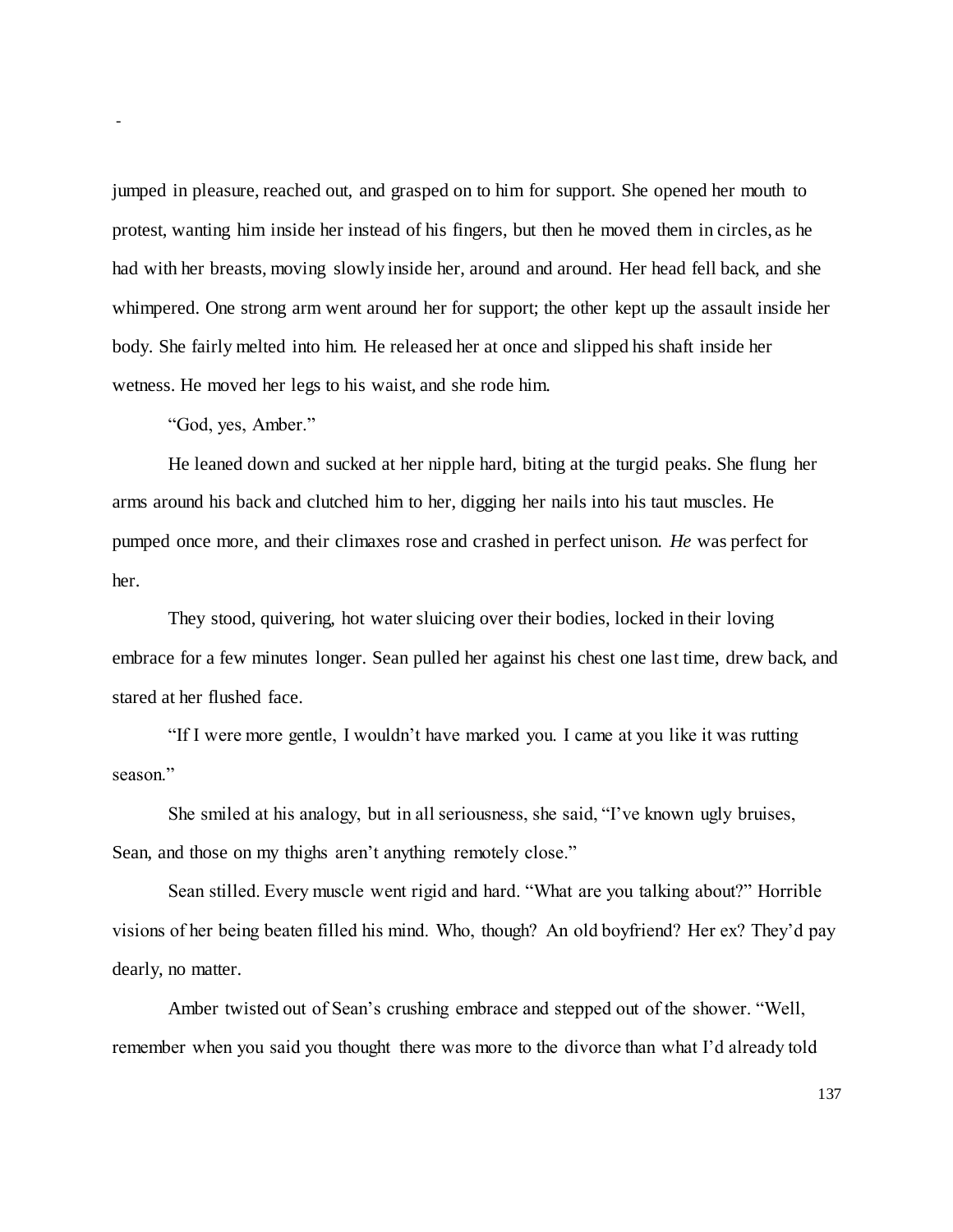jumped in pleasure, reached out, and grasped on to him for support. She opened her mouth to protest, wanting him inside her instead of his fingers, but then he moved them in circles, as he had with her breasts, moving slowly inside her, around and around. Her head fell back, and she whimpered. One strong arm went around her for support; the other kept up the assault inside her body. She fairly melted into him. He released her at once and slipped his shaft inside her wetness. He moved her legs to his waist, and she rode him.

"God, yes, Amber."

-

He leaned down and sucked at her nipple hard, biting at the turgid peaks. She flung her arms around his back and clutched him to her, digging her nails into his taut muscles. He pumped once more, and their climaxes rose and crashed in perfect unison. *He* was perfect for her.

They stood, quivering, hot water sluicing over their bodies, locked in their loving embrace for a few minutes longer. Sean pulled her against his chest one last time, drew back, and stared at her flushed face.

"If I were more gentle, I wouldn't have marked you. I came at you like it was rutting season."

She smiled at his analogy, but in all seriousness, she said, "I've known ugly bruises, Sean, and those on my thighs aren't anything remotely close."

Sean stilled. Every muscle went rigid and hard. "What are you talking about?" Horrible visions of her being beaten filled his mind. Who, though? An old boyfriend? Her ex? They'd pay dearly, no matter.

Amber twisted out of Sean's crushing embrace and stepped out of the shower. "Well, remember when you said you thought there was more to the divorce than what I'd already told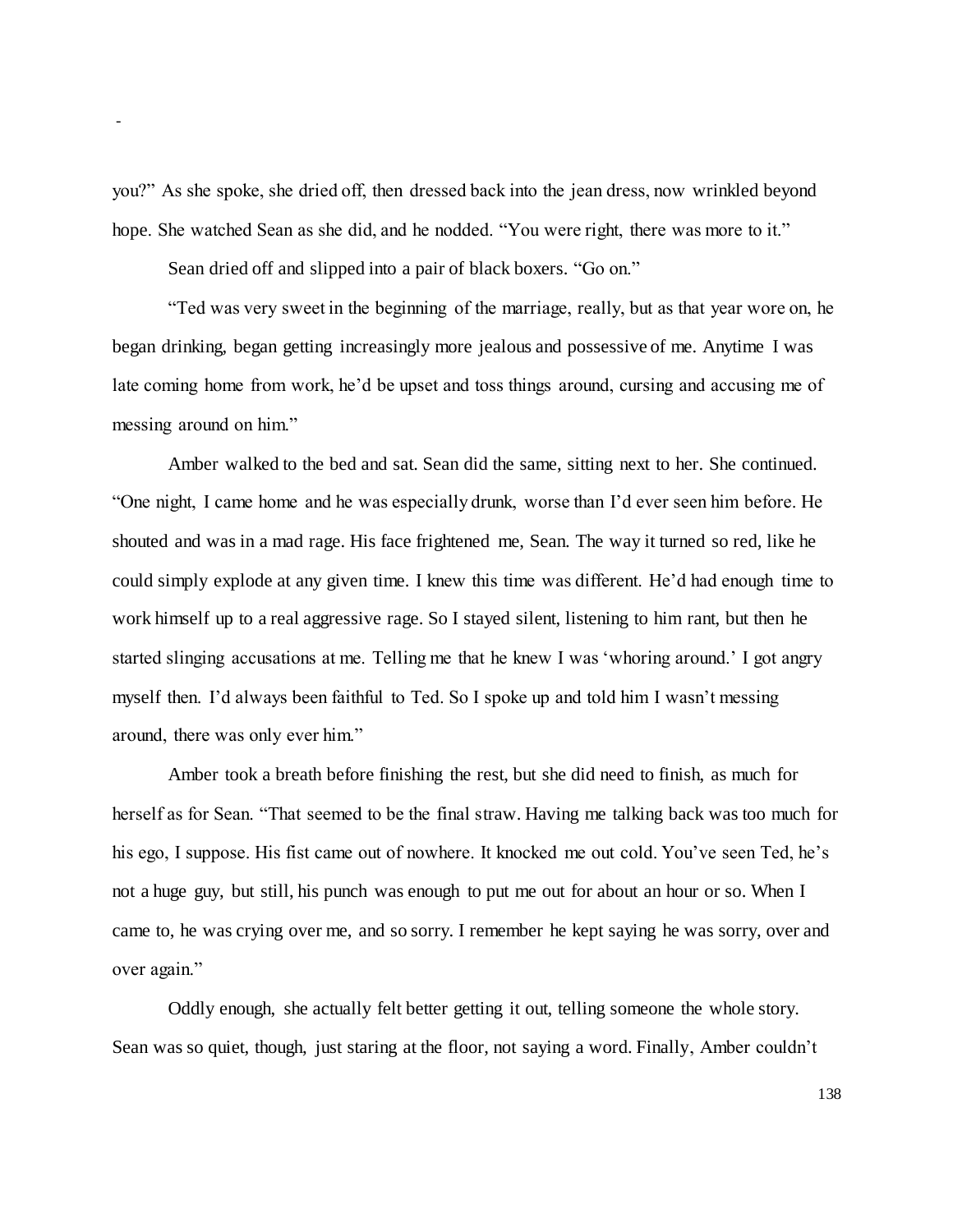you?" As she spoke, she dried off, then dressed back into the jean dress, now wrinkled beyond hope. She watched Sean as she did, and he nodded. "You were right, there was more to it."

Sean dried off and slipped into a pair of black boxers. "Go on."

-

"Ted was very sweet in the beginning of the marriage, really, but as that year wore on, he began drinking, began getting increasingly more jealous and possessive of me. Anytime I was late coming home from work, he'd be upset and toss things around, cursing and accusing me of messing around on him."

Amber walked to the bed and sat. Sean did the same, sitting next to her. She continued. "One night, I came home and he was especially drunk, worse than I'd ever seen him before. He shouted and was in a mad rage. His face frightened me, Sean. The way it turned so red, like he could simply explode at any given time. I knew this time was different. He'd had enough time to work himself up to a real aggressive rage. So I stayed silent, listening to him rant, but then he started slinging accusations at me. Telling me that he knew I was 'whoring around.' I got angry myself then. I'd always been faithful to Ted. So I spoke up and told him I wasn't messing around, there was only ever him."

Amber took a breath before finishing the rest, but she did need to finish, as much for herself as for Sean. "That seemed to be the final straw. Having me talking back was too much for his ego, I suppose. His fist came out of nowhere. It knocked me out cold. You've seen Ted, he's not a huge guy, but still, his punch was enough to put me out for about an hour or so. When I came to, he was crying over me, and so sorry. I remember he kept saying he was sorry, over and over again."

Oddly enough, she actually felt better getting it out, telling someone the whole story. Sean was so quiet, though, just staring at the floor, not saying a word. Finally, Amber couldn't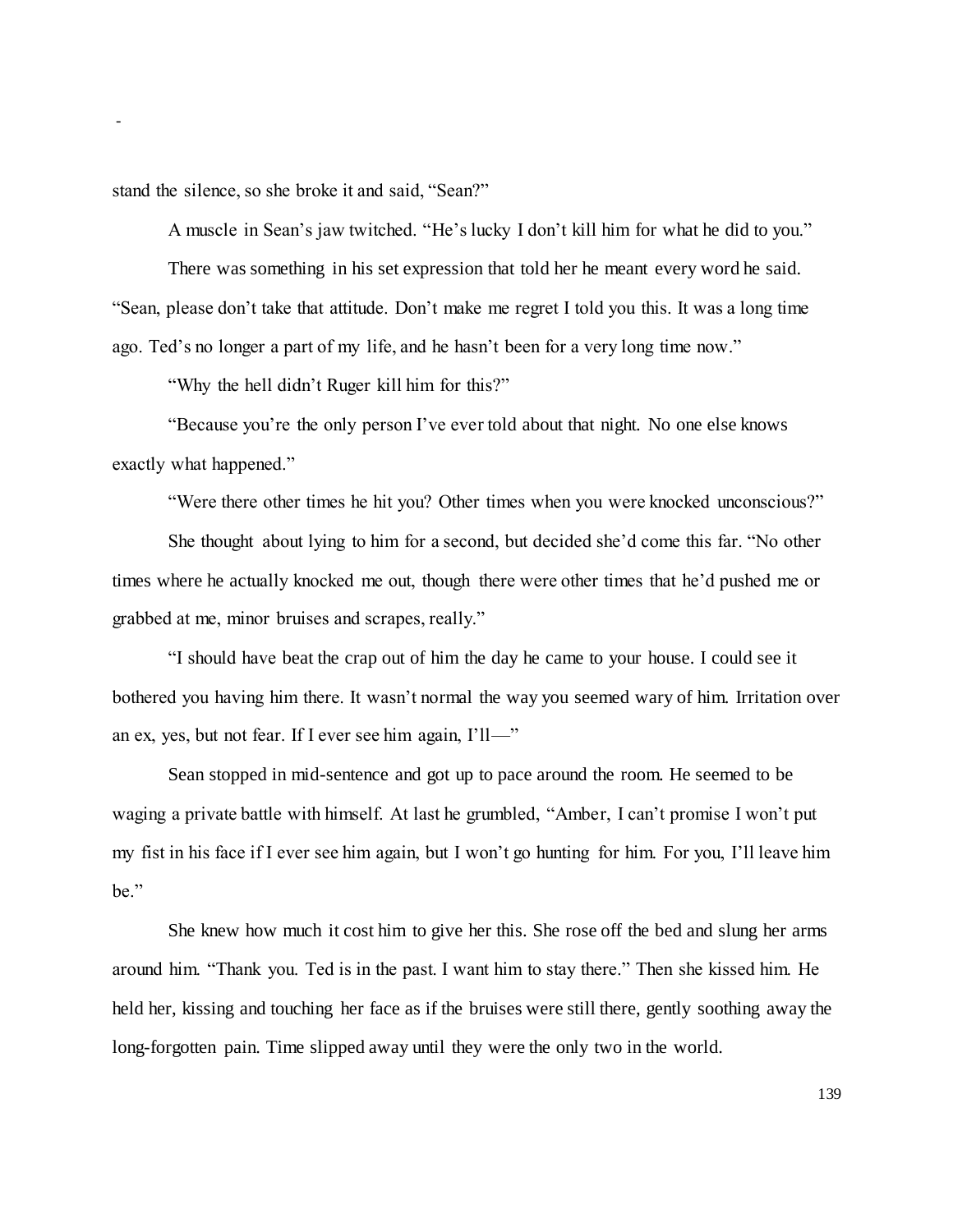stand the silence, so she broke it and said, "Sean?"

-

A muscle in Sean's jaw twitched. "He's lucky I don't kill him for what he did to you."

There was something in his set expression that told her he meant every word he said. "Sean, please don't take that attitude. Don't make me regret I told you this. It was a long time ago. Ted's no longer a part of my life, and he hasn't been for a very long time now."

"Why the hell didn't Ruger kill him for this?"

"Because you're the only person I've ever told about that night. No one else knows exactly what happened."

"Were there other times he hit you? Other times when you were knocked unconscious?"

She thought about lying to him for a second, but decided she'd come this far. "No other times where he actually knocked me out, though there were other times that he'd pushed me or grabbed at me, minor bruises and scrapes, really."

"I should have beat the crap out of him the day he came to your house. I could see it bothered you having him there. It wasn't normal the way you seemed wary of him. Irritation over an ex, yes, but not fear. If I ever see him again, I'll—"

Sean stopped in mid-sentence and got up to pace around the room. He seemed to be waging a private battle with himself. At last he grumbled, "Amber, I can't promise I won't put my fist in his face if I ever see him again, but I won't go hunting for him. For you, I'll leave him be."

She knew how much it cost him to give her this. She rose off the bed and slung her arms around him. "Thank you. Ted is in the past. I want him to stay there." Then she kissed him. He held her, kissing and touching her face as if the bruises were still there, gently soothing away the long-forgotten pain. Time slipped away until they were the only two in the world.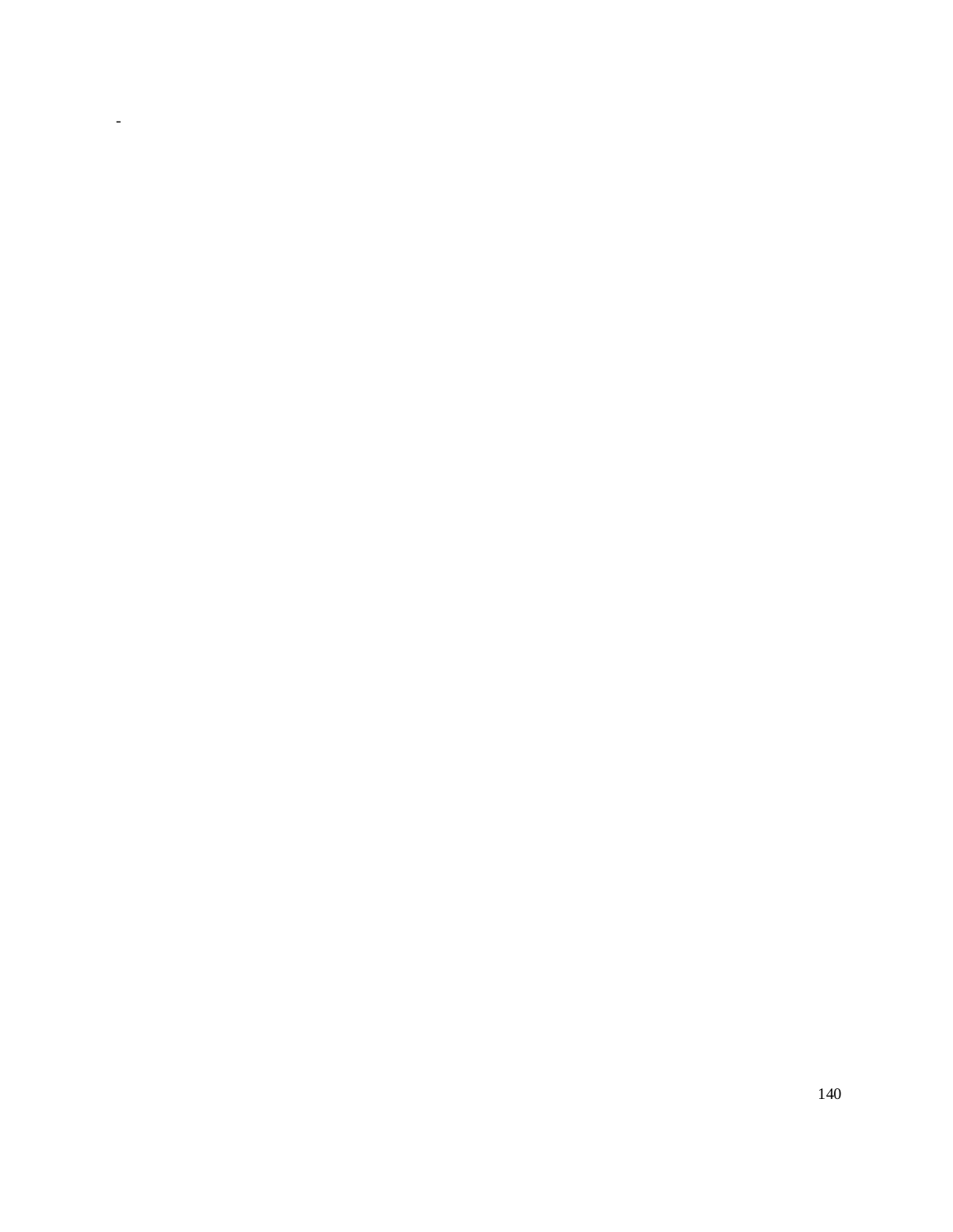140

 $\sim$  -  $\sim$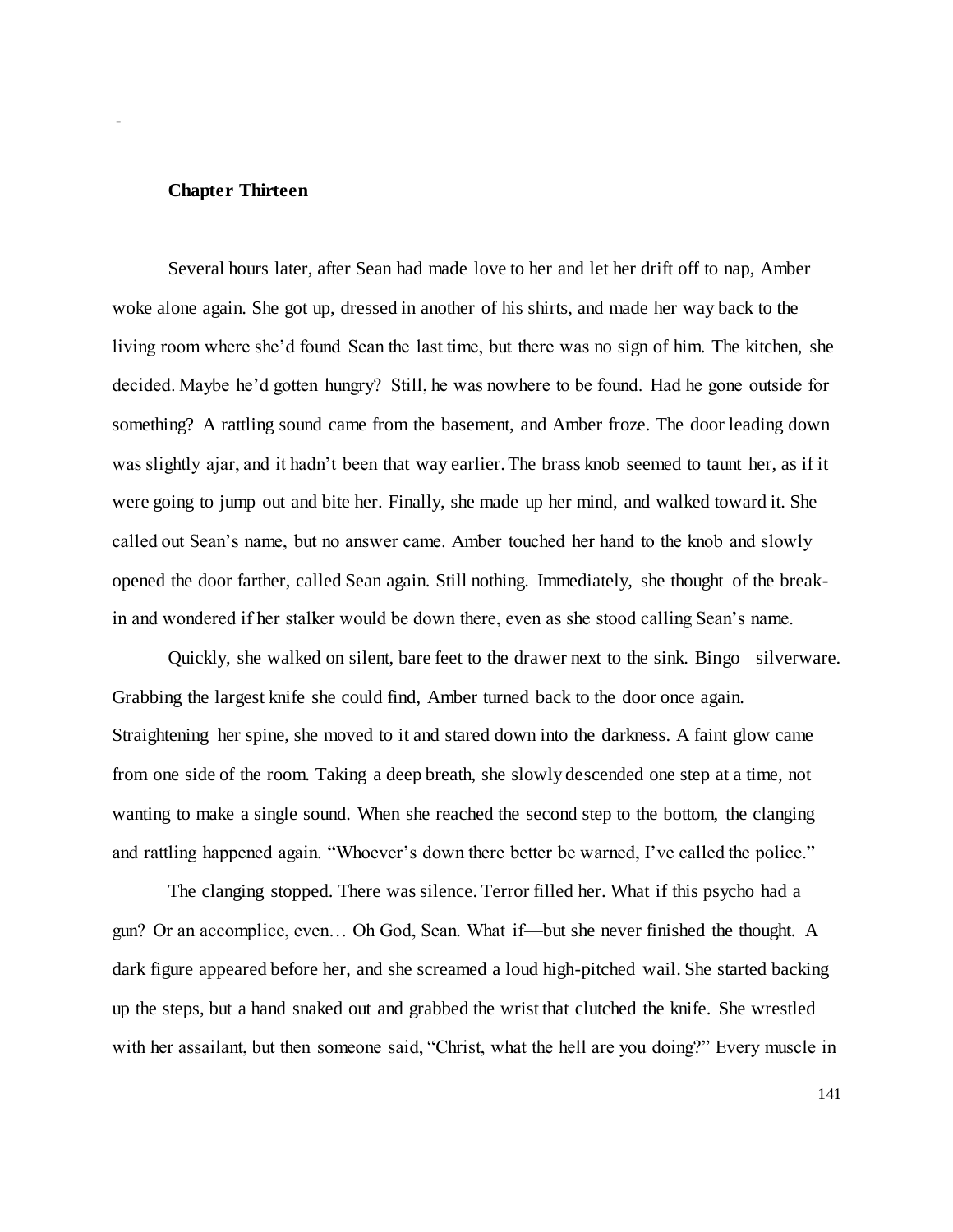## **Chapter Thirteen**

-

Several hours later, after Sean had made love to her and let her drift off to nap, Amber woke alone again. She got up, dressed in another of his shirts, and made her way back to the living room where she'd found Sean the last time, but there was no sign of him. The kitchen, she decided. Maybe he'd gotten hungry? Still, he was nowhere to be found. Had he gone outside for something? A rattling sound came from the basement, and Amber froze. The door leading down was slightly ajar, and it hadn't been that way earlier. The brass knob seemed to taunt her, as if it were going to jump out and bite her. Finally, she made up her mind, and walked toward it. She called out Sean's name, but no answer came. Amber touched her hand to the knob and slowly opened the door farther, called Sean again. Still nothing. Immediately, she thought of the breakin and wondered if her stalker would be down there, even as she stood calling Sean's name.

Quickly, she walked on silent, bare feet to the drawer next to the sink. Bingo—silverware. Grabbing the largest knife she could find, Amber turned back to the door once again. Straightening her spine, she moved to it and stared down into the darkness. A faint glow came from one side of the room. Taking a deep breath, she slowly descended one step at a time, not wanting to make a single sound. When she reached the second step to the bottom, the clanging and rattling happened again. "Whoever's down there better be warned, I've called the police."

The clanging stopped. There was silence. Terror filled her. What if this psycho had a gun? Or an accomplice, even… Oh God, Sean. What if—but she never finished the thought. A dark figure appeared before her, and she screamed a loud high-pitched wail. She started backing up the steps, but a hand snaked out and grabbed the wrist that clutched the knife. She wrestled with her assailant, but then someone said, "Christ, what the hell are you doing?" Every muscle in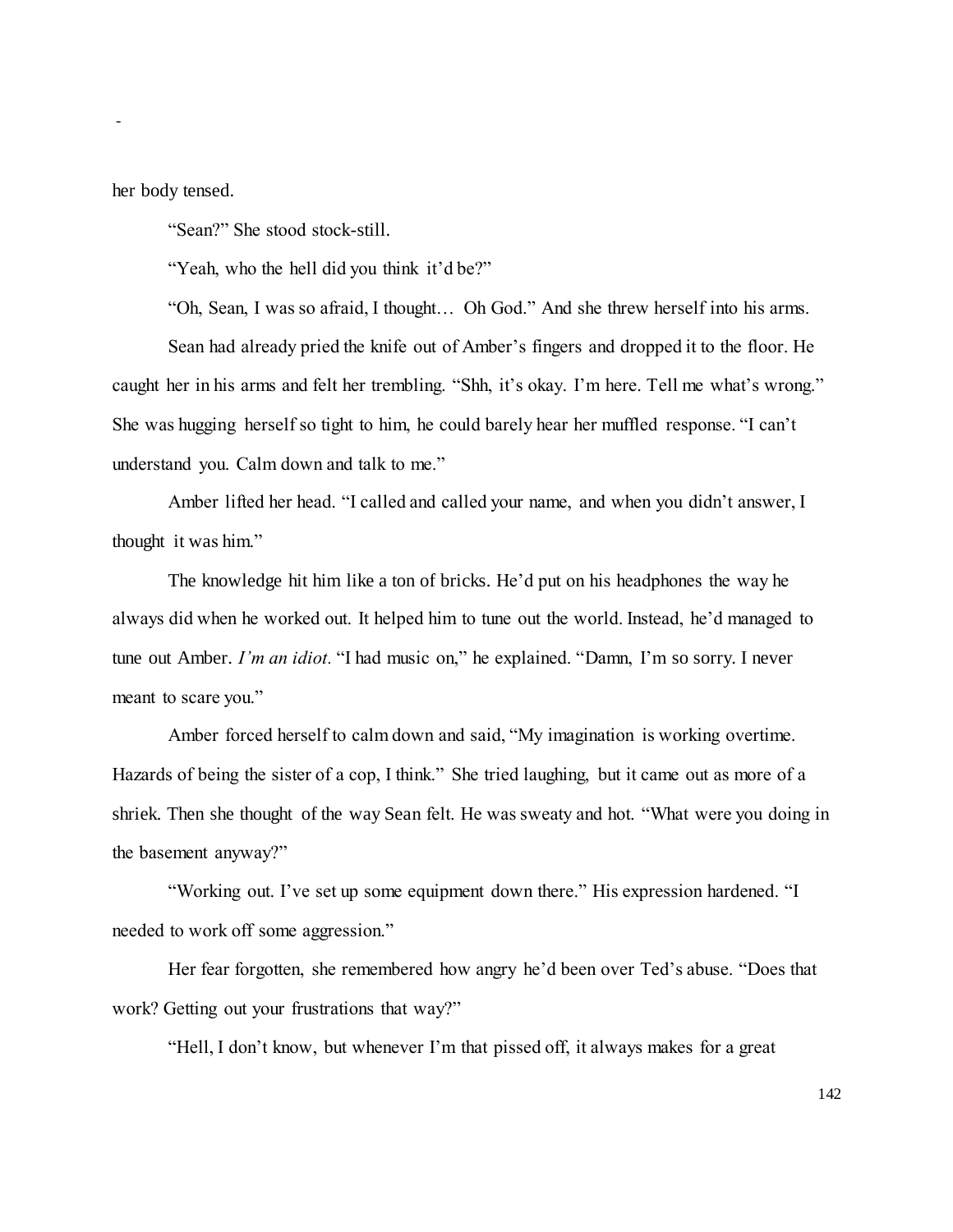her body tensed.

-

"Sean?" She stood stock-still.

"Yeah, who the hell did you think it'd be?"

"Oh, Sean, I was so afraid, I thought… Oh God." And she threw herself into his arms. Sean had already pried the knife out of Amber's fingers and dropped it to the floor. He caught her in his arms and felt her trembling. "Shh, it's okay. I'm here. Tell me what's wrong." She was hugging herself so tight to him, he could barely hear her muffled response. "I can't understand you. Calm down and talk to me."

Amber lifted her head. "I called and called your name, and when you didn't answer, I thought it was him."

The knowledge hit him like a ton of bricks. He'd put on his headphones the way he always did when he worked out. It helped him to tune out the world. Instead, he'd managed to tune out Amber. *I'm an idiot.* "I had music on," he explained. "Damn, I'm so sorry. I never meant to scare you."

Amber forced herself to calm down and said, "My imagination is working overtime. Hazards of being the sister of a cop, I think." She tried laughing, but it came out as more of a shriek. Then she thought of the way Sean felt. He was sweaty and hot. "What were you doing in the basement anyway?"

"Working out. I've set up some equipment down there." His expression hardened. "I needed to work off some aggression."

Her fear forgotten, she remembered how angry he'd been over Ted's abuse. "Does that work? Getting out your frustrations that way?"

"Hell, I don't know, but whenever I'm that pissed off, it always makes for a great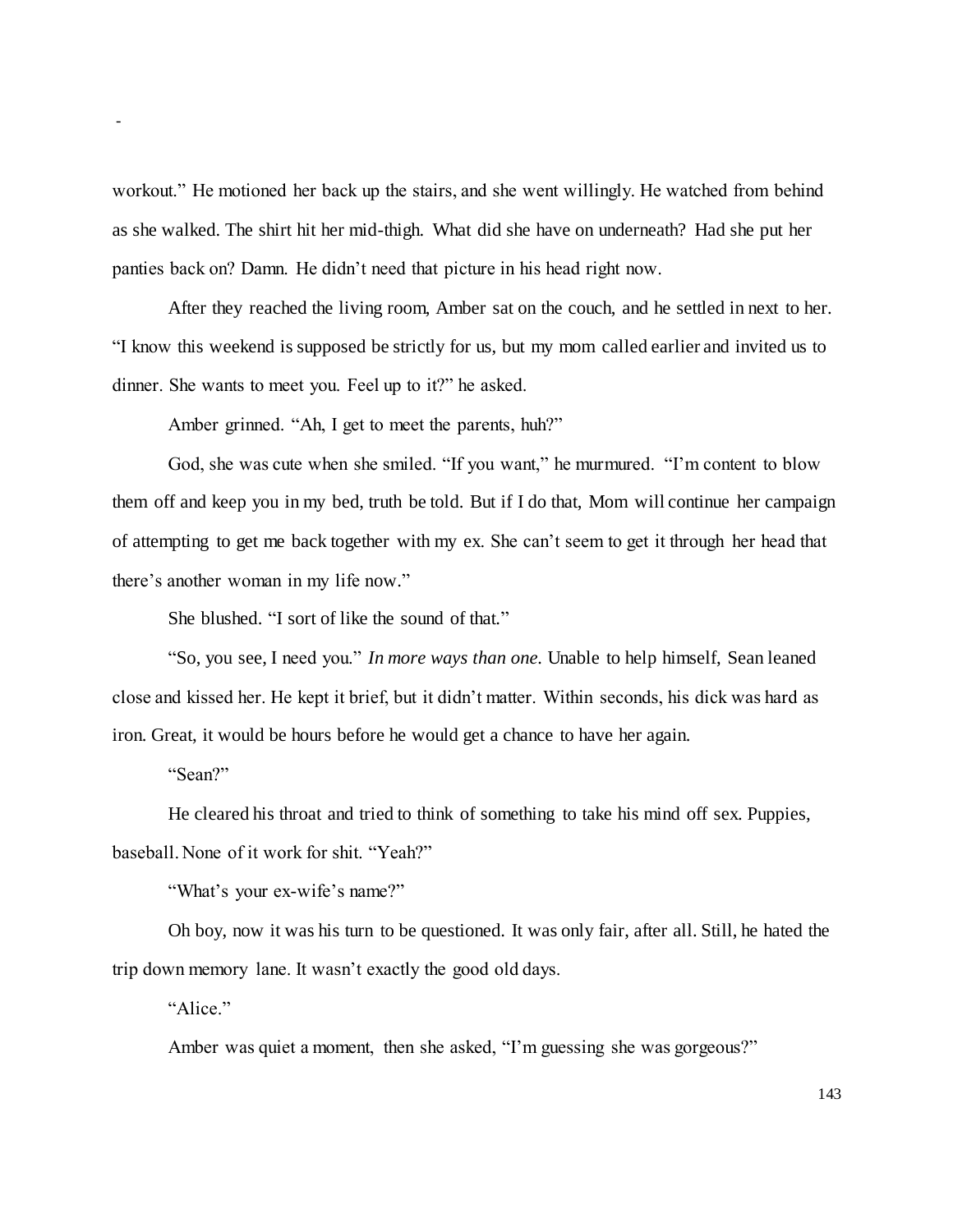workout." He motioned her back up the stairs, and she went willingly. He watched from behind as she walked. The shirt hit her mid-thigh. What did she have on underneath? Had she put her panties back on? Damn. He didn't need that picture in his head right now.

After they reached the living room, Amber sat on the couch, and he settled in next to her. "I know this weekend is supposed be strictly for us, but my mom called earlier and invited us to dinner. She wants to meet you. Feel up to it?" he asked.

Amber grinned. "Ah, I get to meet the parents, huh?"

God, she was cute when she smiled. "If you want," he murmured. "I'm content to blow them off and keep you in my bed, truth be told. But if I do that, Mom will continue her campaign of attempting to get me back together with my ex. She can't seem to get it through her head that there's another woman in my life now."

She blushed. "I sort of like the sound of that."

"So, you see, I need you." *In more ways than one.* Unable to help himself, Sean leaned close and kissed her. He kept it brief, but it didn't matter. Within seconds, his dick was hard as iron. Great, it would be hours before he would get a chance to have her again.

"Sean?"

-

He cleared his throat and tried to think of something to take his mind off sex. Puppies, baseball. None of it work for shit. "Yeah?"

"What's your ex-wife's name?"

Oh boy, now it was his turn to be questioned. It was only fair, after all. Still, he hated the trip down memory lane. It wasn't exactly the good old days.

"Alice."

Amber was quiet a moment, then she asked, "I'm guessing she was gorgeous?"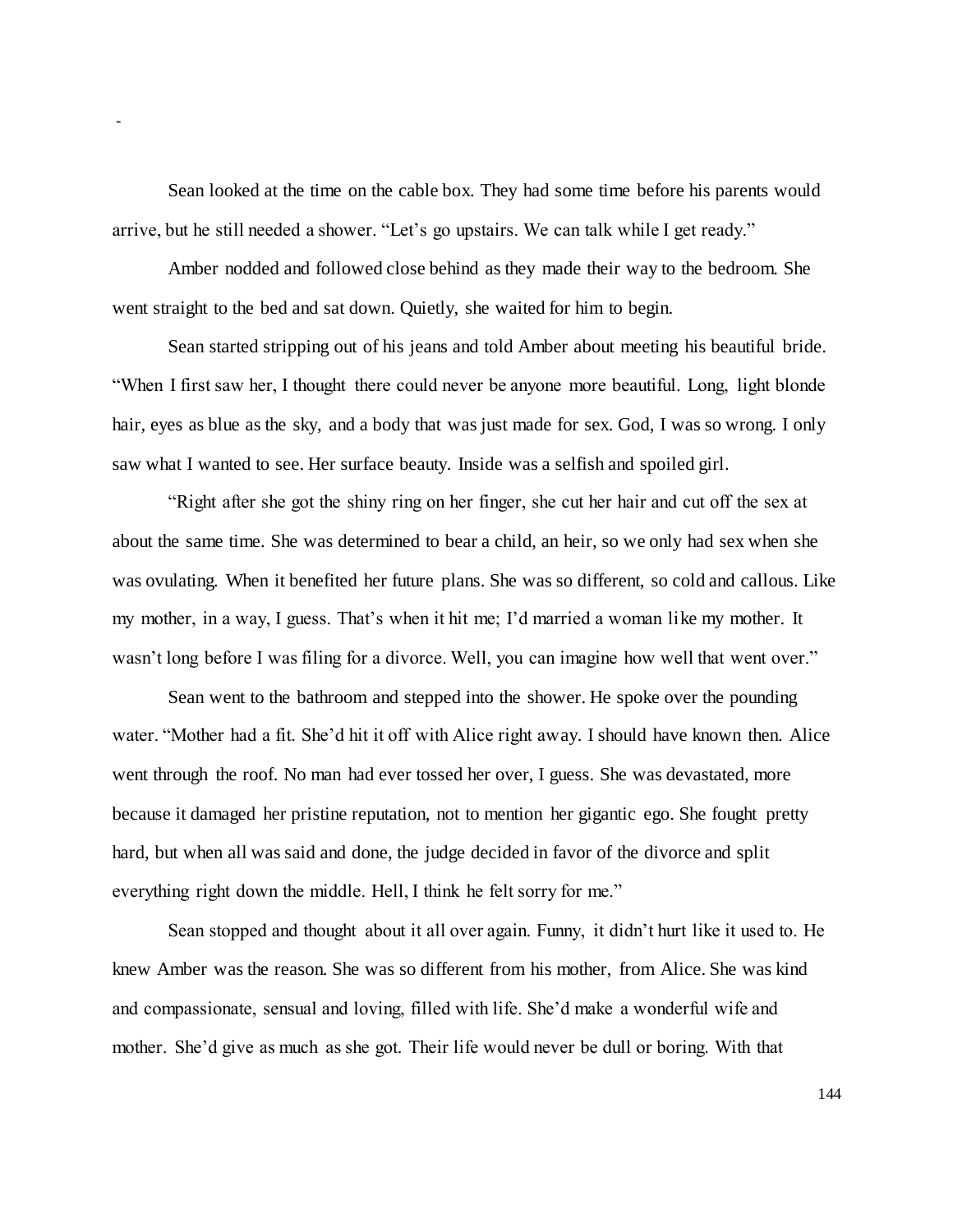Sean looked at the time on the cable box. They had some time before his parents would arrive, but he still needed a shower. "Let's go upstairs. We can talk while I get ready."

-

Amber nodded and followed close behind as they made their way to the bedroom. She went straight to the bed and sat down. Quietly, she waited for him to begin.

Sean started stripping out of his jeans and told Amber about meeting his beautiful bride. "When I first saw her, I thought there could never be anyone more beautiful. Long, light blonde hair, eyes as blue as the sky, and a body that was just made for sex. God, I was so wrong. I only saw what I wanted to see. Her surface beauty. Inside was a selfish and spoiled girl.

"Right after she got the shiny ring on her finger, she cut her hair and cut off the sex at about the same time. She was determined to bear a child, an heir, so we only had sex when she was ovulating. When it benefited her future plans. She was so different, so cold and callous. Like my mother, in a way, I guess. That's when it hit me; I'd married a woman like my mother. It wasn't long before I was filing for a divorce. Well, you can imagine how well that went over."

Sean went to the bathroom and stepped into the shower. He spoke over the pounding water. "Mother had a fit. She'd hit it off with Alice right away. I should have known then. Alice went through the roof. No man had ever tossed her over, I guess. She was devastated, more because it damaged her pristine reputation, not to mention her gigantic ego. She fought pretty hard, but when all was said and done, the judge decided in favor of the divorce and split everything right down the middle. Hell, I think he felt sorry for me."

Sean stopped and thought about it all over again. Funny, it didn't hurt like it used to. He knew Amber was the reason. She was so different from his mother, from Alice. She was kind and compassionate, sensual and loving, filled with life. She'd make a wonderful wife and mother. She'd give as much as she got. Their life would never be dull or boring. With that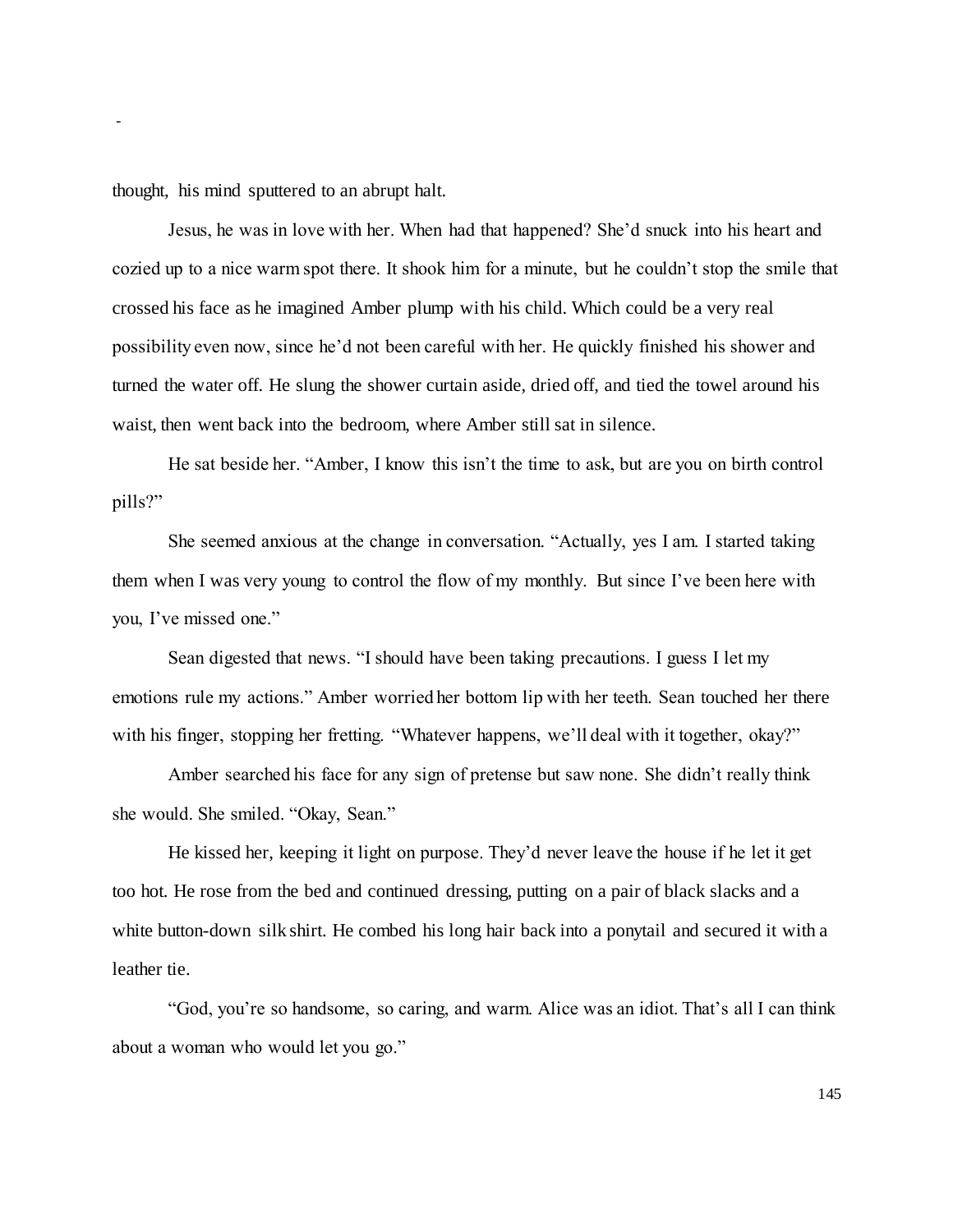thought, his mind sputtered to an abrupt halt.

-

Jesus, he was in love with her. When had that happened? She'd snuck into his heart and cozied up to a nice warm spot there. It shook him for a minute, but he couldn't stop the smile that crossed his face as he imagined Amber plump with his child. Which could be a very real possibility even now, since he'd not been careful with her. He quickly finished his shower and turned the water off. He slung the shower curtain aside, dried off, and tied the towel around his waist, then went back into the bedroom, where Amber still sat in silence.

He sat beside her. "Amber, I know this isn't the time to ask, but are you on birth control pills?"

She seemed anxious at the change in conversation. "Actually, yes I am. I started taking them when I was very young to control the flow of my monthly. But since I've been here with you, I've missed one."

Sean digested that news. "I should have been taking precautions. I guess I let my emotions rule my actions." Amber worried her bottom lip with her teeth. Sean touched her there with his finger, stopping her fretting. "Whatever happens, we'll deal with it together, okay?"

Amber searched his face for any sign of pretense but saw none. She didn't really think she would. She smiled. "Okay, Sean."

He kissed her, keeping it light on purpose. They'd never leave the house if he let it get too hot. He rose from the bed and continued dressing, putting on a pair of black slacks and a white button-down silk shirt. He combed his long hair back into a ponytail and secured it with a leather tie.

"God, you're so handsome, so caring, and warm. Alice was an idiot. That's all I can think about a woman who would let you go."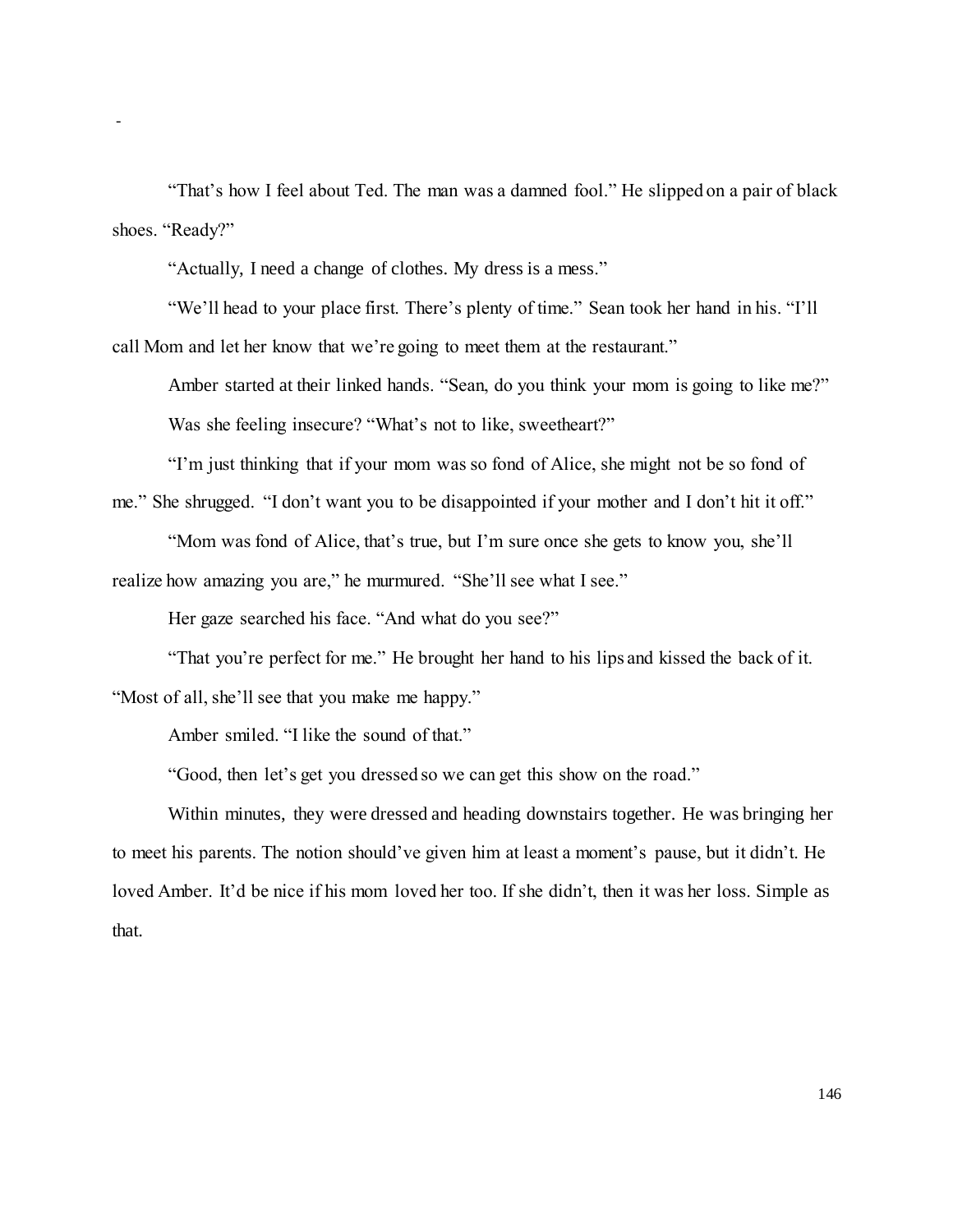"That's how I feel about Ted. The man was a damned fool." He slipped on a pair of black shoes. "Ready?"

"Actually, I need a change of clothes. My dress is a mess."

-

"We'll head to your place first. There's plenty of time." Sean took her hand in his. "I'll call Mom and let her know that we're going to meet them at the restaurant."

Amber started at their linked hands. "Sean, do you think your mom is going to like me?" Was she feeling insecure? "What's not to like, sweetheart?"

"I'm just thinking that if your mom was so fond of Alice, she might not be so fond of me." She shrugged. "I don't want you to be disappointed if your mother and I don't hit it off."

"Mom was fond of Alice, that's true, but I'm sure once she gets to know you, she'll realize how amazing you are," he murmured. "She'll see what I see."

Her gaze searched his face. "And what do you see?"

"That you're perfect for me." He brought her hand to his lips and kissed the back of it.

"Most of all, she'll see that you make me happy."

Amber smiled. "I like the sound of that."

"Good, then let's get you dressed so we can get this show on the road."

Within minutes, they were dressed and heading downstairs together. He was bringing her to meet his parents. The notion should've given him at least a moment's pause, but it didn't. He loved Amber. It'd be nice if his mom loved her too. If she didn't, then it was her loss. Simple as that.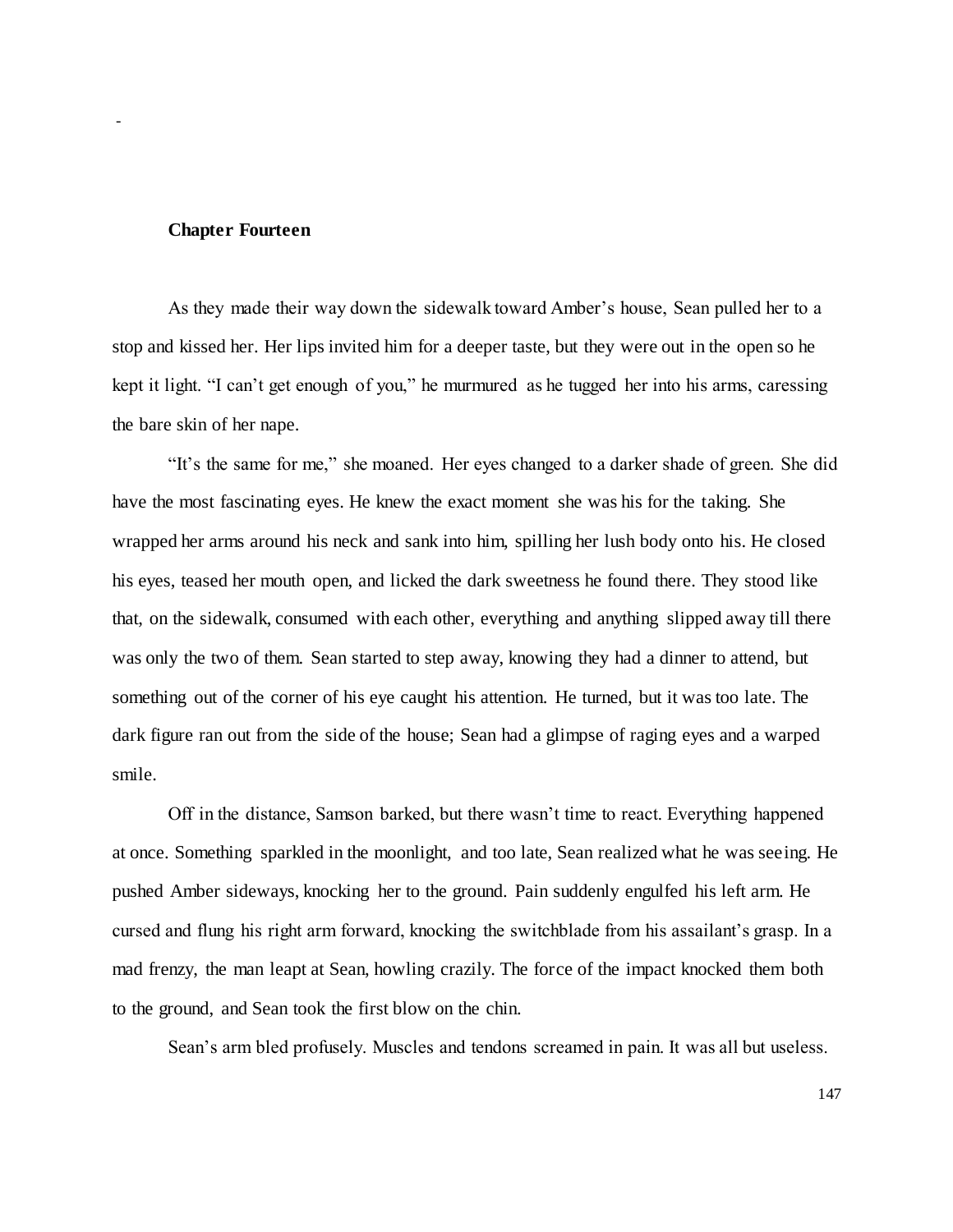## **Chapter Fourteen**

-

As they made their way down the sidewalk toward Amber's house, Sean pulled her to a stop and kissed her. Her lips invited him for a deeper taste, but they were out in the open so he kept it light. "I can't get enough of you," he murmured as he tugged her into his arms, caressing the bare skin of her nape.

"It's the same for me," she moaned. Her eyes changed to a darker shade of green. She did have the most fascinating eyes. He knew the exact moment she was his for the taking. She wrapped her arms around his neck and sank into him, spilling her lush body onto his. He closed his eyes, teased her mouth open, and licked the dark sweetness he found there. They stood like that, on the sidewalk, consumed with each other, everything and anything slipped away till there was only the two of them. Sean started to step away, knowing they had a dinner to attend, but something out of the corner of his eye caught his attention. He turned, but it was too late. The dark figure ran out from the side of the house; Sean had a glimpse of raging eyes and a warped smile.

Off in the distance, Samson barked, but there wasn't time to react. Everything happened at once. Something sparkled in the moonlight, and too late, Sean realized what he was seeing. He pushed Amber sideways, knocking her to the ground. Pain suddenly engulfed his left arm. He cursed and flung his right arm forward, knocking the switchblade from his assailant's grasp. In a mad frenzy, the man leapt at Sean, howling crazily. The force of the impact knocked them both to the ground, and Sean took the first blow on the chin.

Sean's arm bled profusely. Muscles and tendons screamed in pain. It was all but useless.

147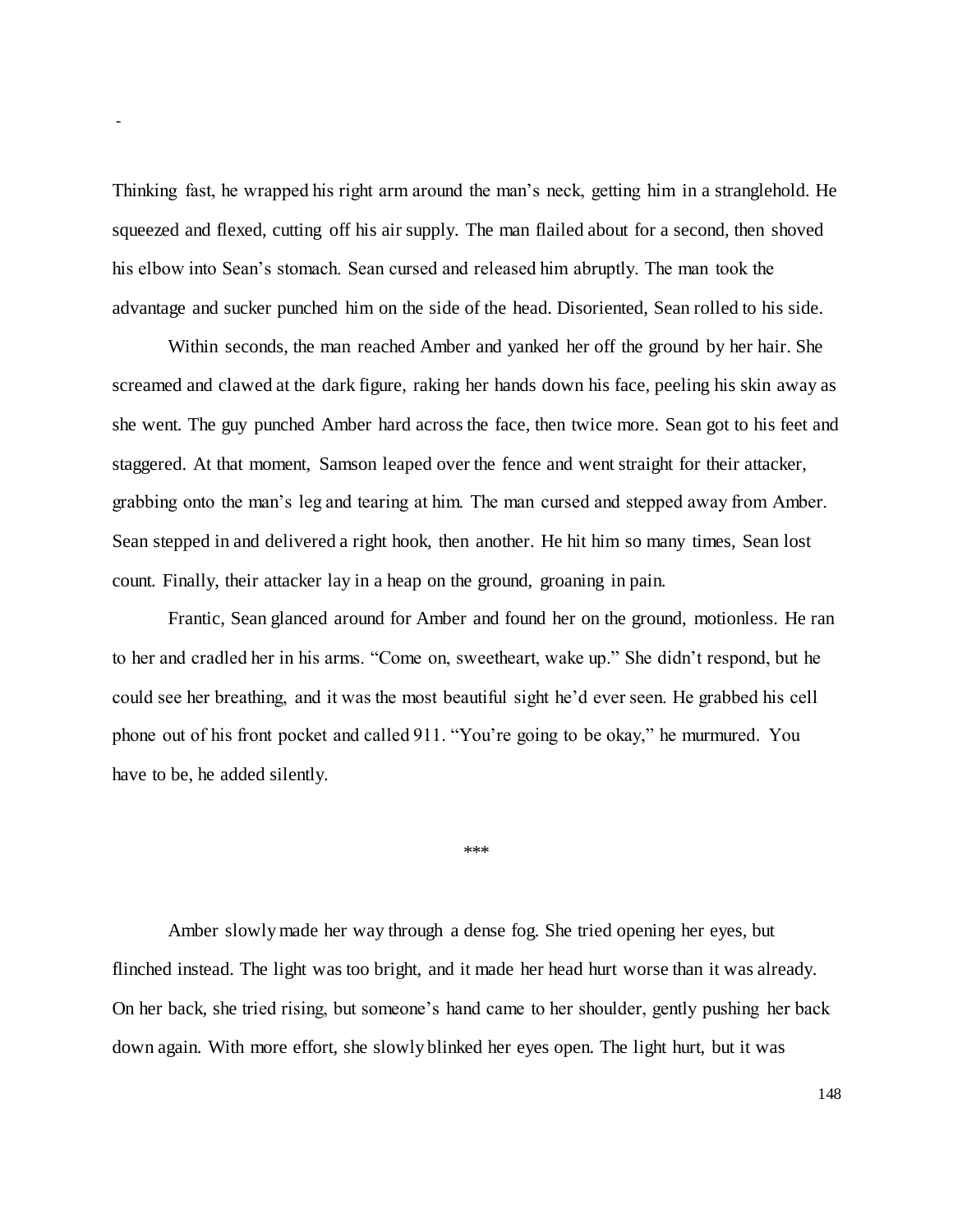Thinking fast, he wrapped his right arm around the man's neck, getting him in a stranglehold. He squeezed and flexed, cutting off his air supply. The man flailed about for a second, then shoved his elbow into Sean's stomach. Sean cursed and released him abruptly. The man took the advantage and sucker punched him on the side of the head. Disoriented, Sean rolled to his side.

-

Within seconds, the man reached Amber and yanked her off the ground by her hair. She screamed and clawed at the dark figure, raking her hands down his face, peeling his skin away as she went. The guy punched Amber hard across the face, then twice more. Sean got to his feet and staggered. At that moment, Samson leaped over the fence and went straight for their attacker, grabbing onto the man's leg and tearing at him. The man cursed and stepped away from Amber. Sean stepped in and delivered a right hook, then another. He hit him so many times, Sean lost count. Finally, their attacker lay in a heap on the ground, groaning in pain.

Frantic, Sean glanced around for Amber and found her on the ground, motionless. He ran to her and cradled her in his arms. "Come on, sweetheart, wake up." She didn't respond, but he could see her breathing, and it was the most beautiful sight he'd ever seen. He grabbed his cell phone out of his front pocket and called 911. "You're going to be okay," he murmured. You have to be, he added silently.

\*\*\*

Amber slowly made her way through a dense fog. She tried opening her eyes, but flinched instead. The light was too bright, and it made her head hurt worse than it was already. On her back, she tried rising, but someone's hand came to her shoulder, gently pushing her back down again. With more effort, she slowly blinked her eyes open. The light hurt, but it was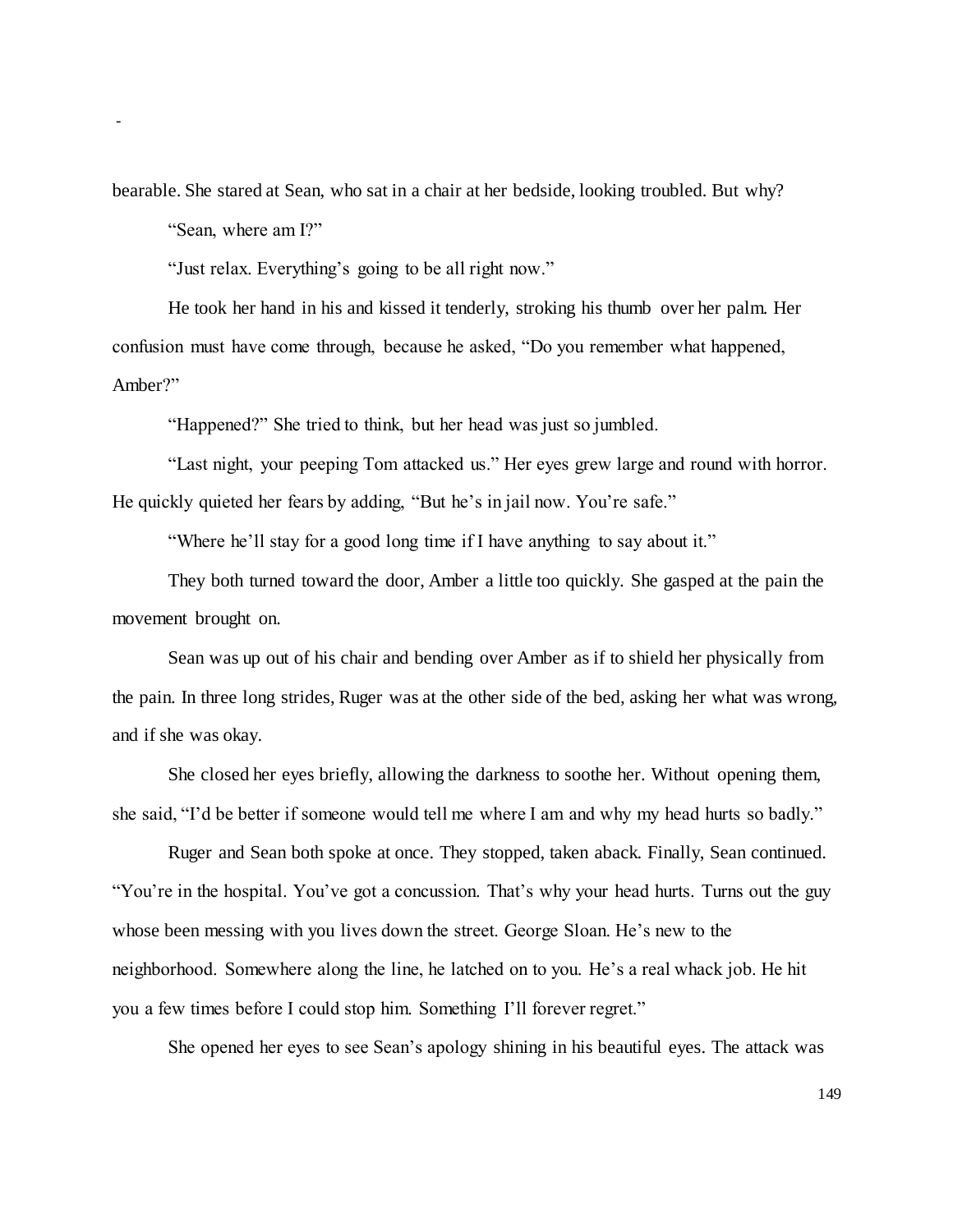bearable. She stared at Sean, who sat in a chair at her bedside, looking troubled. But why?

"Sean, where am I?"

-

"Just relax. Everything's going to be all right now."

He took her hand in his and kissed it tenderly, stroking his thumb over her palm. Her confusion must have come through, because he asked, "Do you remember what happened, Amber?"

"Happened?" She tried to think, but her head was just so jumbled.

"Last night, your peeping Tom attacked us." Her eyes grew large and round with horror. He quickly quieted her fears by adding, "But he's in jail now. You're safe."

"Where he'll stay for a good long time if I have anything to say about it."

They both turned toward the door, Amber a little too quickly. She gasped at the pain the movement brought on.

Sean was up out of his chair and bending over Amber as if to shield her physically from the pain. In three long strides, Ruger was at the other side of the bed, asking her what was wrong, and if she was okay.

She closed her eyes briefly, allowing the darkness to soothe her. Without opening them, she said, "I'd be better if someone would tell me where I am and why my head hurts so badly."

Ruger and Sean both spoke at once. They stopped, taken aback. Finally, Sean continued. "You're in the hospital. You've got a concussion. That's why your head hurts. Turns out the guy whose been messing with you lives down the street. George Sloan. He's new to the neighborhood. Somewhere along the line, he latched on to you. He's a real whack job. He hit you a few times before I could stop him. Something I'll forever regret."

She opened her eyes to see Sean's apology shining in his beautiful eyes. The attack was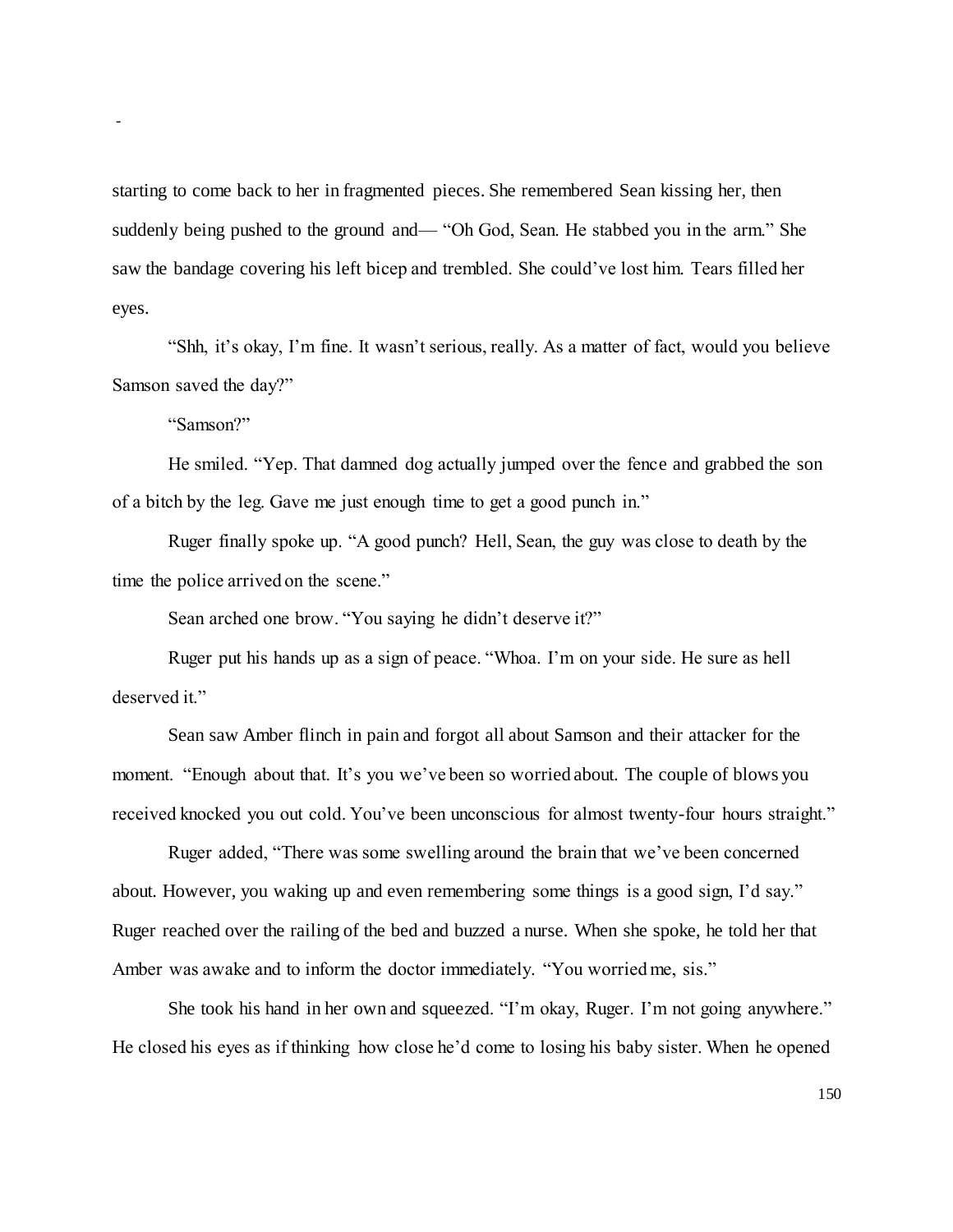starting to come back to her in fragmented pieces. She remembered Sean kissing her, then suddenly being pushed to the ground and— "Oh God, Sean. He stabbed you in the arm." She saw the bandage covering his left bicep and trembled. She could've lost him. Tears filled her eyes.

"Shh, it's okay, I'm fine. It wasn't serious, really. As a matter of fact, would you believe Samson saved the day?"

"Samson?"

-

He smiled. "Yep. That damned dog actually jumped over the fence and grabbed the son of a bitch by the leg. Gave me just enough time to get a good punch in."

Ruger finally spoke up. "A good punch? Hell, Sean, the guy was close to death by the time the police arrived on the scene."

Sean arched one brow. "You saying he didn't deserve it?"

Ruger put his hands up as a sign of peace. "Whoa. I'm on your side. He sure as hell deserved it."

Sean saw Amber flinch in pain and forgot all about Samson and their attacker for the moment. "Enough about that. It's you we've been so worried about. The couple of blows you received knocked you out cold. You've been unconscious for almost twenty-four hours straight."

Ruger added, "There was some swelling around the brain that we've been concerned about. However, you waking up and even remembering some things is a good sign, I'd say." Ruger reached over the railing of the bed and buzzed a nurse. When she spoke, he told her that Amber was awake and to inform the doctor immediately. "You worried me, sis."

She took his hand in her own and squeezed. "I'm okay, Ruger. I'm not going anywhere." He closed his eyes as if thinking how close he'd come to losing his baby sister. When he opened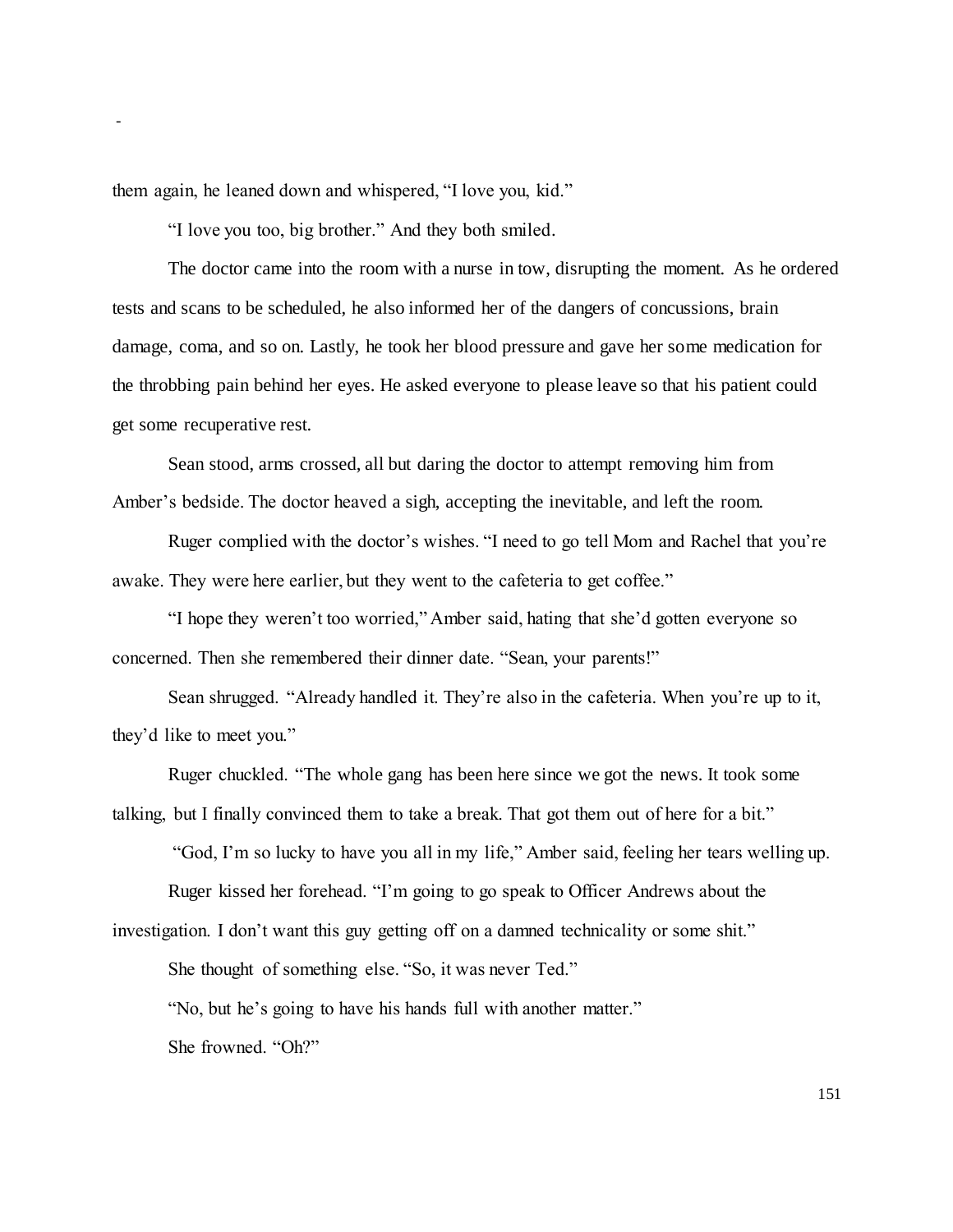them again, he leaned down and whispered, "I love you, kid."

-

"I love you too, big brother." And they both smiled.

The doctor came into the room with a nurse in tow, disrupting the moment. As he ordered tests and scans to be scheduled, he also informed her of the dangers of concussions, brain damage, coma, and so on. Lastly, he took her blood pressure and gave her some medication for the throbbing pain behind her eyes. He asked everyone to please leave so that his patient could get some recuperative rest.

Sean stood, arms crossed, all but daring the doctor to attempt removing him from Amber's bedside. The doctor heaved a sigh, accepting the inevitable, and left the room.

Ruger complied with the doctor's wishes. "I need to go tell Mom and Rachel that you're awake. They were here earlier, but they went to the cafeteria to get coffee."

"I hope they weren't too worried," Amber said, hating that she'd gotten everyone so concerned. Then she remembered their dinner date. "Sean, your parents!"

Sean shrugged. "Already handled it. They're also in the cafeteria. When you're up to it, they'd like to meet you."

Ruger chuckled. "The whole gang has been here since we got the news. It took some talking, but I finally convinced them to take a break. That got them out of here for a bit."

"God, I'm so lucky to have you all in my life," Amber said, feeling her tears welling up.

Ruger kissed her forehead. "I'm going to go speak to Officer Andrews about the investigation. I don't want this guy getting off on a damned technicality or some shit."

She thought of something else. "So, it was never Ted."

"No, but he's going to have his hands full with another matter."

She frowned. "Oh?"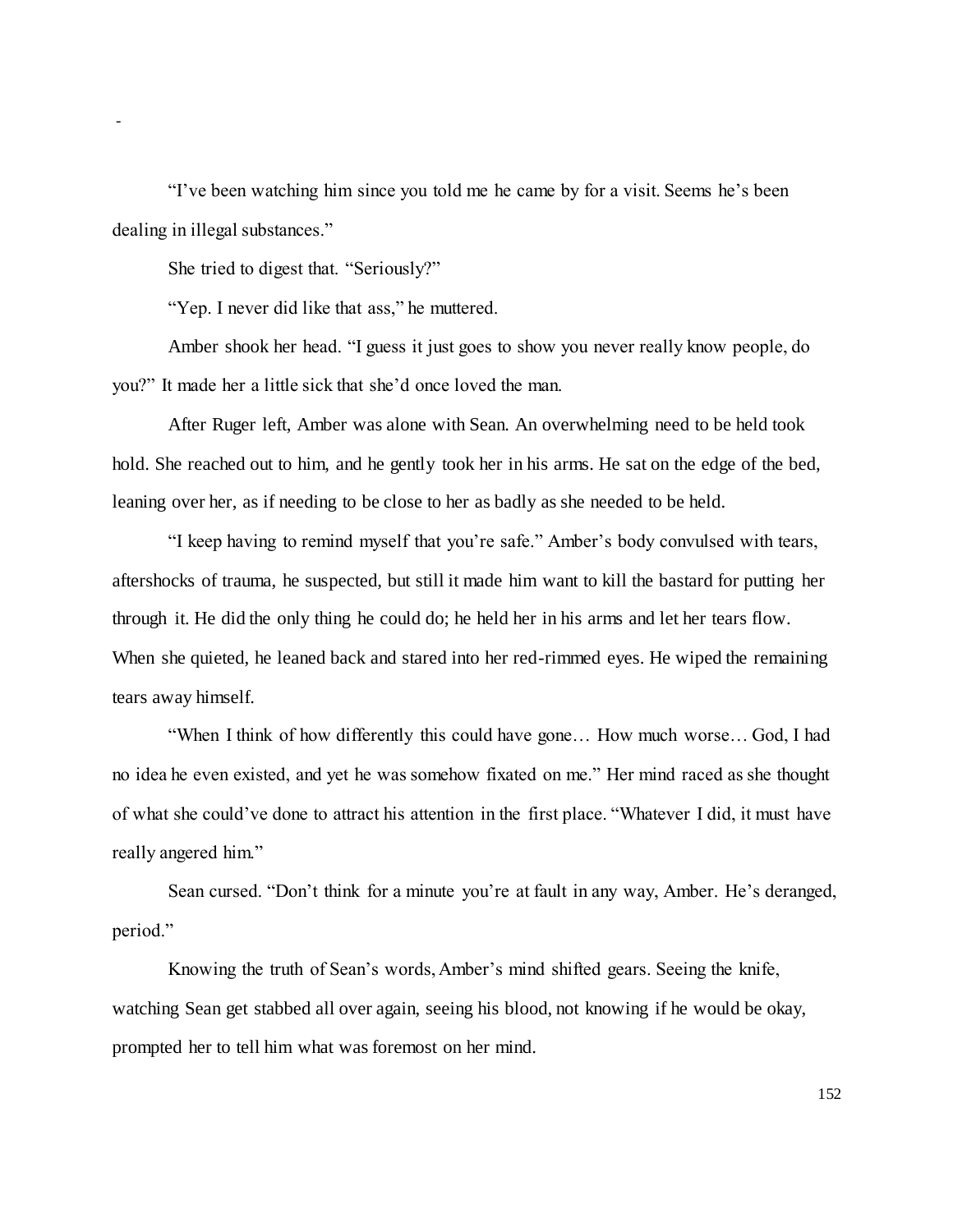"I've been watching him since you told me he came by for a visit. Seems he's been dealing in illegal substances."

She tried to digest that. "Seriously?"

-

"Yep. I never did like that ass," he muttered.

Amber shook her head. "I guess it just goes to show you never really know people, do you?" It made her a little sick that she'd once loved the man.

After Ruger left, Amber was alone with Sean. An overwhelming need to be held took hold. She reached out to him, and he gently took her in his arms. He sat on the edge of the bed, leaning over her, as if needing to be close to her as badly as she needed to be held.

"I keep having to remind myself that you're safe." Amber's body convulsed with tears, aftershocks of trauma, he suspected, but still it made him want to kill the bastard for putting her through it. He did the only thing he could do; he held her in his arms and let her tears flow. When she quieted, he leaned back and stared into her red-rimmed eyes. He wiped the remaining tears away himself.

"When I think of how differently this could have gone… How much worse… God, I had no idea he even existed, and yet he was somehow fixated on me." Her mind raced as she thought of what she could've done to attract his attention in the first place. "Whatever I did, it must have really angered him."

Sean cursed. "Don't think for a minute you're at fault in any way, Amber. He's deranged, period."

Knowing the truth of Sean's words, Amber's mind shifted gears. Seeing the knife, watching Sean get stabbed all over again, seeing his blood, not knowing if he would be okay, prompted her to tell him what was foremost on her mind.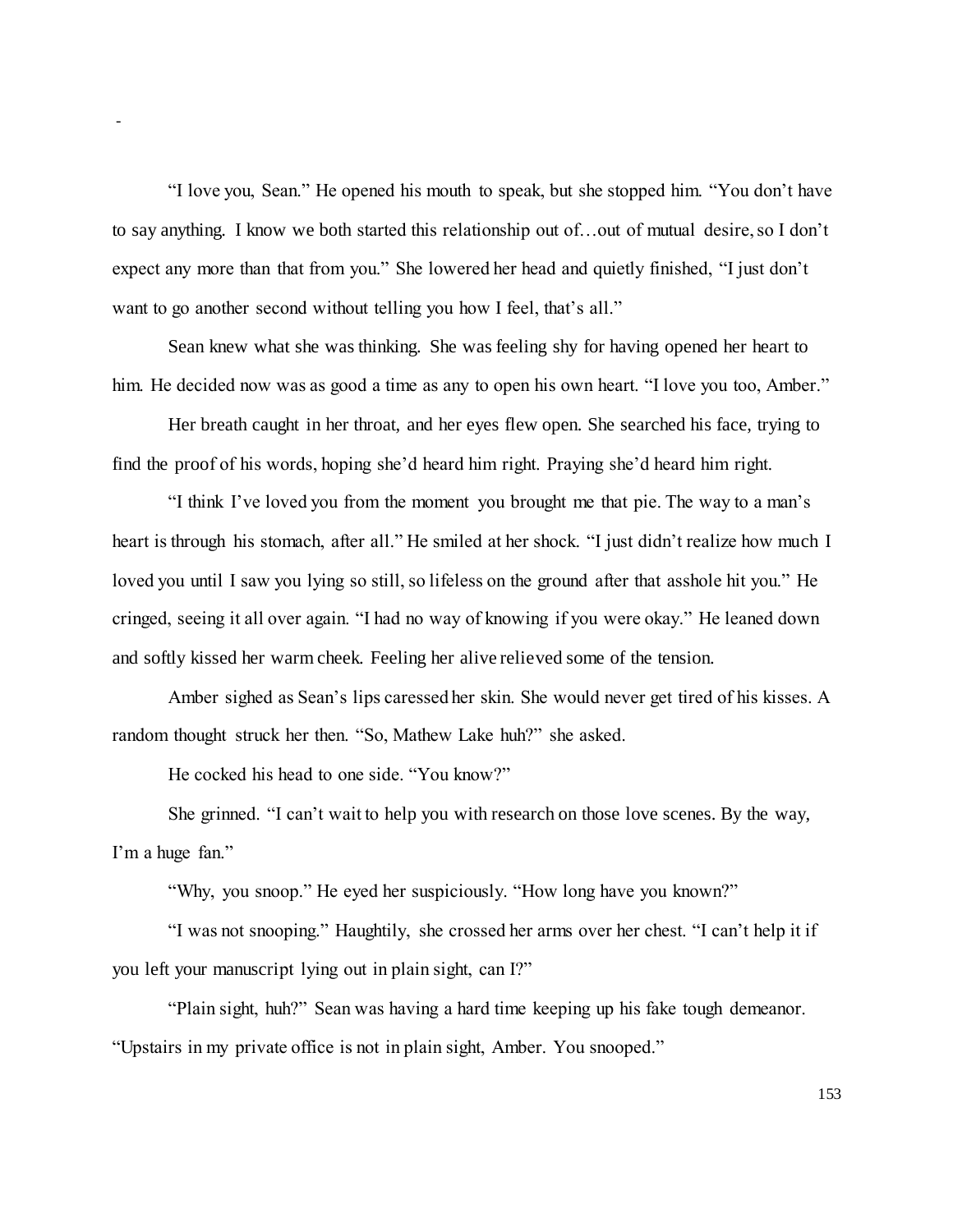"I love you, Sean." He opened his mouth to speak, but she stopped him. "You don't have to say anything. I know we both started this relationship out of…out of mutual desire, so I don't expect any more than that from you." She lowered her head and quietly finished, "I just don't want to go another second without telling you how I feel, that's all."

Sean knew what she was thinking. She was feeling shy for having opened her heart to him. He decided now was as good a time as any to open his own heart. "I love you too, Amber."

Her breath caught in her throat, and her eyes flew open. She searched his face, trying to find the proof of his words, hoping she'd heard him right. Praying she'd heard him right.

"I think I've loved you from the moment you brought me that pie. The way to a man's heart is through his stomach, after all." He smiled at her shock. "I just didn't realize how much I loved you until I saw you lying so still, so lifeless on the ground after that asshole hit you." He cringed, seeing it all over again. "I had no way of knowing if you were okay." He leaned down and softly kissed her warm cheek. Feeling her alive relieved some of the tension.

Amber sighed as Sean's lips caressed her skin. She would never get tired of his kisses. A random thought struck her then. "So, Mathew Lake huh?" she asked.

He cocked his head to one side. "You know?"

-

She grinned. "I can't wait to help you with research on those love scenes. By the way, I'm a huge fan."

"Why, you snoop." He eyed her suspiciously. "How long have you known?"

"I was not snooping." Haughtily, she crossed her arms over her chest. "I can't help it if you left your manuscript lying out in plain sight, can I?"

"Plain sight, huh?" Sean was having a hard time keeping up his fake tough demeanor. "Upstairs in my private office is not in plain sight, Amber. You snooped."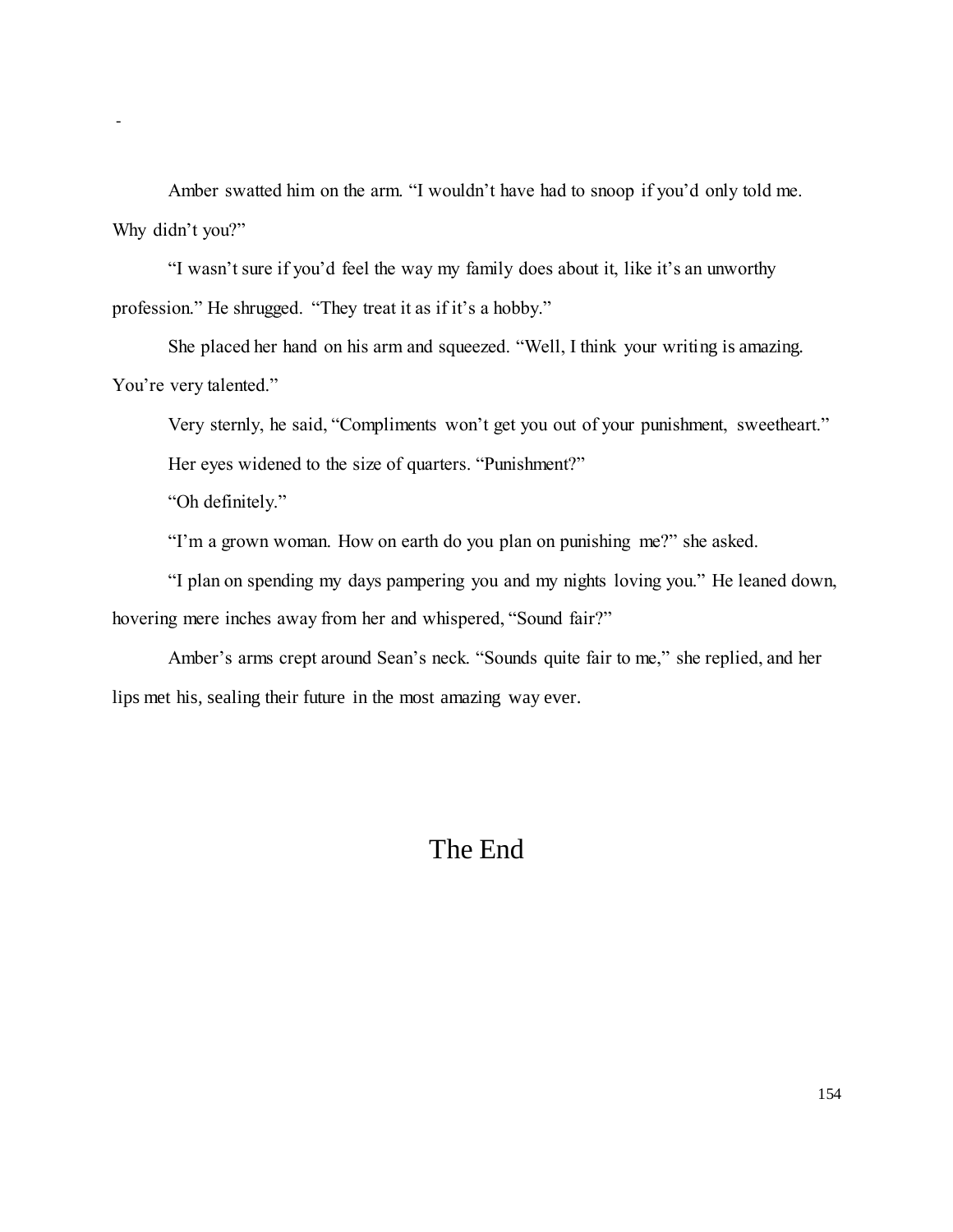Amber swatted him on the arm. "I wouldn't have had to snoop if you'd only told me. Why didn't you?"

"I wasn't sure if you'd feel the way my family does about it, like it's an unworthy profession." He shrugged. "They treat it as if it's a hobby."

She placed her hand on his arm and squeezed. "Well, I think your writing is amazing. You're very talented."

Very sternly, he said, "Compliments won't get you out of your punishment, sweetheart."

Her eyes widened to the size of quarters. "Punishment?"

"Oh definitely."

-

"I'm a grown woman. How on earth do you plan on punishing me?" she asked.

"I plan on spending my days pampering you and my nights loving you." He leaned down, hovering mere inches away from her and whispered, "Sound fair?"

Amber's arms crept around Sean's neck. "Sounds quite fair to me," she replied, and her lips met his, sealing their future in the most amazing way ever.

## The End